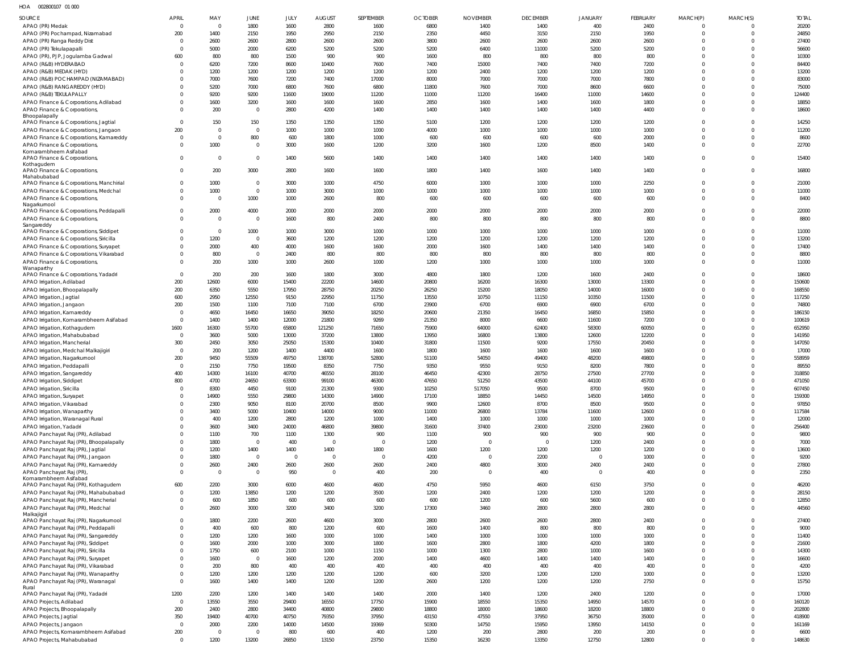HOA 002800107 01 000

| SOURCE                                                                          | APRIL                 | MAY            | JUNE                            | JULY           | <b>AUGUST</b>  | SEPTEMBER      | <b>OCTOBER</b> | <b>NOVEMBER</b> | <b>DECEMBER</b> | <b>JANUARY</b> | <b>FEBRUARY</b> | MARCH(P)                         | MARCH(S)             | <b>TOTAL</b>     |
|---------------------------------------------------------------------------------|-----------------------|----------------|---------------------------------|----------------|----------------|----------------|----------------|-----------------|-----------------|----------------|-----------------|----------------------------------|----------------------|------------------|
| APAO (PR) Medak                                                                 | $\Omega$              | $\overline{0}$ | 1800                            | 1600           | 2800           | 1600           | 6800           | 1400            | 1400            | 400            | 2400            | - 0                              |                      | 20200            |
| APAO (PR) Pochampad, Nizamabad                                                  | 200                   | 1400           | 2150                            | 1950           | 2950           | 2150           | 2350           | 4450            | 3150            | 2150           | 1950            | $\overline{0}$                   | $\Omega$             | 24850            |
| APAO (PR) Ranga Reddy Dist                                                      | $\Omega$              | 2600           | 2600                            | 2800           | 2600           | 2600           | 3800           | 2600            | 2600            | 2600           | 2600            | $\overline{0}$                   |                      | 27400            |
| APAO (PR) Tekulapapalli<br>APAO (PR), PJP, Jogulamba Gadwal                     | $\Omega$<br>600       | 5000<br>800    | 2000<br>800                     | 6200<br>1500   | 5200<br>900    | 5200<br>900    | 5200<br>1600   | 6400<br>800     | 11000<br>800    | 5200<br>800    | 5200<br>800     | $\Omega$<br>$\Omega$             |                      | 56600<br>10300   |
| APAO (R&B) HYDERABAD                                                            | $\Omega$              | 6200           | 7200                            | 8600           | 10400          | 7600           | 7400           | 15000           | 7400            | 7400           | 7200            | $\Omega$                         |                      | 84400            |
| APAO (R&B) MEDAK (HYD)                                                          |                       | 1200           | 1200                            | 1200           | 1200           | 1200           | 1200           | 2400            | 1200            | 1200           | 1200            | $\Omega$                         |                      | 13200            |
| APAO (R&B) POCHAMPAD (NIZAMABAD)                                                |                       | 7000           | 7600                            | 7200           | 7400           | 17000          | 8000           | 7000            | 7000            | 7000           | 7800            | $\Omega$                         |                      | 83000            |
| APAO (R&B) RANGAREDDY (HYD)                                                     |                       | 5200           | 7000                            | 6800           | 7600           | 6800           | 11800          | 7600            | 7000            | 8600           | 6600            | $\Omega$                         |                      | 75000            |
| APAO (R&B) TEKULAPALLY                                                          |                       | 9200           | 9200                            | 11600          | 19000          | 11200          | 11000          | 11200           | 16400           | 11000          | 14600           | $\Omega$                         |                      | 124400           |
| APAO Finance & Corporations, Adilabad                                           |                       | 1600           | 3200                            | 1600           | 1600           | 1600           | 2850           | 1600            | 1400            | 1600           | 1800            | $\overline{0}$                   | $\Omega$             | 18850            |
| APAO Finance & Corporations,<br>Bhoopalapally                                   |                       | 200            | $\overline{0}$                  | 2800           | 4200           | 1400           | 1400           | 1400            | 1400            | 1400           | 4400            | $\Omega$                         | $\Omega$             | 18600            |
| APAO Finance & Corporations, Jagtial                                            | $\Omega$              | 150            | 150                             | 1350           | 1350           | 1350           | 5100           | 1200            | 1200            | 1200           | 1200            | $\Omega$                         |                      | 14250            |
| APAO Finance & Corporations, Jangaon                                            | 200                   | $\Omega$       | $\overline{0}$                  | 1000           | 1000           | 1000           | 4000           | 1000            | 1000            | 1000           | 1000            | $\Omega$                         | $\Omega$             | 11200            |
| APAO Finance & Corporations, Kamareddy                                          | $\Omega$              | $\overline{0}$ | 800                             | 600            | 1800           | 1000           | 600            | 600             | 600             | 600            | 2000            | $\overline{0}$                   | $\Omega$             | 8600             |
| APAO Finance & Corporations                                                     |                       | 1000           | $\overline{0}$                  | 3000           | 1600           | 1200           | 3200           | 1600            | 1200            | 8500           | 1400            | $\Omega$                         | $\Omega$             | 22700            |
| Komarambheem Asifabad<br>APAO Finance & Corporations,                           |                       | $\Omega$       | $\overline{0}$                  | 1400           | 5600           | 1400           | 1400           | 1400            | 1400            | 1400           | 1400            | $\overline{0}$                   | $\Omega$             | 15400            |
| Kothagudem                                                                      |                       |                |                                 |                |                |                |                |                 |                 |                |                 |                                  |                      |                  |
| APAO Finance & Corporations,<br>Mahabubabad                                     | $\Omega$              | 200            | 3000                            | 2800           | 1600           | 1600           | 1800           | 1400            | 1600            | 1400           | 1400            | $\overline{0}$                   | $\Omega$             | 16800            |
| APAO Finance & Corporations, Manchirial                                         |                       | 1000           | $\overline{0}$                  | 3000           | 1000           | 4750           | 6000           | 1000            | 1000            | 1000           | 2250            | $\overline{0}$                   |                      | 21000            |
| APAO Finance & Corporations, Medchal                                            | $\Omega$              | 1000           | $\overline{0}$                  | 1000           | 3000           | 1000           | 1000           | 1000            | 1000            | 1000           | 1000            | $\Omega$                         | $\Omega$             | 11000            |
| APAO Finance & Corporations,                                                    | $\Omega$              | $\Omega$       | 1000                            | 1000           | 2600           | 800            | 600            | 600             | 600             | 600            | 600             | $\Omega$                         | $\Omega$             | 8400             |
| Nagarkurnool<br>APAO Finance & Corporations, Peddapalli                         | $\Omega$              | 2000           | 4000                            | 2000           | 2000           | 2000           | 2000           | 2000            | 2000            | 2000           | 2000            | $\Omega$                         | $\Omega$             | 22000            |
| APAO Finance & Corporations,                                                    | $\Omega$              | $\overline{0}$ | $\overline{\mathbf{0}}$         | 1600           | 800            | 2400           | 800            | 800             | 800             | 800            | 800             | $\overline{0}$                   | $\Omega$             | 8800             |
| Sangareddy                                                                      |                       |                |                                 |                |                |                |                |                 |                 |                |                 |                                  |                      |                  |
| APAO Finance & Corporations, Siddipet                                           | $\Omega$              | $\overline{0}$ | 1000                            | 1000           | 3000           | 1000           | 1000           | 1000            | 1000            | 1000           | 1000            | $\Omega$                         | $\Omega$             | 11000            |
| APAO Finance & Corporations, Siricilla                                          |                       | 1200           | $\overline{0}$                  | 3600           | 1200           | 1200           | 1200           | 1200            | 1200            | 1200           | 1200            | $\Omega$                         |                      | 13200            |
| APAO Finance & Corporations, Suryapet<br>APAO Finance & Corporations, Vikarabad |                       | 2000<br>800    | 400<br>$\overline{0}$           | 4000<br>2400   | 1600<br>800    | 1600<br>800    | 2000<br>800    | 1600<br>800     | 1400<br>800     | 1400<br>800    | 1400<br>800     | $\Omega$<br>$\overline{0}$       | $\Omega$             | 17400<br>8800    |
| APAO Finance & Corporations,                                                    |                       | 200            | 1000                            | 1000           | 2600           | 1000           | 1200           | 1000            | 1000            | 1000           | 1000            | $\Omega$                         | $\Omega$             | 11000            |
| Wanaparthy                                                                      |                       |                |                                 |                |                |                |                |                 |                 |                |                 |                                  |                      |                  |
| APAO Finance & Corporations, Yadadri                                            | $\Omega$              | 200            | 200                             | 1600           | 1800           | 3000           | 4800           | 1800            | 1200            | 1600           | 2400            | $\Omega$                         |                      | 18600            |
| APAO Irrigation, Adilabad                                                       | 200                   | 12600          | 6000                            | 15400          | 22200          | 14600          | 20800          | 16200           | 16300           | 13000          | 13300           | $\Omega$                         | $\Omega$             | 150600           |
| APAO Irrigation, Bhoopalapally<br>APAO Irrigation, Jagtial                      | 200<br>600            | 6350<br>2950   | 5550<br>12550                   | 17950<br>9150  | 28750<br>22950 | 20250<br>11750 | 26250<br>13550 | 15200<br>10750  | 18050<br>11150  | 14000<br>10350 | 16000<br>11500  | $\Omega$<br>$\Omega$             |                      | 168550<br>117250 |
| APAO Irrigation, Jangaon                                                        | 200                   | 1500           | 1100                            | 7100           | 7100           | 6700           | 23900          | 6700            | 6900            | 6900           | 6700            | $\Omega$                         |                      | 74800            |
| APAO Irrigation, Kamareddy                                                      | $\Omega$              | 4650           | 16450                           | 16650          | 39050          | 18250          | 20600          | 21350           | 16450           | 16850          | 15850           | $\Omega$                         |                      | 186150           |
| APAO Irrigation, Komarambheem Asifabad                                          | $\Omega$              | 1400           | 1400                            | 12000          | 21800          | 9269           | 21350          | 8000            | 6600            | 11600          | 7200            | $\Omega$                         |                      | 100619           |
| APAO Irrigation, Kothagudem                                                     | 1600                  | 16300          | 55700                           | 65800          | 121250         | 71650          | 75900          | 64000           | 62400           | 58300          | 60050           | $\Omega$                         |                      | 652950           |
| APAO Irrigation, Mahabubabad                                                    | $\Omega$              | 3600           | 5000                            | 13000          | 37200          | 13800          | 13950          | 16800           | 13800           | 12600          | 12200           | $\Omega$                         |                      | 141950           |
| APAO Irrigation, Mancherial                                                     | 300                   | 2450           | 3050                            | 25050          | 15300          | 10400          | 31800          | 11500           | 9200            | 17550          | 20450           | $\Omega$                         |                      | 147050           |
| APAO Irrigation, Medchal Malkajigiri                                            | $\Omega$<br>200       | 200<br>9450    | 1200<br>55509                   | 1400<br>49750  | 4400<br>138700 | 1600<br>52800  | 1800<br>51100  | 1600<br>54050   | 1600<br>49400   | 1600<br>48200  | 1600<br>49800   | $\Omega$<br>$\Omega$             |                      | 17000<br>558959  |
| APAO Irrigation, Nagarkurnool<br>APAO Irrigation, Peddapalli                    | $\Omega$              | 2150           | 7750                            | 19500          | 8350           | 7750           | 9350           | 9550            | 9150            | 8200           | 7800            | $\Omega$                         |                      | 89550            |
| APAO Irrigation, Sangareddy                                                     | 400                   | 14300          | 16100                           | 40700          | 46550          | 28100          | 46450          | 42300           | 28750           | 27500          | 27700           | $\Omega$                         |                      | 318850           |
| APAO Irrigation, Siddipet                                                       | 800                   | 4700           | 24650                           | 63300          | 99100          | 46300          | 47650          | 51250           | 43500           | 44100          | 45700           | $\Omega$                         | $\Omega$             | 471050           |
| APAO Irrigation, Siricilla                                                      | $\Omega$              | 8300           | 4450                            | 9100           | 21300          | 9300           | 10250          | 517050          | 9500            | 8700           | 9500            | $\Omega$                         | $\Omega$             | 607450           |
| APAO Irrigation, Suryapet                                                       |                       | 14900          | 5550                            | 29800          | 14300          | 14900          | 17100          | 18850           | 14450           | 14500          | 14950           | $\Omega$                         | $\Omega$             | 159300           |
| APAO Irrigation, Vikarabad                                                      |                       | 2300           | 9050                            | 8100           | 20700          | 8500           | 9900           | 12600           | 8700            | 8500           | 9500            | $\overline{0}$                   | $\Omega$             | 97850            |
| APAO Irrigation, Wanaparthy                                                     |                       | 3400           | 5000                            | 10400          | 14000          | 9000           | 11000          | 26800           | 13784           | 11600          | 12600           | $\overline{0}$<br>$\overline{0}$ | $\Omega$<br>$\Omega$ | 117584           |
| APAO Irrigation, Waranagal Rural<br>APAO Irrigation, Yadadri                    |                       | 400<br>3600    | 1200<br>3400                    | 2800<br>24000  | 1200<br>46800  | 1000<br>39800  | 1400<br>31600  | 1000<br>37400   | 1000<br>23000   | 1000<br>23200  | 1000<br>23600   | $\overline{0}$                   |                      | 12000<br>256400  |
| APAO Panchayat Raj (PR), Adilabad                                               |                       | 1100           | 700                             | 1100           | 1300           | 900            | 1100           | 900             | 900             | 900            | 900             | $\overline{0}$                   | $\Omega$             | 9800             |
| APAO Panchayat Raj (PR), Bhoopalapally                                          |                       | 1800           | $\overline{\mathbf{0}}$         | 400            | $\overline{0}$ | $\overline{0}$ | 1200           | $\overline{0}$  | $\overline{0}$  | 1200           | 2400            | $\overline{0}$                   | $\Omega$             | 7000             |
| APAO Panchayat Raj (PR), Jagtial                                                |                       | 1200           | 1400                            | 1400           | 1400           | 1800           | 1600           | 1200            | 1200            | 1200           | 1200            | $\overline{0}$                   | $\Omega$             | 13600            |
| APAO Panchayat Raj (PR), Jangaon                                                |                       | 1800           | $\overline{\mathbf{0}}$         | $\overline{0}$ | $\overline{0}$ | $\overline{0}$ | 4200           | $\mathbf 0$     | 2200            | $\overline{0}$ | 1000            | $\overline{0}$                   | $\Omega$             | 9200             |
| APAO Panchayat Raj (PR), Kamareddy                                              |                       | 2600           | 2400                            | 2600           | 2600           | 2600           | 2400           | 4800            | 3000            | 2400           | 2400            | $\overline{0}$                   | $\Omega$             | 27800            |
| APAO Panchayat Raj (PR),<br>Komarambheem Asifabad                               | $\Omega$              | $\overline{0}$ | $\overline{\mathbf{0}}$         | 950            | $\overline{0}$ | 400            | 200            | $\overline{0}$  | 400             | $\overline{0}$ | 400             | $\overline{0}$                   | $\Omega$             | 2350             |
| APAO Panchayat Raj (PR), Kothagudem                                             | 600                   | 2200           | 3000                            | 6000           | 4600           | 4600           | 4750           | 5950            | 4600            | 6150           | 3750            | $\mathbf 0$                      | $\Omega$             | 46200            |
| APAO Panchayat Raj (PR), Mahabubabad                                            | $\Omega$              | 1200           | 13850                           | 1200           | 1200           | 3500           | 1200           | 2400            | 1200            | 1200           | 1200            | $\overline{0}$                   | $\Omega$             | 28150            |
| APAO Panchayat Raj (PR), Mancherial                                             | $\Omega$              | 600            | 1850                            | 600            | 600            | 600            | 600            | 1200            | 600             | 5600           | 600             | $\mathbf 0$                      | $\Omega$             | 12850            |
| APAO Panchayat Raj (PR), Medchal<br>Malkajigiri                                 | $\Omega$              | 2600           | 3000                            | 3200           | 3400           | 3200           | 17300          | 3460            | 2800            | 2800           | 2800            | $\mathbf 0$                      | $\Omega$             | 44560            |
| APAO Panchayat Raj (PR), Nagarkurnool                                           | $\Omega$              | 1800           | 2200                            | 2600           | 4600           | 3000           | 2800           | 2600            | 2600            | 2800           | 2400            | $\overline{0}$                   | $\Omega$             | 27400            |
| APAO Panchayat Raj (PR), Peddapalli                                             |                       | 400            | 600                             | 800            | 1200           | 600            | 1600           | 1400            | 800             | 800            | 800             | $\overline{0}$                   | $\Omega$             | 9000             |
| APAO Panchayat Raj (PR), Sangareddy                                             |                       | 1200           | 1200                            | 1600           | 1000           | 1000           | 1400           | 1000            | 1000            | 1000           | 1000            | $\overline{0}$                   | $\Omega$             | 11400            |
| APAO Panchayat Raj (PR), Siddipet                                               |                       | 1600           | 2000                            | 1000           | 3000           | 1800           | 1600           | 2800            | 1800            | 4200           | 1800            | $\overline{0}$                   | $\Omega$             | 21600            |
| APAO Panchayat Raj (PR), Siricilla                                              |                       | 1750           | 600<br>$\overline{\phantom{0}}$ | 2100           | 1000           | 1150           | 1000           | 1300            | 2800            | 1000           | 1600            | $\overline{0}$<br>$\overline{0}$ | $\Omega$<br>$\Omega$ | 14300            |
| APAO Panchayat Raj (PR), Suryapet<br>APAO Panchayat Raj (PR), Vikarabad         |                       | 1600<br>200    | 800                             | 1600<br>400    | 1200<br>400    | 2000<br>400    | 1400<br>400    | 4600<br>400     | 1400<br>400     | 1400<br>400    | 1400<br>400     | $\mathbf 0$                      | $\Omega$             | 16600<br>4200    |
| APAO Panchayat Raj (PR), Wanaparthy                                             |                       | 1200           | 1200                            | 1200           | 1200           | 1200           | 600            | 3200            | 1200            | 1200           | 1000            | $\overline{0}$                   | $\Omega$             | 13200            |
| APAO Panchayat Raj (PR), Waranagal                                              | $\Omega$              | 1600           | 1400                            | 1400           | 1200           | 1200           | 2600           | 1200            | 1200            | 1200           | 2750            | $\mathbf 0$                      | $\Omega$             | 15750            |
| Rural                                                                           |                       |                |                                 |                |                |                |                |                 |                 |                |                 |                                  |                      |                  |
| APAO Panchayat Raj (PR), Yadadri                                                | 1200                  | 2200           | 1200                            | 1400           | 1400           | 1400           | 2000           | 1400            | 1200            | 2400           | 1200            | $\overline{0}$                   | $\Omega$             | 17000            |
| APAO Projects, Adilabad<br>APAO Projects, Bhoopalapally                         | $\overline{0}$<br>200 | 13550<br>2400  | 3550<br>2800                    | 29400<br>34400 | 16550<br>40800 | 17750<br>29800 | 15900<br>18800 | 18550<br>18000  | 15350<br>18600  | 14950<br>18200 | 14570<br>18800  | $\overline{0}$<br>$\overline{0}$ | $\Omega$<br>$\Omega$ | 160120<br>202800 |
| APAO Projects, Jagtial                                                          | 350                   | 19400          | 40700                           | 40750          | 79350          | 37950          | 43150          | 47550           | 37950           | 36750          | 35000           | $\overline{0}$                   | $\Omega$             | 418900           |
| APAO Projects, Jangaon                                                          | $\Omega$              | 2000           | 2200                            | 14000          | 14500          | 19369          | 50300          | 14750           | 15950           | 13950          | 14150           | $\overline{0}$                   | $\Omega$             | 161169           |
| APAO Projects, Komarambheem Asifabad                                            | 200                   | $\overline{0}$ | $\overline{0}$                  | 800            | 600            | 400            | 1200           | 200             | 2800            | 200            | 200             | $\overline{0}$                   | $\Omega$             | 6600             |
| APAO Projects, Mahabubabad                                                      | $\Omega$              | 1200           | 13200                           | 26850          | 13150          | 23750          | 15350          | 16230           | 13350           | 12750          | 12800           | $\mathbf 0$                      | $\Omega$             | 148630           |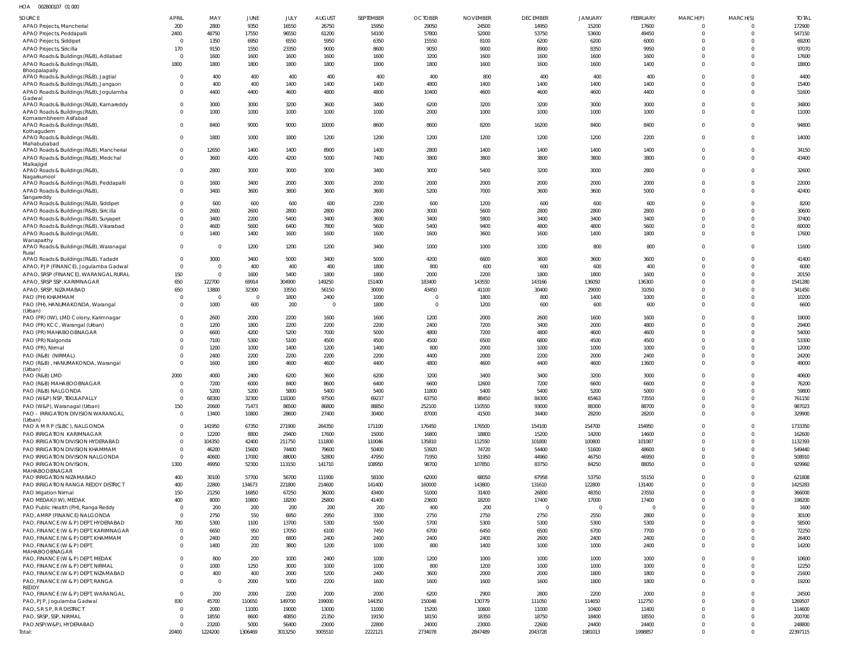| HOA | 002800107 01 000 |  |
|-----|------------------|--|
|     |                  |  |

| SOURCE                                                   | <b>APRIL</b>            | MAY                     | JUNE           | JULY           | <b>AUGUST</b>  | <b>SEPTEMBER</b> | <b>OCTOBER</b> | <b>NOVEMBER</b> | <b>DECEMBER</b> | <b>JANUARY</b> | <b>FEBRUARY</b> | MARCH(P)     | MARCH(S) | <b>TOTAL</b>     |
|----------------------------------------------------------|-------------------------|-------------------------|----------------|----------------|----------------|------------------|----------------|-----------------|-----------------|----------------|-----------------|--------------|----------|------------------|
| APAO Projects, Mancherial                                | 200                     | 2800                    | 9350           | 16550          | 26750          | 15950            | 29050          | 24500           | 14950           | 15200          | 17600           | 0            | $\Omega$ | 172900           |
| APAO Projects, Peddapalli                                | 2400                    | 48750                   | 17550          | 96550          | 61200          | 54100            | 57800          | 52000           | 53750           | 53600          | 49450           | $\Omega$     | $\Omega$ | 547150           |
| APAO Projects, Siddipet                                  | $\Omega$                | 1350                    | 6950           | 6550           | 5950           | 6350             | 15550          | 8100            | 6200            | 6200           | 6000            | $\Omega$     |          | 69200            |
| APAO Projects, Siricilla                                 | 170                     | 9150                    | 1550           | 23350          | 9000           | 8600             | 9050           | 9000            | 8900            | 8350           | 9950            | $\Omega$     |          | 97070            |
| APAO Roads & Buildings (R&B), Adilabad                   | $\overline{0}$          | 1600                    | 1600           | 1600           | 1600           | 1600             | 3200           | 1600            | 1600            | 1600           | 1600            | $\Omega$     |          | 17600            |
| APAO Roads & Buildings (R&B),<br>Bhoopalapally           | 1800                    | 1800                    | 1800           | 1800           | 1800           | 1800             | 1800           | 1600            | 1600            | 1600           | 1400            | $\Omega$     | $\Omega$ | 18800            |
| APAO Roads & Buildings (R&B), Jagtial                    | $\Omega$                | 400                     | 400            | 400            | 400            | 400              | 400            | 800             | 400             | 400            | 400             | $\Omega$     | $\Omega$ | 4400             |
| APAO Roads & Buildings (R&B), Jangaon                    | $\Omega$                | 400                     | 400            | 1400           | 1400           | 1400             | 4800           | 1400            | 1400            | 1400           | 1400            | $\Omega$     | $\Omega$ | 15400            |
| APAO Roads & Buildings (R&B), Jogulamba                  | $\overline{0}$          | 4400                    | 4400           | 4600           | 4800           | 4800             | 10400          | 4600            | 4600            | 4600           | 4400            | $\mathbf{0}$ | $\Omega$ | 51600            |
| Gadwal                                                   |                         |                         |                |                |                |                  |                |                 |                 |                |                 |              |          |                  |
| APAO Roads & Buildings (R&B), Kamareddy                  | $\overline{0}$          | 3000                    | 3000           | 3200           | 3600           | 3400             | 6200           | 3200            | 3200            | 3000           | 3000            | $\Omega$     | $\Omega$ | 34800            |
| APAO Roads & Buildings (R&B),<br>Komarambheem Asifabad   | $\Omega$                | 1000                    | 1000           | 1000           | 1000           | 1000             | 2000           | 1000            | 1000            | 1000           | 1000            | $\mathbf{0}$ | $\Omega$ | 11000            |
| APAO Roads & Buildings (R&B),                            | $\Omega$                | 8400                    | 9000           | 9000           | 10000          | 8600             | 8600           | 8200            | 16200           | 8400           | 8400            | $\mathbf 0$  | $\Omega$ | 94800            |
| Kothagudem                                               |                         |                         |                |                |                |                  |                |                 |                 |                |                 |              |          |                  |
| APAO Roads & Buildings (R&B),                            | $\overline{0}$          | 1800                    | 1000           | 1800           | 1200           | 1200             | 1200           | 1200            | 1200            | 1200           | 2200            | $^{\circ}$   | $\Omega$ | 14000            |
| Mahabubabad<br>APAO Roads & Buildings (R&B), Mancherial  | $\overline{0}$          | 12650                   | 1400           | 1400           | 8900           | 1400             | 2800           | 1400            | 1400            | 1400           | 1400            | $\mathbf{0}$ | $\Omega$ | 34150            |
| APAO Roads & Buildings (R&B), Medchal                    | $\Omega$                | 3600                    | 4200           | 4200           | 5000           | 7400             | 3800           | 3800            | 3800            | 3800           | 3800            | $\Omega$     | $\Omega$ | 43400            |
| Malkajigiri                                              |                         |                         |                |                |                |                  |                |                 |                 |                |                 |              |          |                  |
| APAO Roads & Buildings (R&B),                            | $\Omega$                | 2800                    | 3000           | 3000           | 3000           | 3400             | 3000           | 5400            | 3200            | 3000           | 2800            | $\mathbf 0$  | $\Omega$ | 32600            |
| Nagarkurnool                                             |                         |                         |                |                |                |                  |                |                 |                 |                |                 |              |          |                  |
| APAO Roads & Buildings (R&B), Peddapalli                 | $\Omega$<br>$\Omega$    | 1600                    | 3400           | 2000           | 3000           | 2000             | 2000           | 2000            | 2000            | 2000           | 2000            | $\Omega$     | $\Omega$ | 22000            |
| APAO Roads & Buildings (R&B),<br>Sangareddy              |                         | 3400                    | 3600           | 3800           | 3600           | 3600             | 5200           | 7000            | 3600            | 3600           | 5000            | $\mathbf{0}$ | $\Omega$ | 42400            |
| APAO Roads & Buildings (R&B), Siddipet                   | $\Omega$                | 600                     | 600            | 600            | 600            | 2200             | 600            | 1200            | 600             | 600            | 600             | $\Omega$     | $\Omega$ | 8200             |
| APAO Roads & Buildings (R&B), Siricilla                  | $\overline{0}$          | 2600                    | 2600           | 2800           | 2800           | 2800             | 3000           | 5600            | 2800            | 2800           | 2800            | $\Omega$     | $\Omega$ | 30600            |
| APAO Roads & Buildings (R&B), Suryapet                   | $\Omega$                | 3400                    | 2200           | 5400           | 3400           | 3600             | 3400           | 5800            | 3400            | 3400           | 3400            | $\Omega$     | $\Omega$ | 37400            |
| APAO Roads & Buildings (R&B), Vikarabad                  | $\Omega$                | 4600                    | 5600           | 6400           | 7800           | 5600             | 5400           | 9400            | 4800            | 4800           | 5600            | $\Omega$     | $\Omega$ | 60000            |
| APAO Roads & Buildings (R&B),                            | $\Omega$                | 1400                    | 1400           | 1600           | 1600           | 1600             | 1600           | 3600            | 1600            | 1400           | 1800            | $\Omega$     | $\Omega$ | 17600            |
| Wanaparthy                                               |                         |                         |                |                |                |                  |                |                 |                 |                |                 |              |          |                  |
| APAO Roads & Buildings (R&B), Waranagal                  | $\overline{0}$          | $\overline{\mathbf{0}}$ | 1200           | 1200           | 1200           | 3400             | 1000           | 1000            | 1000            | 800            | 800             | $\Omega$     | $\Omega$ | 11600            |
| Rural<br>APAO Roads & Buildings (R&B), Yadadri           | $\overline{0}$          | 3000                    | 3400           | 5000           | 3400           | 5000             | 4200           | 6600            | 3600            | 3600           | 3600            | $\Omega$     | $\Omega$ | 41400            |
| APAO, PJP (FINANCE), Jogulamba Gadwal                    | $\overline{0}$          | $\overline{0}$          | 400            | 400            | 400            | 1800             | 800            | 600             | 600             | 600            | 400             | $\Omega$     | $\Omega$ | 6000             |
| APAO, SRSP (FINANCE), WARANGAL RURAL                     | 150                     | $\overline{\mathbf{0}}$ | 1600           | 5400           | 1800           | 1800             | 2000           | 2200            | 1800            | 1800           | 1600            | $\Omega$     | $\Omega$ | 20150            |
| APAO, SRSP SSP, KARIMNAGAR                               | 650                     | 122700                  | 69914          | 304900         | 149250         | 151400           | 183400         | 143550          | 143166          | 136050         | 136300          | $\Omega$     | $\Omega$ | 1541280          |
| APAO, SRSP, NIZAMABAD                                    | 650                     | 13800                   | 32300          | 33550          | 56150          | 30000            | 43450          | 41100           | 30400           | 29000          | 31050           | $\Omega$     | $\Omega$ | 341450           |
| PAO (PH) KHAMMAM                                         | $\Omega$                | $\overline{\mathbf{0}}$ | $\Omega$       | 1800           | 2400           | 1000             | $\Omega$       | 1800            | 800             | 1400           | 1000            | $\Omega$     | $\Omega$ | 10200            |
| PAO (PH), HANUMAKONDA, Warangal                          | $\Omega$                | 1000                    | 600            | 200            | $\overline{0}$ | 1800             | $\Omega$       | 1200            | 600             | 600            | 600             | $\Omega$     | $\Omega$ | 6600             |
| (Urban)                                                  |                         |                         |                |                |                |                  |                |                 |                 |                |                 |              |          |                  |
| PAO (PR) (IW), LMD Colony, Karimnagar                    | $\overline{0}$          | 2600                    | 2000           | 2200           | 1600           | 1600             | 1200           | 2000            | 2600            | 1600           | 1600            | $\Omega$     | $\Omega$ | 19000            |
| PAO (PR) KCC, Warangal (Urban)                           | $\Omega$                | 1200                    | 1800           | 2200           | 2200           | 2200             | 2400           | 7200            | 3400            | 2000           | 4800            | $\Omega$     | $\Omega$ | 29400            |
| PAO (PR) MAHABOOBNAGAR                                   | $\Omega$                | 6600                    | 4200           | 5200           | 7000           | 5000             | 4800           | 7200            | 4800            | 4600           | 4600            | $\Omega$     | $\Omega$ | 54000            |
| PAO (PR) Nalgonda                                        | $\Omega$                | 7100                    | 5300           | 5100           | 4500           | 4500             | 4500           | 6500            | 6800            | 4500           | 4500            | $\Omega$     | $\Omega$ | 53300            |
| PAO (PR), Nirmal                                         | $\Omega$                | 1200                    | 1000           | 1400           | 1200           | 1400             | 800            | 2000            | 1000            | 1000           | 1000            | $\Omega$     | $\Omega$ | 12000            |
| PAO (R&B) (NIRMAL)                                       | $\Omega$                | 2400                    | 2200           | 2200           | 2200           | 2200             | 4400           | 2000            | 2200            | 2000           | 2400            | $\Omega$     | $\Omega$ | 24200            |
| PAO (R&B), HANUMAKONDA, Warangal                         | $\Omega$                | 1600                    | 1800           | 4600           | 4600           | 4400             | 4800           | 4600            | 4400            | 4600           | 13600           | $\Omega$     | $\Omega$ | 49000            |
| (Urban)<br>PAO (R&B) LMD                                 | 2000                    | 4000                    | 2400           | 6200           | 3600           | 6200             | 3200           | 3400            | 3400            | 3200           | 3000            | $\Omega$     | $\Omega$ | 40600            |
| PAO (R&B) MAHABOOBNAGAR                                  | $\overline{\mathbf{0}}$ | 7200                    | 6000           | 8400           | 8600           | 6400             | 6600           | 12600           | 7200            | 6600           | 6600            | $\Omega$     | $\Omega$ | 76200            |
| PAO (R&B) NALGONDA                                       |                         | 5200                    | 5200           | 5800           | 5400           | 5400             | 11800          | 5400            | 5400            | 5200           | 5000            |              |          | 59800            |
| PAO (W&P) NSP, TEKULAPALLY                               | $\overline{0}$          | 68300                   | 32300          | 118300         | 97500          | 69237            | 63750          | 88450           | 84300           | 65463          | 73550           | $\Omega$     | $\Omega$ | 761150           |
| PAO (W&P), Waranagal (Urban)                             | 150                     | 20600                   | 71473          | 86500          | 86800          | 88850            | 252100         | 110550          | 93000           | 88300          | 88700           | 0            | $\Omega$ | 987023           |
| PAO - IRRIGATION DIVISION WARANGAL                       | $\overline{0}$          | 13400                   | 10800          | 28600          | 27400          | 30400            | 87000          | 41500           | 34400           | 28200          | 28200           | $\mathbf 0$  | $\Omega$ | 329900           |
| (Urban)                                                  |                         |                         |                |                |                |                  |                |                 |                 |                |                 |              |          |                  |
| PAO A M R P (SLBC), NALGONDA                             | $\overline{0}$          | 141950                  | 67350          | 271900         | 264350         | 171100           | 176450         | 176500          | 154100          | 154700         | 154950          | $\mathbf{0}$ | $\Omega$ | 1733350          |
| PAO IRRIGATION KARIMNAGAR                                | $\overline{0}$          | 12200                   | 8800           | 29400          | 17600          | 15000            | 16800          | 18800           | 15200           | 14200          | 14600           | $\mathbf{0}$ | $\Omega$ | 162600           |
| PAO IRRIGATION DIVISION HYDERABAD                        | $\overline{0}$          | 104350                  | 42400          | 211750         | 111800         | 110046           | 135810         | 112550          | 101800          | 100800         | 101087          | $\Omega$     | $\Omega$ | 1132393          |
| PAO IRRIGATION DIVISION KHAMMAM                          | $\overline{0}$          | 46200                   | 15600          | 74400          | 79600          | 50400            | 53920          | 74720           | 54400           | 51600          | 48600           | $\mathbf{0}$ | $\Omega$ | 549440           |
| PAO IRRIGATION DIVISION NALGONDA                         | $\overline{0}$          | 40600                   | 17000          | 88000          | 52800          | 47950            | 71950          | 51950           | 44960           | 46750          | 46950           | $\Omega$     | $\Omega$ | 508910           |
| PAO IRRIGATION DIVISION,<br>MAHABOOBNAGAR                | 1300                    | 49950                   | 52300          | 113150         | 141710         | 108950           | 98700          | 107850          | 83750           | 84250          | 88050           | $\mathbf 0$  | $\Omega$ | 929960           |
| PAO IRRIGATION NIZAMABAD                                 | 400                     | 30100                   | 57700          | 56700          | 111900         | 58100            | 62000          | 68050           | 67958           | 53750          | 55150           | $\mathbf{0}$ | $\Omega$ | 621808           |
| PAO IRRIGATION RANGA REDDY DISTRICT                      | 400                     | 22800                   | 134673         | 221800         | 214600         | 141400           | 160000         | 143800          | 131610          | 122800         | 131400          | $\Omega$     | $\Omega$ | 1425283          |
| PAO Irrigation Nirmal                                    | 150                     | 21250                   | 16850          | 67250          | 36000          | 43400            | 51000          | 31400           | 26800           | 48350          | 23550           | $\Omega$     | $\Omega$ | 366000           |
| PAO MEDAK(IW), MEDAK                                     | 400                     | 8000                    | 10800          | 18200          | 25800          | 41400            | 23600          | 18200           | 17400           | 17000          | 17400           | $\Omega$     | $\Omega$ | 198200           |
| PAO Public Health (PH), Ranga Reddy                      | $\overline{0}$          | 200                     | 200            | 200            | 200            | 200              | 400            | 200             | $\overline{0}$  | $\mathbf 0$    | $\Omega$        | $\Omega$     |          | 1600             |
| PAO, AMRP (FINANCE) NALGONDA                             | $\overline{0}$          | 2750                    | 550            | 6950           | 2950           | 3300             | 2750           | 2750            | 2750            | 2550           | 2800            | $\Omega$     | $\Omega$ | 30100            |
| PAO, FINANCE (W & P) DEPT, HYDERABAD                     | 700                     | 5300                    | 1100           | 13700          | 5300           | 5500             | 5700           | 5300            | 5300            | 5300           | 5300            | $\Omega$     |          | 58500            |
| PAO, FINANCE (W & P) DEPT, KARIMNAGAR                    | $\overline{0}$          | 6650                    | 950            | 17050          | 6100           | 7450             | 6700           | 6450            | 6500            | 6700           | 7700            | $\Omega$     | $\Omega$ | 72250            |
| PAO, FINANCE (W & P) DEPT, KHAMMAM                       | $\overline{0}$          | 2400                    | 200            | 6800           | 2400           | 2400             | 2400           | 2400            | 2600            | 2400           | 2400            | $\mathbf{0}$ | $\Omega$ | 26400            |
| PAO, FINANCE (W & P) DEPT,                               | $\Omega$                | 1400                    | 200            | 3800           | 1200           | 1000             | 800            | 1400            | 1000            | 1000           | 2400            | $\mathbf{0}$ | $\Omega$ | 14200            |
| MAHABOOBNAGAR                                            |                         |                         |                |                |                |                  |                |                 |                 |                |                 |              |          |                  |
| PAO, FINANCE (W & P) DEPT, MEDAK                         | $\Omega$                | 800                     | 200            | 1000           | 2400           | 1000             | 1200           | 1000            | 1000            | 1000           | 1000            | $\mathbf{0}$ | $\Omega$ | 10600            |
| PAO, FINANCE (W & P) DEPT, NIRMAL                        | $\overline{0}$          | 1000                    | 1250           | 3000           | 1000           | 1000             | 800            | 1200            | 1000            | 1000           | 1000            | $\mathbf{0}$ | $\Omega$ | 12250            |
| PAO, FINANCE (W & P) DEPT, NIZAMABAD                     | $\Omega$                | 400                     | 400            | 2000           | 5200           | 2400             | 3600           | 2000            | 2000            | 1800           | 1800            | $\mathbf{0}$ | $\Omega$ | 21600            |
| PAO, FINANCE (W & P) DEPT, RANGA                         | $\Omega$                | $\overline{\mathbf{0}}$ | 2000           | 5000           | 2200           | 1600             | 1600           | 1600            | 1600            | 1800           | 1800            | $\mathbf 0$  | $\Omega$ | 19200            |
| REDDY                                                    | $\overline{0}$          |                         |                |                |                |                  |                |                 |                 |                |                 | $\mathbf{0}$ | $\Omega$ |                  |
| PAO, FINANCE (W & P) DEPT, WARANGAL                      | 830                     | 200<br>45700            | 2000<br>110650 | 2200<br>149700 | 2000<br>199000 | 2000<br>144350   | 6200<br>150048 | 2900<br>130779  | 2800<br>111050  | 2200<br>114650 | 2000<br>112750  | $\mathbf{0}$ | $\Omega$ | 24500<br>1269507 |
| PAO, PJP, Jogulamba Gadwal<br>PAO, S R S P, R R DISTRICT | $\overline{0}$          | 2000                    | 11000          | 19000          | 13000          | 11000            | 15200          | 10600           | 11000           | 10400          | 11400           | $\Omega$     | $\Omega$ | 114600           |
| PAO, SRSP, SSP, NIRMAL                                   | $\Omega$                | 18550                   | 8600           | 40850          | 21350          | 19150            | 18150          | 18350           | 18750           | 18400          | 18550           | $\Omega$     | $\Omega$ | 200700           |
| PAO, NSP(W&P), HYDERABAD                                 | $\overline{0}$          | 23200                   | 5000           | 56400          | 23000          | 22800            | 24000          | 23000           | 22600           | 24400          | 24400           | $\mathbf{0}$ | $\Omega$ | 248800           |
|                                                          | 20400                   | 1224200                 | 1306469        | 3013250        | 3005510        | 2222121          | 2734078        | 2847489         | 2043728         | 1981013        | 1998857         | $\mathbf 0$  | $\Omega$ | 22397115         |
| Total:                                                   |                         |                         |                |                |                |                  |                |                 |                 |                |                 |              |          |                  |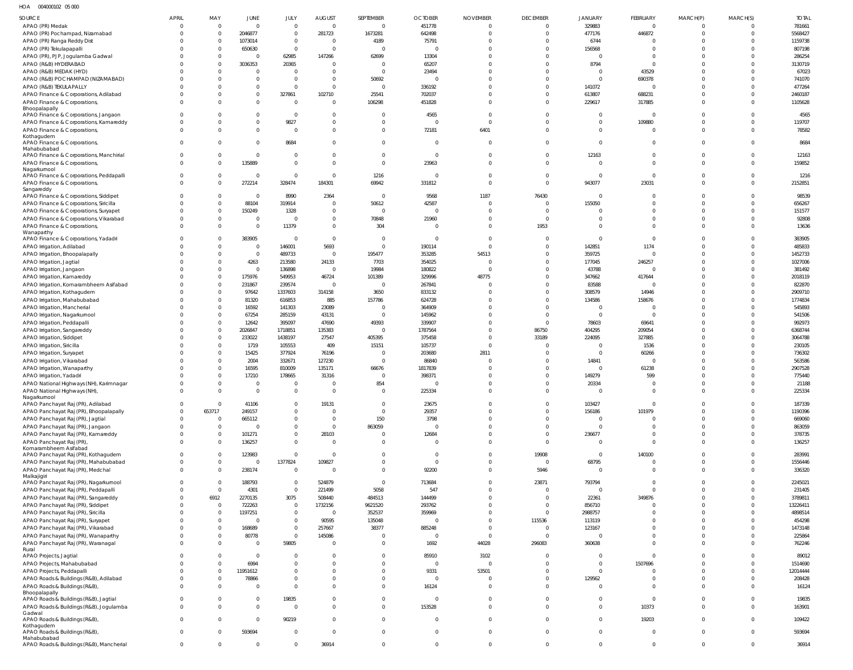HOA 004000102 05 000

| SOURCE                                                                      | <b>APRIL</b>   | MAY                  | JUNE                   | JULY                        | <b>AUGUST</b>        | SEPTEMBER                     | <b>OCTOBER</b>          | <b>NOVEMBER</b>        | <b>DECEMBER</b>      | JANUARY                       | FEBRUARY                  | MARCH(P)             | MARCH(S)                | <b>TOTAL</b>      |
|-----------------------------------------------------------------------------|----------------|----------------------|------------------------|-----------------------------|----------------------|-------------------------------|-------------------------|------------------------|----------------------|-------------------------------|---------------------------|----------------------|-------------------------|-------------------|
| APAO (PR) Medak                                                             |                | $\overline{0}$       | $\overline{0}$         | $\mathbf 0$                 | $\overline{0}$       | $\overline{0}$                | 451778                  | $\mathbf 0$            | 0                    | 329883                        | $\mathbf 0$               | $\Omega$             | $\Omega$                | 781661            |
| APAO (PR) Pochampad, Nizamabad                                              |                | $\mathbf{0}$         | 2046877                | $\mathbf{0}$                | 281723               | 1673281                       | 642498                  | $\Omega$               | $\Omega$             | 477176                        | 446872                    | $\Omega$             | $\mathbf 0$             | 5568427           |
| APAO (PR) Ranga Reddy Dist                                                  |                | $\Omega$             | 1073014                | $\mathbf 0$                 | $\Omega$             | 4189                          | 75791                   | 0                      | $\Omega$             | 6744                          | -0                        |                      | $\Omega$                | 1159738           |
| APAO (PR) Tekulapapalli                                                     |                | $\Omega$             | 650630                 | $\Omega$                    | $\Omega$             | $\mathsf{C}$                  | $\Omega$                | $\Omega$               | $\Omega$             | 156568                        | $\Omega$                  |                      | $\Omega$                | 807198            |
| APAO (PR), PJP, Jogulamba Gadwal                                            |                | $\Omega$             | $\overline{0}$         | 62985                       | 147266               | 62699                         | 13304                   | $\Omega$               | $\Omega$             | $\overline{0}$                | $\Omega$                  | $\Omega$             | $\Omega$                | 286254            |
| APAO (R&B) HYDERABAD                                                        |                | $\Omega$             | 3036353                | 20365                       | $\Omega$             | $\overline{0}$                | 65207                   | $\Omega$               | $\Omega$             | 8794                          | $\mathbf 0$               |                      | $\Omega$                | 3130719           |
| APAO (R&B) MEDAK (HYD)                                                      |                | $\Omega$             | $\overline{0}$         | $\Omega$                    | $\Omega$             | $\mathbf{C}$                  | 23494                   | $\Omega$               | $\Omega$             | $\overline{0}$                | 43529                     |                      | $\Omega$                | 67023             |
| APAO (R&B) POCHAMPAD (NIZAMABAD)                                            |                |                      | $\overline{0}$         | $\Omega$                    | $\Omega$             | 50692                         | $\circ$                 | $\Omega$               | $\Omega$             | $\overline{0}$                | 690378                    |                      | $\Omega$                | 741070            |
| APAO (R&B) TEKULAPALLY                                                      |                |                      | $\overline{0}$         | $\mathbf{0}$                | $\Omega$             | $\overline{0}$                | 336192                  | $\Omega$               | $\Omega$             | 141072                        | $\overline{0}$            | <sup>0</sup>         | $\Omega$                | 477264            |
| APAO Finance & Corporations, Adilabad                                       |                |                      | $\overline{0}$         | 327861                      | 102710               | 25541                         | 702037                  | $\Omega$               | $\Omega$             | 613807                        | 688231                    | $\Omega$             | $\Omega$                | 2460187           |
| APAO Finance & Corporations,                                                |                |                      | $\mathbf{0}$           | $\Omega$                    | $\Omega$             | 106298                        | 451828                  | $\Omega$               | $\Omega$             | 229617                        | 317885                    |                      | $\Omega$                | 1105628           |
| Bhoopalapally                                                               |                |                      |                        |                             |                      |                               |                         |                        |                      |                               |                           |                      |                         |                   |
| APAO Finance & Corporations, Jangaon                                        |                |                      | $\overline{0}$         | $\Omega$                    | $\Omega$             | $\Omega$                      | 4565                    | $\Omega$               | $\Omega$             | $\mathbf 0$                   | $\overline{0}$            | $\Omega$             | $\Omega$                | 4565              |
| APAO Finance & Corporations, Kamareddy                                      | $\Omega$       | 0                    | $\overline{0}$         | 9827                        | $\Omega$             | $\Omega$                      | $\Omega$                | $\Omega$               | $\Omega$             | $\mathbf 0$                   | 109880                    | $\Omega$             | $\Omega$                | 119707            |
| APAO Finance & Corporations,                                                | $\Omega$       | 0                    | $\mathbf 0$            | $\overline{0}$              | $\Omega$             | $\overline{0}$                | 72181                   | 6401                   | $\Omega$             | $\mathbf 0$                   | $\mathbf 0$               | $\Omega$             | $\Omega$                | 78582             |
| Kothagudem<br>APAO Finance & Corporations,                                  |                |                      | $\overline{0}$         | 8684                        | $\Omega$             | $\overline{0}$                | $\Omega$                | $\Omega$               | $\Omega$             | $\mathbf 0$                   | $^{\circ}$                | $\Omega$             | $\Omega$                | 8684              |
| Mahabubabad                                                                 |                |                      |                        |                             |                      |                               |                         |                        |                      |                               |                           |                      |                         |                   |
| APAO Finance & Corporations, Manchirial                                     | $\Omega$       | $\Omega$             | $\overline{0}$         | $\Omega$                    | $\Omega$             | $\overline{0}$                | $\overline{0}$          | $\mathbf 0$            | $\Omega$             | 12163                         | $\mathbf 0$               | $\Omega$             | $\Omega$                | 12163             |
| APAO Finance & Corporations,                                                | $\Omega$       | $\Omega$             | 135889                 | $\Omega$                    | $\Omega$             | $\overline{0}$                | 23963                   | $\Omega$               | $\Omega$             | $\overline{0}$                | $\Omega$                  | $\Omega$             | $\Omega$                | 159852            |
| Nagarkurnool                                                                |                |                      |                        |                             |                      |                               |                         |                        |                      |                               |                           |                      |                         |                   |
| APAO Finance & Corporations, Peddapalli                                     | $\Omega$       | $\Omega$             | $\overline{0}$         | $\Omega$                    | $\Omega$             | 1216                          | $\Omega$                | $\Omega$               | $\Omega$             | $\overline{0}$                | $\overline{0}$            | 0                    | $\Omega$                | 1216              |
| APAO Finance & Corporations,                                                | $\Omega$       | $\Omega$             | 272214                 | 328474                      | 184301               | 69942                         | 331812                  | $\Omega$               | $\Omega$             | 943077                        | 23031                     | $\Omega$             | $\Omega$                | 2152851           |
| Sangareddy<br>APAO Finance & Corporations, Siddipet                         |                | $\Omega$             | $\Omega$               | 8990                        | 2364                 | $\overline{0}$                | 9568                    | 1187                   | 76430                | $\overline{0}$                | $\Omega$                  | $\Omega$             | $\Omega$                | 98539             |
| APAO Finance & Corporations, Siricilla                                      |                | $\Omega$             | 88104                  | 319914                      | $\overline{0}$       | 50612                         | 42587                   | 0                      | $\Omega$             | 155050                        | $\Omega$                  | $\Omega$             | $\Omega$                | 656267            |
| APAO Finance & Corporations, Suryapet                                       |                | $\Omega$             | 150249                 | 1328                        | $\overline{0}$       | $\overline{0}$                | $\overline{0}$          | $\Omega$               | $\Omega$             | $\Omega$                      | $\Omega$                  | $\Omega$             | $\Omega$                | 151577            |
| APAO Finance & Corporations, Vikarabad                                      |                | $\mathbf{0}$         | $\overline{0}$         | - 0                         | $\overline{0}$       | 70848                         | 21960                   | $\mathbf 0$            | $\Omega$             | $\mathbf 0$                   | $\mathbf 0$               | $\Omega$             | $\Omega$                | 92808             |
| APAO Finance & Corporations,                                                |                | $\Omega$             | $\mathbf 0$            | 11379                       | $\Omega$             | 304                           | $\Omega$                | $\Omega$               | 1953                 | $\mathbf 0$                   | $\Omega$                  | $\Omega$             | $\Omega$                | 13636             |
| Wanaparthy                                                                  |                |                      |                        |                             |                      |                               |                         |                        |                      |                               |                           |                      |                         |                   |
| APAO Finance & Corporations, Yadadri                                        |                |                      | 383905                 | $\overline{0}$              | $\Omega$             | $\overline{0}$                | $\overline{0}$          | $\overline{0}$         | $\Omega$             | $\overline{0}$                | $\overline{0}$            | 0                    | $\Omega$                | 383905            |
| APAO Irrigation, Adilabad                                                   |                | $\Omega$             | $\overline{0}$         | 146001                      | 5693                 | $\overline{0}$                | 190114                  | $\Omega$               | $\Omega$             | 142851                        | 1174                      | $\Omega$             | $\Omega$                | 485833            |
| APAO Irrigation, Bhoopalapally                                              |                | $\Omega$             | $\overline{0}$         | 489733                      | $\Omega$             | 195477                        | 353285                  | 54513                  | $\Omega$             | 359725                        | $\overline{0}$            | $\Omega$             | $\Omega$                | 1452733           |
| APAO Irrigation, Jagtial                                                    |                | $\Omega$             | 4263                   | 213580                      | 24133                | 7703                          | 354025                  | $\Omega$               | $\Omega$             | 177045                        | 246257                    |                      | $\Omega$                | 1027006           |
| APAO Irrigation, Jangaon                                                    |                | $\Omega$             | $\overline{0}$         | 136898                      | $\overline{0}$       | 19984                         | 180822                  | $\Omega$               | $\Omega$             | 43788                         | $\overline{0}$            |                      | $\Omega$                | 381492            |
| APAO Irrigation, Kamareddy                                                  |                | $\Omega$             | 175976                 | 549953                      | 46724                | 101389                        | 329996                  | 48775                  | $\Omega$             | 347662                        | 417644                    | $\Omega$             | $\Omega$                | 2018119           |
| APAO Irrigation, Komarambheem Asifabad                                      |                | $\Omega$             | 231867                 | 239574                      | $\Omega$             | - 0                           | 267841                  | $\Omega$               | $\Omega$             | 83588                         | - 0                       |                      | $\Omega$                | 822870            |
| APAO Irrigation, Kothagudem                                                 |                | $\Omega$             | 97642                  | 1337603                     | 314158               | 3650                          | 833132                  | $\Omega$               | $\Omega$             | 308579                        | 14946                     |                      | $\Omega$                | 2909710           |
| APAO Irrigation, Mahabubabad                                                |                | $\Omega$             | 81320                  | 616853                      | 885                  | 157786                        | 624728                  | $\Omega$               | $\Omega$             | 134586                        | 158676                    |                      | $\Omega$                | 1774834           |
| APAO Irrigation, Mancherial                                                 |                | $\Omega$             | 16592                  | 141303                      | 23089                | $\overline{0}$                | 364909                  | $\Omega$               | $\Omega$             | $^{\circ}$                    | - 0                       |                      | $\Omega$                | 545893            |
| APAO Irrigation, Nagarkurnool                                               |                | $\Omega$             | 67254                  | 285159                      | 43131                | $\mathsf{C}$                  | 145962                  | $\Omega$               | $\Omega$             | $\overline{0}$                | $\overline{0}$            |                      | $\Omega$                | 541506            |
| APAO Irrigation, Peddapalli                                                 |                | $\Omega$             | 12642                  | 395097                      | 47690                | 49393                         | 339907                  | $\Omega$               | $\Omega$             | 78603                         | 69641                     |                      | $\Omega$                | 992973            |
| APAO Irrigation, Sangareddy                                                 |                | $\Omega$             | 2026847                | 1718851                     | 135383               | $\overline{0}$                | 1787564                 | $\mathbf 0$            | 86750                | 404295                        | 209054                    |                      | $\Omega$                | 6368744           |
| APAO Irrigation, Siddipet                                                   |                | $\Omega$             | 233022                 | 1438197                     | 27547                | 405395                        | 375458                  | $\Omega$               | 33189                | 224095                        | 327885                    |                      | $\Omega$                | 3064788           |
| APAO Irrigation, Siricilla                                                  |                | $\Omega$             | 1719                   | 105553                      | 409                  | 15151                         | 105737                  | $\Omega$               | $\Omega$             | $^{\circ}$                    | 1536                      |                      | $\Omega$                | 230105            |
| APAO Irrigation, Suryapet                                                   |                | $\Omega$             | 15425                  | 377924                      | 76196                | C                             | 203680                  | 2811                   | $\Omega$             | $\mathbf 0$                   | 60266                     |                      | $\Omega$                | 736302            |
| APAO Irrigation, Vikarabad                                                  |                | $\Omega$<br>$\Omega$ | 2004                   | 332671                      | 127230               | $\overline{0}$                | 86840                   | $\Omega$<br>$\Omega$   | $\Omega$<br>$\Omega$ | 14841                         | $\overline{0}$            | $\Omega$<br>$\Omega$ | $\Omega$                | 563586            |
| APAO Irrigation, Wanaparthy                                                 |                | $\Omega$             | 16595<br>17210         | 810009<br>178665            | 135171<br>31316      | 66676<br>C                    | 1817839<br>398371       | $\Omega$               | $\Omega$             | $\mathbf 0$<br>149279         | 61238<br>599              |                      | $\Omega$<br>$\Omega$    | 2907528<br>775440 |
| APAO Irrigation, Yadadri<br>APAO National Highways (NH), Karimnagar         |                | $\Omega$             | $\overline{0}$         | $\mathbf 0$                 | $\Omega$             | 854                           | $\Omega$                | $\Omega$               | $\Omega$             | 20334                         | $\Omega$                  | $\Omega$             | $\Omega$                | 21188             |
| APAO National Highways (NH)                                                 |                |                      | $\Omega$               |                             |                      |                               | 225334                  |                        |                      |                               |                           |                      |                         | 225334            |
| Nagarkurnool                                                                |                |                      |                        |                             |                      |                               |                         |                        |                      |                               |                           |                      |                         |                   |
| APAO Panchayat Raj (PR), Adilabad                                           | $\Omega$       | $\Omega$             | 41106                  | $\mathbf{0}$                | 19131                | $\overline{0}$                | 23675                   | $\overline{0}$         | $\Omega$             | 103427                        | $\overline{0}$            | $\Omega$             | $\Omega$                | 187339            |
| APAO Panchayat Raj (PR), Bhoopalapally                                      | $\Omega$       | 653717               | 249157                 | $\mathbf 0$                 | $\Omega$             | $\mathbf 0$                   | 29357                   | $\Omega$               | $\Omega$             | 156186                        | 101979                    | $\Omega$             | $\Omega$                | 1190396           |
| APAO Panchayat Raj (PR), Jagtial                                            | $\Omega$       | $\overline{0}$       | 665112                 | $\mathbf{0}$                | $\overline{0}$       | 150                           | 3798                    | $\overline{0}$         | $\Omega$             | $\mathbf 0$                   | $\overline{0}$            | $\Omega$             | $\Omega$                | 669060            |
| APAO Panchayat Raj (PR), Jangaon                                            | $\Omega$       | $\mathbf 0$          | $\overline{0}$         | $\mathbf{0}$                | $\overline{0}$       | 863059                        | $\mathbf{0}$            | $\Omega$               | $\Omega$             | $\mathbf{0}$                  | $\mathbf 0$               | $\Omega$             | $\Omega$                | 863059            |
| APAO Panchayat Raj (PR), Kamareddy                                          |                | $\mathbf{0}$         | 101271                 | $\mathbf 0$                 | 28103                | $\overline{0}$                | 12684                   | $\overline{0}$         | $\Omega$             | 236677                        | $\mathbf 0$               | $\overline{0}$       | $\Omega$                | 378735            |
| APAO Panchayat Raj (PR),                                                    | $\Omega$       | $\Omega$             | 136257                 | $\mathbf 0$                 | $\Omega$             | $\overline{0}$                | $\Omega$                | $\Omega$               | $\Omega$             | $\mathbf 0$                   | $\Omega$                  | $\Omega$             | $\Omega$                | 136257            |
| Komarambheem Asifabad                                                       | $\Omega$       | $\Omega$             | 123983                 | $\Omega$                    | $\overline{0}$       | $\overline{0}$                | $\overline{\mathbf{0}}$ | $\overline{0}$         | 19908                | $\mathbf 0$                   | 140100                    | $\Omega$             | $\Omega$                | 283991            |
| APAO Panchayat Raj (PR), Kothagudem<br>APAO Panchayat Raj (PR), Mahabubabad |                | $\mathbf 0$          | $\overline{0}$         | 1377824                     | 109827               | $\overline{0}$                | $\overline{0}$          | $\overline{0}$         | $\overline{0}$       | 68795                         | $^{\circ}$                | $\overline{0}$       | $\mathbf 0$             | 1556446           |
| APAO Panchayat Raj (PR), Medchal                                            | $\Omega$       | $\mathbf 0$          | 238174                 | $\overline{0}$              | $\Omega$             | $\overline{0}$                | 92200                   | $\overline{0}$         | 5946                 | $\mathbf{0}$                  | $\mathbf 0$               | $\Omega$             | $\Omega$                | 336320            |
| Malkajigiri                                                                 |                |                      |                        |                             |                      |                               |                         |                        |                      |                               |                           |                      |                         |                   |
| APAO Panchayat Raj (PR), Nagarkurnool                                       | $\Omega$       | $\Omega$             | 188793                 | $\mathbf{0}$                | 524879               | $\overline{0}$                | 713684                  | $\overline{0}$         | 23871                | 793794                        | $\mathbf 0$               | $\Omega$             | $\Omega$                | 2245021           |
| APAO Panchayat Raj (PR), Peddapalli                                         | $\Omega$       | $\Omega$             | 4301                   | $\overline{0}$              | 221499               | 5058                          | 547                     | $\overline{0}$         | 0                    | $\overline{0}$                | $\mathbf{0}$              | $\Omega$             | $\Omega$                | 231405            |
| APAO Panchayat Raj (PR), Sangareddy                                         |                | 6912                 | 2270135                | 3075                        | 508440               | 484513                        | 144499                  | $\overline{0}$         | $\mathbf 0$          | 22361                         | 349876                    | $\Omega$             | $\Omega$                | 3789811           |
| APAO Panchayat Raj (PR), Siddipet                                           |                | $\overline{0}$       | 722263                 | $\mathbf 0$                 | 1732156              | 9621520                       | 293762                  | $\overline{0}$         | $\Omega$             | 856710                        | $^{\circ}$                | $\Omega$             | $\Omega$                | 13226411          |
| APAO Panchayat Raj (PR), Siricilla                                          |                | $\Omega$             | 1197251                | $\mathbf 0$                 | $\overline{0}$       | 352537                        | 359969                  | $\overline{0}$         | $\mathbf 0$          | 2988757                       | $\mathbf 0$               | $\Omega$             | $\Omega$                | 4898514           |
| APAO Panchayat Raj (PR), Suryapet                                           |                | $\overline{0}$       | $\overline{0}$         | $\mathbf 0$                 | 90595                | 135048                        | $\overline{0}$          | $\overline{0}$         | 115536               | 113119                        | $\Omega$                  | $\Omega$             | $\Omega$                | 454298            |
| APAO Panchayat Raj (PR), Vikarabad                                          |                | $\mathbf{0}$         | 168689                 | $\mathbf 0$                 | 257667               | 38377                         | 885248                  | $\overline{0}$         | 0                    | 123167                        | $\mathbf 0$               | $\Omega$             | $\Omega$                | 1473148           |
| APAO Panchayat Raj (PR), Wanaparthy                                         |                | $\mathbf 0$          | 80778                  | $\overline{0}$              | 145086               | $\overline{0}$                | $\overline{0}$          | $\overline{0}$         | $\mathbf 0$          | $^{\circ}$                    | $\mathbf 0$               | $\Omega$             | $\Omega$                | 225864            |
| APAO Panchayat Raj (PR), Waranagal                                          | $\Omega$       | $\Omega$             | $\overline{0}$         | 59805                       | $\overline{0}$       | $\overline{0}$                | 1692                    | 44028                  | 296083               | 360638                        | $\mathbf 0$               | $\Omega$             | $\Omega$                | 762246            |
| Rural                                                                       |                |                      |                        |                             |                      |                               |                         |                        |                      |                               |                           |                      |                         |                   |
| APAO Projects, Jagtial                                                      | $\Omega$       | $\Omega$             | $\overline{0}$<br>6994 | $\mathbf{0}$<br>$\mathbf 0$ | $\Omega$<br>$\Omega$ | $\mathbf 0$<br>$\overline{0}$ | 85910<br>$\overline{0}$ | 3102<br>$\overline{0}$ | $\Omega$<br>$\Omega$ | $\overline{0}$<br>$\mathbf 0$ | $\overline{0}$<br>1507696 | $\Omega$<br>$\Omega$ | $\Omega$<br>$\mathbf 0$ | 89012<br>1514690  |
| APAO Projects, Mahabubabad                                                  |                | $\mathbf{0}$         | 11951612               | $\mathbf 0$                 | $\Omega$             | $\mathbf 0$                   | 9331                    | 53501                  | $\Omega$             | $\mathbf 0$                   | $^{\circ}$                | $\Omega$             | $\overline{0}$          | 12014444          |
| APAO Projects, Peddapalli                                                   |                | $\mathbf{0}$         | 78866                  | $\mathbf{0}$                | $\overline{0}$       | $\mathbf 0$                   | $\overline{0}$          | $\overline{0}$         | $\mathbf 0$          | 129562                        | $\mathbf 0$               | $\overline{0}$       | $\mathbf 0$             |                   |
| APAO Roads & Buildings (R&B), Adilabad                                      | $\Omega$       | $\Omega$             | $\overline{0}$         | $\Omega$                    | $\Omega$             | $\mathbf 0$                   | 16124                   | $\overline{0}$         | $\Omega$             | $\mathbf 0$                   | $\mathbf 0$               | $\Omega$             | $\Omega$                | 208428            |
| APAO Roads & Buildings (R&B),<br>Bhoopalapally                              |                |                      |                        |                             |                      |                               |                         |                        |                      |                               |                           |                      |                         | 16124             |
| APAO Roads & Buildings (R&B), Jagtial                                       | $\Omega$       |                      | $\overline{0}$         | 19835                       | $\overline{0}$       | $\mathbf 0$                   | $\overline{\mathbf{0}}$ | $\overline{0}$         | $\mathbf 0$          | $\mathbf{0}$                  | $\mathbf{0}$              | $\overline{0}$       | $\mathbf 0$             | 19835             |
| APAO Roads & Buildings (R&B), Jogulamba                                     | $\Omega$       | $\Omega$             | $\mathbf 0$            | $\overline{0}$              | $\overline{0}$       | $\mathbf 0$                   | 153528                  | $\overline{0}$         | $\Omega$             | $\mathbf 0$                   | 10373                     | $\overline{0}$       | $\Omega$                | 163901            |
| Gadwal                                                                      |                |                      |                        |                             |                      |                               |                         |                        |                      |                               |                           |                      |                         |                   |
| APAO Roads & Buildings (R&B),                                               | $\Omega$       | $\Omega$             | $\overline{0}$         | 90219                       | $\overline{0}$       | $\mathbf 0$                   | $\overline{0}$          | $\overline{0}$         | $\Omega$             | $\mathbf{0}$                  | 19203                     | $\overline{0}$       | $\Omega$                | 109422            |
| Kothagudem<br>APAO Roads & Buildings (R&B),                                 | $\Omega$       | 0                    | 593694                 | $\mathbf{0}$                | $\overline{0}$       | $\mathbf 0$                   | $\overline{0}$          | $\overline{0}$         | $\mathbf{0}$         | $\mathbf 0$                   | $\mathbf 0$               | $\overline{0}$       | $\mathbf 0$             | 593694            |
| Mahabubabad                                                                 |                |                      |                        |                             |                      |                               |                         |                        |                      |                               |                           |                      |                         |                   |
| APAO Roads & Buildings (R&B), Mancherial                                    | $\overline{0}$ | $\mathbf{0}$         | $\overline{0}$         | $\mathbf{0}$                | 36914                | $\mathbf 0$                   | $\overline{0}$          | $\overline{0}$         | $\Omega$             | $\mathbf 0$                   | $\mathbf 0$               | $\overline{0}$       | $\mathbf 0$             | 36914             |
|                                                                             |                |                      |                        |                             |                      |                               |                         |                        |                      |                               |                           |                      |                         |                   |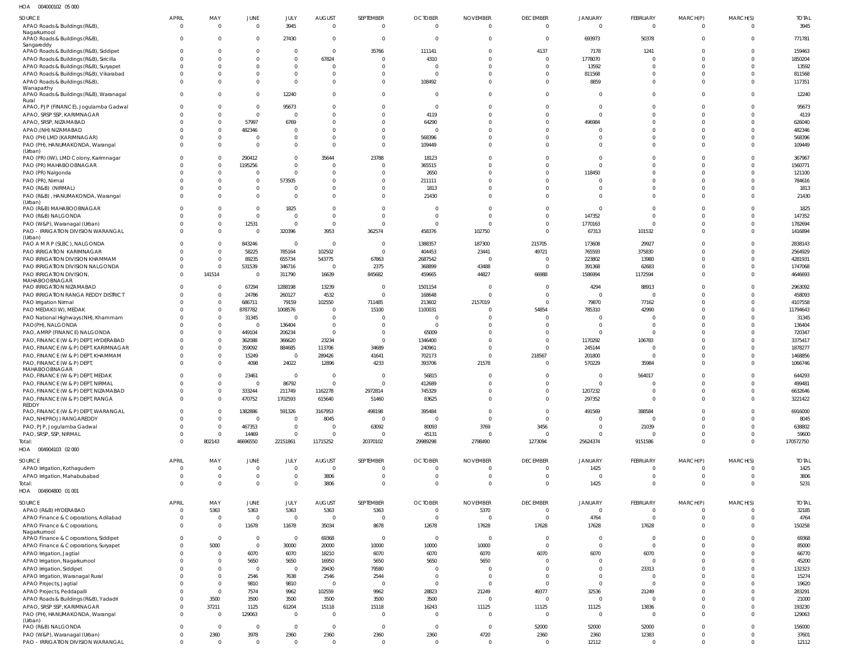004000102 05 000 HOA

| 3945<br>3945<br>APAO Roads & Buildings (R&B),<br>$\Omega$<br>$\overline{0}$<br>$\overline{0}$<br>$\mathbf{0}$<br>$\overline{0}$<br>$\Omega$<br>$\mathbf{0}$<br>$\mathbf 0$<br>$\Omega$<br>$\Omega$<br>$\Omega$<br>$\Omega$<br>Nagarkurnool<br>771781<br>APAO Roads & Buildings (R&B),<br>27430<br>$\overline{0}$<br>693973<br>50378<br>$\Omega$<br>$\Omega$<br>$\overline{0}$<br>$\overline{0}$<br>$\overline{0}$<br>$\mathbf{0}$<br>$\overline{0}$<br>$\Omega$<br>$\overline{0}$<br>Sangareddy<br>35766<br>APAO Roads & Buildings (R&B), Siddipet<br>$\Omega$<br>111141<br>4137<br>7178<br>1241<br>159463<br>$\Omega$<br>$\overline{0}$<br>$\Omega$<br>$\mathbf{0}$<br>$\Omega$<br>$\overline{0}$<br><sup>0</sup><br>4310<br>1778070<br>1850204<br>APAO Roads & Buildings (R&B), Siricilla<br>67824<br>$\Omega$<br>$\Omega$<br>$\Omega$<br>$\Omega$<br>$\Omega$<br>$\Omega$<br>$\Omega$<br>$\sqrt{2}$<br>$\Omega$<br>APAO Roads & Buildings (R&B), Suryapet<br>13592<br>13592<br>$\Omega$<br>$\Omega$<br>$\Omega$<br>$\Omega$<br>$\Omega$<br>$\Omega$<br>$\Omega$<br>$\Omega$<br>$\Omega$<br>$\Omega$<br>$\Omega$<br>811568<br>811568<br>APAO Roads & Buildings (R&B), Vikarabad<br>$\Omega$<br>$\overline{0}$<br>$\Omega$<br>$\Omega$<br>$\mathbf 0$<br>$\Omega$<br>$\Omega$<br>$\Omega$<br>$\Omega$<br>$\Omega$<br>$\Omega$<br>8859<br>117351<br>APAO Roads & Buildings (R&B),<br>$\Omega$<br>$\Omega$<br>$\Omega$<br>108492<br>$\Omega$<br>$\mathbf{0}$<br>$\Omega$<br>$\Omega$<br>$\Omega$<br>$\Omega$<br>$\Omega$<br>Wanaparthy<br>12240<br>APAO Roads & Buildings (R&B), Waranagal<br>12240<br>$\Omega$<br>$\Omega$<br>$\mathbf 0$<br>$\Omega$<br>$\Omega$<br>$\Omega$<br>$\Omega$<br>$\Omega$<br>$\mathbf{0}$<br>$\Omega$<br>$\Omega$<br>Rural<br>95673<br>APAO, PJP (FINANCE), Jogulamba Gadwal<br>$\overline{0}$<br>95673<br>$\Omega$<br>$\Omega$<br>$\Omega$<br>$\Omega$<br>$\Omega$<br>$\Omega$<br>$\Omega$<br>$\Omega$<br>$\Omega$<br>$\Omega$<br>APAO, SRSP SSP, KARIMNAGAR<br>$\Omega$<br>$\overline{0}$<br>4119<br>4119<br>$\Omega$<br>$\Omega$<br>$\Omega$<br>$\Omega$<br>$\Omega$<br>$\Omega$<br>$\Omega$<br>$\Omega$<br>6769<br>626040<br>APAO, SRSP, NIZAMABAD<br>$\Omega$<br>57997<br>64290<br>496984<br>$\Omega$<br>$\Omega$<br>$\Omega$<br>$\Omega$<br>$\Omega$<br>$\Omega$<br>$\Omega$<br>482346<br>482346<br>APAO, (NH) NIZAMABAD<br>$\Omega$<br>$\Omega$<br>$\Omega$<br>$\Omega$<br>$\Omega$<br>$\Omega$<br>$\Omega$<br>$\Omega$<br>$\Omega$<br>$\Omega$<br>$\cap$<br>PAO (PH) LMD (KARIMNAGAR)<br>568396<br>568396<br>$\overline{0}$<br>$\overline{0}$<br>$\Omega$<br>$\Omega$<br>$\Omega$<br>$\Omega$<br>$\Omega$<br>$\Omega$<br>$\Omega$<br>$\Omega$<br>PAO (PH), HANUMAKONDA, Warangal<br>$\Omega$<br>$\mathbf{0}$<br>$\Omega$<br>109449<br>$\Omega$<br>109449<br>$\Omega$<br>$\Omega$<br>$\Omega$<br>$\Omega$<br>$\Omega$<br>$\Omega$<br>$\Omega$<br>(Urban)<br>23788<br>PAO (PR) (IW), LMD Colony, Karimnagar<br>290412<br>$\Omega$<br>35644<br>18123<br>367967<br>$\Omega$<br>$\Omega$<br>$\Omega$<br>$\Omega$<br>$\Omega$<br>$\Omega$<br>$\Omega$<br>PAO (PR) MAHABOOBNAGAR<br>365515<br>1560771<br>1195256<br>$\Omega$<br>$\Omega$<br>$\Omega$<br>$\Omega$<br>$\Omega$<br>$\Omega$<br>$\Omega$<br>$\Omega$<br>$\cap$<br>PAO (PR) Nalgonda<br>2650<br>118450<br>121100<br>$\Omega$<br>$^{\circ}$<br>$\Omega$<br>$\Omega$<br>$\Omega$<br>$\Omega$<br>$\Omega$<br>$\Omega$<br>$\Omega$<br>$\Omega$<br>784616<br>PAO (PR), Nirmal<br>$\mathbf{0}$<br>573505<br>$\overline{0}$<br>211111<br>$\Omega$<br>$\Omega$<br>$\Omega$<br>$\Omega$<br>$\Omega$<br>$\Omega$<br>$\Omega$<br>$\Omega$<br>PAO (R&B) (NIRMAL)<br>1813<br>1813<br>$\Omega$<br>$\overline{0}$<br>$\Omega$<br>$\Omega$<br>$\Omega$<br>$\Omega$<br>$\Omega$<br>$\Omega$<br>$\Omega$<br>$\Omega$<br>$\Omega$<br>PAO (R&B), HANUMAKONDA, Warangal<br>$\Omega$<br>$\mathbf{0}$<br>21430<br>$\Omega$<br>21430<br>$\Omega$<br>$\Omega$<br>$\Omega$<br>$\Omega$<br>$\Omega$<br>$\Omega$<br>$\Omega$<br>$\Omega$<br>(Urban)<br>PAO (R&B) MAHABOOBNAGAR<br>1825<br>1825<br>$\Omega$<br>$\overline{0}$<br>$\Omega$<br>$\Omega$<br>$\Omega$<br>$\Omega$<br>$\Omega$<br>$\Omega$<br>$\Omega$<br>$\Omega$<br>$\Omega$<br>147352<br>147352<br>PAO (R&B) NALGONDA<br>$\Omega$<br>$\mathbf{0}$<br>$\Omega$<br>$\Omega$<br>$\Omega$<br>$\Omega$<br>$\Omega$<br>$\Omega$<br>$\Omega$<br>$\Omega$<br>$\Omega$<br>12531<br>PAO (W&P), Waranagal (Urban)<br>1770163<br>1782694<br>$\overline{0}$<br>$\Omega$<br>$\overline{0}$<br>$\Omega$<br>$\Omega$<br>$\Omega$<br>$\Omega$<br>$\Omega$<br>$\Omega$<br>$\Omega$<br>1416894<br>PAO - IRRIGATION DIVISION WARANGAL<br>$\mathbf 0$<br>320396<br>3953<br>362574<br>458376<br>102750<br>$\mathbf 0$<br>67313<br>101532<br>$\Omega$<br>$\overline{0}$<br>$\Omega$<br>(Urban)<br>PAO A M R P (SLBC), NALGONDA<br>843246<br>1388357<br>187300<br>215705<br>173608<br>29927<br>2838143<br>$\Omega$<br>$\overline{0}$<br>$\overline{0}$<br>$\Omega$<br>$\Omega$<br>$\Omega$<br>102502<br>49721<br>765593<br>375830<br>2564929<br>PAO IRRIGATION KARIMNAGAR<br>$\overline{0}$<br>58225<br>785164<br>404453<br>23441<br>$\Omega$<br>$\Omega$<br>$\Omega$<br>4281931<br>PAO IRRIGATION DIVISION KHAMMAM<br>$\overline{0}$<br>89235<br>655734<br>543775<br>67863<br>2687542<br>223802<br>13980<br>$\Omega$<br>$\overline{0}$<br>$\Omega$<br>$\Omega$<br>43488<br>1747068<br>PAO IRRIGATION DIVISION NALGONDA<br>$\overline{0}$<br>531539<br>346716<br>2375<br>368899<br>391368<br>62683<br>$\overline{0}$<br>$\overline{0}$<br>$\mathbf 0$<br>$\Omega$<br>141514<br>4646693<br>PAO IRRIGATION DIVISION,<br>311790<br>16639<br>845682<br>459665<br>44827<br>66988<br>1586994<br>1172594<br>$\Omega$<br>$\overline{0}$<br>$\Omega$<br>MAHABOOBNAGAR<br>67294<br>1288198<br>13239<br>1501154<br>4294<br>88913<br>2963092<br>PAO IRRIGATION NIZAMABAD<br>$\Omega$<br>$\Omega$<br>$\Omega$<br>$\Omega$<br>- 0<br>24786<br>4532<br>168648<br>458093<br>PAO IRRIGATION RANGA REDDY DISTRICT<br>$\Omega$<br>260127<br>$\Omega$<br>$\Omega$<br>$\Omega$<br>$\Omega$<br>$\Omega$<br>C<br>4107558<br>686711<br>79159<br>102550<br>2157019<br>79870<br>77162<br>$\Omega$<br>711485<br>213602<br>$\Omega$<br>PAO Irrigation Nirmal<br>$\Omega$<br>15100<br>54854<br>42990<br>11794643<br>PAO MEDAK(IW), MEDAK<br>$\Omega$<br>8787782<br>1008576<br>1100031<br>785310<br>$\Omega$<br>$\Omega$<br>$\Omega$<br>31345<br>31345<br>$\Omega$<br>$\Omega$<br>$\Omega$<br>PAO National Highways (NH), Khammam<br>$\overline{0}$<br>$\overline{0}$<br>$\Omega$<br>$\Omega$<br>$\Omega$<br>$\Omega$<br>C<br>136404<br>PAO(PH), NALGONDA<br>$\Omega$<br>136404<br>$\Omega$<br>$\Omega$<br>$\Omega$<br>$\Omega$<br>$\Omega$<br>$\sqrt{2}$<br>$\Omega$<br>$\Omega$<br>$\Omega$<br>449104<br>65009<br>720347<br>PAO, AMRP (FINANCE) NALGONDA<br>$\Omega$<br>206234<br>$\overline{0}$<br>$\Omega$<br>$\Omega$<br>$\Omega$<br>$\mathsf{C}$<br>$\Omega$<br>$\Omega$<br>23234<br>1170292<br>3375417<br>PAO, FINANCE (W & P) DEPT, HYDERABAD<br>$\Omega$<br>362088<br>366620<br>1346400<br>106783<br>$\Omega$<br>$\Omega$<br>$\Omega$<br>$\Omega$<br>34689<br>1878277<br>PAO, FINANCE (W & P) DEPT, KARIMNAGAR<br>$\Omega$<br>359092<br>884685<br>113706<br>240961<br>245144<br>$\Omega$<br>$\Omega$<br>$\Omega$<br>C<br>1468856<br>PAO, FINANCE (W & P) DEPT, KHAMMAM<br>$\Omega$<br>15249<br>289426<br>41641<br>702173<br>$\Omega$<br>218567<br>201800<br>- 0<br>$\Omega$<br>$\Omega$<br>24022<br>4233<br>393706<br>21578<br>570229<br>35984<br>1066746<br>PAO, FINANCE (W & P) DEPT,<br>$\Omega$<br>4098<br>12896<br>$\Omega$<br>$\Omega$<br>$\Omega$<br>MAHABOOBNAGAR<br>56815<br>23461<br>564017<br>644293<br>PAO, FINANCE (W & P) DEPT, MEDAK<br>$\Omega$<br>$\Omega$<br>$\Omega$<br>$\Omega$<br>$\Omega$<br>$\overline{0}$<br>$\Omega$<br>$\Omega$<br>$\Omega$<br>86792<br>412689<br>499481<br>PAO, FINANCE (W & P) DEPT, NIRMAL<br>$\Omega$<br>$\overline{0}$<br>$\Omega$<br>$\Omega$<br>$\overline{0}$<br>$\Omega$<br>$\Omega$<br>$\overline{0}$<br>$\Omega$<br>$\Omega$<br>$\Omega$<br>PAO, FINANCE (W & P) DEPT, NIZAMABAD<br>333244<br>211749<br>1162278<br>2972814<br>745329<br>1207232<br>6632646<br>$\Omega$<br>$\mathbf{0}$<br>$\Omega$<br>$\overline{0}$<br>$\Omega$<br>$\Omega$<br>470752<br>1702593<br>83625<br>$\overline{0}$<br>297352<br>3221422<br>PAO, FINANCE (W & P) DEPT, RANGA<br>$\Omega$<br>615640<br>51460<br>$\Omega$<br>$\mathbf 0$<br>$\Omega$<br>$\Omega$<br>$\Omega$<br>REDDY<br>1382886<br>591326<br>3167953<br>395484<br>491569<br>388584<br>PAO, FINANCE (W & P) DEPT, WARANGAL<br>498198<br>$\overline{0}$<br>6916000<br>$\Omega$<br>$\Omega$<br>$\Omega$<br>$\Omega$<br>8045<br>PAO, NH(PROJ) RANGAREDDY<br>$\Omega$<br>8045<br>$\overline{0}$<br>$\Omega$<br>$\overline{0}$<br>$\Omega$<br>$\overline{0}$<br>$\overline{0}$<br>$\mathbf{0}$<br>$\overline{0}$<br>$\Omega$<br>$\Omega$<br>467353<br>63092<br>3456<br>21039<br>80093<br>3769<br>638802<br>PAO, PJP, Jogulamba Gadwal<br>$\overline{0}$<br>$\Omega$<br>$\overline{0}$<br>$\overline{0}$<br>$\Omega$<br>$\Omega$<br>$\overline{0}$<br>45131<br>PAO, SRSP, SSP, NIRMAL<br>$\overline{0}$<br>14469<br>$\Omega$<br>$\overline{0}$<br>$\Omega$<br>$\overline{0}$<br>59600<br>$\overline{0}$<br>$\overline{0}$<br>$\overline{0}$<br>$\Omega$<br>0<br>802143<br>46696550<br>22151861<br>11715252<br>20370102<br>29989298<br>2798490<br>1273094<br>25624374<br>9151586<br>$\Omega$<br>$\Omega$<br>170572750<br>Total:<br>$\Omega$<br>004904103 02 000<br>HOA<br><b>OCTOBER</b><br><b>TOTAL</b><br>SOURCE<br><b>APRIL</b><br>MAY<br><b>JUNE</b><br>JULY<br><b>AUGUST</b><br>SEPTEMBER<br><b>NOVEMBER</b><br><b>DECEMBER</b><br>JANUARY<br><b>FEBRUARY</b><br>MARCH(S)<br>MARCH(P)<br>$\mathbf 0$<br>$\overline{0}$<br>1425<br>1425<br>APAO Irrigation, Kothagudem<br>$\mathbf 0$<br>$\overline{0}$<br>$\Omega$<br>$\overline{0}$<br>$\overline{0}$<br>$\mathbf{0}$<br>$\mathbf 0$<br>$\overline{0}$<br>$\overline{0}$<br>$\Omega$<br>$\overline{0}$<br>$\mathbf 0$<br>3806<br>$\mathbf 0$<br>$\overline{0}$<br>$\mathbf 0$<br>3806<br>APAO Irrigation, Mahabubabad<br>0<br>$\Omega$<br>$\overline{0}$<br>$\overline{0}$<br>$\mathbf 0$<br>$\overline{0}$<br>$\overline{\phantom{0}}$<br>$\mathbb O$<br>3806<br>$\Omega$<br>$\overline{0}$<br>1425<br>$\overline{0}$<br>$\Omega$<br>$\overline{0}$<br>$\overline{0}$<br>$\Omega$<br>$\overline{0}$<br>$\mathbf 0$<br>5231<br>Total:<br>$\Omega$<br>HOA   004904800  01  001<br>SEPTEMBER<br><b>OCTOBER</b><br><b>DECEMBER</b><br>FEBRUARY<br>MARCH(S)<br><b>TOTAL</b><br>SOURCE<br><b>APRIL</b><br>MAY<br><b>JUNE</b><br>JULY<br><b>AUGUST</b><br><b>NOVEMBER</b><br>JANUARY<br>MARCH(P)<br>5363<br>5363<br>5363<br>5363<br>5363<br>5370<br>32185<br>APAO (R&B) HYDERABAD<br>$\mathbf 0$<br>$\overline{0}$<br>$\overline{0}$<br>$\overline{0}$<br>$\Omega$<br>$\overline{0}$<br>0<br>4764<br>4764<br>$\overline{0}$<br>$\overline{0}$<br>$\overline{0}$<br>$\Omega$<br>$\overline{0}$<br>$\overline{0}$<br>APAO Finance & Corporations, Adilabad<br>$\Omega$<br>$\overline{0}$<br>$\overline{0}$<br>$\overline{0}$<br>$\Omega$<br>$\overline{0}$<br>11678<br>11678<br>8678<br>12678<br>17628<br>17628<br>17628<br>17628<br>150258<br>APAO Finance & Corporations,<br>$\overline{0}$<br>35034<br>$\Omega$<br>$\overline{0}$<br>0<br>Nagarkurnool<br>69368<br>69368<br>APAO Finance & Corporations, Siddipet<br>$\overline{0}$<br>$\overline{0}$<br>$\overline{0}$<br>$\overline{0}$<br>$\overline{\mathbf{0}}$<br>$\overline{0}$<br>$\overline{0}$<br>$\overline{0}$<br>$\Omega$<br>$\Omega$<br>$\Omega$<br>10000<br>10000<br>APAO Finance & Corporations, Suryapet<br>5000<br>$\overline{0}$<br>30000<br>20000<br>10000<br>$\mathbf 0$<br>$\mathbf{0}$<br>$\overline{0}$<br>$\overline{0}$<br>85000<br>$\Omega$<br>6070<br>6070<br>6070<br>6070<br>6070<br>6070<br>6070<br>66770<br>APAO Irrigation, Jagtial<br>18210<br>6070<br>$\overline{0}$<br>$\Omega$<br>$\Omega$<br>5650<br>5650<br>5650<br>5650<br>5650<br>16950<br>$\Omega$<br>45200<br>APAO Irrigation, Nagarkurnool<br>$\Omega$<br>$\Omega$<br>$\overline{0}$<br>$\Omega$<br>$\Omega$<br>23313<br>132323<br>$\overline{0}$<br>79580<br>APAO Irrigation, Siddipet<br>$\Omega$<br>$\overline{0}$<br>29430<br>$\Omega$<br>$\Omega$<br>$\Omega$<br>$\Omega$<br>$\Omega$<br>$\Omega$<br>15274<br>APAO Irrigation, Waranagal Rural<br>$\Omega$<br>2546<br>7638<br>2546<br>2544<br>$\Omega$<br>$\Omega$<br>$\Omega$<br>$\Omega$<br>$\Omega$<br>$\Omega$<br>$\Omega$<br>9810<br>9810<br>$\overline{0}$<br>19620<br>APAO Projects, Jagtial<br>$\Omega$<br>$\overline{0}$<br>$\overline{0}$<br>$\overline{0}$<br>$\Omega$<br>$\overline{0}$<br>$\Omega$<br>$\Omega$<br>$\Omega$<br>102559<br>9962<br>28823<br>21249<br>32536<br>283291<br>$\Omega$<br>7574<br>9962<br>49377<br>21249<br>$\Omega$<br>APAO Projects, Peddapalli<br>$\Omega$<br>3500<br>3500<br>3500<br>3500<br>3500<br>3500<br>$\Omega$<br>21000<br>APAO Roads & Buildings (R&B), Yadadri<br>$\Omega$<br>$\overline{0}$<br>$\Omega$<br>$\Omega$<br>$\Omega$<br>37211<br>1125<br>11125<br>13836<br>APAO, SRSP SSP, KARIMNAGAR<br>61204<br>15118<br>15118<br>16243<br>11125<br>11125<br>$\overline{0}$<br>193230<br>$\Omega$<br>129063<br>PAO (PH), HANUMAKONDA, Warangal<br>$\overline{0}$<br>$\overline{0}$<br>$\mathbf 0$<br>$\Omega$<br>129063<br>$\Omega$<br>$\Omega$<br>$\overline{0}$<br>$\Omega$<br>$\overline{0}$<br>$\overline{0}$<br>$\overline{0}$<br>$\Omega$<br>(Urban)<br>$\overline{0}$<br>52000<br>$\overline{0}$<br>$\overline{0}$<br>$\overline{0}$<br>$\overline{0}$<br>$\overline{0}$<br>$\overline{0}$<br>52000<br>52000<br>$\overline{0}$<br>156000<br>PAO (R&B) NALGONDA<br>$\Omega$<br>2360<br>3978<br>2360<br>2360<br>2360<br>2360<br>4720<br>12383<br>2360<br>2360<br>37601<br>PAO (W&P), Waranagal (Urban)<br>$\Omega$<br>$\overline{0}$<br>0<br>12112<br>PAO - IRRIGATION DIVISION WARANGAL<br>$\overline{0}$<br>$\overline{0}$<br>12112<br>$\overline{0}$<br>$\overline{0}$<br>$\Omega$<br>$\overline{0}$<br>$\Omega$<br>$\overline{0}$<br>$\overline{0}$<br>$\overline{0}$<br>$\overline{0}$<br>$\overline{0}$ | 10011<br><b>OUTUOUTULE</b> UU UUC |       |     |             |      |        |           |                |                 |                 |         |                 |          |          |              |
|-------------------------------------------------------------------------------------------------------------------------------------------------------------------------------------------------------------------------------------------------------------------------------------------------------------------------------------------------------------------------------------------------------------------------------------------------------------------------------------------------------------------------------------------------------------------------------------------------------------------------------------------------------------------------------------------------------------------------------------------------------------------------------------------------------------------------------------------------------------------------------------------------------------------------------------------------------------------------------------------------------------------------------------------------------------------------------------------------------------------------------------------------------------------------------------------------------------------------------------------------------------------------------------------------------------------------------------------------------------------------------------------------------------------------------------------------------------------------------------------------------------------------------------------------------------------------------------------------------------------------------------------------------------------------------------------------------------------------------------------------------------------------------------------------------------------------------------------------------------------------------------------------------------------------------------------------------------------------------------------------------------------------------------------------------------------------------------------------------------------------------------------------------------------------------------------------------------------------------------------------------------------------------------------------------------------------------------------------------------------------------------------------------------------------------------------------------------------------------------------------------------------------------------------------------------------------------------------------------------------------------------------------------------------------------------------------------------------------------------------------------------------------------------------------------------------------------------------------------------------------------------------------------------------------------------------------------------------------------------------------------------------------------------------------------------------------------------------------------------------------------------------------------------------------------------------------------------------------------------------------------------------------------------------------------------------------------------------------------------------------------------------------------------------------------------------------------------------------------------------------------------------------------------------------------------------------------------------------------------------------------------------------------------------------------------------------------------------------------------------------------------------------------------------------------------------------------------------------------------------------------------------------------------------------------------------------------------------------------------------------------------------------------------------------------------------------------------------------------------------------------------------------------------------------------------------------------------------------------------------------------------------------------------------------------------------------------------------------------------------------------------------------------------------------------------------------------------------------------------------------------------------------------------------------------------------------------------------------------------------------------------------------------------------------------------------------------------------------------------------------------------------------------------------------------------------------------------------------------------------------------------------------------------------------------------------------------------------------------------------------------------------------------------------------------------------------------------------------------------------------------------------------------------------------------------------------------------------------------------------------------------------------------------------------------------------------------------------------------------------------------------------------------------------------------------------------------------------------------------------------------------------------------------------------------------------------------------------------------------------------------------------------------------------------------------------------------------------------------------------------------------------------------------------------------------------------------------------------------------------------------------------------------------------------------------------------------------------------------------------------------------------------------------------------------------------------------------------------------------------------------------------------------------------------------------------------------------------------------------------------------------------------------------------------------------------------------------------------------------------------------------------------------------------------------------------------------------------------------------------------------------------------------------------------------------------------------------------------------------------------------------------------------------------------------------------------------------------------------------------------------------------------------------------------------------------------------------------------------------------------------------------------------------------------------------------------------------------------------------------------------------------------------------------------------------------------------------------------------------------------------------------------------------------------------------------------------------------------------------------------------------------------------------------------------------------------------------------------------------------------------------------------------------------------------------------------------------------------------------------------------------------------------------------------------------------------------------------------------------------------------------------------------------------------------------------------------------------------------------------------------------------------------------------------------------------------------------------------------------------------------------------------------------------------------------------------------------------------------------------------------------------------------------------------------------------------------------------------------------------------------------------------------------------------------------------------------------------------------------------------------------------------------------------------------------------------------------------------------------------------------------------------------------------------------------------------------------------------------------------------------------------------------------------------------------------------------------------------------------------------------------------------------------------------------------------------------------------------------------------------------------------------------------------------------------------------------------------------------------------------------------------------------------------------------------------------------------------------------------------------------------------------------------------------------------------------------------------------------------------------------------------------------------------------------------------------------------------------------------------------------------------------------------------------------------------------------------------------------------------------------------------------------------------------------------------------------------------------------------------------------------------------------------------------------------------------------------------------------------------------------------------------------------------------------------------------------------------------------------------------------------------------------------------------------------------------------------------------------------------------------------------------------------------------------------------------------------------------------------------------------------------------------------------------------------------------------------------------------------------------------------------------------------------------------------------------------------------------------------------------------------------------------------------------------------------------------------------------------------------------------------------------------------------------------------------------------------------------------------------------------------------------------------------------------------------------------------------------------------------------------------------------------------------------------------------------------------------------------------------------------------------------------------------------------------------------------------------------------------------------------------------------------------------------------------------------------------------------------------------------------------------------------------------------------------------------------------------------------------------------------------------------------------------------------------------------------------------------------------------------------------------------------------------------------------------------------------------------------------------------------------------------------------------------------------------------------------------------------------------------------------------------------------------------------------------------------------------------------------------------------------------------------------------------------------------------------------------------------------------------------------------------------------------------------------------------------------------------------------------------------------------------------------------------------------------------------------------------------------------------------------------------------------------------------------------------------------------------------------------------------------------------------------------------------------------------------------------------------------------------------------------------------------------------------------------------------------------------------------------------------------------------------------------------------------------------------------------------------------------------------------------------------------------------------------------------------------------------------------------------------------------------------------------------------------------------------------------------------------------------------------------------------------------------------------------------------------------------------------------------------------------------------------------------------------------------------------------------------------------------------------------------------------------------------------------------------------------------------------------------------------------------------------------------------------------------------------------------------------------------------------------------------------------------------------------------------------------------------------------------------------------------------------------------------------------------------------------------------------------------------------------------------------------------------------------------------------------------------------------------------------------------------------------------------------------------------------------------------------------------------------------------------------------------------------------------------------------------------------------------------------------------------------------------------------------------------------------------------------------------------------------------------------------------------------------------------------------------------------------------------------------------------------------------------------|-----------------------------------|-------|-----|-------------|------|--------|-----------|----------------|-----------------|-----------------|---------|-----------------|----------|----------|--------------|
|                                                                                                                                                                                                                                                                                                                                                                                                                                                                                                                                                                                                                                                                                                                                                                                                                                                                                                                                                                                                                                                                                                                                                                                                                                                                                                                                                                                                                                                                                                                                                                                                                                                                                                                                                                                                                                                                                                                                                                                                                                                                                                                                                                                                                                                                                                                                                                                                                                                                                                                                                                                                                                                                                                                                                                                                                                                                                                                                                                                                                                                                                                                                                                                                                                                                                                                                                                                                                                                                                                                                                                                                                                                                                                                                                                                                                                                                                                                                                                                                                                                                                                                                                                                                                                                                                                                                                                                                                                                                                                                                                                                                                                                                                                                                                                                                                                                                                                                                                                                                                                                                                                                                                                                                                                                                                                                                                                                                                                                                                                                                                                                                                                                                                                                                                                                                                                                                                                                                                                                                                                                                                                                                                                                                                                                                                                                                                                                                                                                                                                                                                                                                                                                                                                                                                                                                                                                                                                                                                                                                                                                                                                                                                                                                                                                                                                                                                                                                                                                                                                                                                                                                                                                                                                                                                                                                                                                                                                                                                                                                                                                                                                                                                                                                                                                                                                                                                                                                                                                                                                                                                                                                                                                                                                                                                                                                                                                                                                                                                                                                                                                                                                                                                                                                                                                                                                                                                                                                                                                                                                                                                                                                                                                                                                                                                                                                                                                                                                                                                                                                                                                                                                                                                                                                                                                                                                                                                                                                                                                                                                                                                                                                                                                                                                                                                                                                                                                                                                                                                                                                                                                                                                                                                                                                                                                                                                                                                                                                                                                                                                                                                                                                                                                                                                                                                                                                                                                                                                                                                                                                                                                                                                                                                                                                                                                                                                                                                                                                                                                                                                                                                                                                                                                                                                                                                                                                                                                                                                                                                                                                                                                                                                                                                                                                                                                                                                                                                                                                                                                                                                                                                                                                                                                                                                                                                                                                                                                                                                                                                                                                                                                                                                                                                                                     | SOURCE                            | APRIL | MAY | <b>JUNE</b> | JULY | AUGUST | SEPTEMBER | <b>OCTOBER</b> | <b>NOVEMBER</b> | <b>DECEMBER</b> | JANUARY | <b>FEBRUARY</b> | MARCH(P) | MARCH(S) | <b>TOTAL</b> |
|                                                                                                                                                                                                                                                                                                                                                                                                                                                                                                                                                                                                                                                                                                                                                                                                                                                                                                                                                                                                                                                                                                                                                                                                                                                                                                                                                                                                                                                                                                                                                                                                                                                                                                                                                                                                                                                                                                                                                                                                                                                                                                                                                                                                                                                                                                                                                                                                                                                                                                                                                                                                                                                                                                                                                                                                                                                                                                                                                                                                                                                                                                                                                                                                                                                                                                                                                                                                                                                                                                                                                                                                                                                                                                                                                                                                                                                                                                                                                                                                                                                                                                                                                                                                                                                                                                                                                                                                                                                                                                                                                                                                                                                                                                                                                                                                                                                                                                                                                                                                                                                                                                                                                                                                                                                                                                                                                                                                                                                                                                                                                                                                                                                                                                                                                                                                                                                                                                                                                                                                                                                                                                                                                                                                                                                                                                                                                                                                                                                                                                                                                                                                                                                                                                                                                                                                                                                                                                                                                                                                                                                                                                                                                                                                                                                                                                                                                                                                                                                                                                                                                                                                                                                                                                                                                                                                                                                                                                                                                                                                                                                                                                                                                                                                                                                                                                                                                                                                                                                                                                                                                                                                                                                                                                                                                                                                                                                                                                                                                                                                                                                                                                                                                                                                                                                                                                                                                                                                                                                                                                                                                                                                                                                                                                                                                                                                                                                                                                                                                                                                                                                                                                                                                                                                                                                                                                                                                                                                                                                                                                                                                                                                                                                                                                                                                                                                                                                                                                                                                                                                                                                                                                                                                                                                                                                                                                                                                                                                                                                                                                                                                                                                                                                                                                                                                                                                                                                                                                                                                                                                                                                                                                                                                                                                                                                                                                                                                                                                                                                                                                                                                                                                                                                                                                                                                                                                                                                                                                                                                                                                                                                                                                                                                                                                                                                                                                                                                                                                                                                                                                                                                                                                                                                                                                                                                                                                                                                                                                                                                                                                                                                                                                                                                                                     |                                   |       |     |             |      |        |           |                |                 |                 |         |                 |          |          |              |
|                                                                                                                                                                                                                                                                                                                                                                                                                                                                                                                                                                                                                                                                                                                                                                                                                                                                                                                                                                                                                                                                                                                                                                                                                                                                                                                                                                                                                                                                                                                                                                                                                                                                                                                                                                                                                                                                                                                                                                                                                                                                                                                                                                                                                                                                                                                                                                                                                                                                                                                                                                                                                                                                                                                                                                                                                                                                                                                                                                                                                                                                                                                                                                                                                                                                                                                                                                                                                                                                                                                                                                                                                                                                                                                                                                                                                                                                                                                                                                                                                                                                                                                                                                                                                                                                                                                                                                                                                                                                                                                                                                                                                                                                                                                                                                                                                                                                                                                                                                                                                                                                                                                                                                                                                                                                                                                                                                                                                                                                                                                                                                                                                                                                                                                                                                                                                                                                                                                                                                                                                                                                                                                                                                                                                                                                                                                                                                                                                                                                                                                                                                                                                                                                                                                                                                                                                                                                                                                                                                                                                                                                                                                                                                                                                                                                                                                                                                                                                                                                                                                                                                                                                                                                                                                                                                                                                                                                                                                                                                                                                                                                                                                                                                                                                                                                                                                                                                                                                                                                                                                                                                                                                                                                                                                                                                                                                                                                                                                                                                                                                                                                                                                                                                                                                                                                                                                                                                                                                                                                                                                                                                                                                                                                                                                                                                                                                                                                                                                                                                                                                                                                                                                                                                                                                                                                                                                                                                                                                                                                                                                                                                                                                                                                                                                                                                                                                                                                                                                                                                                                                                                                                                                                                                                                                                                                                                                                                                                                                                                                                                                                                                                                                                                                                                                                                                                                                                                                                                                                                                                                                                                                                                                                                                                                                                                                                                                                                                                                                                                                                                                                                                                                                                                                                                                                                                                                                                                                                                                                                                                                                                                                                                                                                                                                                                                                                                                                                                                                                                                                                                                                                                                                                                                                                                                                                                                                                                                                                                                                                                                                                                                                                                                                                                                     |                                   |       |     |             |      |        |           |                |                 |                 |         |                 |          |          |              |
|                                                                                                                                                                                                                                                                                                                                                                                                                                                                                                                                                                                                                                                                                                                                                                                                                                                                                                                                                                                                                                                                                                                                                                                                                                                                                                                                                                                                                                                                                                                                                                                                                                                                                                                                                                                                                                                                                                                                                                                                                                                                                                                                                                                                                                                                                                                                                                                                                                                                                                                                                                                                                                                                                                                                                                                                                                                                                                                                                                                                                                                                                                                                                                                                                                                                                                                                                                                                                                                                                                                                                                                                                                                                                                                                                                                                                                                                                                                                                                                                                                                                                                                                                                                                                                                                                                                                                                                                                                                                                                                                                                                                                                                                                                                                                                                                                                                                                                                                                                                                                                                                                                                                                                                                                                                                                                                                                                                                                                                                                                                                                                                                                                                                                                                                                                                                                                                                                                                                                                                                                                                                                                                                                                                                                                                                                                                                                                                                                                                                                                                                                                                                                                                                                                                                                                                                                                                                                                                                                                                                                                                                                                                                                                                                                                                                                                                                                                                                                                                                                                                                                                                                                                                                                                                                                                                                                                                                                                                                                                                                                                                                                                                                                                                                                                                                                                                                                                                                                                                                                                                                                                                                                                                                                                                                                                                                                                                                                                                                                                                                                                                                                                                                                                                                                                                                                                                                                                                                                                                                                                                                                                                                                                                                                                                                                                                                                                                                                                                                                                                                                                                                                                                                                                                                                                                                                                                                                                                                                                                                                                                                                                                                                                                                                                                                                                                                                                                                                                                                                                                                                                                                                                                                                                                                                                                                                                                                                                                                                                                                                                                                                                                                                                                                                                                                                                                                                                                                                                                                                                                                                                                                                                                                                                                                                                                                                                                                                                                                                                                                                                                                                                                                                                                                                                                                                                                                                                                                                                                                                                                                                                                                                                                                                                                                                                                                                                                                                                                                                                                                                                                                                                                                                                                                                                                                                                                                                                                                                                                                                                                                                                                                                                                                                                                     |                                   |       |     |             |      |        |           |                |                 |                 |         |                 |          |          |              |
|                                                                                                                                                                                                                                                                                                                                                                                                                                                                                                                                                                                                                                                                                                                                                                                                                                                                                                                                                                                                                                                                                                                                                                                                                                                                                                                                                                                                                                                                                                                                                                                                                                                                                                                                                                                                                                                                                                                                                                                                                                                                                                                                                                                                                                                                                                                                                                                                                                                                                                                                                                                                                                                                                                                                                                                                                                                                                                                                                                                                                                                                                                                                                                                                                                                                                                                                                                                                                                                                                                                                                                                                                                                                                                                                                                                                                                                                                                                                                                                                                                                                                                                                                                                                                                                                                                                                                                                                                                                                                                                                                                                                                                                                                                                                                                                                                                                                                                                                                                                                                                                                                                                                                                                                                                                                                                                                                                                                                                                                                                                                                                                                                                                                                                                                                                                                                                                                                                                                                                                                                                                                                                                                                                                                                                                                                                                                                                                                                                                                                                                                                                                                                                                                                                                                                                                                                                                                                                                                                                                                                                                                                                                                                                                                                                                                                                                                                                                                                                                                                                                                                                                                                                                                                                                                                                                                                                                                                                                                                                                                                                                                                                                                                                                                                                                                                                                                                                                                                                                                                                                                                                                                                                                                                                                                                                                                                                                                                                                                                                                                                                                                                                                                                                                                                                                                                                                                                                                                                                                                                                                                                                                                                                                                                                                                                                                                                                                                                                                                                                                                                                                                                                                                                                                                                                                                                                                                                                                                                                                                                                                                                                                                                                                                                                                                                                                                                                                                                                                                                                                                                                                                                                                                                                                                                                                                                                                                                                                                                                                                                                                                                                                                                                                                                                                                                                                                                                                                                                                                                                                                                                                                                                                                                                                                                                                                                                                                                                                                                                                                                                                                                                                                                                                                                                                                                                                                                                                                                                                                                                                                                                                                                                                                                                                                                                                                                                                                                                                                                                                                                                                                                                                                                                                                                                                                                                                                                                                                                                                                                                                                                                                                                                                                                                                     |                                   |       |     |             |      |        |           |                |                 |                 |         |                 |          |          |              |
|                                                                                                                                                                                                                                                                                                                                                                                                                                                                                                                                                                                                                                                                                                                                                                                                                                                                                                                                                                                                                                                                                                                                                                                                                                                                                                                                                                                                                                                                                                                                                                                                                                                                                                                                                                                                                                                                                                                                                                                                                                                                                                                                                                                                                                                                                                                                                                                                                                                                                                                                                                                                                                                                                                                                                                                                                                                                                                                                                                                                                                                                                                                                                                                                                                                                                                                                                                                                                                                                                                                                                                                                                                                                                                                                                                                                                                                                                                                                                                                                                                                                                                                                                                                                                                                                                                                                                                                                                                                                                                                                                                                                                                                                                                                                                                                                                                                                                                                                                                                                                                                                                                                                                                                                                                                                                                                                                                                                                                                                                                                                                                                                                                                                                                                                                                                                                                                                                                                                                                                                                                                                                                                                                                                                                                                                                                                                                                                                                                                                                                                                                                                                                                                                                                                                                                                                                                                                                                                                                                                                                                                                                                                                                                                                                                                                                                                                                                                                                                                                                                                                                                                                                                                                                                                                                                                                                                                                                                                                                                                                                                                                                                                                                                                                                                                                                                                                                                                                                                                                                                                                                                                                                                                                                                                                                                                                                                                                                                                                                                                                                                                                                                                                                                                                                                                                                                                                                                                                                                                                                                                                                                                                                                                                                                                                                                                                                                                                                                                                                                                                                                                                                                                                                                                                                                                                                                                                                                                                                                                                                                                                                                                                                                                                                                                                                                                                                                                                                                                                                                                                                                                                                                                                                                                                                                                                                                                                                                                                                                                                                                                                                                                                                                                                                                                                                                                                                                                                                                                                                                                                                                                                                                                                                                                                                                                                                                                                                                                                                                                                                                                                                                                                                                                                                                                                                                                                                                                                                                                                                                                                                                                                                                                                                                                                                                                                                                                                                                                                                                                                                                                                                                                                                                                                                                                                                                                                                                                                                                                                                                                                                                                                                                                                                                                     |                                   |       |     |             |      |        |           |                |                 |                 |         |                 |          |          |              |
|                                                                                                                                                                                                                                                                                                                                                                                                                                                                                                                                                                                                                                                                                                                                                                                                                                                                                                                                                                                                                                                                                                                                                                                                                                                                                                                                                                                                                                                                                                                                                                                                                                                                                                                                                                                                                                                                                                                                                                                                                                                                                                                                                                                                                                                                                                                                                                                                                                                                                                                                                                                                                                                                                                                                                                                                                                                                                                                                                                                                                                                                                                                                                                                                                                                                                                                                                                                                                                                                                                                                                                                                                                                                                                                                                                                                                                                                                                                                                                                                                                                                                                                                                                                                                                                                                                                                                                                                                                                                                                                                                                                                                                                                                                                                                                                                                                                                                                                                                                                                                                                                                                                                                                                                                                                                                                                                                                                                                                                                                                                                                                                                                                                                                                                                                                                                                                                                                                                                                                                                                                                                                                                                                                                                                                                                                                                                                                                                                                                                                                                                                                                                                                                                                                                                                                                                                                                                                                                                                                                                                                                                                                                                                                                                                                                                                                                                                                                                                                                                                                                                                                                                                                                                                                                                                                                                                                                                                                                                                                                                                                                                                                                                                                                                                                                                                                                                                                                                                                                                                                                                                                                                                                                                                                                                                                                                                                                                                                                                                                                                                                                                                                                                                                                                                                                                                                                                                                                                                                                                                                                                                                                                                                                                                                                                                                                                                                                                                                                                                                                                                                                                                                                                                                                                                                                                                                                                                                                                                                                                                                                                                                                                                                                                                                                                                                                                                                                                                                                                                                                                                                                                                                                                                                                                                                                                                                                                                                                                                                                                                                                                                                                                                                                                                                                                                                                                                                                                                                                                                                                                                                                                                                                                                                                                                                                                                                                                                                                                                                                                                                                                                                                                                                                                                                                                                                                                                                                                                                                                                                                                                                                                                                                                                                                                                                                                                                                                                                                                                                                                                                                                                                                                                                                                                                                                                                                                                                                                                                                                                                                                                                                                                                                                                                                     |                                   |       |     |             |      |        |           |                |                 |                 |         |                 |          |          |              |
|                                                                                                                                                                                                                                                                                                                                                                                                                                                                                                                                                                                                                                                                                                                                                                                                                                                                                                                                                                                                                                                                                                                                                                                                                                                                                                                                                                                                                                                                                                                                                                                                                                                                                                                                                                                                                                                                                                                                                                                                                                                                                                                                                                                                                                                                                                                                                                                                                                                                                                                                                                                                                                                                                                                                                                                                                                                                                                                                                                                                                                                                                                                                                                                                                                                                                                                                                                                                                                                                                                                                                                                                                                                                                                                                                                                                                                                                                                                                                                                                                                                                                                                                                                                                                                                                                                                                                                                                                                                                                                                                                                                                                                                                                                                                                                                                                                                                                                                                                                                                                                                                                                                                                                                                                                                                                                                                                                                                                                                                                                                                                                                                                                                                                                                                                                                                                                                                                                                                                                                                                                                                                                                                                                                                                                                                                                                                                                                                                                                                                                                                                                                                                                                                                                                                                                                                                                                                                                                                                                                                                                                                                                                                                                                                                                                                                                                                                                                                                                                                                                                                                                                                                                                                                                                                                                                                                                                                                                                                                                                                                                                                                                                                                                                                                                                                                                                                                                                                                                                                                                                                                                                                                                                                                                                                                                                                                                                                                                                                                                                                                                                                                                                                                                                                                                                                                                                                                                                                                                                                                                                                                                                                                                                                                                                                                                                                                                                                                                                                                                                                                                                                                                                                                                                                                                                                                                                                                                                                                                                                                                                                                                                                                                                                                                                                                                                                                                                                                                                                                                                                                                                                                                                                                                                                                                                                                                                                                                                                                                                                                                                                                                                                                                                                                                                                                                                                                                                                                                                                                                                                                                                                                                                                                                                                                                                                                                                                                                                                                                                                                                                                                                                                                                                                                                                                                                                                                                                                                                                                                                                                                                                                                                                                                                                                                                                                                                                                                                                                                                                                                                                                                                                                                                                                                                                                                                                                                                                                                                                                                                                                                                                                                                                                                                                     |                                   |       |     |             |      |        |           |                |                 |                 |         |                 |          |          |              |
|                                                                                                                                                                                                                                                                                                                                                                                                                                                                                                                                                                                                                                                                                                                                                                                                                                                                                                                                                                                                                                                                                                                                                                                                                                                                                                                                                                                                                                                                                                                                                                                                                                                                                                                                                                                                                                                                                                                                                                                                                                                                                                                                                                                                                                                                                                                                                                                                                                                                                                                                                                                                                                                                                                                                                                                                                                                                                                                                                                                                                                                                                                                                                                                                                                                                                                                                                                                                                                                                                                                                                                                                                                                                                                                                                                                                                                                                                                                                                                                                                                                                                                                                                                                                                                                                                                                                                                                                                                                                                                                                                                                                                                                                                                                                                                                                                                                                                                                                                                                                                                                                                                                                                                                                                                                                                                                                                                                                                                                                                                                                                                                                                                                                                                                                                                                                                                                                                                                                                                                                                                                                                                                                                                                                                                                                                                                                                                                                                                                                                                                                                                                                                                                                                                                                                                                                                                                                                                                                                                                                                                                                                                                                                                                                                                                                                                                                                                                                                                                                                                                                                                                                                                                                                                                                                                                                                                                                                                                                                                                                                                                                                                                                                                                                                                                                                                                                                                                                                                                                                                                                                                                                                                                                                                                                                                                                                                                                                                                                                                                                                                                                                                                                                                                                                                                                                                                                                                                                                                                                                                                                                                                                                                                                                                                                                                                                                                                                                                                                                                                                                                                                                                                                                                                                                                                                                                                                                                                                                                                                                                                                                                                                                                                                                                                                                                                                                                                                                                                                                                                                                                                                                                                                                                                                                                                                                                                                                                                                                                                                                                                                                                                                                                                                                                                                                                                                                                                                                                                                                                                                                                                                                                                                                                                                                                                                                                                                                                                                                                                                                                                                                                                                                                                                                                                                                                                                                                                                                                                                                                                                                                                                                                                                                                                                                                                                                                                                                                                                                                                                                                                                                                                                                                                                                                                                                                                                                                                                                                                                                                                                                                                                                                                                                                                     |                                   |       |     |             |      |        |           |                |                 |                 |         |                 |          |          |              |
|                                                                                                                                                                                                                                                                                                                                                                                                                                                                                                                                                                                                                                                                                                                                                                                                                                                                                                                                                                                                                                                                                                                                                                                                                                                                                                                                                                                                                                                                                                                                                                                                                                                                                                                                                                                                                                                                                                                                                                                                                                                                                                                                                                                                                                                                                                                                                                                                                                                                                                                                                                                                                                                                                                                                                                                                                                                                                                                                                                                                                                                                                                                                                                                                                                                                                                                                                                                                                                                                                                                                                                                                                                                                                                                                                                                                                                                                                                                                                                                                                                                                                                                                                                                                                                                                                                                                                                                                                                                                                                                                                                                                                                                                                                                                                                                                                                                                                                                                                                                                                                                                                                                                                                                                                                                                                                                                                                                                                                                                                                                                                                                                                                                                                                                                                                                                                                                                                                                                                                                                                                                                                                                                                                                                                                                                                                                                                                                                                                                                                                                                                                                                                                                                                                                                                                                                                                                                                                                                                                                                                                                                                                                                                                                                                                                                                                                                                                                                                                                                                                                                                                                                                                                                                                                                                                                                                                                                                                                                                                                                                                                                                                                                                                                                                                                                                                                                                                                                                                                                                                                                                                                                                                                                                                                                                                                                                                                                                                                                                                                                                                                                                                                                                                                                                                                                                                                                                                                                                                                                                                                                                                                                                                                                                                                                                                                                                                                                                                                                                                                                                                                                                                                                                                                                                                                                                                                                                                                                                                                                                                                                                                                                                                                                                                                                                                                                                                                                                                                                                                                                                                                                                                                                                                                                                                                                                                                                                                                                                                                                                                                                                                                                                                                                                                                                                                                                                                                                                                                                                                                                                                                                                                                                                                                                                                                                                                                                                                                                                                                                                                                                                                                                                                                                                                                                                                                                                                                                                                                                                                                                                                                                                                                                                                                                                                                                                                                                                                                                                                                                                                                                                                                                                                                                                                                                                                                                                                                                                                                                                                                                                                                                                                                                                                                     |                                   |       |     |             |      |        |           |                |                 |                 |         |                 |          |          |              |
|                                                                                                                                                                                                                                                                                                                                                                                                                                                                                                                                                                                                                                                                                                                                                                                                                                                                                                                                                                                                                                                                                                                                                                                                                                                                                                                                                                                                                                                                                                                                                                                                                                                                                                                                                                                                                                                                                                                                                                                                                                                                                                                                                                                                                                                                                                                                                                                                                                                                                                                                                                                                                                                                                                                                                                                                                                                                                                                                                                                                                                                                                                                                                                                                                                                                                                                                                                                                                                                                                                                                                                                                                                                                                                                                                                                                                                                                                                                                                                                                                                                                                                                                                                                                                                                                                                                                                                                                                                                                                                                                                                                                                                                                                                                                                                                                                                                                                                                                                                                                                                                                                                                                                                                                                                                                                                                                                                                                                                                                                                                                                                                                                                                                                                                                                                                                                                                                                                                                                                                                                                                                                                                                                                                                                                                                                                                                                                                                                                                                                                                                                                                                                                                                                                                                                                                                                                                                                                                                                                                                                                                                                                                                                                                                                                                                                                                                                                                                                                                                                                                                                                                                                                                                                                                                                                                                                                                                                                                                                                                                                                                                                                                                                                                                                                                                                                                                                                                                                                                                                                                                                                                                                                                                                                                                                                                                                                                                                                                                                                                                                                                                                                                                                                                                                                                                                                                                                                                                                                                                                                                                                                                                                                                                                                                                                                                                                                                                                                                                                                                                                                                                                                                                                                                                                                                                                                                                                                                                                                                                                                                                                                                                                                                                                                                                                                                                                                                                                                                                                                                                                                                                                                                                                                                                                                                                                                                                                                                                                                                                                                                                                                                                                                                                                                                                                                                                                                                                                                                                                                                                                                                                                                                                                                                                                                                                                                                                                                                                                                                                                                                                                                                                                                                                                                                                                                                                                                                                                                                                                                                                                                                                                                                                                                                                                                                                                                                                                                                                                                                                                                                                                                                                                                                                                                                                                                                                                                                                                                                                                                                                                                                                                                                                                                                     |                                   |       |     |             |      |        |           |                |                 |                 |         |                 |          |          |              |
|                                                                                                                                                                                                                                                                                                                                                                                                                                                                                                                                                                                                                                                                                                                                                                                                                                                                                                                                                                                                                                                                                                                                                                                                                                                                                                                                                                                                                                                                                                                                                                                                                                                                                                                                                                                                                                                                                                                                                                                                                                                                                                                                                                                                                                                                                                                                                                                                                                                                                                                                                                                                                                                                                                                                                                                                                                                                                                                                                                                                                                                                                                                                                                                                                                                                                                                                                                                                                                                                                                                                                                                                                                                                                                                                                                                                                                                                                                                                                                                                                                                                                                                                                                                                                                                                                                                                                                                                                                                                                                                                                                                                                                                                                                                                                                                                                                                                                                                                                                                                                                                                                                                                                                                                                                                                                                                                                                                                                                                                                                                                                                                                                                                                                                                                                                                                                                                                                                                                                                                                                                                                                                                                                                                                                                                                                                                                                                                                                                                                                                                                                                                                                                                                                                                                                                                                                                                                                                                                                                                                                                                                                                                                                                                                                                                                                                                                                                                                                                                                                                                                                                                                                                                                                                                                                                                                                                                                                                                                                                                                                                                                                                                                                                                                                                                                                                                                                                                                                                                                                                                                                                                                                                                                                                                                                                                                                                                                                                                                                                                                                                                                                                                                                                                                                                                                                                                                                                                                                                                                                                                                                                                                                                                                                                                                                                                                                                                                                                                                                                                                                                                                                                                                                                                                                                                                                                                                                                                                                                                                                                                                                                                                                                                                                                                                                                                                                                                                                                                                                                                                                                                                                                                                                                                                                                                                                                                                                                                                                                                                                                                                                                                                                                                                                                                                                                                                                                                                                                                                                                                                                                                                                                                                                                                                                                                                                                                                                                                                                                                                                                                                                                                                                                                                                                                                                                                                                                                                                                                                                                                                                                                                                                                                                                                                                                                                                                                                                                                                                                                                                                                                                                                                                                                                                                                                                                                                                                                                                                                                                                                                                                                                                                                                                                                     |                                   |       |     |             |      |        |           |                |                 |                 |         |                 |          |          |              |
|                                                                                                                                                                                                                                                                                                                                                                                                                                                                                                                                                                                                                                                                                                                                                                                                                                                                                                                                                                                                                                                                                                                                                                                                                                                                                                                                                                                                                                                                                                                                                                                                                                                                                                                                                                                                                                                                                                                                                                                                                                                                                                                                                                                                                                                                                                                                                                                                                                                                                                                                                                                                                                                                                                                                                                                                                                                                                                                                                                                                                                                                                                                                                                                                                                                                                                                                                                                                                                                                                                                                                                                                                                                                                                                                                                                                                                                                                                                                                                                                                                                                                                                                                                                                                                                                                                                                                                                                                                                                                                                                                                                                                                                                                                                                                                                                                                                                                                                                                                                                                                                                                                                                                                                                                                                                                                                                                                                                                                                                                                                                                                                                                                                                                                                                                                                                                                                                                                                                                                                                                                                                                                                                                                                                                                                                                                                                                                                                                                                                                                                                                                                                                                                                                                                                                                                                                                                                                                                                                                                                                                                                                                                                                                                                                                                                                                                                                                                                                                                                                                                                                                                                                                                                                                                                                                                                                                                                                                                                                                                                                                                                                                                                                                                                                                                                                                                                                                                                                                                                                                                                                                                                                                                                                                                                                                                                                                                                                                                                                                                                                                                                                                                                                                                                                                                                                                                                                                                                                                                                                                                                                                                                                                                                                                                                                                                                                                                                                                                                                                                                                                                                                                                                                                                                                                                                                                                                                                                                                                                                                                                                                                                                                                                                                                                                                                                                                                                                                                                                                                                                                                                                                                                                                                                                                                                                                                                                                                                                                                                                                                                                                                                                                                                                                                                                                                                                                                                                                                                                                                                                                                                                                                                                                                                                                                                                                                                                                                                                                                                                                                                                                                                                                                                                                                                                                                                                                                                                                                                                                                                                                                                                                                                                                                                                                                                                                                                                                                                                                                                                                                                                                                                                                                                                                                                                                                                                                                                                                                                                                                                                                                                                                                                                                                                     |                                   |       |     |             |      |        |           |                |                 |                 |         |                 |          |          |              |
|                                                                                                                                                                                                                                                                                                                                                                                                                                                                                                                                                                                                                                                                                                                                                                                                                                                                                                                                                                                                                                                                                                                                                                                                                                                                                                                                                                                                                                                                                                                                                                                                                                                                                                                                                                                                                                                                                                                                                                                                                                                                                                                                                                                                                                                                                                                                                                                                                                                                                                                                                                                                                                                                                                                                                                                                                                                                                                                                                                                                                                                                                                                                                                                                                                                                                                                                                                                                                                                                                                                                                                                                                                                                                                                                                                                                                                                                                                                                                                                                                                                                                                                                                                                                                                                                                                                                                                                                                                                                                                                                                                                                                                                                                                                                                                                                                                                                                                                                                                                                                                                                                                                                                                                                                                                                                                                                                                                                                                                                                                                                                                                                                                                                                                                                                                                                                                                                                                                                                                                                                                                                                                                                                                                                                                                                                                                                                                                                                                                                                                                                                                                                                                                                                                                                                                                                                                                                                                                                                                                                                                                                                                                                                                                                                                                                                                                                                                                                                                                                                                                                                                                                                                                                                                                                                                                                                                                                                                                                                                                                                                                                                                                                                                                                                                                                                                                                                                                                                                                                                                                                                                                                                                                                                                                                                                                                                                                                                                                                                                                                                                                                                                                                                                                                                                                                                                                                                                                                                                                                                                                                                                                                                                                                                                                                                                                                                                                                                                                                                                                                                                                                                                                                                                                                                                                                                                                                                                                                                                                                                                                                                                                                                                                                                                                                                                                                                                                                                                                                                                                                                                                                                                                                                                                                                                                                                                                                                                                                                                                                                                                                                                                                                                                                                                                                                                                                                                                                                                                                                                                                                                                                                                                                                                                                                                                                                                                                                                                                                                                                                                                                                                                                                                                                                                                                                                                                                                                                                                                                                                                                                                                                                                                                                                                                                                                                                                                                                                                                                                                                                                                                                                                                                                                                                                                                                                                                                                                                                                                                                                                                                                                                                                                                                                                     |                                   |       |     |             |      |        |           |                |                 |                 |         |                 |          |          |              |
|                                                                                                                                                                                                                                                                                                                                                                                                                                                                                                                                                                                                                                                                                                                                                                                                                                                                                                                                                                                                                                                                                                                                                                                                                                                                                                                                                                                                                                                                                                                                                                                                                                                                                                                                                                                                                                                                                                                                                                                                                                                                                                                                                                                                                                                                                                                                                                                                                                                                                                                                                                                                                                                                                                                                                                                                                                                                                                                                                                                                                                                                                                                                                                                                                                                                                                                                                                                                                                                                                                                                                                                                                                                                                                                                                                                                                                                                                                                                                                                                                                                                                                                                                                                                                                                                                                                                                                                                                                                                                                                                                                                                                                                                                                                                                                                                                                                                                                                                                                                                                                                                                                                                                                                                                                                                                                                                                                                                                                                                                                                                                                                                                                                                                                                                                                                                                                                                                                                                                                                                                                                                                                                                                                                                                                                                                                                                                                                                                                                                                                                                                                                                                                                                                                                                                                                                                                                                                                                                                                                                                                                                                                                                                                                                                                                                                                                                                                                                                                                                                                                                                                                                                                                                                                                                                                                                                                                                                                                                                                                                                                                                                                                                                                                                                                                                                                                                                                                                                                                                                                                                                                                                                                                                                                                                                                                                                                                                                                                                                                                                                                                                                                                                                                                                                                                                                                                                                                                                                                                                                                                                                                                                                                                                                                                                                                                                                                                                                                                                                                                                                                                                                                                                                                                                                                                                                                                                                                                                                                                                                                                                                                                                                                                                                                                                                                                                                                                                                                                                                                                                                                                                                                                                                                                                                                                                                                                                                                                                                                                                                                                                                                                                                                                                                                                                                                                                                                                                                                                                                                                                                                                                                                                                                                                                                                                                                                                                                                                                                                                                                                                                                                                                                                                                                                                                                                                                                                                                                                                                                                                                                                                                                                                                                                                                                                                                                                                                                                                                                                                                                                                                                                                                                                                                                                                                                                                                                                                                                                                                                                                                                                                                                                                                                                                     |                                   |       |     |             |      |        |           |                |                 |                 |         |                 |          |          |              |
|                                                                                                                                                                                                                                                                                                                                                                                                                                                                                                                                                                                                                                                                                                                                                                                                                                                                                                                                                                                                                                                                                                                                                                                                                                                                                                                                                                                                                                                                                                                                                                                                                                                                                                                                                                                                                                                                                                                                                                                                                                                                                                                                                                                                                                                                                                                                                                                                                                                                                                                                                                                                                                                                                                                                                                                                                                                                                                                                                                                                                                                                                                                                                                                                                                                                                                                                                                                                                                                                                                                                                                                                                                                                                                                                                                                                                                                                                                                                                                                                                                                                                                                                                                                                                                                                                                                                                                                                                                                                                                                                                                                                                                                                                                                                                                                                                                                                                                                                                                                                                                                                                                                                                                                                                                                                                                                                                                                                                                                                                                                                                                                                                                                                                                                                                                                                                                                                                                                                                                                                                                                                                                                                                                                                                                                                                                                                                                                                                                                                                                                                                                                                                                                                                                                                                                                                                                                                                                                                                                                                                                                                                                                                                                                                                                                                                                                                                                                                                                                                                                                                                                                                                                                                                                                                                                                                                                                                                                                                                                                                                                                                                                                                                                                                                                                                                                                                                                                                                                                                                                                                                                                                                                                                                                                                                                                                                                                                                                                                                                                                                                                                                                                                                                                                                                                                                                                                                                                                                                                                                                                                                                                                                                                                                                                                                                                                                                                                                                                                                                                                                                                                                                                                                                                                                                                                                                                                                                                                                                                                                                                                                                                                                                                                                                                                                                                                                                                                                                                                                                                                                                                                                                                                                                                                                                                                                                                                                                                                                                                                                                                                                                                                                                                                                                                                                                                                                                                                                                                                                                                                                                                                                                                                                                                                                                                                                                                                                                                                                                                                                                                                                                                                                                                                                                                                                                                                                                                                                                                                                                                                                                                                                                                                                                                                                                                                                                                                                                                                                                                                                                                                                                                                                                                                                                                                                                                                                                                                                                                                                                                                                                                                                                                                                                                     |                                   |       |     |             |      |        |           |                |                 |                 |         |                 |          |          |              |
|                                                                                                                                                                                                                                                                                                                                                                                                                                                                                                                                                                                                                                                                                                                                                                                                                                                                                                                                                                                                                                                                                                                                                                                                                                                                                                                                                                                                                                                                                                                                                                                                                                                                                                                                                                                                                                                                                                                                                                                                                                                                                                                                                                                                                                                                                                                                                                                                                                                                                                                                                                                                                                                                                                                                                                                                                                                                                                                                                                                                                                                                                                                                                                                                                                                                                                                                                                                                                                                                                                                                                                                                                                                                                                                                                                                                                                                                                                                                                                                                                                                                                                                                                                                                                                                                                                                                                                                                                                                                                                                                                                                                                                                                                                                                                                                                                                                                                                                                                                                                                                                                                                                                                                                                                                                                                                                                                                                                                                                                                                                                                                                                                                                                                                                                                                                                                                                                                                                                                                                                                                                                                                                                                                                                                                                                                                                                                                                                                                                                                                                                                                                                                                                                                                                                                                                                                                                                                                                                                                                                                                                                                                                                                                                                                                                                                                                                                                                                                                                                                                                                                                                                                                                                                                                                                                                                                                                                                                                                                                                                                                                                                                                                                                                                                                                                                                                                                                                                                                                                                                                                                                                                                                                                                                                                                                                                                                                                                                                                                                                                                                                                                                                                                                                                                                                                                                                                                                                                                                                                                                                                                                                                                                                                                                                                                                                                                                                                                                                                                                                                                                                                                                                                                                                                                                                                                                                                                                                                                                                                                                                                                                                                                                                                                                                                                                                                                                                                                                                                                                                                                                                                                                                                                                                                                                                                                                                                                                                                                                                                                                                                                                                                                                                                                                                                                                                                                                                                                                                                                                                                                                                                                                                                                                                                                                                                                                                                                                                                                                                                                                                                                                                                                                                                                                                                                                                                                                                                                                                                                                                                                                                                                                                                                                                                                                                                                                                                                                                                                                                                                                                                                                                                                                                                                                                                                                                                                                                                                                                                                                                                                                                                                                                                                                                     |                                   |       |     |             |      |        |           |                |                 |                 |         |                 |          |          |              |
|                                                                                                                                                                                                                                                                                                                                                                                                                                                                                                                                                                                                                                                                                                                                                                                                                                                                                                                                                                                                                                                                                                                                                                                                                                                                                                                                                                                                                                                                                                                                                                                                                                                                                                                                                                                                                                                                                                                                                                                                                                                                                                                                                                                                                                                                                                                                                                                                                                                                                                                                                                                                                                                                                                                                                                                                                                                                                                                                                                                                                                                                                                                                                                                                                                                                                                                                                                                                                                                                                                                                                                                                                                                                                                                                                                                                                                                                                                                                                                                                                                                                                                                                                                                                                                                                                                                                                                                                                                                                                                                                                                                                                                                                                                                                                                                                                                                                                                                                                                                                                                                                                                                                                                                                                                                                                                                                                                                                                                                                                                                                                                                                                                                                                                                                                                                                                                                                                                                                                                                                                                                                                                                                                                                                                                                                                                                                                                                                                                                                                                                                                                                                                                                                                                                                                                                                                                                                                                                                                                                                                                                                                                                                                                                                                                                                                                                                                                                                                                                                                                                                                                                                                                                                                                                                                                                                                                                                                                                                                                                                                                                                                                                                                                                                                                                                                                                                                                                                                                                                                                                                                                                                                                                                                                                                                                                                                                                                                                                                                                                                                                                                                                                                                                                                                                                                                                                                                                                                                                                                                                                                                                                                                                                                                                                                                                                                                                                                                                                                                                                                                                                                                                                                                                                                                                                                                                                                                                                                                                                                                                                                                                                                                                                                                                                                                                                                                                                                                                                                                                                                                                                                                                                                                                                                                                                                                                                                                                                                                                                                                                                                                                                                                                                                                                                                                                                                                                                                                                                                                                                                                                                                                                                                                                                                                                                                                                                                                                                                                                                                                                                                                                                                                                                                                                                                                                                                                                                                                                                                                                                                                                                                                                                                                                                                                                                                                                                                                                                                                                                                                                                                                                                                                                                                                                                                                                                                                                                                                                                                                                                                                                                                                                                                                                                     |                                   |       |     |             |      |        |           |                |                 |                 |         |                 |          |          |              |
|                                                                                                                                                                                                                                                                                                                                                                                                                                                                                                                                                                                                                                                                                                                                                                                                                                                                                                                                                                                                                                                                                                                                                                                                                                                                                                                                                                                                                                                                                                                                                                                                                                                                                                                                                                                                                                                                                                                                                                                                                                                                                                                                                                                                                                                                                                                                                                                                                                                                                                                                                                                                                                                                                                                                                                                                                                                                                                                                                                                                                                                                                                                                                                                                                                                                                                                                                                                                                                                                                                                                                                                                                                                                                                                                                                                                                                                                                                                                                                                                                                                                                                                                                                                                                                                                                                                                                                                                                                                                                                                                                                                                                                                                                                                                                                                                                                                                                                                                                                                                                                                                                                                                                                                                                                                                                                                                                                                                                                                                                                                                                                                                                                                                                                                                                                                                                                                                                                                                                                                                                                                                                                                                                                                                                                                                                                                                                                                                                                                                                                                                                                                                                                                                                                                                                                                                                                                                                                                                                                                                                                                                                                                                                                                                                                                                                                                                                                                                                                                                                                                                                                                                                                                                                                                                                                                                                                                                                                                                                                                                                                                                                                                                                                                                                                                                                                                                                                                                                                                                                                                                                                                                                                                                                                                                                                                                                                                                                                                                                                                                                                                                                                                                                                                                                                                                                                                                                                                                                                                                                                                                                                                                                                                                                                                                                                                                                                                                                                                                                                                                                                                                                                                                                                                                                                                                                                                                                                                                                                                                                                                                                                                                                                                                                                                                                                                                                                                                                                                                                                                                                                                                                                                                                                                                                                                                                                                                                                                                                                                                                                                                                                                                                                                                                                                                                                                                                                                                                                                                                                                                                                                                                                                                                                                                                                                                                                                                                                                                                                                                                                                                                                                                                                                                                                                                                                                                                                                                                                                                                                                                                                                                                                                                                                                                                                                                                                                                                                                                                                                                                                                                                                                                                                                                                                                                                                                                                                                                                                                                                                                                                                                                                                                                                                                     |                                   |       |     |             |      |        |           |                |                 |                 |         |                 |          |          |              |
|                                                                                                                                                                                                                                                                                                                                                                                                                                                                                                                                                                                                                                                                                                                                                                                                                                                                                                                                                                                                                                                                                                                                                                                                                                                                                                                                                                                                                                                                                                                                                                                                                                                                                                                                                                                                                                                                                                                                                                                                                                                                                                                                                                                                                                                                                                                                                                                                                                                                                                                                                                                                                                                                                                                                                                                                                                                                                                                                                                                                                                                                                                                                                                                                                                                                                                                                                                                                                                                                                                                                                                                                                                                                                                                                                                                                                                                                                                                                                                                                                                                                                                                                                                                                                                                                                                                                                                                                                                                                                                                                                                                                                                                                                                                                                                                                                                                                                                                                                                                                                                                                                                                                                                                                                                                                                                                                                                                                                                                                                                                                                                                                                                                                                                                                                                                                                                                                                                                                                                                                                                                                                                                                                                                                                                                                                                                                                                                                                                                                                                                                                                                                                                                                                                                                                                                                                                                                                                                                                                                                                                                                                                                                                                                                                                                                                                                                                                                                                                                                                                                                                                                                                                                                                                                                                                                                                                                                                                                                                                                                                                                                                                                                                                                                                                                                                                                                                                                                                                                                                                                                                                                                                                                                                                                                                                                                                                                                                                                                                                                                                                                                                                                                                                                                                                                                                                                                                                                                                                                                                                                                                                                                                                                                                                                                                                                                                                                                                                                                                                                                                                                                                                                                                                                                                                                                                                                                                                                                                                                                                                                                                                                                                                                                                                                                                                                                                                                                                                                                                                                                                                                                                                                                                                                                                                                                                                                                                                                                                                                                                                                                                                                                                                                                                                                                                                                                                                                                                                                                                                                                                                                                                                                                                                                                                                                                                                                                                                                                                                                                                                                                                                                                                                                                                                                                                                                                                                                                                                                                                                                                                                                                                                                                                                                                                                                                                                                                                                                                                                                                                                                                                                                                                                                                                                                                                                                                                                                                                                                                                                                                                                                                                                                                                                                     |                                   |       |     |             |      |        |           |                |                 |                 |         |                 |          |          |              |
|                                                                                                                                                                                                                                                                                                                                                                                                                                                                                                                                                                                                                                                                                                                                                                                                                                                                                                                                                                                                                                                                                                                                                                                                                                                                                                                                                                                                                                                                                                                                                                                                                                                                                                                                                                                                                                                                                                                                                                                                                                                                                                                                                                                                                                                                                                                                                                                                                                                                                                                                                                                                                                                                                                                                                                                                                                                                                                                                                                                                                                                                                                                                                                                                                                                                                                                                                                                                                                                                                                                                                                                                                                                                                                                                                                                                                                                                                                                                                                                                                                                                                                                                                                                                                                                                                                                                                                                                                                                                                                                                                                                                                                                                                                                                                                                                                                                                                                                                                                                                                                                                                                                                                                                                                                                                                                                                                                                                                                                                                                                                                                                                                                                                                                                                                                                                                                                                                                                                                                                                                                                                                                                                                                                                                                                                                                                                                                                                                                                                                                                                                                                                                                                                                                                                                                                                                                                                                                                                                                                                                                                                                                                                                                                                                                                                                                                                                                                                                                                                                                                                                                                                                                                                                                                                                                                                                                                                                                                                                                                                                                                                                                                                                                                                                                                                                                                                                                                                                                                                                                                                                                                                                                                                                                                                                                                                                                                                                                                                                                                                                                                                                                                                                                                                                                                                                                                                                                                                                                                                                                                                                                                                                                                                                                                                                                                                                                                                                                                                                                                                                                                                                                                                                                                                                                                                                                                                                                                                                                                                                                                                                                                                                                                                                                                                                                                                                                                                                                                                                                                                                                                                                                                                                                                                                                                                                                                                                                                                                                                                                                                                                                                                                                                                                                                                                                                                                                                                                                                                                                                                                                                                                                                                                                                                                                                                                                                                                                                                                                                                                                                                                                                                                                                                                                                                                                                                                                                                                                                                                                                                                                                                                                                                                                                                                                                                                                                                                                                                                                                                                                                                                                                                                                                                                                                                                                                                                                                                                                                                                                                                                                                                                                                                                                                     |                                   |       |     |             |      |        |           |                |                 |                 |         |                 |          |          |              |
|                                                                                                                                                                                                                                                                                                                                                                                                                                                                                                                                                                                                                                                                                                                                                                                                                                                                                                                                                                                                                                                                                                                                                                                                                                                                                                                                                                                                                                                                                                                                                                                                                                                                                                                                                                                                                                                                                                                                                                                                                                                                                                                                                                                                                                                                                                                                                                                                                                                                                                                                                                                                                                                                                                                                                                                                                                                                                                                                                                                                                                                                                                                                                                                                                                                                                                                                                                                                                                                                                                                                                                                                                                                                                                                                                                                                                                                                                                                                                                                                                                                                                                                                                                                                                                                                                                                                                                                                                                                                                                                                                                                                                                                                                                                                                                                                                                                                                                                                                                                                                                                                                                                                                                                                                                                                                                                                                                                                                                                                                                                                                                                                                                                                                                                                                                                                                                                                                                                                                                                                                                                                                                                                                                                                                                                                                                                                                                                                                                                                                                                                                                                                                                                                                                                                                                                                                                                                                                                                                                                                                                                                                                                                                                                                                                                                                                                                                                                                                                                                                                                                                                                                                                                                                                                                                                                                                                                                                                                                                                                                                                                                                                                                                                                                                                                                                                                                                                                                                                                                                                                                                                                                                                                                                                                                                                                                                                                                                                                                                                                                                                                                                                                                                                                                                                                                                                                                                                                                                                                                                                                                                                                                                                                                                                                                                                                                                                                                                                                                                                                                                                                                                                                                                                                                                                                                                                                                                                                                                                                                                                                                                                                                                                                                                                                                                                                                                                                                                                                                                                                                                                                                                                                                                                                                                                                                                                                                                                                                                                                                                                                                                                                                                                                                                                                                                                                                                                                                                                                                                                                                                                                                                                                                                                                                                                                                                                                                                                                                                                                                                                                                                                                                                                                                                                                                                                                                                                                                                                                                                                                                                                                                                                                                                                                                                                                                                                                                                                                                                                                                                                                                                                                                                                                                                                                                                                                                                                                                                                                                                                                                                                                                                                                                                                                     |                                   |       |     |             |      |        |           |                |                 |                 |         |                 |          |          |              |
|                                                                                                                                                                                                                                                                                                                                                                                                                                                                                                                                                                                                                                                                                                                                                                                                                                                                                                                                                                                                                                                                                                                                                                                                                                                                                                                                                                                                                                                                                                                                                                                                                                                                                                                                                                                                                                                                                                                                                                                                                                                                                                                                                                                                                                                                                                                                                                                                                                                                                                                                                                                                                                                                                                                                                                                                                                                                                                                                                                                                                                                                                                                                                                                                                                                                                                                                                                                                                                                                                                                                                                                                                                                                                                                                                                                                                                                                                                                                                                                                                                                                                                                                                                                                                                                                                                                                                                                                                                                                                                                                                                                                                                                                                                                                                                                                                                                                                                                                                                                                                                                                                                                                                                                                                                                                                                                                                                                                                                                                                                                                                                                                                                                                                                                                                                                                                                                                                                                                                                                                                                                                                                                                                                                                                                                                                                                                                                                                                                                                                                                                                                                                                                                                                                                                                                                                                                                                                                                                                                                                                                                                                                                                                                                                                                                                                                                                                                                                                                                                                                                                                                                                                                                                                                                                                                                                                                                                                                                                                                                                                                                                                                                                                                                                                                                                                                                                                                                                                                                                                                                                                                                                                                                                                                                                                                                                                                                                                                                                                                                                                                                                                                                                                                                                                                                                                                                                                                                                                                                                                                                                                                                                                                                                                                                                                                                                                                                                                                                                                                                                                                                                                                                                                                                                                                                                                                                                                                                                                                                                                                                                                                                                                                                                                                                                                                                                                                                                                                                                                                                                                                                                                                                                                                                                                                                                                                                                                                                                                                                                                                                                                                                                                                                                                                                                                                                                                                                                                                                                                                                                                                                                                                                                                                                                                                                                                                                                                                                                                                                                                                                                                                                                                                                                                                                                                                                                                                                                                                                                                                                                                                                                                                                                                                                                                                                                                                                                                                                                                                                                                                                                                                                                                                                                                                                                                                                                                                                                                                                                                                                                                                                                                                                                                                                     |                                   |       |     |             |      |        |           |                |                 |                 |         |                 |          |          |              |
|                                                                                                                                                                                                                                                                                                                                                                                                                                                                                                                                                                                                                                                                                                                                                                                                                                                                                                                                                                                                                                                                                                                                                                                                                                                                                                                                                                                                                                                                                                                                                                                                                                                                                                                                                                                                                                                                                                                                                                                                                                                                                                                                                                                                                                                                                                                                                                                                                                                                                                                                                                                                                                                                                                                                                                                                                                                                                                                                                                                                                                                                                                                                                                                                                                                                                                                                                                                                                                                                                                                                                                                                                                                                                                                                                                                                                                                                                                                                                                                                                                                                                                                                                                                                                                                                                                                                                                                                                                                                                                                                                                                                                                                                                                                                                                                                                                                                                                                                                                                                                                                                                                                                                                                                                                                                                                                                                                                                                                                                                                                                                                                                                                                                                                                                                                                                                                                                                                                                                                                                                                                                                                                                                                                                                                                                                                                                                                                                                                                                                                                                                                                                                                                                                                                                                                                                                                                                                                                                                                                                                                                                                                                                                                                                                                                                                                                                                                                                                                                                                                                                                                                                                                                                                                                                                                                                                                                                                                                                                                                                                                                                                                                                                                                                                                                                                                                                                                                                                                                                                                                                                                                                                                                                                                                                                                                                                                                                                                                                                                                                                                                                                                                                                                                                                                                                                                                                                                                                                                                                                                                                                                                                                                                                                                                                                                                                                                                                                                                                                                                                                                                                                                                                                                                                                                                                                                                                                                                                                                                                                                                                                                                                                                                                                                                                                                                                                                                                                                                                                                                                                                                                                                                                                                                                                                                                                                                                                                                                                                                                                                                                                                                                                                                                                                                                                                                                                                                                                                                                                                                                                                                                                                                                                                                                                                                                                                                                                                                                                                                                                                                                                                                                                                                                                                                                                                                                                                                                                                                                                                                                                                                                                                                                                                                                                                                                                                                                                                                                                                                                                                                                                                                                                                                                                                                                                                                                                                                                                                                                                                                                                                                                                                                                                                                     |                                   |       |     |             |      |        |           |                |                 |                 |         |                 |          |          |              |
|                                                                                                                                                                                                                                                                                                                                                                                                                                                                                                                                                                                                                                                                                                                                                                                                                                                                                                                                                                                                                                                                                                                                                                                                                                                                                                                                                                                                                                                                                                                                                                                                                                                                                                                                                                                                                                                                                                                                                                                                                                                                                                                                                                                                                                                                                                                                                                                                                                                                                                                                                                                                                                                                                                                                                                                                                                                                                                                                                                                                                                                                                                                                                                                                                                                                                                                                                                                                                                                                                                                                                                                                                                                                                                                                                                                                                                                                                                                                                                                                                                                                                                                                                                                                                                                                                                                                                                                                                                                                                                                                                                                                                                                                                                                                                                                                                                                                                                                                                                                                                                                                                                                                                                                                                                                                                                                                                                                                                                                                                                                                                                                                                                                                                                                                                                                                                                                                                                                                                                                                                                                                                                                                                                                                                                                                                                                                                                                                                                                                                                                                                                                                                                                                                                                                                                                                                                                                                                                                                                                                                                                                                                                                                                                                                                                                                                                                                                                                                                                                                                                                                                                                                                                                                                                                                                                                                                                                                                                                                                                                                                                                                                                                                                                                                                                                                                                                                                                                                                                                                                                                                                                                                                                                                                                                                                                                                                                                                                                                                                                                                                                                                                                                                                                                                                                                                                                                                                                                                                                                                                                                                                                                                                                                                                                                                                                                                                                                                                                                                                                                                                                                                                                                                                                                                                                                                                                                                                                                                                                                                                                                                                                                                                                                                                                                                                                                                                                                                                                                                                                                                                                                                                                                                                                                                                                                                                                                                                                                                                                                                                                                                                                                                                                                                                                                                                                                                                                                                                                                                                                                                                                                                                                                                                                                                                                                                                                                                                                                                                                                                                                                                                                                                                                                                                                                                                                                                                                                                                                                                                                                                                                                                                                                                                                                                                                                                                                                                                                                                                                                                                                                                                                                                                                                                                                                                                                                                                                                                                                                                                                                                                                                                                                                                                                     |                                   |       |     |             |      |        |           |                |                 |                 |         |                 |          |          |              |
|                                                                                                                                                                                                                                                                                                                                                                                                                                                                                                                                                                                                                                                                                                                                                                                                                                                                                                                                                                                                                                                                                                                                                                                                                                                                                                                                                                                                                                                                                                                                                                                                                                                                                                                                                                                                                                                                                                                                                                                                                                                                                                                                                                                                                                                                                                                                                                                                                                                                                                                                                                                                                                                                                                                                                                                                                                                                                                                                                                                                                                                                                                                                                                                                                                                                                                                                                                                                                                                                                                                                                                                                                                                                                                                                                                                                                                                                                                                                                                                                                                                                                                                                                                                                                                                                                                                                                                                                                                                                                                                                                                                                                                                                                                                                                                                                                                                                                                                                                                                                                                                                                                                                                                                                                                                                                                                                                                                                                                                                                                                                                                                                                                                                                                                                                                                                                                                                                                                                                                                                                                                                                                                                                                                                                                                                                                                                                                                                                                                                                                                                                                                                                                                                                                                                                                                                                                                                                                                                                                                                                                                                                                                                                                                                                                                                                                                                                                                                                                                                                                                                                                                                                                                                                                                                                                                                                                                                                                                                                                                                                                                                                                                                                                                                                                                                                                                                                                                                                                                                                                                                                                                                                                                                                                                                                                                                                                                                                                                                                                                                                                                                                                                                                                                                                                                                                                                                                                                                                                                                                                                                                                                                                                                                                                                                                                                                                                                                                                                                                                                                                                                                                                                                                                                                                                                                                                                                                                                                                                                                                                                                                                                                                                                                                                                                                                                                                                                                                                                                                                                                                                                                                                                                                                                                                                                                                                                                                                                                                                                                                                                                                                                                                                                                                                                                                                                                                                                                                                                                                                                                                                                                                                                                                                                                                                                                                                                                                                                                                                                                                                                                                                                                                                                                                                                                                                                                                                                                                                                                                                                                                                                                                                                                                                                                                                                                                                                                                                                                                                                                                                                                                                                                                                                                                                                                                                                                                                                                                                                                                                                                                                                                                                                                                                                     |                                   |       |     |             |      |        |           |                |                 |                 |         |                 |          |          |              |
|                                                                                                                                                                                                                                                                                                                                                                                                                                                                                                                                                                                                                                                                                                                                                                                                                                                                                                                                                                                                                                                                                                                                                                                                                                                                                                                                                                                                                                                                                                                                                                                                                                                                                                                                                                                                                                                                                                                                                                                                                                                                                                                                                                                                                                                                                                                                                                                                                                                                                                                                                                                                                                                                                                                                                                                                                                                                                                                                                                                                                                                                                                                                                                                                                                                                                                                                                                                                                                                                                                                                                                                                                                                                                                                                                                                                                                                                                                                                                                                                                                                                                                                                                                                                                                                                                                                                                                                                                                                                                                                                                                                                                                                                                                                                                                                                                                                                                                                                                                                                                                                                                                                                                                                                                                                                                                                                                                                                                                                                                                                                                                                                                                                                                                                                                                                                                                                                                                                                                                                                                                                                                                                                                                                                                                                                                                                                                                                                                                                                                                                                                                                                                                                                                                                                                                                                                                                                                                                                                                                                                                                                                                                                                                                                                                                                                                                                                                                                                                                                                                                                                                                                                                                                                                                                                                                                                                                                                                                                                                                                                                                                                                                                                                                                                                                                                                                                                                                                                                                                                                                                                                                                                                                                                                                                                                                                                                                                                                                                                                                                                                                                                                                                                                                                                                                                                                                                                                                                                                                                                                                                                                                                                                                                                                                                                                                                                                                                                                                                                                                                                                                                                                                                                                                                                                                                                                                                                                                                                                                                                                                                                                                                                                                                                                                                                                                                                                                                                                                                                                                                                                                                                                                                                                                                                                                                                                                                                                                                                                                                                                                                                                                                                                                                                                                                                                                                                                                                                                                                                                                                                                                                                                                                                                                                                                                                                                                                                                                                                                                                                                                                                                                                                                                                                                                                                                                                                                                                                                                                                                                                                                                                                                                                                                                                                                                                                                                                                                                                                                                                                                                                                                                                                                                                                                                                                                                                                                                                                                                                                                                                                                                                                                                                                                                     |                                   |       |     |             |      |        |           |                |                 |                 |         |                 |          |          |              |
|                                                                                                                                                                                                                                                                                                                                                                                                                                                                                                                                                                                                                                                                                                                                                                                                                                                                                                                                                                                                                                                                                                                                                                                                                                                                                                                                                                                                                                                                                                                                                                                                                                                                                                                                                                                                                                                                                                                                                                                                                                                                                                                                                                                                                                                                                                                                                                                                                                                                                                                                                                                                                                                                                                                                                                                                                                                                                                                                                                                                                                                                                                                                                                                                                                                                                                                                                                                                                                                                                                                                                                                                                                                                                                                                                                                                                                                                                                                                                                                                                                                                                                                                                                                                                                                                                                                                                                                                                                                                                                                                                                                                                                                                                                                                                                                                                                                                                                                                                                                                                                                                                                                                                                                                                                                                                                                                                                                                                                                                                                                                                                                                                                                                                                                                                                                                                                                                                                                                                                                                                                                                                                                                                                                                                                                                                                                                                                                                                                                                                                                                                                                                                                                                                                                                                                                                                                                                                                                                                                                                                                                                                                                                                                                                                                                                                                                                                                                                                                                                                                                                                                                                                                                                                                                                                                                                                                                                                                                                                                                                                                                                                                                                                                                                                                                                                                                                                                                                                                                                                                                                                                                                                                                                                                                                                                                                                                                                                                                                                                                                                                                                                                                                                                                                                                                                                                                                                                                                                                                                                                                                                                                                                                                                                                                                                                                                                                                                                                                                                                                                                                                                                                                                                                                                                                                                                                                                                                                                                                                                                                                                                                                                                                                                                                                                                                                                                                                                                                                                                                                                                                                                                                                                                                                                                                                                                                                                                                                                                                                                                                                                                                                                                                                                                                                                                                                                                                                                                                                                                                                                                                                                                                                                                                                                                                                                                                                                                                                                                                                                                                                                                                                                                                                                                                                                                                                                                                                                                                                                                                                                                                                                                                                                                                                                                                                                                                                                                                                                                                                                                                                                                                                                                                                                                                                                                                                                                                                                                                                                                                                                                                                                                                                                                                                     |                                   |       |     |             |      |        |           |                |                 |                 |         |                 |          |          |              |
|                                                                                                                                                                                                                                                                                                                                                                                                                                                                                                                                                                                                                                                                                                                                                                                                                                                                                                                                                                                                                                                                                                                                                                                                                                                                                                                                                                                                                                                                                                                                                                                                                                                                                                                                                                                                                                                                                                                                                                                                                                                                                                                                                                                                                                                                                                                                                                                                                                                                                                                                                                                                                                                                                                                                                                                                                                                                                                                                                                                                                                                                                                                                                                                                                                                                                                                                                                                                                                                                                                                                                                                                                                                                                                                                                                                                                                                                                                                                                                                                                                                                                                                                                                                                                                                                                                                                                                                                                                                                                                                                                                                                                                                                                                                                                                                                                                                                                                                                                                                                                                                                                                                                                                                                                                                                                                                                                                                                                                                                                                                                                                                                                                                                                                                                                                                                                                                                                                                                                                                                                                                                                                                                                                                                                                                                                                                                                                                                                                                                                                                                                                                                                                                                                                                                                                                                                                                                                                                                                                                                                                                                                                                                                                                                                                                                                                                                                                                                                                                                                                                                                                                                                                                                                                                                                                                                                                                                                                                                                                                                                                                                                                                                                                                                                                                                                                                                                                                                                                                                                                                                                                                                                                                                                                                                                                                                                                                                                                                                                                                                                                                                                                                                                                                                                                                                                                                                                                                                                                                                                                                                                                                                                                                                                                                                                                                                                                                                                                                                                                                                                                                                                                                                                                                                                                                                                                                                                                                                                                                                                                                                                                                                                                                                                                                                                                                                                                                                                                                                                                                                                                                                                                                                                                                                                                                                                                                                                                                                                                                                                                                                                                                                                                                                                                                                                                                                                                                                                                                                                                                                                                                                                                                                                                                                                                                                                                                                                                                                                                                                                                                                                                                                                                                                                                                                                                                                                                                                                                                                                                                                                                                                                                                                                                                                                                                                                                                                                                                                                                                                                                                                                                                                                                                                                                                                                                                                                                                                                                                                                                                                                                                                                                                                                                                     |                                   |       |     |             |      |        |           |                |                 |                 |         |                 |          |          |              |
|                                                                                                                                                                                                                                                                                                                                                                                                                                                                                                                                                                                                                                                                                                                                                                                                                                                                                                                                                                                                                                                                                                                                                                                                                                                                                                                                                                                                                                                                                                                                                                                                                                                                                                                                                                                                                                                                                                                                                                                                                                                                                                                                                                                                                                                                                                                                                                                                                                                                                                                                                                                                                                                                                                                                                                                                                                                                                                                                                                                                                                                                                                                                                                                                                                                                                                                                                                                                                                                                                                                                                                                                                                                                                                                                                                                                                                                                                                                                                                                                                                                                                                                                                                                                                                                                                                                                                                                                                                                                                                                                                                                                                                                                                                                                                                                                                                                                                                                                                                                                                                                                                                                                                                                                                                                                                                                                                                                                                                                                                                                                                                                                                                                                                                                                                                                                                                                                                                                                                                                                                                                                                                                                                                                                                                                                                                                                                                                                                                                                                                                                                                                                                                                                                                                                                                                                                                                                                                                                                                                                                                                                                                                                                                                                                                                                                                                                                                                                                                                                                                                                                                                                                                                                                                                                                                                                                                                                                                                                                                                                                                                                                                                                                                                                                                                                                                                                                                                                                                                                                                                                                                                                                                                                                                                                                                                                                                                                                                                                                                                                                                                                                                                                                                                                                                                                                                                                                                                                                                                                                                                                                                                                                                                                                                                                                                                                                                                                                                                                                                                                                                                                                                                                                                                                                                                                                                                                                                                                                                                                                                                                                                                                                                                                                                                                                                                                                                                                                                                                                                                                                                                                                                                                                                                                                                                                                                                                                                                                                                                                                                                                                                                                                                                                                                                                                                                                                                                                                                                                                                                                                                                                                                                                                                                                                                                                                                                                                                                                                                                                                                                                                                                                                                                                                                                                                                                                                                                                                                                                                                                                                                                                                                                                                                                                                                                                                                                                                                                                                                                                                                                                                                                                                                                                                                                                                                                                                                                                                                                                                                                                                                                                                                                                                                                     |                                   |       |     |             |      |        |           |                |                 |                 |         |                 |          |          |              |
|                                                                                                                                                                                                                                                                                                                                                                                                                                                                                                                                                                                                                                                                                                                                                                                                                                                                                                                                                                                                                                                                                                                                                                                                                                                                                                                                                                                                                                                                                                                                                                                                                                                                                                                                                                                                                                                                                                                                                                                                                                                                                                                                                                                                                                                                                                                                                                                                                                                                                                                                                                                                                                                                                                                                                                                                                                                                                                                                                                                                                                                                                                                                                                                                                                                                                                                                                                                                                                                                                                                                                                                                                                                                                                                                                                                                                                                                                                                                                                                                                                                                                                                                                                                                                                                                                                                                                                                                                                                                                                                                                                                                                                                                                                                                                                                                                                                                                                                                                                                                                                                                                                                                                                                                                                                                                                                                                                                                                                                                                                                                                                                                                                                                                                                                                                                                                                                                                                                                                                                                                                                                                                                                                                                                                                                                                                                                                                                                                                                                                                                                                                                                                                                                                                                                                                                                                                                                                                                                                                                                                                                                                                                                                                                                                                                                                                                                                                                                                                                                                                                                                                                                                                                                                                                                                                                                                                                                                                                                                                                                                                                                                                                                                                                                                                                                                                                                                                                                                                                                                                                                                                                                                                                                                                                                                                                                                                                                                                                                                                                                                                                                                                                                                                                                                                                                                                                                                                                                                                                                                                                                                                                                                                                                                                                                                                                                                                                                                                                                                                                                                                                                                                                                                                                                                                                                                                                                                                                                                                                                                                                                                                                                                                                                                                                                                                                                                                                                                                                                                                                                                                                                                                                                                                                                                                                                                                                                                                                                                                                                                                                                                                                                                                                                                                                                                                                                                                                                                                                                                                                                                                                                                                                                                                                                                                                                                                                                                                                                                                                                                                                                                                                                                                                                                                                                                                                                                                                                                                                                                                                                                                                                                                                                                                                                                                                                                                                                                                                                                                                                                                                                                                                                                                                                                                                                                                                                                                                                                                                                                                                                                                                                                                                                                                                     |                                   |       |     |             |      |        |           |                |                 |                 |         |                 |          |          |              |
|                                                                                                                                                                                                                                                                                                                                                                                                                                                                                                                                                                                                                                                                                                                                                                                                                                                                                                                                                                                                                                                                                                                                                                                                                                                                                                                                                                                                                                                                                                                                                                                                                                                                                                                                                                                                                                                                                                                                                                                                                                                                                                                                                                                                                                                                                                                                                                                                                                                                                                                                                                                                                                                                                                                                                                                                                                                                                                                                                                                                                                                                                                                                                                                                                                                                                                                                                                                                                                                                                                                                                                                                                                                                                                                                                                                                                                                                                                                                                                                                                                                                                                                                                                                                                                                                                                                                                                                                                                                                                                                                                                                                                                                                                                                                                                                                                                                                                                                                                                                                                                                                                                                                                                                                                                                                                                                                                                                                                                                                                                                                                                                                                                                                                                                                                                                                                                                                                                                                                                                                                                                                                                                                                                                                                                                                                                                                                                                                                                                                                                                                                                                                                                                                                                                                                                                                                                                                                                                                                                                                                                                                                                                                                                                                                                                                                                                                                                                                                                                                                                                                                                                                                                                                                                                                                                                                                                                                                                                                                                                                                                                                                                                                                                                                                                                                                                                                                                                                                                                                                                                                                                                                                                                                                                                                                                                                                                                                                                                                                                                                                                                                                                                                                                                                                                                                                                                                                                                                                                                                                                                                                                                                                                                                                                                                                                                                                                                                                                                                                                                                                                                                                                                                                                                                                                                                                                                                                                                                                                                                                                                                                                                                                                                                                                                                                                                                                                                                                                                                                                                                                                                                                                                                                                                                                                                                                                                                                                                                                                                                                                                                                                                                                                                                                                                                                                                                                                                                                                                                                                                                                                                                                                                                                                                                                                                                                                                                                                                                                                                                                                                                                                                                                                                                                                                                                                                                                                                                                                                                                                                                                                                                                                                                                                                                                                                                                                                                                                                                                                                                                                                                                                                                                                                                                                                                                                                                                                                                                                                                                                                                                                                                                                                                                                                     |                                   |       |     |             |      |        |           |                |                 |                 |         |                 |          |          |              |
|                                                                                                                                                                                                                                                                                                                                                                                                                                                                                                                                                                                                                                                                                                                                                                                                                                                                                                                                                                                                                                                                                                                                                                                                                                                                                                                                                                                                                                                                                                                                                                                                                                                                                                                                                                                                                                                                                                                                                                                                                                                                                                                                                                                                                                                                                                                                                                                                                                                                                                                                                                                                                                                                                                                                                                                                                                                                                                                                                                                                                                                                                                                                                                                                                                                                                                                                                                                                                                                                                                                                                                                                                                                                                                                                                                                                                                                                                                                                                                                                                                                                                                                                                                                                                                                                                                                                                                                                                                                                                                                                                                                                                                                                                                                                                                                                                                                                                                                                                                                                                                                                                                                                                                                                                                                                                                                                                                                                                                                                                                                                                                                                                                                                                                                                                                                                                                                                                                                                                                                                                                                                                                                                                                                                                                                                                                                                                                                                                                                                                                                                                                                                                                                                                                                                                                                                                                                                                                                                                                                                                                                                                                                                                                                                                                                                                                                                                                                                                                                                                                                                                                                                                                                                                                                                                                                                                                                                                                                                                                                                                                                                                                                                                                                                                                                                                                                                                                                                                                                                                                                                                                                                                                                                                                                                                                                                                                                                                                                                                                                                                                                                                                                                                                                                                                                                                                                                                                                                                                                                                                                                                                                                                                                                                                                                                                                                                                                                                                                                                                                                                                                                                                                                                                                                                                                                                                                                                                                                                                                                                                                                                                                                                                                                                                                                                                                                                                                                                                                                                                                                                                                                                                                                                                                                                                                                                                                                                                                                                                                                                                                                                                                                                                                                                                                                                                                                                                                                                                                                                                                                                                                                                                                                                                                                                                                                                                                                                                                                                                                                                                                                                                                                                                                                                                                                                                                                                                                                                                                                                                                                                                                                                                                                                                                                                                                                                                                                                                                                                                                                                                                                                                                                                                                                                                                                                                                                                                                                                                                                                                                                                                                                                                                                                                                     |                                   |       |     |             |      |        |           |                |                 |                 |         |                 |          |          |              |
|                                                                                                                                                                                                                                                                                                                                                                                                                                                                                                                                                                                                                                                                                                                                                                                                                                                                                                                                                                                                                                                                                                                                                                                                                                                                                                                                                                                                                                                                                                                                                                                                                                                                                                                                                                                                                                                                                                                                                                                                                                                                                                                                                                                                                                                                                                                                                                                                                                                                                                                                                                                                                                                                                                                                                                                                                                                                                                                                                                                                                                                                                                                                                                                                                                                                                                                                                                                                                                                                                                                                                                                                                                                                                                                                                                                                                                                                                                                                                                                                                                                                                                                                                                                                                                                                                                                                                                                                                                                                                                                                                                                                                                                                                                                                                                                                                                                                                                                                                                                                                                                                                                                                                                                                                                                                                                                                                                                                                                                                                                                                                                                                                                                                                                                                                                                                                                                                                                                                                                                                                                                                                                                                                                                                                                                                                                                                                                                                                                                                                                                                                                                                                                                                                                                                                                                                                                                                                                                                                                                                                                                                                                                                                                                                                                                                                                                                                                                                                                                                                                                                                                                                                                                                                                                                                                                                                                                                                                                                                                                                                                                                                                                                                                                                                                                                                                                                                                                                                                                                                                                                                                                                                                                                                                                                                                                                                                                                                                                                                                                                                                                                                                                                                                                                                                                                                                                                                                                                                                                                                                                                                                                                                                                                                                                                                                                                                                                                                                                                                                                                                                                                                                                                                                                                                                                                                                                                                                                                                                                                                                                                                                                                                                                                                                                                                                                                                                                                                                                                                                                                                                                                                                                                                                                                                                                                                                                                                                                                                                                                                                                                                                                                                                                                                                                                                                                                                                                                                                                                                                                                                                                                                                                                                                                                                                                                                                                                                                                                                                                                                                                                                                                                                                                                                                                                                                                                                                                                                                                                                                                                                                                                                                                                                                                                                                                                                                                                                                                                                                                                                                                                                                                                                                                                                                                                                                                                                                                                                                                                                                                                                                                                                                                                                                                     |                                   |       |     |             |      |        |           |                |                 |                 |         |                 |          |          |              |
|                                                                                                                                                                                                                                                                                                                                                                                                                                                                                                                                                                                                                                                                                                                                                                                                                                                                                                                                                                                                                                                                                                                                                                                                                                                                                                                                                                                                                                                                                                                                                                                                                                                                                                                                                                                                                                                                                                                                                                                                                                                                                                                                                                                                                                                                                                                                                                                                                                                                                                                                                                                                                                                                                                                                                                                                                                                                                                                                                                                                                                                                                                                                                                                                                                                                                                                                                                                                                                                                                                                                                                                                                                                                                                                                                                                                                                                                                                                                                                                                                                                                                                                                                                                                                                                                                                                                                                                                                                                                                                                                                                                                                                                                                                                                                                                                                                                                                                                                                                                                                                                                                                                                                                                                                                                                                                                                                                                                                                                                                                                                                                                                                                                                                                                                                                                                                                                                                                                                                                                                                                                                                                                                                                                                                                                                                                                                                                                                                                                                                                                                                                                                                                                                                                                                                                                                                                                                                                                                                                                                                                                                                                                                                                                                                                                                                                                                                                                                                                                                                                                                                                                                                                                                                                                                                                                                                                                                                                                                                                                                                                                                                                                                                                                                                                                                                                                                                                                                                                                                                                                                                                                                                                                                                                                                                                                                                                                                                                                                                                                                                                                                                                                                                                                                                                                                                                                                                                                                                                                                                                                                                                                                                                                                                                                                                                                                                                                                                                                                                                                                                                                                                                                                                                                                                                                                                                                                                                                                                                                                                                                                                                                                                                                                                                                                                                                                                                                                                                                                                                                                                                                                                                                                                                                                                                                                                                                                                                                                                                                                                                                                                                                                                                                                                                                                                                                                                                                                                                                                                                                                                                                                                                                                                                                                                                                                                                                                                                                                                                                                                                                                                                                                                                                                                                                                                                                                                                                                                                                                                                                                                                                                                                                                                                                                                                                                                                                                                                                                                                                                                                                                                                                                                                                                                                                                                                                                                                                                                                                                                                                                                                                                                                                                                                                     |                                   |       |     |             |      |        |           |                |                 |                 |         |                 |          |          |              |
|                                                                                                                                                                                                                                                                                                                                                                                                                                                                                                                                                                                                                                                                                                                                                                                                                                                                                                                                                                                                                                                                                                                                                                                                                                                                                                                                                                                                                                                                                                                                                                                                                                                                                                                                                                                                                                                                                                                                                                                                                                                                                                                                                                                                                                                                                                                                                                                                                                                                                                                                                                                                                                                                                                                                                                                                                                                                                                                                                                                                                                                                                                                                                                                                                                                                                                                                                                                                                                                                                                                                                                                                                                                                                                                                                                                                                                                                                                                                                                                                                                                                                                                                                                                                                                                                                                                                                                                                                                                                                                                                                                                                                                                                                                                                                                                                                                                                                                                                                                                                                                                                                                                                                                                                                                                                                                                                                                                                                                                                                                                                                                                                                                                                                                                                                                                                                                                                                                                                                                                                                                                                                                                                                                                                                                                                                                                                                                                                                                                                                                                                                                                                                                                                                                                                                                                                                                                                                                                                                                                                                                                                                                                                                                                                                                                                                                                                                                                                                                                                                                                                                                                                                                                                                                                                                                                                                                                                                                                                                                                                                                                                                                                                                                                                                                                                                                                                                                                                                                                                                                                                                                                                                                                                                                                                                                                                                                                                                                                                                                                                                                                                                                                                                                                                                                                                                                                                                                                                                                                                                                                                                                                                                                                                                                                                                                                                                                                                                                                                                                                                                                                                                                                                                                                                                                                                                                                                                                                                                                                                                                                                                                                                                                                                                                                                                                                                                                                                                                                                                                                                                                                                                                                                                                                                                                                                                                                                                                                                                                                                                                                                                                                                                                                                                                                                                                                                                                                                                                                                                                                                                                                                                                                                                                                                                                                                                                                                                                                                                                                                                                                                                                                                                                                                                                                                                                                                                                                                                                                                                                                                                                                                                                                                                                                                                                                                                                                                                                                                                                                                                                                                                                                                                                                                                                                                                                                                                                                                                                                                                                                                                                                                                                                                                                                     |                                   |       |     |             |      |        |           |                |                 |                 |         |                 |          |          |              |
|                                                                                                                                                                                                                                                                                                                                                                                                                                                                                                                                                                                                                                                                                                                                                                                                                                                                                                                                                                                                                                                                                                                                                                                                                                                                                                                                                                                                                                                                                                                                                                                                                                                                                                                                                                                                                                                                                                                                                                                                                                                                                                                                                                                                                                                                                                                                                                                                                                                                                                                                                                                                                                                                                                                                                                                                                                                                                                                                                                                                                                                                                                                                                                                                                                                                                                                                                                                                                                                                                                                                                                                                                                                                                                                                                                                                                                                                                                                                                                                                                                                                                                                                                                                                                                                                                                                                                                                                                                                                                                                                                                                                                                                                                                                                                                                                                                                                                                                                                                                                                                                                                                                                                                                                                                                                                                                                                                                                                                                                                                                                                                                                                                                                                                                                                                                                                                                                                                                                                                                                                                                                                                                                                                                                                                                                                                                                                                                                                                                                                                                                                                                                                                                                                                                                                                                                                                                                                                                                                                                                                                                                                                                                                                                                                                                                                                                                                                                                                                                                                                                                                                                                                                                                                                                                                                                                                                                                                                                                                                                                                                                                                                                                                                                                                                                                                                                                                                                                                                                                                                                                                                                                                                                                                                                                                                                                                                                                                                                                                                                                                                                                                                                                                                                                                                                                                                                                                                                                                                                                                                                                                                                                                                                                                                                                                                                                                                                                                                                                                                                                                                                                                                                                                                                                                                                                                                                                                                                                                                                                                                                                                                                                                                                                                                                                                                                                                                                                                                                                                                                                                                                                                                                                                                                                                                                                                                                                                                                                                                                                                                                                                                                                                                                                                                                                                                                                                                                                                                                                                                                                                                                                                                                                                                                                                                                                                                                                                                                                                                                                                                                                                                                                                                                                                                                                                                                                                                                                                                                                                                                                                                                                                                                                                                                                                                                                                                                                                                                                                                                                                                                                                                                                                                                                                                                                                                                                                                                                                                                                                                                                                                                                                                                                                                                     |                                   |       |     |             |      |        |           |                |                 |                 |         |                 |          |          |              |
|                                                                                                                                                                                                                                                                                                                                                                                                                                                                                                                                                                                                                                                                                                                                                                                                                                                                                                                                                                                                                                                                                                                                                                                                                                                                                                                                                                                                                                                                                                                                                                                                                                                                                                                                                                                                                                                                                                                                                                                                                                                                                                                                                                                                                                                                                                                                                                                                                                                                                                                                                                                                                                                                                                                                                                                                                                                                                                                                                                                                                                                                                                                                                                                                                                                                                                                                                                                                                                                                                                                                                                                                                                                                                                                                                                                                                                                                                                                                                                                                                                                                                                                                                                                                                                                                                                                                                                                                                                                                                                                                                                                                                                                                                                                                                                                                                                                                                                                                                                                                                                                                                                                                                                                                                                                                                                                                                                                                                                                                                                                                                                                                                                                                                                                                                                                                                                                                                                                                                                                                                                                                                                                                                                                                                                                                                                                                                                                                                                                                                                                                                                                                                                                                                                                                                                                                                                                                                                                                                                                                                                                                                                                                                                                                                                                                                                                                                                                                                                                                                                                                                                                                                                                                                                                                                                                                                                                                                                                                                                                                                                                                                                                                                                                                                                                                                                                                                                                                                                                                                                                                                                                                                                                                                                                                                                                                                                                                                                                                                                                                                                                                                                                                                                                                                                                                                                                                                                                                                                                                                                                                                                                                                                                                                                                                                                                                                                                                                                                                                                                                                                                                                                                                                                                                                                                                                                                                                                                                                                                                                                                                                                                                                                                                                                                                                                                                                                                                                                                                                                                                                                                                                                                                                                                                                                                                                                                                                                                                                                                                                                                                                                                                                                                                                                                                                                                                                                                                                                                                                                                                                                                                                                                                                                                                                                                                                                                                                                                                                                                                                                                                                                                                                                                                                                                                                                                                                                                                                                                                                                                                                                                                                                                                                                                                                                                                                                                                                                                                                                                                                                                                                                                                                                                                                                                                                                                                                                                                                                                                                                                                                                                                                                                                                                                     |                                   |       |     |             |      |        |           |                |                 |                 |         |                 |          |          |              |
|                                                                                                                                                                                                                                                                                                                                                                                                                                                                                                                                                                                                                                                                                                                                                                                                                                                                                                                                                                                                                                                                                                                                                                                                                                                                                                                                                                                                                                                                                                                                                                                                                                                                                                                                                                                                                                                                                                                                                                                                                                                                                                                                                                                                                                                                                                                                                                                                                                                                                                                                                                                                                                                                                                                                                                                                                                                                                                                                                                                                                                                                                                                                                                                                                                                                                                                                                                                                                                                                                                                                                                                                                                                                                                                                                                                                                                                                                                                                                                                                                                                                                                                                                                                                                                                                                                                                                                                                                                                                                                                                                                                                                                                                                                                                                                                                                                                                                                                                                                                                                                                                                                                                                                                                                                                                                                                                                                                                                                                                                                                                                                                                                                                                                                                                                                                                                                                                                                                                                                                                                                                                                                                                                                                                                                                                                                                                                                                                                                                                                                                                                                                                                                                                                                                                                                                                                                                                                                                                                                                                                                                                                                                                                                                                                                                                                                                                                                                                                                                                                                                                                                                                                                                                                                                                                                                                                                                                                                                                                                                                                                                                                                                                                                                                                                                                                                                                                                                                                                                                                                                                                                                                                                                                                                                                                                                                                                                                                                                                                                                                                                                                                                                                                                                                                                                                                                                                                                                                                                                                                                                                                                                                                                                                                                                                                                                                                                                                                                                                                                                                                                                                                                                                                                                                                                                                                                                                                                                                                                                                                                                                                                                                                                                                                                                                                                                                                                                                                                                                                                                                                                                                                                                                                                                                                                                                                                                                                                                                                                                                                                                                                                                                                                                                                                                                                                                                                                                                                                                                                                                                                                                                                                                                                                                                                                                                                                                                                                                                                                                                                                                                                                                                                                                                                                                                                                                                                                                                                                                                                                                                                                                                                                                                                                                                                                                                                                                                                                                                                                                                                                                                                                                                                                                                                                                                                                                                                                                                                                                                                                                                                                                                                                                                                                                     |                                   |       |     |             |      |        |           |                |                 |                 |         |                 |          |          |              |
|                                                                                                                                                                                                                                                                                                                                                                                                                                                                                                                                                                                                                                                                                                                                                                                                                                                                                                                                                                                                                                                                                                                                                                                                                                                                                                                                                                                                                                                                                                                                                                                                                                                                                                                                                                                                                                                                                                                                                                                                                                                                                                                                                                                                                                                                                                                                                                                                                                                                                                                                                                                                                                                                                                                                                                                                                                                                                                                                                                                                                                                                                                                                                                                                                                                                                                                                                                                                                                                                                                                                                                                                                                                                                                                                                                                                                                                                                                                                                                                                                                                                                                                                                                                                                                                                                                                                                                                                                                                                                                                                                                                                                                                                                                                                                                                                                                                                                                                                                                                                                                                                                                                                                                                                                                                                                                                                                                                                                                                                                                                                                                                                                                                                                                                                                                                                                                                                                                                                                                                                                                                                                                                                                                                                                                                                                                                                                                                                                                                                                                                                                                                                                                                                                                                                                                                                                                                                                                                                                                                                                                                                                                                                                                                                                                                                                                                                                                                                                                                                                                                                                                                                                                                                                                                                                                                                                                                                                                                                                                                                                                                                                                                                                                                                                                                                                                                                                                                                                                                                                                                                                                                                                                                                                                                                                                                                                                                                                                                                                                                                                                                                                                                                                                                                                                                                                                                                                                                                                                                                                                                                                                                                                                                                                                                                                                                                                                                                                                                                                                                                                                                                                                                                                                                                                                                                                                                                                                                                                                                                                                                                                                                                                                                                                                                                                                                                                                                                                                                                                                                                                                                                                                                                                                                                                                                                                                                                                                                                                                                                                                                                                                                                                                                                                                                                                                                                                                                                                                                                                                                                                                                                                                                                                                                                                                                                                                                                                                                                                                                                                                                                                                                                                                                                                                                                                                                                                                                                                                                                                                                                                                                                                                                                                                                                                                                                                                                                                                                                                                                                                                                                                                                                                                                                                                                                                                                                                                                                                                                                                                                                                                                                                                                                                                                     |                                   |       |     |             |      |        |           |                |                 |                 |         |                 |          |          |              |
|                                                                                                                                                                                                                                                                                                                                                                                                                                                                                                                                                                                                                                                                                                                                                                                                                                                                                                                                                                                                                                                                                                                                                                                                                                                                                                                                                                                                                                                                                                                                                                                                                                                                                                                                                                                                                                                                                                                                                                                                                                                                                                                                                                                                                                                                                                                                                                                                                                                                                                                                                                                                                                                                                                                                                                                                                                                                                                                                                                                                                                                                                                                                                                                                                                                                                                                                                                                                                                                                                                                                                                                                                                                                                                                                                                                                                                                                                                                                                                                                                                                                                                                                                                                                                                                                                                                                                                                                                                                                                                                                                                                                                                                                                                                                                                                                                                                                                                                                                                                                                                                                                                                                                                                                                                                                                                                                                                                                                                                                                                                                                                                                                                                                                                                                                                                                                                                                                                                                                                                                                                                                                                                                                                                                                                                                                                                                                                                                                                                                                                                                                                                                                                                                                                                                                                                                                                                                                                                                                                                                                                                                                                                                                                                                                                                                                                                                                                                                                                                                                                                                                                                                                                                                                                                                                                                                                                                                                                                                                                                                                                                                                                                                                                                                                                                                                                                                                                                                                                                                                                                                                                                                                                                                                                                                                                                                                                                                                                                                                                                                                                                                                                                                                                                                                                                                                                                                                                                                                                                                                                                                                                                                                                                                                                                                                                                                                                                                                                                                                                                                                                                                                                                                                                                                                                                                                                                                                                                                                                                                                                                                                                                                                                                                                                                                                                                                                                                                                                                                                                                                                                                                                                                                                                                                                                                                                                                                                                                                                                                                                                                                                                                                                                                                                                                                                                                                                                                                                                                                                                                                                                                                                                                                                                                                                                                                                                                                                                                                                                                                                                                                                                                                                                                                                                                                                                                                                                                                                                                                                                                                                                                                                                                                                                                                                                                                                                                                                                                                                                                                                                                                                                                                                                                                                                                                                                                                                                                                                                                                                                                                                                                                                                                                                                                     |                                   |       |     |             |      |        |           |                |                 |                 |         |                 |          |          |              |
|                                                                                                                                                                                                                                                                                                                                                                                                                                                                                                                                                                                                                                                                                                                                                                                                                                                                                                                                                                                                                                                                                                                                                                                                                                                                                                                                                                                                                                                                                                                                                                                                                                                                                                                                                                                                                                                                                                                                                                                                                                                                                                                                                                                                                                                                                                                                                                                                                                                                                                                                                                                                                                                                                                                                                                                                                                                                                                                                                                                                                                                                                                                                                                                                                                                                                                                                                                                                                                                                                                                                                                                                                                                                                                                                                                                                                                                                                                                                                                                                                                                                                                                                                                                                                                                                                                                                                                                                                                                                                                                                                                                                                                                                                                                                                                                                                                                                                                                                                                                                                                                                                                                                                                                                                                                                                                                                                                                                                                                                                                                                                                                                                                                                                                                                                                                                                                                                                                                                                                                                                                                                                                                                                                                                                                                                                                                                                                                                                                                                                                                                                                                                                                                                                                                                                                                                                                                                                                                                                                                                                                                                                                                                                                                                                                                                                                                                                                                                                                                                                                                                                                                                                                                                                                                                                                                                                                                                                                                                                                                                                                                                                                                                                                                                                                                                                                                                                                                                                                                                                                                                                                                                                                                                                                                                                                                                                                                                                                                                                                                                                                                                                                                                                                                                                                                                                                                                                                                                                                                                                                                                                                                                                                                                                                                                                                                                                                                                                                                                                                                                                                                                                                                                                                                                                                                                                                                                                                                                                                                                                                                                                                                                                                                                                                                                                                                                                                                                                                                                                                                                                                                                                                                                                                                                                                                                                                                                                                                                                                                                                                                                                                                                                                                                                                                                                                                                                                                                                                                                                                                                                                                                                                                                                                                                                                                                                                                                                                                                                                                                                                                                                                                                                                                                                                                                                                                                                                                                                                                                                                                                                                                                                                                                                                                                                                                                                                                                                                                                                                                                                                                                                                                                                                                                                                                                                                                                                                                                                                                                                                                                                                                                                                                                                                                     |                                   |       |     |             |      |        |           |                |                 |                 |         |                 |          |          |              |
|                                                                                                                                                                                                                                                                                                                                                                                                                                                                                                                                                                                                                                                                                                                                                                                                                                                                                                                                                                                                                                                                                                                                                                                                                                                                                                                                                                                                                                                                                                                                                                                                                                                                                                                                                                                                                                                                                                                                                                                                                                                                                                                                                                                                                                                                                                                                                                                                                                                                                                                                                                                                                                                                                                                                                                                                                                                                                                                                                                                                                                                                                                                                                                                                                                                                                                                                                                                                                                                                                                                                                                                                                                                                                                                                                                                                                                                                                                                                                                                                                                                                                                                                                                                                                                                                                                                                                                                                                                                                                                                                                                                                                                                                                                                                                                                                                                                                                                                                                                                                                                                                                                                                                                                                                                                                                                                                                                                                                                                                                                                                                                                                                                                                                                                                                                                                                                                                                                                                                                                                                                                                                                                                                                                                                                                                                                                                                                                                                                                                                                                                                                                                                                                                                                                                                                                                                                                                                                                                                                                                                                                                                                                                                                                                                                                                                                                                                                                                                                                                                                                                                                                                                                                                                                                                                                                                                                                                                                                                                                                                                                                                                                                                                                                                                                                                                                                                                                                                                                                                                                                                                                                                                                                                                                                                                                                                                                                                                                                                                                                                                                                                                                                                                                                                                                                                                                                                                                                                                                                                                                                                                                                                                                                                                                                                                                                                                                                                                                                                                                                                                                                                                                                                                                                                                                                                                                                                                                                                                                                                                                                                                                                                                                                                                                                                                                                                                                                                                                                                                                                                                                                                                                                                                                                                                                                                                                                                                                                                                                                                                                                                                                                                                                                                                                                                                                                                                                                                                                                                                                                                                                                                                                                                                                                                                                                                                                                                                                                                                                                                                                                                                                                                                                                                                                                                                                                                                                                                                                                                                                                                                                                                                                                                                                                                                                                                                                                                                                                                                                                                                                                                                                                                                                                                                                                                                                                                                                                                                                                                                                                                                                                                                                                                                                                     |                                   |       |     |             |      |        |           |                |                 |                 |         |                 |          |          |              |
|                                                                                                                                                                                                                                                                                                                                                                                                                                                                                                                                                                                                                                                                                                                                                                                                                                                                                                                                                                                                                                                                                                                                                                                                                                                                                                                                                                                                                                                                                                                                                                                                                                                                                                                                                                                                                                                                                                                                                                                                                                                                                                                                                                                                                                                                                                                                                                                                                                                                                                                                                                                                                                                                                                                                                                                                                                                                                                                                                                                                                                                                                                                                                                                                                                                                                                                                                                                                                                                                                                                                                                                                                                                                                                                                                                                                                                                                                                                                                                                                                                                                                                                                                                                                                                                                                                                                                                                                                                                                                                                                                                                                                                                                                                                                                                                                                                                                                                                                                                                                                                                                                                                                                                                                                                                                                                                                                                                                                                                                                                                                                                                                                                                                                                                                                                                                                                                                                                                                                                                                                                                                                                                                                                                                                                                                                                                                                                                                                                                                                                                                                                                                                                                                                                                                                                                                                                                                                                                                                                                                                                                                                                                                                                                                                                                                                                                                                                                                                                                                                                                                                                                                                                                                                                                                                                                                                                                                                                                                                                                                                                                                                                                                                                                                                                                                                                                                                                                                                                                                                                                                                                                                                                                                                                                                                                                                                                                                                                                                                                                                                                                                                                                                                                                                                                                                                                                                                                                                                                                                                                                                                                                                                                                                                                                                                                                                                                                                                                                                                                                                                                                                                                                                                                                                                                                                                                                                                                                                                                                                                                                                                                                                                                                                                                                                                                                                                                                                                                                                                                                                                                                                                                                                                                                                                                                                                                                                                                                                                                                                                                                                                                                                                                                                                                                                                                                                                                                                                                                                                                                                                                                                                                                                                                                                                                                                                                                                                                                                                                                                                                                                                                                                                                                                                                                                                                                                                                                                                                                                                                                                                                                                                                                                                                                                                                                                                                                                                                                                                                                                                                                                                                                                                                                                                                                                                                                                                                                                                                                                                                                                                                                                                                                                                                                     |                                   |       |     |             |      |        |           |                |                 |                 |         |                 |          |          |              |
|                                                                                                                                                                                                                                                                                                                                                                                                                                                                                                                                                                                                                                                                                                                                                                                                                                                                                                                                                                                                                                                                                                                                                                                                                                                                                                                                                                                                                                                                                                                                                                                                                                                                                                                                                                                                                                                                                                                                                                                                                                                                                                                                                                                                                                                                                                                                                                                                                                                                                                                                                                                                                                                                                                                                                                                                                                                                                                                                                                                                                                                                                                                                                                                                                                                                                                                                                                                                                                                                                                                                                                                                                                                                                                                                                                                                                                                                                                                                                                                                                                                                                                                                                                                                                                                                                                                                                                                                                                                                                                                                                                                                                                                                                                                                                                                                                                                                                                                                                                                                                                                                                                                                                                                                                                                                                                                                                                                                                                                                                                                                                                                                                                                                                                                                                                                                                                                                                                                                                                                                                                                                                                                                                                                                                                                                                                                                                                                                                                                                                                                                                                                                                                                                                                                                                                                                                                                                                                                                                                                                                                                                                                                                                                                                                                                                                                                                                                                                                                                                                                                                                                                                                                                                                                                                                                                                                                                                                                                                                                                                                                                                                                                                                                                                                                                                                                                                                                                                                                                                                                                                                                                                                                                                                                                                                                                                                                                                                                                                                                                                                                                                                                                                                                                                                                                                                                                                                                                                                                                                                                                                                                                                                                                                                                                                                                                                                                                                                                                                                                                                                                                                                                                                                                                                                                                                                                                                                                                                                                                                                                                                                                                                                                                                                                                                                                                                                                                                                                                                                                                                                                                                                                                                                                                                                                                                                                                                                                                                                                                                                                                                                                                                                                                                                                                                                                                                                                                                                                                                                                                                                                                                                                                                                                                                                                                                                                                                                                                                                                                                                                                                                                                                                                                                                                                                                                                                                                                                                                                                                                                                                                                                                                                                                                                                                                                                                                                                                                                                                                                                                                                                                                                                                                                                                                                                                                                                                                                                                                                                                                                                                                                                                                                                                                                     |                                   |       |     |             |      |        |           |                |                 |                 |         |                 |          |          |              |
|                                                                                                                                                                                                                                                                                                                                                                                                                                                                                                                                                                                                                                                                                                                                                                                                                                                                                                                                                                                                                                                                                                                                                                                                                                                                                                                                                                                                                                                                                                                                                                                                                                                                                                                                                                                                                                                                                                                                                                                                                                                                                                                                                                                                                                                                                                                                                                                                                                                                                                                                                                                                                                                                                                                                                                                                                                                                                                                                                                                                                                                                                                                                                                                                                                                                                                                                                                                                                                                                                                                                                                                                                                                                                                                                                                                                                                                                                                                                                                                                                                                                                                                                                                                                                                                                                                                                                                                                                                                                                                                                                                                                                                                                                                                                                                                                                                                                                                                                                                                                                                                                                                                                                                                                                                                                                                                                                                                                                                                                                                                                                                                                                                                                                                                                                                                                                                                                                                                                                                                                                                                                                                                                                                                                                                                                                                                                                                                                                                                                                                                                                                                                                                                                                                                                                                                                                                                                                                                                                                                                                                                                                                                                                                                                                                                                                                                                                                                                                                                                                                                                                                                                                                                                                                                                                                                                                                                                                                                                                                                                                                                                                                                                                                                                                                                                                                                                                                                                                                                                                                                                                                                                                                                                                                                                                                                                                                                                                                                                                                                                                                                                                                                                                                                                                                                                                                                                                                                                                                                                                                                                                                                                                                                                                                                                                                                                                                                                                                                                                                                                                                                                                                                                                                                                                                                                                                                                                                                                                                                                                                                                                                                                                                                                                                                                                                                                                                                                                                                                                                                                                                                                                                                                                                                                                                                                                                                                                                                                                                                                                                                                                                                                                                                                                                                                                                                                                                                                                                                                                                                                                                                                                                                                                                                                                                                                                                                                                                                                                                                                                                                                                                                                                                                                                                                                                                                                                                                                                                                                                                                                                                                                                                                                                                                                                                                                                                                                                                                                                                                                                                                                                                                                                                                                                                                                                                                                                                                                                                                                                                                                                                                                                                                                                                                     |                                   |       |     |             |      |        |           |                |                 |                 |         |                 |          |          |              |
|                                                                                                                                                                                                                                                                                                                                                                                                                                                                                                                                                                                                                                                                                                                                                                                                                                                                                                                                                                                                                                                                                                                                                                                                                                                                                                                                                                                                                                                                                                                                                                                                                                                                                                                                                                                                                                                                                                                                                                                                                                                                                                                                                                                                                                                                                                                                                                                                                                                                                                                                                                                                                                                                                                                                                                                                                                                                                                                                                                                                                                                                                                                                                                                                                                                                                                                                                                                                                                                                                                                                                                                                                                                                                                                                                                                                                                                                                                                                                                                                                                                                                                                                                                                                                                                                                                                                                                                                                                                                                                                                                                                                                                                                                                                                                                                                                                                                                                                                                                                                                                                                                                                                                                                                                                                                                                                                                                                                                                                                                                                                                                                                                                                                                                                                                                                                                                                                                                                                                                                                                                                                                                                                                                                                                                                                                                                                                                                                                                                                                                                                                                                                                                                                                                                                                                                                                                                                                                                                                                                                                                                                                                                                                                                                                                                                                                                                                                                                                                                                                                                                                                                                                                                                                                                                                                                                                                                                                                                                                                                                                                                                                                                                                                                                                                                                                                                                                                                                                                                                                                                                                                                                                                                                                                                                                                                                                                                                                                                                                                                                                                                                                                                                                                                                                                                                                                                                                                                                                                                                                                                                                                                                                                                                                                                                                                                                                                                                                                                                                                                                                                                                                                                                                                                                                                                                                                                                                                                                                                                                                                                                                                                                                                                                                                                                                                                                                                                                                                                                                                                                                                                                                                                                                                                                                                                                                                                                                                                                                                                                                                                                                                                                                                                                                                                                                                                                                                                                                                                                                                                                                                                                                                                                                                                                                                                                                                                                                                                                                                                                                                                                                                                                                                                                                                                                                                                                                                                                                                                                                                                                                                                                                                                                                                                                                                                                                                                                                                                                                                                                                                                                                                                                                                                                                                                                                                                                                                                                                                                                                                                                                                                                                                                                                                                     |                                   |       |     |             |      |        |           |                |                 |                 |         |                 |          |          |              |
|                                                                                                                                                                                                                                                                                                                                                                                                                                                                                                                                                                                                                                                                                                                                                                                                                                                                                                                                                                                                                                                                                                                                                                                                                                                                                                                                                                                                                                                                                                                                                                                                                                                                                                                                                                                                                                                                                                                                                                                                                                                                                                                                                                                                                                                                                                                                                                                                                                                                                                                                                                                                                                                                                                                                                                                                                                                                                                                                                                                                                                                                                                                                                                                                                                                                                                                                                                                                                                                                                                                                                                                                                                                                                                                                                                                                                                                                                                                                                                                                                                                                                                                                                                                                                                                                                                                                                                                                                                                                                                                                                                                                                                                                                                                                                                                                                                                                                                                                                                                                                                                                                                                                                                                                                                                                                                                                                                                                                                                                                                                                                                                                                                                                                                                                                                                                                                                                                                                                                                                                                                                                                                                                                                                                                                                                                                                                                                                                                                                                                                                                                                                                                                                                                                                                                                                                                                                                                                                                                                                                                                                                                                                                                                                                                                                                                                                                                                                                                                                                                                                                                                                                                                                                                                                                                                                                                                                                                                                                                                                                                                                                                                                                                                                                                                                                                                                                                                                                                                                                                                                                                                                                                                                                                                                                                                                                                                                                                                                                                                                                                                                                                                                                                                                                                                                                                                                                                                                                                                                                                                                                                                                                                                                                                                                                                                                                                                                                                                                                                                                                                                                                                                                                                                                                                                                                                                                                                                                                                                                                                                                                                                                                                                                                                                                                                                                                                                                                                                                                                                                                                                                                                                                                                                                                                                                                                                                                                                                                                                                                                                                                                                                                                                                                                                                                                                                                                                                                                                                                                                                                                                                                                                                                                                                                                                                                                                                                                                                                                                                                                                                                                                                                                                                                                                                                                                                                                                                                                                                                                                                                                                                                                                                                                                                                                                                                                                                                                                                                                                                                                                                                                                                                                                                                                                                                                                                                                                                                                                                                                                                                                                                                                                                                                                                     |                                   |       |     |             |      |        |           |                |                 |                 |         |                 |          |          |              |
|                                                                                                                                                                                                                                                                                                                                                                                                                                                                                                                                                                                                                                                                                                                                                                                                                                                                                                                                                                                                                                                                                                                                                                                                                                                                                                                                                                                                                                                                                                                                                                                                                                                                                                                                                                                                                                                                                                                                                                                                                                                                                                                                                                                                                                                                                                                                                                                                                                                                                                                                                                                                                                                                                                                                                                                                                                                                                                                                                                                                                                                                                                                                                                                                                                                                                                                                                                                                                                                                                                                                                                                                                                                                                                                                                                                                                                                                                                                                                                                                                                                                                                                                                                                                                                                                                                                                                                                                                                                                                                                                                                                                                                                                                                                                                                                                                                                                                                                                                                                                                                                                                                                                                                                                                                                                                                                                                                                                                                                                                                                                                                                                                                                                                                                                                                                                                                                                                                                                                                                                                                                                                                                                                                                                                                                                                                                                                                                                                                                                                                                                                                                                                                                                                                                                                                                                                                                                                                                                                                                                                                                                                                                                                                                                                                                                                                                                                                                                                                                                                                                                                                                                                                                                                                                                                                                                                                                                                                                                                                                                                                                                                                                                                                                                                                                                                                                                                                                                                                                                                                                                                                                                                                                                                                                                                                                                                                                                                                                                                                                                                                                                                                                                                                                                                                                                                                                                                                                                                                                                                                                                                                                                                                                                                                                                                                                                                                                                                                                                                                                                                                                                                                                                                                                                                                                                                                                                                                                                                                                                                                                                                                                                                                                                                                                                                                                                                                                                                                                                                                                                                                                                                                                                                                                                                                                                                                                                                                                                                                                                                                                                                                                                                                                                                                                                                                                                                                                                                                                                                                                                                                                                                                                                                                                                                                                                                                                                                                                                                                                                                                                                                                                                                                                                                                                                                                                                                                                                                                                                                                                                                                                                                                                                                                                                                                                                                                                                                                                                                                                                                                                                                                                                                                                                                                                                                                                                                                                                                                                                                                                                                                                                                                                                                                                     |                                   |       |     |             |      |        |           |                |                 |                 |         |                 |          |          |              |
|                                                                                                                                                                                                                                                                                                                                                                                                                                                                                                                                                                                                                                                                                                                                                                                                                                                                                                                                                                                                                                                                                                                                                                                                                                                                                                                                                                                                                                                                                                                                                                                                                                                                                                                                                                                                                                                                                                                                                                                                                                                                                                                                                                                                                                                                                                                                                                                                                                                                                                                                                                                                                                                                                                                                                                                                                                                                                                                                                                                                                                                                                                                                                                                                                                                                                                                                                                                                                                                                                                                                                                                                                                                                                                                                                                                                                                                                                                                                                                                                                                                                                                                                                                                                                                                                                                                                                                                                                                                                                                                                                                                                                                                                                                                                                                                                                                                                                                                                                                                                                                                                                                                                                                                                                                                                                                                                                                                                                                                                                                                                                                                                                                                                                                                                                                                                                                                                                                                                                                                                                                                                                                                                                                                                                                                                                                                                                                                                                                                                                                                                                                                                                                                                                                                                                                                                                                                                                                                                                                                                                                                                                                                                                                                                                                                                                                                                                                                                                                                                                                                                                                                                                                                                                                                                                                                                                                                                                                                                                                                                                                                                                                                                                                                                                                                                                                                                                                                                                                                                                                                                                                                                                                                                                                                                                                                                                                                                                                                                                                                                                                                                                                                                                                                                                                                                                                                                                                                                                                                                                                                                                                                                                                                                                                                                                                                                                                                                                                                                                                                                                                                                                                                                                                                                                                                                                                                                                                                                                                                                                                                                                                                                                                                                                                                                                                                                                                                                                                                                                                                                                                                                                                                                                                                                                                                                                                                                                                                                                                                                                                                                                                                                                                                                                                                                                                                                                                                                                                                                                                                                                                                                                                                                                                                                                                                                                                                                                                                                                                                                                                                                                                                                                                                                                                                                                                                                                                                                                                                                                                                                                                                                                                                                                                                                                                                                                                                                                                                                                                                                                                                                                                                                                                                                                                                                                                                                                                                                                                                                                                                                                                                                                                                                                                                     |                                   |       |     |             |      |        |           |                |                 |                 |         |                 |          |          |              |
|                                                                                                                                                                                                                                                                                                                                                                                                                                                                                                                                                                                                                                                                                                                                                                                                                                                                                                                                                                                                                                                                                                                                                                                                                                                                                                                                                                                                                                                                                                                                                                                                                                                                                                                                                                                                                                                                                                                                                                                                                                                                                                                                                                                                                                                                                                                                                                                                                                                                                                                                                                                                                                                                                                                                                                                                                                                                                                                                                                                                                                                                                                                                                                                                                                                                                                                                                                                                                                                                                                                                                                                                                                                                                                                                                                                                                                                                                                                                                                                                                                                                                                                                                                                                                                                                                                                                                                                                                                                                                                                                                                                                                                                                                                                                                                                                                                                                                                                                                                                                                                                                                                                                                                                                                                                                                                                                                                                                                                                                                                                                                                                                                                                                                                                                                                                                                                                                                                                                                                                                                                                                                                                                                                                                                                                                                                                                                                                                                                                                                                                                                                                                                                                                                                                                                                                                                                                                                                                                                                                                                                                                                                                                                                                                                                                                                                                                                                                                                                                                                                                                                                                                                                                                                                                                                                                                                                                                                                                                                                                                                                                                                                                                                                                                                                                                                                                                                                                                                                                                                                                                                                                                                                                                                                                                                                                                                                                                                                                                                                                                                                                                                                                                                                                                                                                                                                                                                                                                                                                                                                                                                                                                                                                                                                                                                                                                                                                                                                                                                                                                                                                                                                                                                                                                                                                                                                                                                                                                                                                                                                                                                                                                                                                                                                                                                                                                                                                                                                                                                                                                                                                                                                                                                                                                                                                                                                                                                                                                                                                                                                                                                                                                                                                                                                                                                                                                                                                                                                                                                                                                                                                                                                                                                                                                                                                                                                                                                                                                                                                                                                                                                                                                                                                                                                                                                                                                                                                                                                                                                                                                                                                                                                                                                                                                                                                                                                                                                                                                                                                                                                                                                                                                                                                                                                                                                                                                                                                                                                                                                                                                                                                                                                                                                                                     |                                   |       |     |             |      |        |           |                |                 |                 |         |                 |          |          |              |
|                                                                                                                                                                                                                                                                                                                                                                                                                                                                                                                                                                                                                                                                                                                                                                                                                                                                                                                                                                                                                                                                                                                                                                                                                                                                                                                                                                                                                                                                                                                                                                                                                                                                                                                                                                                                                                                                                                                                                                                                                                                                                                                                                                                                                                                                                                                                                                                                                                                                                                                                                                                                                                                                                                                                                                                                                                                                                                                                                                                                                                                                                                                                                                                                                                                                                                                                                                                                                                                                                                                                                                                                                                                                                                                                                                                                                                                                                                                                                                                                                                                                                                                                                                                                                                                                                                                                                                                                                                                                                                                                                                                                                                                                                                                                                                                                                                                                                                                                                                                                                                                                                                                                                                                                                                                                                                                                                                                                                                                                                                                                                                                                                                                                                                                                                                                                                                                                                                                                                                                                                                                                                                                                                                                                                                                                                                                                                                                                                                                                                                                                                                                                                                                                                                                                                                                                                                                                                                                                                                                                                                                                                                                                                                                                                                                                                                                                                                                                                                                                                                                                                                                                                                                                                                                                                                                                                                                                                                                                                                                                                                                                                                                                                                                                                                                                                                                                                                                                                                                                                                                                                                                                                                                                                                                                                                                                                                                                                                                                                                                                                                                                                                                                                                                                                                                                                                                                                                                                                                                                                                                                                                                                                                                                                                                                                                                                                                                                                                                                                                                                                                                                                                                                                                                                                                                                                                                                                                                                                                                                                                                                                                                                                                                                                                                                                                                                                                                                                                                                                                                                                                                                                                                                                                                                                                                                                                                                                                                                                                                                                                                                                                                                                                                                                                                                                                                                                                                                                                                                                                                                                                                                                                                                                                                                                                                                                                                                                                                                                                                                                                                                                                                                                                                                                                                                                                                                                                                                                                                                                                                                                                                                                                                                                                                                                                                                                                                                                                                                                                                                                                                                                                                                                                                                                                                                                                                                                                                                                                                                                                                                                                                                                                                                                                                     |                                   |       |     |             |      |        |           |                |                 |                 |         |                 |          |          |              |
|                                                                                                                                                                                                                                                                                                                                                                                                                                                                                                                                                                                                                                                                                                                                                                                                                                                                                                                                                                                                                                                                                                                                                                                                                                                                                                                                                                                                                                                                                                                                                                                                                                                                                                                                                                                                                                                                                                                                                                                                                                                                                                                                                                                                                                                                                                                                                                                                                                                                                                                                                                                                                                                                                                                                                                                                                                                                                                                                                                                                                                                                                                                                                                                                                                                                                                                                                                                                                                                                                                                                                                                                                                                                                                                                                                                                                                                                                                                                                                                                                                                                                                                                                                                                                                                                                                                                                                                                                                                                                                                                                                                                                                                                                                                                                                                                                                                                                                                                                                                                                                                                                                                                                                                                                                                                                                                                                                                                                                                                                                                                                                                                                                                                                                                                                                                                                                                                                                                                                                                                                                                                                                                                                                                                                                                                                                                                                                                                                                                                                                                                                                                                                                                                                                                                                                                                                                                                                                                                                                                                                                                                                                                                                                                                                                                                                                                                                                                                                                                                                                                                                                                                                                                                                                                                                                                                                                                                                                                                                                                                                                                                                                                                                                                                                                                                                                                                                                                                                                                                                                                                                                                                                                                                                                                                                                                                                                                                                                                                                                                                                                                                                                                                                                                                                                                                                                                                                                                                                                                                                                                                                                                                                                                                                                                                                                                                                                                                                                                                                                                                                                                                                                                                                                                                                                                                                                                                                                                                                                                                                                                                                                                                                                                                                                                                                                                                                                                                                                                                                                                                                                                                                                                                                                                                                                                                                                                                                                                                                                                                                                                                                                                                                                                                                                                                                                                                                                                                                                                                                                                                                                                                                                                                                                                                                                                                                                                                                                                                                                                                                                                                                                                                                                                                                                                                                                                                                                                                                                                                                                                                                                                                                                                                                                                                                                                                                                                                                                                                                                                                                                                                                                                                                                                                                                                                                                                                                                                                                                                                                                                                                                                                                                                                                                                     |                                   |       |     |             |      |        |           |                |                 |                 |         |                 |          |          |              |
|                                                                                                                                                                                                                                                                                                                                                                                                                                                                                                                                                                                                                                                                                                                                                                                                                                                                                                                                                                                                                                                                                                                                                                                                                                                                                                                                                                                                                                                                                                                                                                                                                                                                                                                                                                                                                                                                                                                                                                                                                                                                                                                                                                                                                                                                                                                                                                                                                                                                                                                                                                                                                                                                                                                                                                                                                                                                                                                                                                                                                                                                                                                                                                                                                                                                                                                                                                                                                                                                                                                                                                                                                                                                                                                                                                                                                                                                                                                                                                                                                                                                                                                                                                                                                                                                                                                                                                                                                                                                                                                                                                                                                                                                                                                                                                                                                                                                                                                                                                                                                                                                                                                                                                                                                                                                                                                                                                                                                                                                                                                                                                                                                                                                                                                                                                                                                                                                                                                                                                                                                                                                                                                                                                                                                                                                                                                                                                                                                                                                                                                                                                                                                                                                                                                                                                                                                                                                                                                                                                                                                                                                                                                                                                                                                                                                                                                                                                                                                                                                                                                                                                                                                                                                                                                                                                                                                                                                                                                                                                                                                                                                                                                                                                                                                                                                                                                                                                                                                                                                                                                                                                                                                                                                                                                                                                                                                                                                                                                                                                                                                                                                                                                                                                                                                                                                                                                                                                                                                                                                                                                                                                                                                                                                                                                                                                                                                                                                                                                                                                                                                                                                                                                                                                                                                                                                                                                                                                                                                                                                                                                                                                                                                                                                                                                                                                                                                                                                                                                                                                                                                                                                                                                                                                                                                                                                                                                                                                                                                                                                                                                                                                                                                                                                                                                                                                                                                                                                                                                                                                                                                                                                                                                                                                                                                                                                                                                                                                                                                                                                                                                                                                                                                                                                                                                                                                                                                                                                                                                                                                                                                                                                                                                                                                                                                                                                                                                                                                                                                                                                                                                                                                                                                                                                                                                                                                                                                                                                                                                                                                                                                                                                                                                                                                                     |                                   |       |     |             |      |        |           |                |                 |                 |         |                 |          |          |              |
|                                                                                                                                                                                                                                                                                                                                                                                                                                                                                                                                                                                                                                                                                                                                                                                                                                                                                                                                                                                                                                                                                                                                                                                                                                                                                                                                                                                                                                                                                                                                                                                                                                                                                                                                                                                                                                                                                                                                                                                                                                                                                                                                                                                                                                                                                                                                                                                                                                                                                                                                                                                                                                                                                                                                                                                                                                                                                                                                                                                                                                                                                                                                                                                                                                                                                                                                                                                                                                                                                                                                                                                                                                                                                                                                                                                                                                                                                                                                                                                                                                                                                                                                                                                                                                                                                                                                                                                                                                                                                                                                                                                                                                                                                                                                                                                                                                                                                                                                                                                                                                                                                                                                                                                                                                                                                                                                                                                                                                                                                                                                                                                                                                                                                                                                                                                                                                                                                                                                                                                                                                                                                                                                                                                                                                                                                                                                                                                                                                                                                                                                                                                                                                                                                                                                                                                                                                                                                                                                                                                                                                                                                                                                                                                                                                                                                                                                                                                                                                                                                                                                                                                                                                                                                                                                                                                                                                                                                                                                                                                                                                                                                                                                                                                                                                                                                                                                                                                                                                                                                                                                                                                                                                                                                                                                                                                                                                                                                                                                                                                                                                                                                                                                                                                                                                                                                                                                                                                                                                                                                                                                                                                                                                                                                                                                                                                                                                                                                                                                                                                                                                                                                                                                                                                                                                                                                                                                                                                                                                                                                                                                                                                                                                                                                                                                                                                                                                                                                                                                                                                                                                                                                                                                                                                                                                                                                                                                                                                                                                                                                                                                                                                                                                                                                                                                                                                                                                                                                                                                                                                                                                                                                                                                                                                                                                                                                                                                                                                                                                                                                                                                                                                                                                                                                                                                                                                                                                                                                                                                                                                                                                                                                                                                                                                                                                                                                                                                                                                                                                                                                                                                                                                                                                                                                                                                                                                                                                                                                                                                                                                                                                                                                                                                                                                     |                                   |       |     |             |      |        |           |                |                 |                 |         |                 |          |          |              |
|                                                                                                                                                                                                                                                                                                                                                                                                                                                                                                                                                                                                                                                                                                                                                                                                                                                                                                                                                                                                                                                                                                                                                                                                                                                                                                                                                                                                                                                                                                                                                                                                                                                                                                                                                                                                                                                                                                                                                                                                                                                                                                                                                                                                                                                                                                                                                                                                                                                                                                                                                                                                                                                                                                                                                                                                                                                                                                                                                                                                                                                                                                                                                                                                                                                                                                                                                                                                                                                                                                                                                                                                                                                                                                                                                                                                                                                                                                                                                                                                                                                                                                                                                                                                                                                                                                                                                                                                                                                                                                                                                                                                                                                                                                                                                                                                                                                                                                                                                                                                                                                                                                                                                                                                                                                                                                                                                                                                                                                                                                                                                                                                                                                                                                                                                                                                                                                                                                                                                                                                                                                                                                                                                                                                                                                                                                                                                                                                                                                                                                                                                                                                                                                                                                                                                                                                                                                                                                                                                                                                                                                                                                                                                                                                                                                                                                                                                                                                                                                                                                                                                                                                                                                                                                                                                                                                                                                                                                                                                                                                                                                                                                                                                                                                                                                                                                                                                                                                                                                                                                                                                                                                                                                                                                                                                                                                                                                                                                                                                                                                                                                                                                                                                                                                                                                                                                                                                                                                                                                                                                                                                                                                                                                                                                                                                                                                                                                                                                                                                                                                                                                                                                                                                                                                                                                                                                                                                                                                                                                                                                                                                                                                                                                                                                                                                                                                                                                                                                                                                                                                                                                                                                                                                                                                                                                                                                                                                                                                                                                                                                                                                                                                                                                                                                                                                                                                                                                                                                                                                                                                                                                                                                                                                                                                                                                                                                                                                                                                                                                                                                                                                                                                                                                                                                                                                                                                                                                                                                                                                                                                                                                                                                                                                                                                                                                                                                                                                                                                                                                                                                                                                                                                                                                                                                                                                                                                                                                                                                                                                                                                                                                                                                                                                                                     |                                   |       |     |             |      |        |           |                |                 |                 |         |                 |          |          |              |
|                                                                                                                                                                                                                                                                                                                                                                                                                                                                                                                                                                                                                                                                                                                                                                                                                                                                                                                                                                                                                                                                                                                                                                                                                                                                                                                                                                                                                                                                                                                                                                                                                                                                                                                                                                                                                                                                                                                                                                                                                                                                                                                                                                                                                                                                                                                                                                                                                                                                                                                                                                                                                                                                                                                                                                                                                                                                                                                                                                                                                                                                                                                                                                                                                                                                                                                                                                                                                                                                                                                                                                                                                                                                                                                                                                                                                                                                                                                                                                                                                                                                                                                                                                                                                                                                                                                                                                                                                                                                                                                                                                                                                                                                                                                                                                                                                                                                                                                                                                                                                                                                                                                                                                                                                                                                                                                                                                                                                                                                                                                                                                                                                                                                                                                                                                                                                                                                                                                                                                                                                                                                                                                                                                                                                                                                                                                                                                                                                                                                                                                                                                                                                                                                                                                                                                                                                                                                                                                                                                                                                                                                                                                                                                                                                                                                                                                                                                                                                                                                                                                                                                                                                                                                                                                                                                                                                                                                                                                                                                                                                                                                                                                                                                                                                                                                                                                                                                                                                                                                                                                                                                                                                                                                                                                                                                                                                                                                                                                                                                                                                                                                                                                                                                                                                                                                                                                                                                                                                                                                                                                                                                                                                                                                                                                                                                                                                                                                                                                                                                                                                                                                                                                                                                                                                                                                                                                                                                                                                                                                                                                                                                                                                                                                                                                                                                                                                                                                                                                                                                                                                                                                                                                                                                                                                                                                                                                                                                                                                                                                                                                                                                                                                                                                                                                                                                                                                                                                                                                                                                                                                                                                                                                                                                                                                                                                                                                                                                                                                                                                                                                                                                                                                                                                                                                                                                                                                                                                                                                                                                                                                                                                                                                                                                                                                                                                                                                                                                                                                                                                                                                                                                                                                                                                                                                                                                                                                                                                                                                                                                                                                                                                                                                                                                                     |                                   |       |     |             |      |        |           |                |                 |                 |         |                 |          |          |              |
|                                                                                                                                                                                                                                                                                                                                                                                                                                                                                                                                                                                                                                                                                                                                                                                                                                                                                                                                                                                                                                                                                                                                                                                                                                                                                                                                                                                                                                                                                                                                                                                                                                                                                                                                                                                                                                                                                                                                                                                                                                                                                                                                                                                                                                                                                                                                                                                                                                                                                                                                                                                                                                                                                                                                                                                                                                                                                                                                                                                                                                                                                                                                                                                                                                                                                                                                                                                                                                                                                                                                                                                                                                                                                                                                                                                                                                                                                                                                                                                                                                                                                                                                                                                                                                                                                                                                                                                                                                                                                                                                                                                                                                                                                                                                                                                                                                                                                                                                                                                                                                                                                                                                                                                                                                                                                                                                                                                                                                                                                                                                                                                                                                                                                                                                                                                                                                                                                                                                                                                                                                                                                                                                                                                                                                                                                                                                                                                                                                                                                                                                                                                                                                                                                                                                                                                                                                                                                                                                                                                                                                                                                                                                                                                                                                                                                                                                                                                                                                                                                                                                                                                                                                                                                                                                                                                                                                                                                                                                                                                                                                                                                                                                                                                                                                                                                                                                                                                                                                                                                                                                                                                                                                                                                                                                                                                                                                                                                                                                                                                                                                                                                                                                                                                                                                                                                                                                                                                                                                                                                                                                                                                                                                                                                                                                                                                                                                                                                                                                                                                                                                                                                                                                                                                                                                                                                                                                                                                                                                                                                                                                                                                                                                                                                                                                                                                                                                                                                                                                                                                                                                                                                                                                                                                                                                                                                                                                                                                                                                                                                                                                                                                                                                                                                                                                                                                                                                                                                                                                                                                                                                                                                                                                                                                                                                                                                                                                                                                                                                                                                                                                                                                                                                                                                                                                                                                                                                                                                                                                                                                                                                                                                                                                                                                                                                                                                                                                                                                                                                                                                                                                                                                                                                                                                                                                                                                                                                                                                                                                                                                                                                                                                                                                                                                     |                                   |       |     |             |      |        |           |                |                 |                 |         |                 |          |          |              |
|                                                                                                                                                                                                                                                                                                                                                                                                                                                                                                                                                                                                                                                                                                                                                                                                                                                                                                                                                                                                                                                                                                                                                                                                                                                                                                                                                                                                                                                                                                                                                                                                                                                                                                                                                                                                                                                                                                                                                                                                                                                                                                                                                                                                                                                                                                                                                                                                                                                                                                                                                                                                                                                                                                                                                                                                                                                                                                                                                                                                                                                                                                                                                                                                                                                                                                                                                                                                                                                                                                                                                                                                                                                                                                                                                                                                                                                                                                                                                                                                                                                                                                                                                                                                                                                                                                                                                                                                                                                                                                                                                                                                                                                                                                                                                                                                                                                                                                                                                                                                                                                                                                                                                                                                                                                                                                                                                                                                                                                                                                                                                                                                                                                                                                                                                                                                                                                                                                                                                                                                                                                                                                                                                                                                                                                                                                                                                                                                                                                                                                                                                                                                                                                                                                                                                                                                                                                                                                                                                                                                                                                                                                                                                                                                                                                                                                                                                                                                                                                                                                                                                                                                                                                                                                                                                                                                                                                                                                                                                                                                                                                                                                                                                                                                                                                                                                                                                                                                                                                                                                                                                                                                                                                                                                                                                                                                                                                                                                                                                                                                                                                                                                                                                                                                                                                                                                                                                                                                                                                                                                                                                                                                                                                                                                                                                                                                                                                                                                                                                                                                                                                                                                                                                                                                                                                                                                                                                                                                                                                                                                                                                                                                                                                                                                                                                                                                                                                                                                                                                                                                                                                                                                                                                                                                                                                                                                                                                                                                                                                                                                                                                                                                                                                                                                                                                                                                                                                                                                                                                                                                                                                                                                                                                                                                                                                                                                                                                                                                                                                                                                                                                                                                                                                                                                                                                                                                                                                                                                                                                                                                                                                                                                                                                                                                                                                                                                                                                                                                                                                                                                                                                                                                                                                                                                                                                                                                                                                                                                                                                                                                                                                                                                                                                                                     |                                   |       |     |             |      |        |           |                |                 |                 |         |                 |          |          |              |
|                                                                                                                                                                                                                                                                                                                                                                                                                                                                                                                                                                                                                                                                                                                                                                                                                                                                                                                                                                                                                                                                                                                                                                                                                                                                                                                                                                                                                                                                                                                                                                                                                                                                                                                                                                                                                                                                                                                                                                                                                                                                                                                                                                                                                                                                                                                                                                                                                                                                                                                                                                                                                                                                                                                                                                                                                                                                                                                                                                                                                                                                                                                                                                                                                                                                                                                                                                                                                                                                                                                                                                                                                                                                                                                                                                                                                                                                                                                                                                                                                                                                                                                                                                                                                                                                                                                                                                                                                                                                                                                                                                                                                                                                                                                                                                                                                                                                                                                                                                                                                                                                                                                                                                                                                                                                                                                                                                                                                                                                                                                                                                                                                                                                                                                                                                                                                                                                                                                                                                                                                                                                                                                                                                                                                                                                                                                                                                                                                                                                                                                                                                                                                                                                                                                                                                                                                                                                                                                                                                                                                                                                                                                                                                                                                                                                                                                                                                                                                                                                                                                                                                                                                                                                                                                                                                                                                                                                                                                                                                                                                                                                                                                                                                                                                                                                                                                                                                                                                                                                                                                                                                                                                                                                                                                                                                                                                                                                                                                                                                                                                                                                                                                                                                                                                                                                                                                                                                                                                                                                                                                                                                                                                                                                                                                                                                                                                                                                                                                                                                                                                                                                                                                                                                                                                                                                                                                                                                                                                                                                                                                                                                                                                                                                                                                                                                                                                                                                                                                                                                                                                                                                                                                                                                                                                                                                                                                                                                                                                                                                                                                                                                                                                                                                                                                                                                                                                                                                                                                                                                                                                                                                                                                                                                                                                                                                                                                                                                                                                                                                                                                                                                                                                                                                                                                                                                                                                                                                                                                                                                                                                                                                                                                                                                                                                                                                                                                                                                                                                                                                                                                                                                                                                                                                                                                                                                                                                                                                                                                                                                                                                                                                                                                                                                                     |                                   |       |     |             |      |        |           |                |                 |                 |         |                 |          |          |              |
|                                                                                                                                                                                                                                                                                                                                                                                                                                                                                                                                                                                                                                                                                                                                                                                                                                                                                                                                                                                                                                                                                                                                                                                                                                                                                                                                                                                                                                                                                                                                                                                                                                                                                                                                                                                                                                                                                                                                                                                                                                                                                                                                                                                                                                                                                                                                                                                                                                                                                                                                                                                                                                                                                                                                                                                                                                                                                                                                                                                                                                                                                                                                                                                                                                                                                                                                                                                                                                                                                                                                                                                                                                                                                                                                                                                                                                                                                                                                                                                                                                                                                                                                                                                                                                                                                                                                                                                                                                                                                                                                                                                                                                                                                                                                                                                                                                                                                                                                                                                                                                                                                                                                                                                                                                                                                                                                                                                                                                                                                                                                                                                                                                                                                                                                                                                                                                                                                                                                                                                                                                                                                                                                                                                                                                                                                                                                                                                                                                                                                                                                                                                                                                                                                                                                                                                                                                                                                                                                                                                                                                                                                                                                                                                                                                                                                                                                                                                                                                                                                                                                                                                                                                                                                                                                                                                                                                                                                                                                                                                                                                                                                                                                                                                                                                                                                                                                                                                                                                                                                                                                                                                                                                                                                                                                                                                                                                                                                                                                                                                                                                                                                                                                                                                                                                                                                                                                                                                                                                                                                                                                                                                                                                                                                                                                                                                                                                                                                                                                                                                                                                                                                                                                                                                                                                                                                                                                                                                                                                                                                                                                                                                                                                                                                                                                                                                                                                                                                                                                                                                                                                                                                                                                                                                                                                                                                                                                                                                                                                                                                                                                                                                                                                                                                                                                                                                                                                                                                                                                                                                                                                                                                                                                                                                                                                                                                                                                                                                                                                                                                                                                                                                                                                                                                                                                                                                                                                                                                                                                                                                                                                                                                                                                                                                                                                                                                                                                                                                                                                                                                                                                                                                                                                                                                                                                                                                                                                                                                                                                                                                                                                                                                                                                                                                     |                                   |       |     |             |      |        |           |                |                 |                 |         |                 |          |          |              |
|                                                                                                                                                                                                                                                                                                                                                                                                                                                                                                                                                                                                                                                                                                                                                                                                                                                                                                                                                                                                                                                                                                                                                                                                                                                                                                                                                                                                                                                                                                                                                                                                                                                                                                                                                                                                                                                                                                                                                                                                                                                                                                                                                                                                                                                                                                                                                                                                                                                                                                                                                                                                                                                                                                                                                                                                                                                                                                                                                                                                                                                                                                                                                                                                                                                                                                                                                                                                                                                                                                                                                                                                                                                                                                                                                                                                                                                                                                                                                                                                                                                                                                                                                                                                                                                                                                                                                                                                                                                                                                                                                                                                                                                                                                                                                                                                                                                                                                                                                                                                                                                                                                                                                                                                                                                                                                                                                                                                                                                                                                                                                                                                                                                                                                                                                                                                                                                                                                                                                                                                                                                                                                                                                                                                                                                                                                                                                                                                                                                                                                                                                                                                                                                                                                                                                                                                                                                                                                                                                                                                                                                                                                                                                                                                                                                                                                                                                                                                                                                                                                                                                                                                                                                                                                                                                                                                                                                                                                                                                                                                                                                                                                                                                                                                                                                                                                                                                                                                                                                                                                                                                                                                                                                                                                                                                                                                                                                                                                                                                                                                                                                                                                                                                                                                                                                                                                                                                                                                                                                                                                                                                                                                                                                                                                                                                                                                                                                                                                                                                                                                                                                                                                                                                                                                                                                                                                                                                                                                                                                                                                                                                                                                                                                                                                                                                                                                                                                                                                                                                                                                                                                                                                                                                                                                                                                                                                                                                                                                                                                                                                                                                                                                                                                                                                                                                                                                                                                                                                                                                                                                                                                                                                                                                                                                                                                                                                                                                                                                                                                                                                                                                                                                                                                                                                                                                                                                                                                                                                                                                                                                                                                                                                                                                                                                                                                                                                                                                                                                                                                                                                                                                                                                                                                                                                                                                                                                                                                                                                                                                                                                                                                                                                                                                                                     |                                   |       |     |             |      |        |           |                |                 |                 |         |                 |          |          |              |
|                                                                                                                                                                                                                                                                                                                                                                                                                                                                                                                                                                                                                                                                                                                                                                                                                                                                                                                                                                                                                                                                                                                                                                                                                                                                                                                                                                                                                                                                                                                                                                                                                                                                                                                                                                                                                                                                                                                                                                                                                                                                                                                                                                                                                                                                                                                                                                                                                                                                                                                                                                                                                                                                                                                                                                                                                                                                                                                                                                                                                                                                                                                                                                                                                                                                                                                                                                                                                                                                                                                                                                                                                                                                                                                                                                                                                                                                                                                                                                                                                                                                                                                                                                                                                                                                                                                                                                                                                                                                                                                                                                                                                                                                                                                                                                                                                                                                                                                                                                                                                                                                                                                                                                                                                                                                                                                                                                                                                                                                                                                                                                                                                                                                                                                                                                                                                                                                                                                                                                                                                                                                                                                                                                                                                                                                                                                                                                                                                                                                                                                                                                                                                                                                                                                                                                                                                                                                                                                                                                                                                                                                                                                                                                                                                                                                                                                                                                                                                                                                                                                                                                                                                                                                                                                                                                                                                                                                                                                                                                                                                                                                                                                                                                                                                                                                                                                                                                                                                                                                                                                                                                                                                                                                                                                                                                                                                                                                                                                                                                                                                                                                                                                                                                                                                                                                                                                                                                                                                                                                                                                                                                                                                                                                                                                                                                                                                                                                                                                                                                                                                                                                                                                                                                                                                                                                                                                                                                                                                                                                                                                                                                                                                                                                                                                                                                                                                                                                                                                                                                                                                                                                                                                                                                                                                                                                                                                                                                                                                                                                                                                                                                                                                                                                                                                                                                                                                                                                                                                                                                                                                                                                                                                                                                                                                                                                                                                                                                                                                                                                                                                                                                                                                                                                                                                                                                                                                                                                                                                                                                                                                                                                                                                                                                                                                                                                                                                                                                                                                                                                                                                                                                                                                                                                                                                                                                                                                                                                                                                                                                                                                                                                                                                                                                                     |                                   |       |     |             |      |        |           |                |                 |                 |         |                 |          |          |              |
|                                                                                                                                                                                                                                                                                                                                                                                                                                                                                                                                                                                                                                                                                                                                                                                                                                                                                                                                                                                                                                                                                                                                                                                                                                                                                                                                                                                                                                                                                                                                                                                                                                                                                                                                                                                                                                                                                                                                                                                                                                                                                                                                                                                                                                                                                                                                                                                                                                                                                                                                                                                                                                                                                                                                                                                                                                                                                                                                                                                                                                                                                                                                                                                                                                                                                                                                                                                                                                                                                                                                                                                                                                                                                                                                                                                                                                                                                                                                                                                                                                                                                                                                                                                                                                                                                                                                                                                                                                                                                                                                                                                                                                                                                                                                                                                                                                                                                                                                                                                                                                                                                                                                                                                                                                                                                                                                                                                                                                                                                                                                                                                                                                                                                                                                                                                                                                                                                                                                                                                                                                                                                                                                                                                                                                                                                                                                                                                                                                                                                                                                                                                                                                                                                                                                                                                                                                                                                                                                                                                                                                                                                                                                                                                                                                                                                                                                                                                                                                                                                                                                                                                                                                                                                                                                                                                                                                                                                                                                                                                                                                                                                                                                                                                                                                                                                                                                                                                                                                                                                                                                                                                                                                                                                                                                                                                                                                                                                                                                                                                                                                                                                                                                                                                                                                                                                                                                                                                                                                                                                                                                                                                                                                                                                                                                                                                                                                                                                                                                                                                                                                                                                                                                                                                                                                                                                                                                                                                                                                                                                                                                                                                                                                                                                                                                                                                                                                                                                                                                                                                                                                                                                                                                                                                                                                                                                                                                                                                                                                                                                                                                                                                                                                                                                                                                                                                                                                                                                                                                                                                                                                                                                                                                                                                                                                                                                                                                                                                                                                                                                                                                                                                                                                                                                                                                                                                                                                                                                                                                                                                                                                                                                                                                                                                                                                                                                                                                                                                                                                                                                                                                                                                                                                                                                                                                                                                                                                                                                                                                                                                                                                                                                                                                                                                     |                                   |       |     |             |      |        |           |                |                 |                 |         |                 |          |          |              |
|                                                                                                                                                                                                                                                                                                                                                                                                                                                                                                                                                                                                                                                                                                                                                                                                                                                                                                                                                                                                                                                                                                                                                                                                                                                                                                                                                                                                                                                                                                                                                                                                                                                                                                                                                                                                                                                                                                                                                                                                                                                                                                                                                                                                                                                                                                                                                                                                                                                                                                                                                                                                                                                                                                                                                                                                                                                                                                                                                                                                                                                                                                                                                                                                                                                                                                                                                                                                                                                                                                                                                                                                                                                                                                                                                                                                                                                                                                                                                                                                                                                                                                                                                                                                                                                                                                                                                                                                                                                                                                                                                                                                                                                                                                                                                                                                                                                                                                                                                                                                                                                                                                                                                                                                                                                                                                                                                                                                                                                                                                                                                                                                                                                                                                                                                                                                                                                                                                                                                                                                                                                                                                                                                                                                                                                                                                                                                                                                                                                                                                                                                                                                                                                                                                                                                                                                                                                                                                                                                                                                                                                                                                                                                                                                                                                                                                                                                                                                                                                                                                                                                                                                                                                                                                                                                                                                                                                                                                                                                                                                                                                                                                                                                                                                                                                                                                                                                                                                                                                                                                                                                                                                                                                                                                                                                                                                                                                                                                                                                                                                                                                                                                                                                                                                                                                                                                                                                                                                                                                                                                                                                                                                                                                                                                                                                                                                                                                                                                                                                                                                                                                                                                                                                                                                                                                                                                                                                                                                                                                                                                                                                                                                                                                                                                                                                                                                                                                                                                                                                                                                                                                                                                                                                                                                                                                                                                                                                                                                                                                                                                                                                                                                                                                                                                                                                                                                                                                                                                                                                                                                                                                                                                                                                                                                                                                                                                                                                                                                                                                                                                                                                                                                                                                                                                                                                                                                                                                                                                                                                                                                                                                                                                                                                                                                                                                                                                                                                                                                                                                                                                                                                                                                                                                                                                                                                                                                                                                                                                                                                                                                                                                                                                                                                                                     |                                   |       |     |             |      |        |           |                |                 |                 |         |                 |          |          |              |
|                                                                                                                                                                                                                                                                                                                                                                                                                                                                                                                                                                                                                                                                                                                                                                                                                                                                                                                                                                                                                                                                                                                                                                                                                                                                                                                                                                                                                                                                                                                                                                                                                                                                                                                                                                                                                                                                                                                                                                                                                                                                                                                                                                                                                                                                                                                                                                                                                                                                                                                                                                                                                                                                                                                                                                                                                                                                                                                                                                                                                                                                                                                                                                                                                                                                                                                                                                                                                                                                                                                                                                                                                                                                                                                                                                                                                                                                                                                                                                                                                                                                                                                                                                                                                                                                                                                                                                                                                                                                                                                                                                                                                                                                                                                                                                                                                                                                                                                                                                                                                                                                                                                                                                                                                                                                                                                                                                                                                                                                                                                                                                                                                                                                                                                                                                                                                                                                                                                                                                                                                                                                                                                                                                                                                                                                                                                                                                                                                                                                                                                                                                                                                                                                                                                                                                                                                                                                                                                                                                                                                                                                                                                                                                                                                                                                                                                                                                                                                                                                                                                                                                                                                                                                                                                                                                                                                                                                                                                                                                                                                                                                                                                                                                                                                                                                                                                                                                                                                                                                                                                                                                                                                                                                                                                                                                                                                                                                                                                                                                                                                                                                                                                                                                                                                                                                                                                                                                                                                                                                                                                                                                                                                                                                                                                                                                                                                                                                                                                                                                                                                                                                                                                                                                                                                                                                                                                                                                                                                                                                                                                                                                                                                                                                                                                                                                                                                                                                                                                                                                                                                                                                                                                                                                                                                                                                                                                                                                                                                                                                                                                                                                                                                                                                                                                                                                                                                                                                                                                                                                                                                                                                                                                                                                                                                                                                                                                                                                                                                                                                                                                                                                                                                                                                                                                                                                                                                                                                                                                                                                                                                                                                                                                                                                                                                                                                                                                                                                                                                                                                                                                                                                                                                                                                                                                                                                                                                                                                                                                                                                                                                                                                                                                                                                                     |                                   |       |     |             |      |        |           |                |                 |                 |         |                 |          |          |              |
|                                                                                                                                                                                                                                                                                                                                                                                                                                                                                                                                                                                                                                                                                                                                                                                                                                                                                                                                                                                                                                                                                                                                                                                                                                                                                                                                                                                                                                                                                                                                                                                                                                                                                                                                                                                                                                                                                                                                                                                                                                                                                                                                                                                                                                                                                                                                                                                                                                                                                                                                                                                                                                                                                                                                                                                                                                                                                                                                                                                                                                                                                                                                                                                                                                                                                                                                                                                                                                                                                                                                                                                                                                                                                                                                                                                                                                                                                                                                                                                                                                                                                                                                                                                                                                                                                                                                                                                                                                                                                                                                                                                                                                                                                                                                                                                                                                                                                                                                                                                                                                                                                                                                                                                                                                                                                                                                                                                                                                                                                                                                                                                                                                                                                                                                                                                                                                                                                                                                                                                                                                                                                                                                                                                                                                                                                                                                                                                                                                                                                                                                                                                                                                                                                                                                                                                                                                                                                                                                                                                                                                                                                                                                                                                                                                                                                                                                                                                                                                                                                                                                                                                                                                                                                                                                                                                                                                                                                                                                                                                                                                                                                                                                                                                                                                                                                                                                                                                                                                                                                                                                                                                                                                                                                                                                                                                                                                                                                                                                                                                                                                                                                                                                                                                                                                                                                                                                                                                                                                                                                                                                                                                                                                                                                                                                                                                                                                                                                                                                                                                                                                                                                                                                                                                                                                                                                                                                                                                                                                                                                                                                                                                                                                                                                                                                                                                                                                                                                                                                                                                                                                                                                                                                                                                                                                                                                                                                                                                                                                                                                                                                                                                                                                                                                                                                                                                                                                                                                                                                                                                                                                                                                                                                                                                                                                                                                                                                                                                                                                                                                                                                                                                                                                                                                                                                                                                                                                                                                                                                                                                                                                                                                                                                                                                                                                                                                                                                                                                                                                                                                                                                                                                                                                                                                                                                                                                                                                                                                                                                                                                                                                                                                                                                                                                     |                                   |       |     |             |      |        |           |                |                 |                 |         |                 |          |          |              |
|                                                                                                                                                                                                                                                                                                                                                                                                                                                                                                                                                                                                                                                                                                                                                                                                                                                                                                                                                                                                                                                                                                                                                                                                                                                                                                                                                                                                                                                                                                                                                                                                                                                                                                                                                                                                                                                                                                                                                                                                                                                                                                                                                                                                                                                                                                                                                                                                                                                                                                                                                                                                                                                                                                                                                                                                                                                                                                                                                                                                                                                                                                                                                                                                                                                                                                                                                                                                                                                                                                                                                                                                                                                                                                                                                                                                                                                                                                                                                                                                                                                                                                                                                                                                                                                                                                                                                                                                                                                                                                                                                                                                                                                                                                                                                                                                                                                                                                                                                                                                                                                                                                                                                                                                                                                                                                                                                                                                                                                                                                                                                                                                                                                                                                                                                                                                                                                                                                                                                                                                                                                                                                                                                                                                                                                                                                                                                                                                                                                                                                                                                                                                                                                                                                                                                                                                                                                                                                                                                                                                                                                                                                                                                                                                                                                                                                                                                                                                                                                                                                                                                                                                                                                                                                                                                                                                                                                                                                                                                                                                                                                                                                                                                                                                                                                                                                                                                                                                                                                                                                                                                                                                                                                                                                                                                                                                                                                                                                                                                                                                                                                                                                                                                                                                                                                                                                                                                                                                                                                                                                                                                                                                                                                                                                                                                                                                                                                                                                                                                                                                                                                                                                                                                                                                                                                                                                                                                                                                                                                                                                                                                                                                                                                                                                                                                                                                                                                                                                                                                                                                                                                                                                                                                                                                                                                                                                                                                                                                                                                                                                                                                                                                                                                                                                                                                                                                                                                                                                                                                                                                                                                                                                                                                                                                                                                                                                                                                                                                                                                                                                                                                                                                                                                                                                                                                                                                                                                                                                                                                                                                                                                                                                                                                                                                                                                                                                                                                                                                                                                                                                                                                                                                                                                                                                                                                                                                                                                                                                                                                                                                                                                                                                                                                                                     |                                   |       |     |             |      |        |           |                |                 |                 |         |                 |          |          |              |
|                                                                                                                                                                                                                                                                                                                                                                                                                                                                                                                                                                                                                                                                                                                                                                                                                                                                                                                                                                                                                                                                                                                                                                                                                                                                                                                                                                                                                                                                                                                                                                                                                                                                                                                                                                                                                                                                                                                                                                                                                                                                                                                                                                                                                                                                                                                                                                                                                                                                                                                                                                                                                                                                                                                                                                                                                                                                                                                                                                                                                                                                                                                                                                                                                                                                                                                                                                                                                                                                                                                                                                                                                                                                                                                                                                                                                                                                                                                                                                                                                                                                                                                                                                                                                                                                                                                                                                                                                                                                                                                                                                                                                                                                                                                                                                                                                                                                                                                                                                                                                                                                                                                                                                                                                                                                                                                                                                                                                                                                                                                                                                                                                                                                                                                                                                                                                                                                                                                                                                                                                                                                                                                                                                                                                                                                                                                                                                                                                                                                                                                                                                                                                                                                                                                                                                                                                                                                                                                                                                                                                                                                                                                                                                                                                                                                                                                                                                                                                                                                                                                                                                                                                                                                                                                                                                                                                                                                                                                                                                                                                                                                                                                                                                                                                                                                                                                                                                                                                                                                                                                                                                                                                                                                                                                                                                                                                                                                                                                                                                                                                                                                                                                                                                                                                                                                                                                                                                                                                                                                                                                                                                                                                                                                                                                                                                                                                                                                                                                                                                                                                                                                                                                                                                                                                                                                                                                                                                                                                                                                                                                                                                                                                                                                                                                                                                                                                                                                                                                                                                                                                                                                                                                                                                                                                                                                                                                                                                                                                                                                                                                                                                                                                                                                                                                                                                                                                                                                                                                                                                                                                                                                                                                                                                                                                                                                                                                                                                                                                                                                                                                                                                                                                                                                                                                                                                                                                                                                                                                                                                                                                                                                                                                                                                                                                                                                                                                                                                                                                                                                                                                                                                                                                                                                                                                                                                                                                                                                                                                                                                                                                                                                                                                                                                                     |                                   |       |     |             |      |        |           |                |                 |                 |         |                 |          |          |              |
|                                                                                                                                                                                                                                                                                                                                                                                                                                                                                                                                                                                                                                                                                                                                                                                                                                                                                                                                                                                                                                                                                                                                                                                                                                                                                                                                                                                                                                                                                                                                                                                                                                                                                                                                                                                                                                                                                                                                                                                                                                                                                                                                                                                                                                                                                                                                                                                                                                                                                                                                                                                                                                                                                                                                                                                                                                                                                                                                                                                                                                                                                                                                                                                                                                                                                                                                                                                                                                                                                                                                                                                                                                                                                                                                                                                                                                                                                                                                                                                                                                                                                                                                                                                                                                                                                                                                                                                                                                                                                                                                                                                                                                                                                                                                                                                                                                                                                                                                                                                                                                                                                                                                                                                                                                                                                                                                                                                                                                                                                                                                                                                                                                                                                                                                                                                                                                                                                                                                                                                                                                                                                                                                                                                                                                                                                                                                                                                                                                                                                                                                                                                                                                                                                                                                                                                                                                                                                                                                                                                                                                                                                                                                                                                                                                                                                                                                                                                                                                                                                                                                                                                                                                                                                                                                                                                                                                                                                                                                                                                                                                                                                                                                                                                                                                                                                                                                                                                                                                                                                                                                                                                                                                                                                                                                                                                                                                                                                                                                                                                                                                                                                                                                                                                                                                                                                                                                                                                                                                                                                                                                                                                                                                                                                                                                                                                                                                                                                                                                                                                                                                                                                                                                                                                                                                                                                                                                                                                                                                                                                                                                                                                                                                                                                                                                                                                                                                                                                                                                                                                                                                                                                                                                                                                                                                                                                                                                                                                                                                                                                                                                                                                                                                                                                                                                                                                                                                                                                                                                                                                                                                                                                                                                                                                                                                                                                                                                                                                                                                                                                                                                                                                                                                                                                                                                                                                                                                                                                                                                                                                                                                                                                                                                                                                                                                                                                                                                                                                                                                                                                                                                                                                                                                                                                                                                                                                                                                                                                                                                                                                                                                                                                                                                                                                     |                                   |       |     |             |      |        |           |                |                 |                 |         |                 |          |          |              |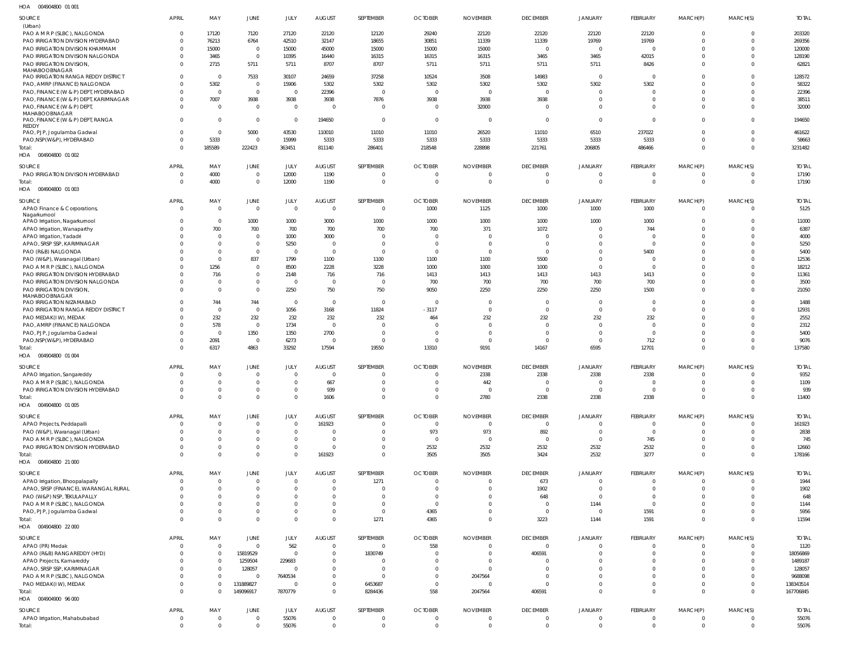| SOURCE                                | APRIL          | MAY             | JUNE             | JULY           | <b>AUGUST</b>           | SEPTEMBER             | <b>OCTOBER</b> | <b>NOVEMBER</b> | <b>DECEMBER</b>             | <b>JANUARY</b>             | FEBRUARY       | MARCH(P)             | MARCH(S)                   | <b>TOTAL</b> |
|---------------------------------------|----------------|-----------------|------------------|----------------|-------------------------|-----------------------|----------------|-----------------|-----------------------------|----------------------------|----------------|----------------------|----------------------------|--------------|
| (Urban)                               |                |                 |                  |                |                         |                       |                |                 |                             |                            |                |                      |                            |              |
| PAO A M R P (SLBC), NALGONDA          | $\mathbf 0$    | 17120           | 7120             | 27120          | 22120                   | 12120                 | 29240          | 22120           | 22120                       | 22120                      | 22120          | $\mathbf 0$          | $\overline{0}$             | 203320       |
| PAO IRRIGATION DIVISION HYDERABAD     | $\mathbf 0$    | 76213           | 6764             | 42510          | 32147                   | 18655                 | 30851          | 11339           | 11339                       | 19769                      | 19769          | $\Omega$             | $\overline{0}$             | 269356       |
| PAO IRRIGATION DIVISION KHAMMAM       | $\Omega$       | 15000           | $\overline{0}$   | 15000          | 45000                   | 15000                 | 15000          | 15000           | $\overline{0}$              | $\Omega$                   | $\Omega$       | $\Omega$             | $\overline{0}$             | 120000       |
| PAO IRRIGATION DIVISION NALGONDA      | $\mathbf 0$    | 3465            | $\overline{0}$   | 10395          | 16440                   | 16315                 | 16315          | 16315           | 3465                        | 3465                       | 42015          | $\Omega$             | $\overline{0}$             | 128190       |
| <b>PAO IRRIGATION DIVISION.</b>       | $\Omega$       | 2715            | 5711             | 5711           | 8707                    | 8707                  | 5711           | 5711            | 5711                        | 5711                       | 8426           | $\Omega$             | $\overline{0}$             | 62821        |
| MAHABOOBNAGAR                         |                |                 |                  |                |                         |                       |                |                 |                             |                            |                |                      |                            |              |
| PAO IRRIGATION RANGA REDDY DISTRICT   | $\mathbf 0$    | $\Omega$        | 7533             | 30107          | 24659                   | 37258                 | 10524          | 3508            | 14983                       | $\overline{0}$             | $\mathbf 0$    |                      | $\overline{0}$             | 128572       |
| PAO, AMRP (FINANCE) NALGONDA          | $\Omega$       | 5302            | $\overline{0}$   | 15906          | 5302                    | 5302                  | 5302           | 5302            | 5302                        | 5302                       | 5302           | $\Omega$             | $\overline{0}$             | 58322        |
| PAO, FINANCE (W & P) DEPT, HYDERABAD  | $^{\circ}$     | $\Omega$        | $\mathbf 0$      | $\overline{0}$ | 22396                   | $\Omega$              | $\Omega$       | $\overline{0}$  | $\overline{0}$              | $\mathbf{0}$               | 0              | $\Omega$             | $\overline{0}$             | 22396        |
| PAO, FINANCE (W & P) DEPT, KARIMNAGAR | $\Omega$       | 7007            | 3938             | 3938           | 3938                    | 7876                  | 3938           | 3938            | 3938                        | $\Omega$                   | $\Omega$       | $\Omega$             | $\overline{0}$             | 38511        |
| PAO, FINANCE (W & P) DEPT,            | $\Omega$       | $\Omega$        | $\overline{0}$   | $\overline{0}$ | $\overline{\mathbf{0}}$ | $\overline{0}$        | $\Omega$       | 32000           | $\Omega$                    | $\Omega$                   | $\Omega$       | $\Omega$             | $\overline{0}$             | 32000        |
| MAHABOOBNAGAR                         |                |                 |                  |                |                         |                       |                |                 |                             |                            |                |                      |                            |              |
| PAO, FINANCE (W & P) DEPT, RANGA      | $\Omega$       | $\Omega$        | $\overline{0}$   | $\overline{0}$ | 194650                  | $\overline{0}$        | $\Omega$       | $\overline{0}$  | $\overline{0}$              | $\Omega$                   | $\Omega$       | $\Omega$             | $\overline{0}$             | 194650       |
| REDDY                                 |                |                 |                  |                |                         |                       |                |                 |                             |                            |                |                      |                            |              |
| PAO, PJP, Jogulamba Gadwal            | $\mathbf 0$    | $\Omega$        | 5000             | 43530          | 110010                  | 11010                 | 11010          | 26520           | 11010                       | 6510                       | 237022         | $\Omega$             | $\overline{0}$             | 461622       |
| PAO, NSP(W&P), HYDERABAD              | $\Omega$       | 5333            | $\overline{0}$   | 15999          | 5333                    | 5333                  | 5333           | 5333            | 5333                        | 5333                       | 5333           | $\Omega$             | $\overline{0}$             | 58663        |
| Total:                                | $\Omega$       | 185589          | 222423           | 363451         | 811140                  | 286401                | 218548         | 228898          | 221761                      | 206805                     | 486466         | $\Omega$             | $\overline{0}$             | 3231482      |
| HOA  004904800  01  002               |                |                 |                  |                |                         |                       |                |                 |                             |                            |                |                      |                            |              |
|                                       |                |                 |                  |                |                         |                       |                |                 |                             |                            |                |                      |                            |              |
| SOURCE                                | APRIL          | MAY             | JUNE             | JULY           | <b>AUGUST</b>           | SEPTEMBER             | <b>OCTOBER</b> | <b>NOVEMBER</b> | <b>DECEMBER</b>             | JANUARY                    | FEBRUARY       | MARCH(P)             | MARCH(S)                   | <b>TOTAL</b> |
| PAO IRRIGATION DIVISION HYDERABAD     | $\overline{0}$ | 4000            | $\overline{0}$   | 12000          | 1190                    | - 0                   |                | $\circ$         | $\Omega$                    | $\Omega$                   | $\mathbf 0$    | $\mathbf{0}$         | -0                         | 17190        |
| Total:                                | $\mathbf 0$    | 4000            | $\overline{0}$   | 12000          | 1190                    | - 0                   | $\Omega$       | $\circ$         | $\overline{0}$              | $\overline{0}$             | $\mathbf 0$    | $\Omega$             | $\overline{0}$             | 17190        |
| HOA  004904800  01  003               |                |                 |                  |                |                         |                       |                |                 |                             |                            |                |                      |                            |              |
| SOURCE                                | APRIL          | MAY             | JUNE             | JULY           | <b>AUGUST</b>           | SEPTEMBER             | <b>OCTOBER</b> | <b>NOVEMBER</b> | <b>DECEMBER</b>             | <b>JANUARY</b>             | FEBRUARY       | MARCH(P)             | MARCH(S)                   | <b>TOTAL</b> |
| APAO Finance & Corporations,          | $\overline{0}$ | $\overline{0}$  | $\overline{0}$   | $\overline{0}$ | $\overline{\mathbf{0}}$ | $\Omega$              | 1000           | 1125            | 1000                        | 1000                       | 1000           | $\Omega$             | $\overline{0}$             | 5125         |
| Nagarkurnool                          |                |                 |                  |                |                         |                       |                |                 |                             |                            |                |                      |                            |              |
| APAO Irrigation, Nagarkurnool         | $\Omega$       | $\overline{0}$  | 1000             | 1000           | 3000                    | 1000                  | 1000           | 1000            | 1000                        | 1000                       | 1000           | $\Omega$             | $\overline{0}$             | 11000        |
| APAO Irrigation, Wanaparthy           | $\Omega$       | 700             | 700              | 700            | 700                     | 700                   | 700            | 371             | 1072                        | $\mathbf{0}$               | 744            | $\Omega$             | $\overline{0}$             | 6387         |
| APAO Irrigation, Yadadri              | $\Omega$       | $\Omega$        | $\overline{0}$   | 1000           | 3000                    | - 0                   | $\Omega$       | $\overline{0}$  | $\Omega$                    | $\Omega$                   | 0              | $\Omega$             | $\Omega$                   | 4000         |
| APAO, SRSP SSP, KARIMNAGAR            | $\Omega$       | $\Omega$        | $\overline{0}$   | 5250           | $\overline{\mathbf{0}}$ | $\Omega$              | $\Omega$       | $\overline{0}$  | $\overline{0}$              | $\Omega$                   | $\mathbf 0$    |                      | $\mathbf 0$                | 5250         |
| PAO (R&B) NALGONDA                    | $\Omega$       | $\Omega$        | $\overline{0}$   | $\Omega$       | $\overline{\mathbf{0}}$ | $\Omega$              | $\Omega$       | $\overline{0}$  | $\Omega$                    | $\Omega$                   | 5400           |                      | $\Omega$                   | 5400         |
| PAO (W&P), Waranagal (Urban)          | $\Omega$       | $\Omega$        | 837              | 1799           | 1100                    | 1100                  | 1100           | 1100            | 5500                        | $\Omega$                   | 0              |                      | $\mathbf 0$                | 12536        |
| PAO A M R P (SLBC), NALGONDA          | $\Omega$       | 1256            | $\overline{0}$   | 8500           | 2228                    | 3228                  | 1000           | 1000            | 1000                        | $\Omega$                   | $\mathbf 0$    |                      | $\Omega$                   | 18212        |
| PAO IRRIGATION DIVISION HYDERABAD     | $\Omega$       | 716             | $\overline{0}$   | 2148           | 716                     | 716                   | 1413           | 1413            | 1413                        | 1413                       | 1413           | $\Omega$             | $\overline{0}$             | 11361        |
| PAO IRRIGATION DIVISION NALGONDA      | $\Omega$       | - 0             | $\overline{0}$   | $\overline{0}$ | $\overline{\mathbf{0}}$ | $\Omega$              | 700            | 700             | 700                         | 700                        | 700            | $\Omega$             | $\overline{0}$             | 3500         |
| PAO IRRIGATION DIVISION,              | $\Omega$       | $\Omega$        | $\overline{0}$   | 2250           | 750                     | 750                   | 9050           | 2250            | 2250                        | 2250                       | 1500           | $\Omega$             | $\overline{0}$             | 21050        |
| MAHABOOBNAGAR                         |                |                 |                  |                |                         |                       |                |                 |                             |                            |                |                      |                            |              |
| PAO IRRIGATION NIZAMABAD              | $\Omega$       | 744             | 744              | $\overline{0}$ | $\overline{\mathbf{0}}$ | $\Omega$              | $\Omega$       | $\overline{0}$  | $\Omega$                    | $\mathbf{0}$               | $\mathbf 0$    | $\Omega$             | $\overline{0}$             | 1488         |
| PAO IRRIGATION RANGA REDDY DISTRICT   | $\Omega$       | $\Omega$        | $\overline{0}$   | 1056           | 3168                    | 11824                 | $-3117$        | $\overline{0}$  | $\Omega$                    | $\mathbf 0$                | $\mathbf 0$    |                      | $\overline{0}$             | 12931        |
| PAO MEDAK(IW), MEDAK                  | $\Omega$       | 232             | 232              | 232            | 232                     | 232                   | 464            | 232             | 232                         | 232                        | 232            | $\Omega$             | $\overline{0}$             | 2552         |
| PAO, AMRP (FINANCE) NALGONDA          | $\Omega$       | 578             | $\mathbf 0$      | 1734           | $\overline{\mathbf{0}}$ | $\Omega$              | - 0            | $\overline{0}$  | $\Omega$                    | $\mathbf{0}$               | $\mathbf 0$    |                      | $\mathbf 0$                | 2312         |
| PAO, PJP, Jogulamba Gadwal            | $\Omega$       | $\Omega$        | 1350             | 1350           | 2700                    | $\Omega$              | - 0            | $\overline{0}$  | $\Omega$                    | $\Omega$                   | $\mathbf 0$    | $\Omega$             | $\Omega$                   | 5400         |
| PAO, NSP(W&P), HYDERABAD              | $\mathbf{0}$   | 2091            | $\overline{0}$   | 6273           | $\overline{\mathbf{0}}$ | $\Omega$              | $\Omega$       | $\overline{0}$  | $\Omega$                    | $\mathbf{0}$               | 712            | $\Omega$             | $\overline{0}$             | 9076         |
|                                       | $\Omega$       |                 | 4863             |                |                         | 19550                 |                | 9191            |                             | 6595                       |                | $\Omega$             | $\Omega$                   | 137580       |
| Total:                                |                | 6317            |                  | 33292          | 17594                   |                       | 13310          |                 | 14167                       |                            | 12701          |                      |                            |              |
| HOA  004904800  01  004               |                |                 |                  |                |                         |                       |                |                 |                             |                            |                |                      |                            |              |
| SOURCE                                |                |                 | JUNE             | JULY           | <b>AUGUST</b>           | SEPTEMBER             | <b>OCTOBER</b> | <b>NOVEMBER</b> | <b>DECEMBER</b>             | JANUARY                    | FEBRUARY       | MARCH(P)             | MARCH(S)                   | <b>TOTAL</b> |
|                                       | <b>APRIL</b>   | MAY             |                  |                |                         |                       |                |                 |                             |                            |                | $\overline{0}$       |                            |              |
| APAO Irrigation, Sangareddy           | $\overline{0}$ | $\overline{0}$  | $\overline{0}$   | $\overline{0}$ | $\overline{0}$          | - 0                   | $\Omega$       | 2338            | 2338                        | 2338                       | 2338           |                      | $\overline{0}$             | 9352         |
| PAO A M R P (SLBC), NALGONDA          | $\Omega$       | $\Omega$        | $\Omega$         | $\Omega$       | 667                     | $\cap$                | $\Omega$       | 442             | $\Omega$                    | $\Omega$                   | $\Omega$       | $\Omega$             | $\Omega$                   | 1109         |
|                                       | $\mathbf{0}$   | $\Omega$        | $\overline{0}$   | $\Omega$       |                         | $\cap$                | $\Omega$       | $\overline{0}$  | $\overline{0}$              | $\Omega$                   | $\mathbf 0$    | $\Omega$             | $\overline{0}$             |              |
| PAO IRRIGATION DIVISION HYDERABAD     | $\overline{0}$ | $\Omega$        | $\mathbf 0$      | $\overline{0}$ | 939                     | $\Omega$              | $\Omega$       |                 |                             |                            |                | $\overline{0}$       | $\overline{0}$             | 939          |
| Total:                                |                |                 |                  |                | 1606                    |                       |                | 2780            | 2338                        | 2338                       | 2338           |                      |                            | 11400        |
| HOA  004904800  01  005               |                |                 |                  |                |                         |                       |                |                 |                             |                            |                |                      |                            |              |
| SOURCE                                | <b>APRIL</b>   | MAY             | JUNE             | JULY           | <b>AUGUST</b>           | SEPTEMBER             | <b>OCTOBER</b> | <b>NOVEMBER</b> | <b>DECEMBER</b>             | <b>JANUARY</b>             | FEBRUARY       | MARCH(P)             | MARCH(S)                   | <b>TOTAL</b> |
| APAO Projects, Peddapalli             | $\mathbf 0$    | $\Omega$        | $\overline{0}$   | $\overline{0}$ | 161923                  | $\Omega$              | $\mathbf{0}$   | $\overline{0}$  | $\Omega$                    | $\Omega$                   | 0              | $\Omega$             | $\Omega$                   | 161923       |
| PAO (W&P), Waranagal (Urban)          | $\Omega$       | $\Omega$        | $\overline{0}$   | $\overline{0}$ | $\overline{\mathbf{0}}$ | - 0                   | 973            | 973             | 892                         | $\mathbf{0}$               | $\overline{0}$ | $\Omega$             | $\overline{0}$             | 2838         |
| PAO A M R P (SLBC), NALGONDA          | $\Omega$       | $\Omega$        | $\overline{0}$   | $\overline{0}$ | $\overline{\mathbf{0}}$ | $\Omega$              | $\Omega$       | $\overline{0}$  | $\overline{0}$              | $\mathbf{0}$               | 745            | $\Omega$             | $\Omega$                   | 745          |
| PAO IRRIGATION DIVISION HYDERABAD     | $\mathbf{0}$   |                 | $\overline{0}$   | $\mathbf 0$    | $\overline{0}$          | $\Omega$              | 2532           | 2532            | 2532                        | 2532                       | 2532           | $\Omega$             | $\overline{0}$             | 12660        |
| Total:                                | $\Omega$       | $\Omega$        | $\Omega$         | $\overline{0}$ | 161923                  | $\Omega$              | 3505           | 3505            | 3424                        | 2532                       | 3277           | $\Omega$             | $\Omega$                   | 178166       |
| HOA  004904800  21 000                |                |                 |                  |                |                         |                       |                |                 |                             |                            |                |                      |                            |              |
|                                       |                |                 |                  |                |                         |                       |                |                 |                             |                            |                |                      |                            |              |
| SOURCE                                | APRIL          | MAY             | JUNE             | JULY           | <b>AUGUST</b>           | SEPTEMBER             | <b>OCTOBER</b> | <b>NOVEMBER</b> | <b>DECEMBER</b>             | JANUARY                    | FEBRUARY       | MARCH(P)             | MARCH(S)                   | <b>TOTAL</b> |
| APAO Irrigation, Bhoopalapally        | $\overline{0}$ | $\Omega$        | $\overline{0}$   | $\overline{0}$ | $\overline{0}$          | 1271                  | $\Omega$       | $\overline{0}$  | 673                         | $\mathbf{0}$               | $\mathbf 0$    | $\mathbf{0}$         | $\overline{0}$             | 1944         |
| APAO, SRSP (FINANCE), WARANGAL RURAL  | $\mathbf 0$    | $\Omega$        | $\overline{0}$   | $\overline{0}$ | $\overline{0}$          |                       |                | $\overline{0}$  | 1902                        | $\mathbf 0$                | $\mathbf 0$    | $\Omega$             | $^{\circ}$                 | 1902         |
| PAO (W&P) NSP, TEKULAPALLY            | $\Omega$       |                 | $\overline{0}$   | $\overline{0}$ | $\overline{0}$          | $\Omega$              |                | $\overline{0}$  | 648                         | $\Omega$                   | $\mathbf 0$    | $\Omega$             | $^{\circ}$                 | 648          |
| PAO A M R P (SLBC), NALGONDA          | $\mathbf 0$    | $\Omega$        | $\overline{0}$   | $\mathbf 0$    | $\overline{0}$          | $\Omega$              | $\Omega$       | $\mathbf 0$     | $\overline{0}$              | 1144                       | $\overline{0}$ | $\Omega$             | $^{\circ}$                 | 1144         |
| PAO, PJP, Jogulamba Gadwal            | $\Omega$       |                 | $\overline{0}$   | $\mathbf 0$    | $\overline{0}$          | $\Omega$              | 4365           | $\overline{0}$  | $\overline{0}$              | $\overline{0}$             | 1591           | $\Omega$             | $\overline{0}$             | 5956         |
| Total:                                | $\Omega$       | $\Omega$        | $\overline{0}$   | $\overline{0}$ | $\overline{0}$          | 1271                  | 4365           | $\overline{0}$  | 3223                        | 1144                       | 1591           | $\Omega$             | $\Omega$                   | 11594        |
| HOA  004904800  22 000                |                |                 |                  |                |                         |                       |                |                 |                             |                            |                |                      |                            |              |
|                                       |                |                 |                  |                |                         |                       |                |                 |                             |                            |                |                      |                            |              |
| SOURCE                                | APRIL          | MAY<br>$\Omega$ | JUNE<br>$\Omega$ | JULY           | <b>AUGUST</b>           | SEPTEMBER<br>$\Omega$ | <b>OCTOBER</b> | <b>NOVEMBER</b> | <b>DECEMBER</b><br>$\Omega$ | <b>JANUARY</b><br>$\Omega$ | FEBRUARY<br>-0 | MARCH(P)<br>$\Omega$ | MARCH(S)                   | <b>TOTAL</b> |
| APAO (PR) Medak                       | $^{\circ}$     |                 |                  | 562            | $\overline{\mathbf{0}}$ |                       | 558            | $\overline{0}$  |                             |                            |                |                      | $\overline{0}$             | 1120         |
| APAO (R&B) RANGAREDDY (HYD)           | $\mathbf 0$    | $\Omega$        | 15819529         | $\overline{0}$ | $\overline{0}$          | 1830749               | $\Omega$       | $\overline{0}$  | 406591                      | $\Omega$                   | $\mathbf 0$    | $\Omega$             | $\overline{0}$             | 18056869     |
| APAO Projects, Kamareddy              | $\Omega$       | $\Omega$        | 1259504          | 229683         | $\overline{0}$          | - 0                   |                | $\overline{0}$  | - 0                         | $\Omega$                   | $\Omega$       | $\Omega$             | $\Omega$                   | 1489187      |
| APAO, SRSP SSP, KARIMNAGAR            | $\Omega$       | $\Omega$        | 128057           | $\overline{0}$ | $\overline{0}$          | $\Omega$              |                | $\overline{0}$  | $\Omega$                    | $\Omega$                   | $\Omega$       |                      | $^{\circ}$                 | 128057       |
| PAO A M R P (SLBC), NALGONDA          | $\Omega$       | $\Omega$        | $\Omega$         | 7640534        | $\overline{0}$          | $\Omega$              | $\Omega$       | 2047564         | $\Omega$                    | $\Omega$                   | $\Omega$       | $\Omega$             | $\overline{0}$             | 9688098      |
| PAO MEDAK(IW), MEDAK                  | $\mathbf 0$    | $\Omega$        | 131889827        | $\overline{0}$ | $\overline{0}$          | 6453687               | $\Omega$       | $\overline{0}$  | $\Omega$                    | $\Omega$                   | $\mathbf 0$    | $\Omega$             | $\overline{0}$             | 138343514    |
| Total:                                | $\mathbf 0$    | $\Omega$        | 149096917        | 7870779        | $\overline{0}$          | 8284436               | 558            | 2047564         | 406591                      | $\Omega$                   | $\Omega$       | $\Omega$             | $\overline{0}$             | 167706845    |
| HOA 004904900 96 000                  |                |                 |                  |                |                         |                       |                |                 |                             |                            |                |                      |                            |              |
| SOURCE                                | APRIL          | MAY             | JUNE             | JULY           | <b>AUGUST</b>           | SEPTEMBER             | <b>OCTOBER</b> | <b>NOVEMBER</b> | <b>DECEMBER</b>             | JANUARY                    | FEBRUARY       | MARCH(P)             |                            | <b>TOTAL</b> |
| APAO Irrigation, Mahabubabad          | $\overline{0}$ | $\Omega$        | $\overline{0}$   | 55076          | $\overline{0}$          | - 0                   | $\Omega$       | $\overline{0}$  | $\Omega$                    | $\mathbf{0}$               | $\overline{0}$ | $\overline{0}$       | MARCH(S)<br>$\overline{0}$ | 55076        |
| Total:                                | $\overline{0}$ | $\mathbf{0}$    | $\overline{0}$   | 55076          | $\overline{\mathbf{0}}$ | $\Omega$              | $\Omega$       | $\overline{0}$  | $\overline{0}$              | $\overline{0}$             | $\mathbf 0$    | $\overline{0}$       | $\overline{0}$             | 55076        |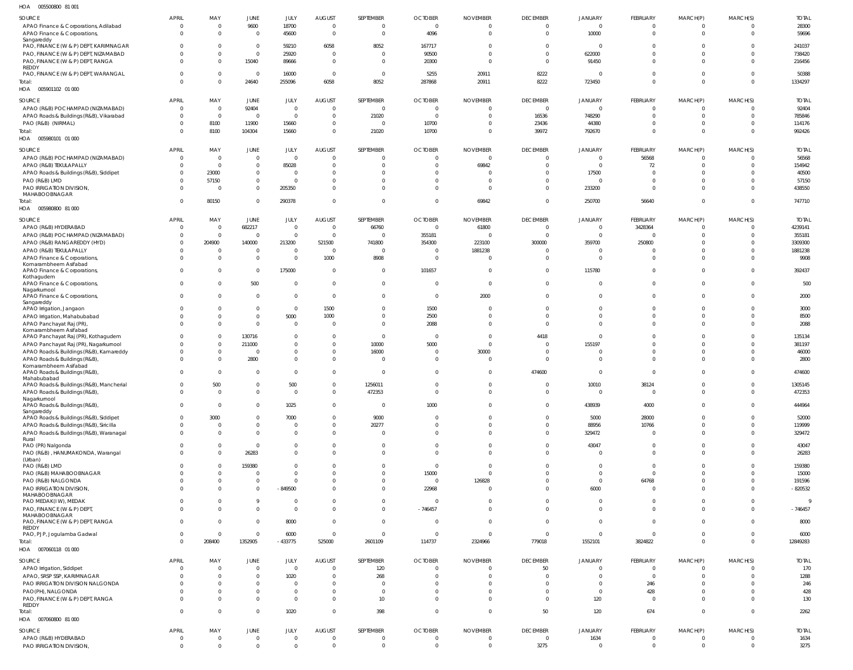| HOA<br>005500800 81 001                                                       |                          |                         |                               |                       |                                  |                                  |                                  |                                   |                       |                            |                              |                            |                      |                     |
|-------------------------------------------------------------------------------|--------------------------|-------------------------|-------------------------------|-----------------------|----------------------------------|----------------------------------|----------------------------------|-----------------------------------|-----------------------|----------------------------|------------------------------|----------------------------|----------------------|---------------------|
| SOURCE                                                                        | <b>APRIL</b>             | MAY                     | JUNE                          | JULY                  | <b>AUGUST</b>                    | SEPTEMBER                        | <b>OCTOBER</b>                   | <b>NOVEMBER</b>                   | <b>DECEMBER</b>       | <b>JANUARY</b>             | FEBRUARY                     | MARCH(P)                   | MARCH(S)             | <b>TOTAL</b>        |
| APAO Finance & Corporations, Adilabad                                         | $\overline{0}$           | $\mathbf{0}$            | 9600                          | 18700                 | $\overline{0}$                   | $\overline{0}$                   | $\overline{0}$                   | $\overline{0}$                    | $\Omega$              | $\overline{0}$             | $\overline{0}$               | $\overline{\mathbf{0}}$    | $\overline{0}$       | 28300               |
| APAO Finance & Corporations,                                                  | $\Omega$                 | $\Omega$                | $\mathbf{0}$                  | 45600                 | $\overline{0}$                   | $\overline{0}$                   | 4096                             | $\overline{0}$                    | $\mathbf 0$           | 10000                      | $\overline{0}$               | $\overline{0}$             | $\overline{0}$       | 59696               |
| Sangareddy                                                                    |                          |                         |                               |                       |                                  |                                  |                                  |                                   |                       |                            |                              |                            |                      |                     |
| PAO, FINANCE (W & P) DEPT, KARIMNAGAR<br>PAO, FINANCE (W & P) DEPT, NIZAMABAD | <sup>0</sup><br>$\Omega$ | $\Omega$<br>$\Omega$    | $\mathbf 0$<br>$\mathbf{0}$   | 59210<br>25920        | 6058<br>$\overline{0}$           | 8052<br>$\overline{0}$           | 167717<br>90500                  | $\overline{0}$<br>$\overline{0}$  | - 0<br>$\Omega$       | $\overline{0}$<br>622000   | 0<br>$\mathbf 0$             | $\overline{0}$<br>$\Omega$ | 0<br>$\overline{0}$  | 241037<br>738420    |
| PAO, FINANCE (W & P) DEPT, RANGA                                              | $\Omega$                 | $\mathbf{0}$            | 15040                         | 89666                 | $\overline{0}$                   | $\overline{0}$                   | 20300                            | $\overline{0}$                    | $\Omega$              | 91450                      | $\mathbf{0}$                 | $\Omega$                   | $\overline{0}$       | 216456              |
| REDDY                                                                         |                          |                         |                               |                       |                                  |                                  |                                  |                                   |                       |                            |                              |                            |                      |                     |
| PAO, FINANCE (W & P) DEPT, WARANGAL                                           | $\Omega$                 | $\mathbf{0}$            | $\overline{0}$                | 16000                 | $\overline{0}$                   | $\mathbf{0}$                     | 5255                             | 20911                             | 8222                  | $\Omega$                   | $\overline{0}$               | $\mathbf{0}$               | $\overline{0}$       | 50388               |
| Total:                                                                        | $\Omega$                 | $\mathbf{0}$            | 24640                         | 255096                | 6058                             | 8052                             | 287868                           | 20911                             | 8222                  | 723450                     | $\mathbf{0}$                 | $\Omega$                   | $\overline{0}$       | 1334297             |
| HOA  005901102  01  000                                                       |                          |                         |                               |                       |                                  |                                  |                                  |                                   |                       |                            |                              |                            |                      |                     |
| SOURCE                                                                        | <b>APRIL</b>             | MAY                     | JUNE                          | JULY                  | AUGUST                           | SEPTEMBER                        | <b>OCTOBER</b>                   | <b>NOVEMBER</b>                   | <b>DECEMBER</b>       | <b>JANUARY</b>             | FEBRUARY                     | MARCH(P)                   | MARCH(S)             | <b>TOTAL</b>        |
| APAO (R&B) POCHAMPAD (NIZAMABAD)                                              | $\overline{0}$           | $\overline{0}$          | 92404                         | $\Omega$              | $\overline{0}$                   | $\overline{0}$                   | $\overline{0}$                   | $\overline{0}$                    | $\mathbf{0}$          | $\overline{0}$             | $\overline{0}$               | $\overline{0}$             | 0                    | 92404               |
| APAO Roads & Buildings (R&B), Vikarabad                                       | $\mathbf{0}$             | $\overline{0}$          | $\overline{0}$                | $\overline{0}$        | $\overline{0}$                   | 21020                            | $\overline{0}$                   | $\overline{0}$                    | 16536                 | 748290                     | $\overline{0}$               | $\overline{0}$             | $\overline{0}$       | 785846              |
| PAO (R&B) (NIRMAL)                                                            | $\Omega$                 | 8100                    | 11900                         | 15660                 | $\overline{0}$                   | $\overline{0}$                   | 10700                            | $\overline{0}$                    | 23436                 | 44380                      | $\mathbf{0}$                 | $\overline{0}$             | 0                    | 114176              |
| Total:                                                                        | $\Omega$                 | 8100                    | 104304                        | 15660                 | $\overline{0}$                   | 21020                            | 10700                            | $\overline{0}$                    | 39972                 | 792670                     | $\mathbf{0}$                 | $\Omega$                   | $\overline{0}$       | 992426              |
| HOA<br>005980101 01 000                                                       |                          |                         |                               |                       |                                  |                                  |                                  |                                   |                       |                            |                              |                            |                      |                     |
| SOURCE                                                                        | <b>APRIL</b>             | MAY                     | JUNE                          | JULY                  | <b>AUGUST</b>                    | SEPTEMBER                        | <b>OCTOBER</b>                   | <b>NOVEMBER</b>                   | <b>DECEMBER</b>       | <b>JANUARY</b>             | FEBRUARY                     | MARCH(P)                   | MARCH(S)             | <b>TOTAL</b>        |
| APAO (R&B) POCHAMPAD (NIZAMABAD)                                              | $\overline{0}$           | $\mathbf{0}$            | $\mathbf 0$                   | $\Omega$              | $\overline{0}$                   | $\overline{0}$                   | $\overline{0}$                   | $\overline{0}$                    | $\Omega$              | $\overline{0}$             | 56568                        | $\overline{0}$             | $\overline{0}$       | 56568               |
| APAO (R&B) TEKULAPALLY                                                        | $\Omega$                 | $\overline{0}$          | $\overline{0}$                | 85028                 | $\overline{0}$                   | $\overline{0}$                   | $\overline{0}$                   | 69842                             | $\Omega$              | $\overline{0}$             | 72                           | $\overline{0}$             | $\overline{0}$       | 154942              |
| APAO Roads & Buildings (R&B), Siddipet                                        | $\mathbf{0}$             | 23000                   | $\mathbf 0$                   | $\Omega$              | $\Omega$                         | $\Omega$                         | $\overline{0}$                   | $\Omega$                          |                       | 17500                      | $\overline{0}$               | $\Omega$                   | 0                    | 40500               |
| PAO (R&B) LMD                                                                 | $\Omega$                 | 57150                   | $\overline{0}$                | $\Omega$              | $\overline{0}$                   | $\Omega$                         | $\mathbf 0$                      | $\Omega$                          | $\Omega$              | $\overline{0}$             | $\overline{0}$               | $\overline{0}$             | $\overline{0}$       | 57150               |
| PAO IRRIGATION DIVISION                                                       | $\Omega$                 | $\Omega$                | $\overline{0}$                | 205350                | $\overline{0}$                   | $\Omega$                         | $\Omega$                         | $\Omega$                          | $\Omega$              | 233200                     | $\mathbf{0}$                 | $\Omega$                   | $\overline{0}$       | 438550              |
| MAHABOOBNAGAR                                                                 |                          |                         |                               |                       |                                  |                                  |                                  |                                   |                       |                            |                              |                            |                      |                     |
| Total:<br>005980800 81 000                                                    | $\Omega$                 | 80150                   | $\mathbf 0$                   | 290378                | $\Omega$                         | $\overline{0}$                   | $\overline{0}$                   | 69842                             | $\Omega$              | 250700                     | 56640                        | $\Omega$                   | $\mathbf{0}$         | 747710              |
| HOA                                                                           |                          |                         |                               |                       |                                  |                                  |                                  |                                   |                       |                            |                              |                            |                      |                     |
| SOURCE                                                                        | <b>APRIL</b>             | MAY                     | JUNE                          | JULY                  | <b>AUGUST</b>                    | SEPTEMBER                        | <b>OCTOBER</b>                   | <b>NOVEMBER</b>                   | <b>DECEMBER</b>       | JANUARY                    | FEBRUARY                     | MARCH(P)                   | MARCH(S)             | <b>TOTAL</b>        |
| APAO (R&B) HYDERABAD                                                          | $\overline{0}$           | $\mathbf 0$             | 682217                        | $\Omega$              | $\overline{0}$                   | 66760                            | $\overline{0}$                   | 61800                             | $\mathbf{0}$          | $\mathbf 0$                | 3428364                      | $\overline{0}$             | $\overline{0}$       | 4239141             |
| APAO (R&B) POCHAMPAD (NIZAMABAD)                                              | $\mathbf{0}$             | $\overline{0}$          | $\mathbf{0}$                  | $\overline{0}$        | $\overline{0}$                   | $\overline{0}$                   | 355181                           | $\overline{0}$                    | $\mathbf 0$           | $\mathbf 0$                | $\overline{0}$               | $\overline{0}$             | 0                    | 355181              |
| APAO (R&B) RANGAREDDY (HYD)                                                   | $\mathbf 0$              | 204900                  | 140000                        | 213200                | 521500                           | 741800                           | 354300                           | 223100                            | 300000                | 359700                     | 250800                       | $\Omega$                   | 0                    | 3309300             |
| APAO (R&B) TEKULAPALLY                                                        | $\Omega$                 | $\mathbf{0}$            | $\mathbf 0$                   | $\Omega$              | $\overline{0}$                   | $\overline{0}$                   | $\overline{0}$                   | 1881238                           | $\Omega$              | $\overline{0}$             | 0                            | $\Omega$                   | $\mathbf 0$          | 1881238             |
| APAO Finance & Corporations,                                                  | $\Omega$                 | $\mathbf{0}$            | $\overline{0}$                | $\Omega$              | 1000                             | 8908                             | $\overline{0}$                   | $\overline{0}$                    | $\Omega$              | $\mathbf 0$                | $\overline{0}$               | $\Omega$                   | $\overline{0}$       | 9908                |
| Komarambheem Asifabad<br>APAO Finance & Corporations,                         | $\Omega$                 | $\Omega$                | $\overline{0}$                | 175000                | $\overline{0}$                   | $\overline{0}$                   | 101657                           | $\overline{0}$                    | $\Omega$              | 115780                     | $\mathbf{0}$                 | $\Omega$                   | $\Omega$             | 392437              |
| Kothagudem                                                                    |                          |                         |                               |                       |                                  |                                  |                                  |                                   |                       |                            |                              |                            |                      |                     |
| APAO Finance & Corporations,                                                  | $\Omega$                 | $\mathbf{0}$            | 500                           | $\Omega$              | $\overline{0}$                   | $\overline{0}$                   | $\overline{0}$                   | $\overline{0}$                    | $\Omega$              | $\overline{0}$             | $\overline{0}$               | $\mathbf{0}$               | $\overline{0}$       | 500                 |
| Nagarkurnool                                                                  | $\Omega$                 | $\Omega$                |                               | $\Omega$              |                                  | $\mathbf{0}$                     |                                  |                                   | $\Omega$              |                            |                              | $\mathbf{0}$               |                      |                     |
| APAO Finance & Corporations,<br>Sangareddy                                    |                          |                         | $\overline{0}$                |                       | $\overline{0}$                   |                                  | $\overline{0}$                   | 2000                              |                       | $\mathbf{0}$               | $\overline{0}$               |                            | $\overline{0}$       | 2000                |
| APAO Irrigation, Jangaon                                                      | $\Omega$                 | $\Omega$                | $\overline{0}$                | $\Omega$              | 1500                             | $\overline{0}$                   | 1500                             | $\Omega$                          | $\Omega$              | $\Omega$                   | $\overline{0}$               | $\Omega$                   | $\overline{0}$       | 3000                |
| APAO Irrigation, Mahabubabad                                                  | $\Omega$                 | $\mathbf{0}$            | $\mathbf 0$                   | 5000                  | 1000                             | $\overline{0}$                   | 2500                             | $\overline{0}$                    | $\Omega$              | $\mathbf 0$                | $\overline{0}$               | $\overline{0}$             | $\mathbf 0$          | 8500                |
| APAO Panchayat Raj (PR)                                                       | $\Omega$                 | $\mathbf 0$             | $\overline{0}$                | $\Omega$              | $\overline{0}$                   | $\overline{0}$                   | 2088                             | $\overline{0}$                    | $\Omega$              | $\mathbf 0$                | $\overline{0}$               | $\overline{0}$             | $\overline{0}$       | 2088                |
| Komarambheem Asifabad                                                         |                          |                         |                               |                       |                                  |                                  |                                  |                                   |                       |                            |                              |                            |                      |                     |
| APAO Panchayat Raj (PR), Kothagudem                                           | $\Omega$                 | $\mathbf{0}$            | 130716                        | $\Omega$              | $\overline{0}$                   | $\overline{0}$                   | $\overline{0}$                   | $\overline{0}$                    | 4418                  | $\mathbf 0$                | $\overline{0}$               | $\overline{0}$             | $\mathbf 0$          | 135134              |
| APAO Panchayat Raj (PR), Nagarkurnool                                         | $\Omega$                 | $\mathbf 0$             | 211000                        | $\Omega$              | $\overline{0}$                   | 10000                            | 5000                             | $\overline{0}$                    | $\Omega$              | 155197                     | $\overline{0}$               | $\Omega$                   | $\overline{0}$       | 381197              |
| APAO Roads & Buildings (R&B), Kamareddy                                       | $\Omega$<br>$\Omega$     | $\mathbf 0$             | $\overline{0}$                | $\Omega$<br>$\Omega$  | $\overline{0}$<br>$\overline{0}$ | 16000                            | $\overline{0}$                   | 30000<br>$\overline{0}$           | $\Omega$<br>$\Omega$  | $\mathbf 0$<br>$\mathbf 0$ | $\mathbf{0}$<br>$\mathbf{0}$ | $\Omega$                   | $\mathbf 0$          | 46000               |
| APAO Roads & Buildings (R&B)<br>Komarambheem Asifabad                         |                          | $\mathbf{0}$            | 2800                          |                       |                                  | $\overline{0}$                   | $\overline{0}$                   |                                   |                       |                            |                              | $\overline{0}$             | 0                    | 2800                |
| APAO Roads & Buildings (R&B),                                                 | $\Omega$                 | $\Omega$                | $\mathbf 0$                   | $\Omega$              | $\Omega$                         | $\overline{0}$                   | $\Omega$                         | $\overline{0}$                    | 474600                | $\mathbf 0$                | $\overline{0}$               | $\Omega$                   | $\Omega$             | 474600              |
| Mahabubabad                                                                   |                          |                         |                               |                       |                                  |                                  |                                  |                                   |                       |                            |                              |                            |                      |                     |
| APAO Roads & Buildings (R&B), Mancherial                                      | $\cap$                   | 500                     | $\cap$                        | 500                   | $\cap$                           | 1256011                          | $\Omega$                         | $\cap$                            | $\Omega$              | 10010                      | 38124                        | $\cap$                     | $\cap$               | 1305145             |
| APAO Roads & Buildings (R&B),<br>Nagarkurnool                                 | $\mathbf 0$              | $\mathbf{0}$            | $\overline{0}$                | $\Omega$              | $\overline{0}$                   | 472353                           | $\overline{0}$                   | $\Omega$                          | $\Omega$              | $\overline{0}$             | $\overline{0}$               | $\Omega$                   | $\overline{0}$       | 472353              |
| APAO Roads & Buildings (R&B),                                                 | $\overline{0}$           | $\mathbf{0}$            | $\overline{0}$                | 1025                  | $\overline{0}$                   | $\mathbf 0$                      | 1000                             | $\overline{0}$                    | $\Omega$              | 438939                     | 4000                         | $\overline{0}$             | 0                    | 444964              |
| Sangareddy                                                                    |                          |                         |                               |                       |                                  |                                  |                                  |                                   |                       |                            |                              |                            |                      |                     |
| APAO Roads & Buildings (R&B), Siddipet                                        | $\mathbf 0$              | 3000                    | $\overline{0}$                | 7000                  | $\overline{0}$                   | 9000                             | $\overline{0}$                   | $\overline{0}$                    | $\mathbf{0}$          | 5000                       | 28000                        | $\overline{0}$             | 0                    | 52000               |
| APAO Roads & Buildings (R&B), Siricilla                                       | $\Omega$                 | $\mathbf{0}$            | $\mathbf 0$                   | $\Omega$<br>$\Omega$  | $\overline{0}$                   | 20277                            | $\overline{0}$                   | $\overline{0}$                    | $\Omega$              | 88956                      | 10766                        | $\overline{0}$             | $\overline{0}$       | 119999              |
| APAO Roads & Buildings (R&B), Waranagal<br>Rural                              | $\Omega$                 | $\Omega$                | $\mathbf 0$                   |                       | $\overline{0}$                   | $\overline{0}$                   | $\Omega$                         | $\overline{0}$                    | $\Omega$              | 329472                     | $\overline{0}$               | $\overline{0}$             | 0                    | 329472              |
| PAO (PR) Nalgonda                                                             | $\Omega$                 | $\mathbf{0}$            | $\mathbf 0$                   | $\Omega$              | $\overline{0}$                   | $\overline{0}$                   | $\overline{0}$                   | $\overline{0}$                    | $\Omega$              | 43047                      | $\overline{0}$               | $\overline{0}$             | $\overline{0}$       | 43047               |
| PAO (R&B), HANUMAKONDA, Warangal                                              | $\Omega$                 | $\mathbf{0}$            | 26283                         | $\Omega$              | $\overline{0}$                   | $\Omega$                         | $\Omega$                         | $\overline{0}$                    | $\Omega$              | $\overline{0}$             | $\overline{0}$               | $\mathbf{0}$               | $\overline{0}$       | 26283               |
| (Urban)                                                                       |                          |                         |                               |                       |                                  |                                  |                                  |                                   |                       |                            |                              |                            |                      |                     |
| PAO (R&B) LMD                                                                 | <sup>0</sup>             | $\Omega$                | 159380                        | $\Omega$<br>$\Omega$  | $\overline{0}$                   | $\Omega$                         | $\overline{0}$                   | $\overline{0}$                    | $\Omega$              | $\mathbf 0$                | $\overline{0}$               | $\overline{0}$             | $\overline{0}$       | 159380              |
| PAO (R&B) MAHABOOBNAGAR                                                       | $\Omega$                 | $\mathbf{0}$            | $\mathbf 0$                   |                       | $\overline{0}$                   | $\Omega$                         | 15000                            | $\overline{0}$                    |                       | $\overline{0}$             | $\overline{0}$               | $\overline{0}$             | 0                    | 15000               |
| PAO (R&B) NALGONDA<br>PAO IRRIGATION DIVISION,                                | $\Omega$<br><sup>0</sup> | $\mathbf 0$<br>$\Omega$ | $\mathbf 0$<br>$\overline{0}$ | $\Omega$<br>$-849500$ | $\overline{0}$<br>$\overline{0}$ | $\overline{0}$<br>$\overline{0}$ | $\overline{0}$<br>22968          | 126828<br>$\Omega$                | $\Omega$<br>$\Omega$  | $\overline{0}$<br>6000     | 64768<br>$\overline{0}$      | $\overline{0}$<br>$\Omega$ | 0<br>$\Omega$        | 191596<br>$-820532$ |
| MAHABOOBNAGAR                                                                 |                          |                         |                               |                       |                                  |                                  |                                  |                                   |                       |                            |                              |                            |                      |                     |
| PAO MEDAK(IW), MEDAK                                                          | $\Omega$                 | $\Omega$                | 9                             | $\Omega$              | $\overline{0}$                   | $\mathbf{0}$                     | $\overline{0}$                   | $\overline{0}$                    | $\Omega$              | $\overline{0}$             | $\overline{0}$               | $\overline{0}$             | $\overline{0}$       | $\mathsf{Q}$        |
| PAO, FINANCE (W & P) DEPT,                                                    | $\Omega$                 | $\Omega$                | $\mathbf 0$                   | $\Omega$              | $\overline{0}$                   | $\overline{0}$                   | $-746457$                        | $\overline{0}$                    | $\Omega$              | $\overline{0}$             | $\overline{0}$               | $\overline{0}$             | $\Omega$             | $-746457$           |
| MAHABOOBNAGAR                                                                 |                          |                         |                               |                       |                                  |                                  |                                  |                                   |                       |                            |                              |                            |                      |                     |
| PAO, FINANCE (W & P) DEPT, RANGA<br>REDDY                                     | $\Omega$                 | $\mathbf{0}$            | $\overline{0}$                | 8000                  | $\overline{0}$                   | $\overline{0}$                   | $\overline{0}$                   | $\overline{0}$                    | $\Omega$              | $\overline{0}$             | $\overline{0}$               | $\overline{0}$             | $\overline{0}$       | 8000                |
| PAO, PJP, Jogulamba Gadwal                                                    | $\overline{0}$           | $\mathbf 0$             | $\mathbf 0$                   | 6000                  | $\overline{0}$                   | $\overline{0}$                   | $\overline{0}$                   | $\overline{0}$                    | $\overline{0}$        | $\overline{0}$             | $\overline{0}$               | $\overline{0}$             | $\overline{0}$       | 6000                |
| Total:                                                                        | $\Omega$                 | 208400                  | 1352905                       | $-433775$             | 525000                           | 2601109                          | 114737                           | 2324966                           | 779018                | 1552101                    | 3824822                      | $\mathbf{0}$               | $\overline{0}$       | 12849283            |
| HOA  007060118  01  000                                                       |                          |                         |                               |                       |                                  |                                  |                                  |                                   |                       |                            |                              |                            |                      |                     |
|                                                                               |                          |                         |                               |                       |                                  |                                  |                                  |                                   |                       |                            |                              |                            |                      |                     |
| SOURCE                                                                        | <b>APRIL</b><br>$\Omega$ | MAY<br>$\Omega$         | JUNE<br>$\overline{0}$        | JULY<br>$\Omega$      | <b>AUGUST</b><br>$\Omega$        | SEPTEMBER                        | <b>OCTOBER</b><br>$\overline{0}$ | <b>NOVEMBER</b><br>$\overline{0}$ | <b>DECEMBER</b><br>50 | <b>JANUARY</b><br>$\Omega$ | FEBRUARY<br>$\overline{0}$   | MARCH(P)<br>$\Omega$       | MARCH(S)<br>$\Omega$ | <b>TOTAL</b><br>170 |
| APAO Irrigation, Siddipet<br>APAO, SRSP SSP, KARIMNAGAR                       | <sup>0</sup>             | $\Omega$                | $\overline{0}$                | 1020                  | $\Omega$                         | 120<br>268                       | $\Omega$                         | $\overline{0}$                    | $\Omega$              | $\overline{0}$             | $\overline{0}$               | $\overline{0}$             | $\Omega$             | 1288                |
| PAO IRRIGATION DIVISION NALGONDA                                              |                          | $\Omega$                | $\overline{0}$                | $\Omega$              | $\Omega$                         | $\Omega$                         | $\Omega$                         | $\Omega$                          |                       | $\mathbf{0}$               | 246                          | $\overline{0}$             | $\Omega$             | 246                 |
| PAO(PH), NALGONDA                                                             |                          | $\Omega$                | $\mathbf 0$                   | $\Omega$              | $\overline{0}$                   | $\overline{0}$                   | $\Omega$                         | $\Omega$                          | $\Omega$              | $\overline{0}$             | 428                          | $\overline{0}$             | $\Omega$             | 428                 |
| PAO, FINANCE (W & P) DEPT, RANGA                                              | $\Omega$                 | $\Omega$                | $\overline{0}$                | $\Omega$              | $\Omega$                         | 10                               | $\Omega$                         | $\Omega$                          | $\Omega$              | 120                        | $\overline{0}$               | $\Omega$                   | $\Omega$             | 130                 |
| REDDY                                                                         |                          |                         |                               |                       |                                  |                                  |                                  |                                   |                       |                            |                              |                            |                      |                     |
| Total:                                                                        | $\Omega$                 | $\Omega$                | $\mathbf{0}$                  | 1020                  | $\overline{0}$                   | 398                              | $\overline{0}$                   | $\overline{0}$                    | 50                    | 120                        | 674                          | $\mathbf{0}$               | $\overline{0}$       | 2262                |
| HOA  007060800  81  000                                                       |                          |                         |                               |                       |                                  |                                  |                                  |                                   |                       |                            |                              |                            |                      |                     |
| SOURCE                                                                        | <b>APRIL</b>             | MAY                     | JUNE                          | JULY                  | <b>AUGUST</b>                    | SEPTEMBER                        | <b>OCTOBER</b>                   | <b>NOVEMBER</b>                   | <b>DECEMBER</b>       | JANUARY                    | FEBRUARY                     | MARCH(P)                   | MARCH(S)             | <b>TOTAL</b>        |
| APAO (R&B) HYDERABAD                                                          | $\mathbf 0$              | $\mathbf 0$             | $\mathbf 0$                   | $\Omega$              | $\overline{0}$                   | $\overline{0}$                   | $\overline{0}$                   | $\overline{0}$                    | $\mathbf{0}$          | 1634                       | $\mathbf 0$                  | $\overline{0}$             | $\overline{0}$       | 1634                |
| PAO IRRIGATION DIVISION                                                       | $\mathbf{0}$             | $\mathbf 0$             | $\mathbb O$                   | $\mathbf{0}$          | $\overline{0}$                   | $\overline{0}$                   | $\mathbf 0$                      | $\overline{0}$                    | 3275                  | $\mathbf 0$                | $\mathbf 0$                  | $\overline{0}$             | $\overline{0}$       | 3275                |
|                                                                               |                          |                         |                               |                       |                                  |                                  |                                  |                                   |                       |                            |                              |                            |                      |                     |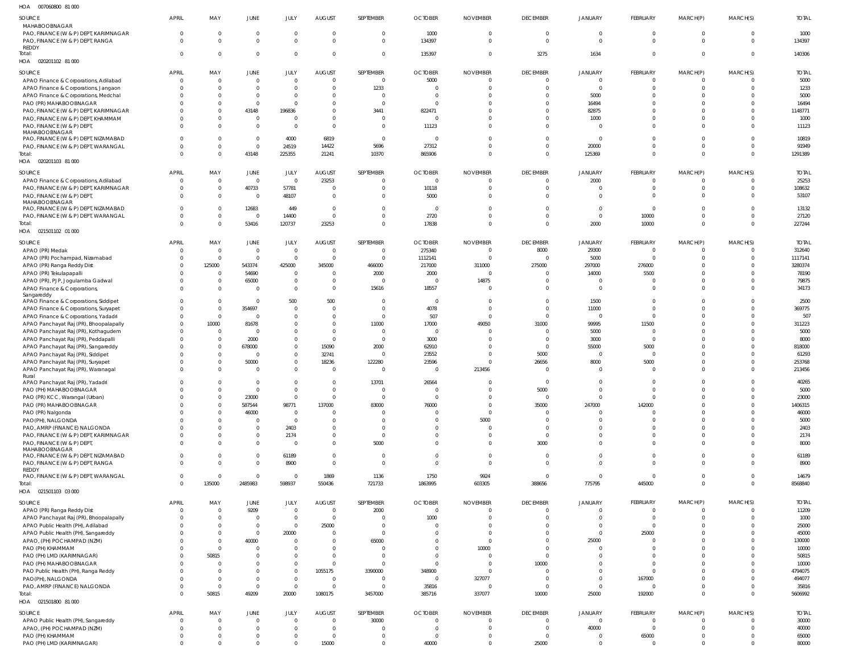## 007060800 81 000 HOA

| SOURCE                                                                         | <b>APRIL</b>             | MAY                              | JUNE                             | JULY                             | <b>AUGUST</b>             | SEPTEMBER            | <b>OCTOBER</b>           | <b>NOVEMBER</b>      | <b>DECEMBER</b>                  | <b>JANUARY</b>                   | FEBRUARY                                  | MARCH(P)                  | MARCH(S)             | <b>TOTAL</b>      |
|--------------------------------------------------------------------------------|--------------------------|----------------------------------|----------------------------------|----------------------------------|---------------------------|----------------------|--------------------------|----------------------|----------------------------------|----------------------------------|-------------------------------------------|---------------------------|----------------------|-------------------|
| MAHABOOBNAGAR<br>PAO, FINANCE (W & P) DEPT, KARIMNAGAR                         | $\Omega$                 | $\overline{0}$                   | $\overline{0}$                   | $\overline{0}$                   | $\overline{0}$            | $\Omega$             | 1000                     | $\Omega$             | $\overline{0}$                   | $\overline{0}$                   | $\overline{0}$                            | $\overline{0}$            | $\Omega$             | 1000              |
| PAO, FINANCE (W & P) DEPT, RANGA<br><b>REDDY</b>                               | $\Omega$                 | $\overline{0}$                   | $\mathbf{0}$                     | $\overline{0}$                   | $\Omega$                  | $\Omega$             | 134397                   | $\Omega$             | $\Omega$                         | $\overline{0}$                   | $\Omega$                                  | $\Omega$                  | $\Omega$             | 134397            |
| Total:<br>HOA  020201102  81  000                                              | $\Omega$                 | $\overline{0}$                   | $\overline{0}$                   | $\overline{0}$                   | $\overline{0}$            | $\Omega$             | 135397                   | $\Omega$             | 3275                             | 1634                             | $\Omega$                                  | $\overline{0}$            | $\Omega$             | 140306            |
| SOURCE                                                                         | <b>APRIL</b>             | MAY                              | JUNE                             | JULY                             | AUGUST                    | SEPTEMBER            | <b>OCTOBER</b>           | <b>NOVEMBER</b>      | <b>DECEMBER</b>                  | <b>JANUARY</b>                   | FEBRUARY                                  | MARCH(P)                  | MARCH(S)             | <b>TOTAL</b>      |
| APAO Finance & Corporations, Adilabad                                          | $\Omega$                 | $\overline{0}$                   | $\Omega$                         | $\Omega$                         | $\Omega$                  | $\Omega$             | 5000                     |                      | $\Omega$                         | $\overline{0}$                   | $\Omega$                                  | $\Omega$                  |                      | 5000              |
| APAO Finance & Corporations, Jangaon                                           | $\Omega$                 | $\Omega$                         | $\Omega$                         | $\overline{0}$                   | $\Omega$                  | 1233                 | - 0                      |                      | $\Omega$                         | $\Omega$                         | $\Omega$                                  | $\Omega$                  |                      | 1233              |
| APAO Finance & Corporations, Medchal<br>PAO (PR) MAHABOOBNAGAR                 |                          | $\Omega$<br>$\Omega$             | $\Omega$<br>$\Omega$             | $\Omega$<br>$\Omega$             | $\Omega$<br>$\Omega$      | $\Omega$<br>$\Omega$ | - 0                      |                      | $\Omega$<br>$\Omega$             | 5000<br>16494                    | $\Omega$<br>$\Omega$                      | $\Omega$<br>$\Omega$      |                      | 5000<br>16494     |
| PAO, FINANCE (W & P) DEPT, KARIMNAGAR                                          |                          | $\Omega$                         | 43148                            | 196836                           | $\Omega$                  | 3441                 | 822471                   |                      | $\Omega$                         | 82875                            | $\Omega$                                  | $\Omega$                  |                      | 1148771           |
| PAO, FINANCE (W & P) DEPT, KHAMMAM                                             |                          | $\Omega$                         | $\overline{0}$                   | $\Omega$                         | $\Omega$                  | $\Omega$             |                          |                      | $\Omega$                         | 1000                             | $\Omega$                                  | $\Omega$                  |                      | 1000              |
| PAO, FINANCE (W & P) DEPT,<br>MAHABOOBNAGAR                                    |                          | $\Omega$                         | $\Omega$                         | $\Omega$                         | $\Omega$                  | $\Omega$             | 11123                    |                      | $\Omega$                         | $\overline{0}$                   | $\Omega$                                  | $\Omega$                  |                      | 11123             |
| PAO, FINANCE (W & P) DEPT, NIZAMABAD                                           |                          | $\Omega$                         | $\overline{0}$                   | 4000                             | 6819                      | $\Omega$             | $\Omega$                 |                      | $\Omega$                         | $\overline{0}$                   | $\Omega$                                  | $\Omega$                  |                      | 10819             |
| PAO, FINANCE (W & P) DEPT, WARANGAL                                            |                          | $\Omega$                         | $\Omega$                         | 24519                            | 14422                     | 5696                 | 27312                    |                      | $\Omega$                         | 20000                            | $\Omega$                                  | $\Omega$                  |                      | 91949             |
| Total:                                                                         | $\Omega$                 | $\Omega$                         | 43148                            | 225355                           | 21241                     | 10370                | 865906                   | $\Omega$             | $\Omega$                         | 125369                           | $\Omega$                                  | $\Omega$                  | $\Omega$             | 1291389           |
| HOA  020201103  81  000                                                        |                          |                                  |                                  |                                  |                           |                      |                          |                      |                                  |                                  |                                           |                           |                      |                   |
| SOURCE                                                                         | <b>APRIL</b><br>$\Omega$ | MAY                              | JUNE                             | JULY                             | <b>AUGUST</b>             | SEPTEMBER            | <b>OCTOBER</b>           | <b>NOVEMBER</b>      | <b>DECEMBER</b>                  | <b>JANUARY</b>                   | FEBRUARY                                  | MARCH(P)                  | MARCH(S)             | <b>TOTAL</b>      |
| APAO Finance & Corporations, Adilabad<br>PAO, FINANCE (W & P) DEPT, KARIMNAGAR | $\Omega$                 | $\overline{0}$<br>$\mathbf 0$    | $\overline{0}$<br>40733          | $\overline{0}$<br>57781          | 23253<br>$\overline{0}$   | $\Omega$<br>$\Omega$ | $\overline{0}$<br>10118  | $\Omega$<br>$\Omega$ | $\overline{0}$<br>$\overline{0}$ | 2000<br>$\overline{0}$           | $\overline{\mathbf{0}}$<br>$\overline{0}$ | - 0<br>$\overline{0}$     | $\Omega$<br>$\Omega$ | 25253<br>108632   |
| PAO, FINANCE (W & P) DEPT,                                                     | $\Omega$                 | $\overline{0}$                   | $\overline{0}$                   | 48107                            | $\overline{0}$            | $\Omega$             | 5000                     | $\Omega$             | $\Omega$                         | $\Omega$                         | $\Omega$                                  | $\Omega$                  |                      | 53107             |
| MAHABOOBNAGAR                                                                  | $\Omega$                 |                                  | 12683                            |                                  | $\overline{0}$            | $\Omega$             |                          |                      | $\Omega$                         | $\overline{0}$                   | $\overline{0}$                            | $\Omega$                  |                      | 13132             |
| PAO, FINANCE (W & P) DEPT, NIZAMABAD<br>PAO, FINANCE (W & P) DEPT, WARANGAL    | $\Omega$                 | $\overline{0}$<br>$\overline{0}$ | $\overline{0}$                   | 449<br>14400                     | $\,$ 0                    | $\Omega$             | $\overline{0}$<br>2720   |                      | $\overline{0}$                   | $\overline{0}$                   | 10000                                     | $\Omega$                  | $\Omega$             | 27120             |
| Total:                                                                         | $\Omega$                 | $\mathbf 0$                      | 53416                            | 120737                           | 23253                     | $\Omega$             | 17838                    | $\Omega$             | $\Omega$                         | 2000                             | 10000                                     | $\Omega$                  | $\Omega$             | 227244            |
| HOA  021501102  01  000                                                        |                          |                                  |                                  |                                  |                           |                      |                          |                      |                                  |                                  |                                           |                           |                      |                   |
| SOURCE                                                                         | <b>APRIL</b>             | MAY                              | JUNE                             | JULY                             | <b>AUGUST</b>             | SEPTEMBER            | <b>OCTOBER</b>           | <b>NOVEMBER</b>      | <b>DECEMBER</b>                  | <b>JANUARY</b>                   | FEBRUARY                                  | MARCH(P)                  | MARCH(S)             | <b>TOTAL</b>      |
| APAO (PR) Medak                                                                | $\Omega$                 | $\mathbf{0}$                     | $\overline{0}$                   | $\overline{0}$                   | $\overline{0}$            | $\Omega$             | 275340                   | $\Omega$             | 8000                             | 29300                            | $\Omega$                                  | $\Omega$                  | $\Omega$             | 312640            |
| APAO (PR) Pochampad, Nizamabad                                                 | $\Omega$                 | $\mathbf{0}$                     | $\overline{0}$                   | $\overline{0}$                   | $\overline{0}$            | $\Omega$             | 1112141                  | $\Omega$             | $\Omega$                         | 5000                             | $\Omega$                                  | $\Omega$                  | $\Omega$             | 1117141           |
| APAO (PR) Ranga Reddy Dist<br>APAO (PR) Tekulapapalli                          | $\Omega$                 | 125000<br>$\Omega$               | 543374<br>54690                  | 425000<br>$\overline{0}$         | 345000<br>$\Omega$        | 466000<br>2000       | 217000<br>2000           | 311000<br>$\Omega$   | 275000<br>$\Omega$               | 297000<br>14000                  | 276000<br>5500                            | $\Omega$<br>- 0           |                      | 3280374<br>78190  |
| APAO (PR), PJP, Jogulamba Gadwal                                               |                          | $\overline{0}$                   | 65000                            | $\overline{0}$                   | $\mathbf{0}$              |                      |                          | 14875                | $\Omega$                         | $\overline{0}$                   | $\Omega$                                  | $\Omega$                  |                      | 79875             |
| APAO Finance & Corporations,                                                   |                          | $\Omega$                         | $\Omega$                         | $\Omega$                         | $\Omega$                  | 15616                | 18557                    | $\Omega$             | $\Omega$                         | $\overline{0}$                   | $\Omega$                                  | $\Omega$                  |                      | 34173             |
| Sangareddy                                                                     | $\Omega$                 | $\Omega$                         | $\overline{0}$                   | 500                              | 500                       | $\Omega$             | $\Omega$                 |                      | $\Omega$                         | 1500                             | $\Omega$                                  | $\Omega$                  |                      | 2500              |
| APAO Finance & Corporations, Siddipet<br>APAO Finance & Corporations, Suryapet |                          | $\Omega$                         | 354697                           | $\Omega$                         | $\Omega$                  | $\Omega$             | 4078                     |                      | $\Omega$                         | 11000                            | $\Omega$                                  | $\Omega$                  |                      | 369775            |
| APAO Finance & Corporations, Yadadri                                           |                          | $\Omega$                         | $\Omega$                         | $\mathbf{0}$                     | $\Omega$                  | $\Omega$             | 507                      |                      | $\Omega$                         | $\overline{0}$                   | $\Omega$                                  | $\Omega$                  |                      | 507               |
| APAO Panchayat Raj (PR), Bhoopalapally                                         |                          | 10000                            | 81678                            | $\Omega$                         | $\Omega$                  | 11000                | 17000                    | 49050                | 31000                            | 99995                            | 11500                                     |                           |                      | 311223            |
| APAO Panchayat Raj (PR), Kothagudem                                            |                          | $\Omega$                         | $\Omega$                         | $\Omega$                         | $\Omega$                  |                      | $\Omega$                 |                      | $\Omega$                         | 5000                             | $\Omega$                                  | $\Omega$                  |                      | 5000              |
| APAO Panchayat Raj (PR), Peddapalli                                            |                          | $\Omega$                         | 2000                             | $\Omega$                         | $\overline{0}$            | $\Omega$             | 3000                     |                      | $\Omega$<br>$\Omega$             | 3000                             | $\Omega$<br>5000                          | $\Omega$                  |                      | 8000<br>818000    |
| APAO Panchayat Raj (PR), Sangareddy<br>APAO Panchayat Raj (PR), Siddipet       |                          | $\Omega$<br>$\Omega$             | 678000<br>$\Omega$               | $\mathbf{0}$<br>$\mathbf{0}$     | 15090<br>32741            | 2000<br>$\Omega$     | 62910<br>23552           |                      | 5000                             | 55000<br>$\overline{0}$          | - 0                                       | $\Omega$                  |                      | 61293             |
| APAO Panchayat Raj (PR), Suryapet                                              |                          | $\Omega$                         | 50000                            | $\mathbf{0}$                     | 18236                     | 122280               | 23596                    |                      | 26656                            | 8000                             | 5000                                      |                           |                      | 253768            |
| APAO Panchayat Raj (PR), Waranagal                                             |                          | $\Omega$                         | $\Omega$                         | $\mathbf{0}$                     | $\overline{0}$            | $\Omega$             | $\Omega$                 | 213456               | $\Omega$                         | $\overline{0}$                   | - 0                                       | $\Omega$                  |                      | 213456            |
| Rural<br>APAO Panchayat Raj (PR), Yadadri                                      | $\Omega$                 | $\Omega$                         | $\Omega$                         | $\overline{0}$                   | $\overline{0}$            | 13701                | 26564                    |                      | $\Omega$                         | $\overline{0}$                   | $\Omega$                                  | $\Omega$                  | $\Omega$             | 40265             |
| PAO (PH) MAHABOOBNAGAR                                                         |                          | $\cap$                           | $\Omega$                         | $\Omega$                         | $\cap$                    |                      |                          |                      | 5000                             | $\sqrt{ }$                       |                                           |                           |                      | 5000              |
| PAO (PR) KCC, Warangal (Urban)                                                 |                          | $\Omega$                         | 23000                            | $\overline{0}$                   | $\overline{0}$            |                      | $\Omega$                 |                      | $\overline{0}$                   | $\Omega$                         | $\Omega$                                  |                           |                      | 23000             |
| PAO (PR) MAHABOOBNAGAR                                                         |                          | $\overline{0}$                   | 587544                           | 98771                            | 137000                    | 83000                | 76000                    |                      | 35000                            | 247000                           | 142000                                    | $\Omega$                  |                      | 1406315           |
| PAO (PR) Nalgonda                                                              |                          | $\Omega$<br>$\Omega$             | 46000<br>$\Omega$                | $\Omega$<br>$\overline{0}$       | 0<br>$\overline{0}$       |                      |                          | $\Omega$<br>5000     | $\Omega$<br>$\Omega$             | $\overline{0}$<br>$\overline{0}$ | - 0<br>$\Omega$                           | $\Omega$<br>$\Omega$      |                      | 46000<br>5000     |
| PAO(PH), NALGONDA<br>PAO, AMRP (FINANCE) NALGONDA                              |                          | $\Omega$                         | $\Omega$                         | 2403                             | 0                         | $\Omega$             |                          |                      | $\Omega$                         | $\Omega$                         | $\Omega$                                  | $\Omega$                  |                      | 2403              |
| PAO, FINANCE (W & P) DEPT, KARIMNAGAR                                          |                          | $\Omega$                         | $\mathbf{0}$                     | 2174                             | $\mathbf 0$               | $\Omega$             |                          |                      | $\overline{0}$                   | $\overline{0}$                   | $\overline{0}$                            | $\overline{0}$            |                      | 2174              |
| PAO, FINANCE (W & P) DEPT,                                                     | $\Omega$                 | $\Omega$                         | $\mathbf{0}$                     | $\Omega$                         | $\overline{0}$            | 5000                 |                          | $\Omega$             | 3000                             | $\Omega$                         | $\Omega$                                  | $\Omega$                  |                      | 8000              |
| MAHABOOBNAGAR<br>PAO, FINANCE (W & P) DEPT, NIZAMABAD                          |                          | $\Omega$                         | $\overline{0}$                   | 61189                            | $\overline{0}$            | $\Omega$             | $\Omega$                 | $\Omega$             | $\overline{0}$                   | $\overline{0}$                   | $\overline{0}$                            | $\mathbf 0$               |                      | 61189             |
| PAO, FINANCE (W & P) DEPT, RANGA                                               | $\Omega$                 | $\Omega$                         | $\Omega$                         | 8900                             | $\overline{0}$            | $\Omega$             | $\Omega$                 | $\Omega$             | $\Omega$                         | $\overline{0}$                   | $\overline{0}$                            | $\Omega$                  |                      | 8900              |
| REDDY<br>PAO, FINANCE (W & P) DEPT, WARANGAL                                   | $\Omega$                 | $\mathbf{0}$                     | $\overline{0}$                   | $\overline{0}$                   | 1869                      | 1136                 | 1750                     | 9924                 | $\overline{0}$                   | $\overline{0}$                   | $\overline{0}$                            | $\overline{0}$            | $\Omega$             | 14679             |
| Total:                                                                         | $\Omega$                 | 135000                           | 2485983                          | 598937                           | 550436                    | 721733               | 1863995                  | 603305               | 388656                           | 775795                           | 445000                                    | $\overline{0}$            | $\Omega$             | 8568840           |
| HOA  021501103  03  000                                                        |                          |                                  |                                  |                                  |                           |                      |                          |                      |                                  |                                  |                                           |                           |                      |                   |
| SOURCE                                                                         | <b>APRIL</b>             | MAY                              | JUNE                             | JULY                             | AUGUST                    | SEPTEMBER            | <b>OCTOBER</b>           | <b>NOVEMBER</b>      | <b>DECEMBER</b>                  | <b>JANUARY</b>                   | FEBRUARY                                  | MARCH(P)                  | MARCH(S)             | <b>TOTAL</b>      |
| APAO (PR) Ranga Reddy Dist                                                     | $\Omega$                 | $\overline{0}$                   | 9209                             | $\overline{0}$                   | $\overline{0}$            | 2000                 | $\overline{0}$           | $\Omega$             | $\overline{0}$                   | $\overline{0}$                   | $\overline{0}$                            | - 0                       | $\Omega$             | 11209             |
| APAO Panchayat Raj (PR), Bhoopalapally                                         | $\Omega$                 | $\overline{0}$                   | $\overline{0}$                   | $\overline{0}$                   | $\overline{0}$            | $\Omega$             | 1000                     | $\Omega$             | $\overline{0}$                   | $\overline{0}$                   | $\overline{\mathbf{0}}$                   | - 0                       | $\Omega$             | 1000              |
| APAO Public Health (PH), Adilabad                                              |                          | $\mathbf 0$<br>$\mathbf 0$       | $\overline{0}$<br>$\overline{0}$ | $\overline{0}$<br>20000          | 25000<br>- 0              | $\Omega$<br>$\Omega$ | $\Omega$                 | $\Omega$<br>$\Omega$ | $\Omega$<br>$\Omega$             | $\overline{0}$<br>$\overline{0}$ | - 0<br>25000                              | $\Omega$<br>$\Omega$      |                      | 25000<br>45000    |
| APAO Public Health (PH), Sangareddy<br>APAO, (PH) POCHAMPAD (NZM)              |                          | $\mathbf{0}$                     | 40000                            | $\overline{0}$                   | $\overline{0}$            | 65000                |                          | $\Omega$             | $\Omega$                         | 25000                            | $\overline{\mathbf{0}}$                   | $\Omega$                  |                      | 130000            |
| PAO (PH) KHAMMAM                                                               | $\Omega$                 | $\mathbf{0}$                     | $\overline{0}$                   | $\overline{0}$                   | $\overline{0}$            | $\Omega$             |                          | 10000                | $\Omega$                         | $\overline{0}$                   | $\Omega$                                  | $\Omega$                  |                      | 10000             |
| PAO (PH) LMD (KARIMNAGAR)                                                      |                          | 50815                            | $\Omega$                         | $\overline{0}$                   | $\overline{0}$            | $\Omega$             |                          | $\Omega$             | $\Omega$                         | $\overline{0}$                   | $\Omega$                                  | $\Omega$                  |                      | 50815             |
| PAO (PH) MAHABOOBNAGAR                                                         |                          | $\Omega$                         | $\overline{0}$                   | $\overline{0}$                   | $\overline{0}$            | $\Omega$             | $\Omega$                 | $\Omega$             | 10000                            | $\Omega$                         | $\Omega$                                  | $\Omega$                  |                      | 10000             |
| PAO Public Health (PH), Ranga Reddy<br>PAO(PH), NALGONDA                       |                          | $\overline{0}$<br>$\mathbf{0}$   | $\Omega$<br>$\overline{0}$       | $\overline{0}$<br>$\overline{0}$ | 1055175<br>$\overline{0}$ | 3390000<br>$\Omega$  | 348900<br>$\overline{0}$ | $\Omega$<br>327077   | $\Omega$<br>$\overline{0}$       | $\overline{0}$<br>$\overline{0}$ | $\Omega$<br>167000                        | $\Omega$<br>$^{\circ}$    |                      | 4794075<br>494077 |
| PAO, AMRP (FINANCE) NALGONDA                                                   | $\Omega$                 | $\overline{0}$                   | $\overline{0}$                   | $\overline{0}$                   | $\overline{0}$            | $\Omega$             | 35816                    | - 0                  | $\overline{0}$                   | $\overline{0}$                   | $\overline{0}$                            | $\overline{0}$            |                      | 35816             |
| Total:                                                                         | $\Omega$                 | 50815                            | 49209                            | 20000                            | 1080175                   | 3457000              | 385716                   | 337077               | 10000                            | 25000                            | 192000                                    | $\overline{0}$            | $\Omega$             | 5606992           |
| HOA  021501800  81  000                                                        |                          |                                  |                                  |                                  |                           |                      |                          |                      |                                  |                                  |                                           |                           |                      |                   |
| SOURCE                                                                         | <b>APRIL</b>             | MAY                              | <b>JUNE</b>                      | JULY                             | <b>AUGUST</b>             | SEPTEMBER            | <b>OCTOBER</b>           | <b>NOVEMBER</b>      | <b>DECEMBER</b>                  | <b>JANUARY</b>                   | FEBRUARY                                  | MARCH(P)                  | MARCH(S)             | <b>TOTAL</b>      |
| APAO Public Health (PH), Sangareddy                                            | $\Omega$                 | $\mathbf{0}$                     | $\mathbf{0}$                     | $\overline{0}$                   | $\overline{0}$            | 30000                | $\Omega$                 |                      | $\Omega$                         | $\overline{0}$                   | $\overline{\mathbf{0}}$                   | $^{\circ}$                |                      | 30000             |
| APAO, (PH) POCHAMPAD (NZM)                                                     |                          | $\mathbf 0$                      | $\mathbf{0}$                     | $\overline{0}$                   | $\overline{0}$            | - 0                  |                          |                      | $\overline{0}$                   | 40000                            | $\overline{\mathbf{0}}$                   | $\overline{0}$            |                      | 40000             |
| PAO (PH) KHAMMAM<br>PAO (PH) LMD (KARIMNAGAR)                                  | $\Omega$                 | $\mathbf{0}$<br>$\mathbf 0$      | $\mathbf{0}$<br>$\Omega$         | $\overline{0}$<br>$\mathbf{0}$   | $\overline{0}$<br>15000   | $\Omega$             | 40000                    | $\Omega$             | $\overline{0}$<br>25000          | $\overline{0}$<br>$\overline{0}$ | 65000<br>$\overline{\mathbf{0}}$          | $^{\circ}$<br>$\mathbf 0$ | $\Omega$             | 65000<br>80000    |
|                                                                                |                          |                                  |                                  |                                  |                           |                      |                          |                      |                                  |                                  |                                           |                           |                      |                   |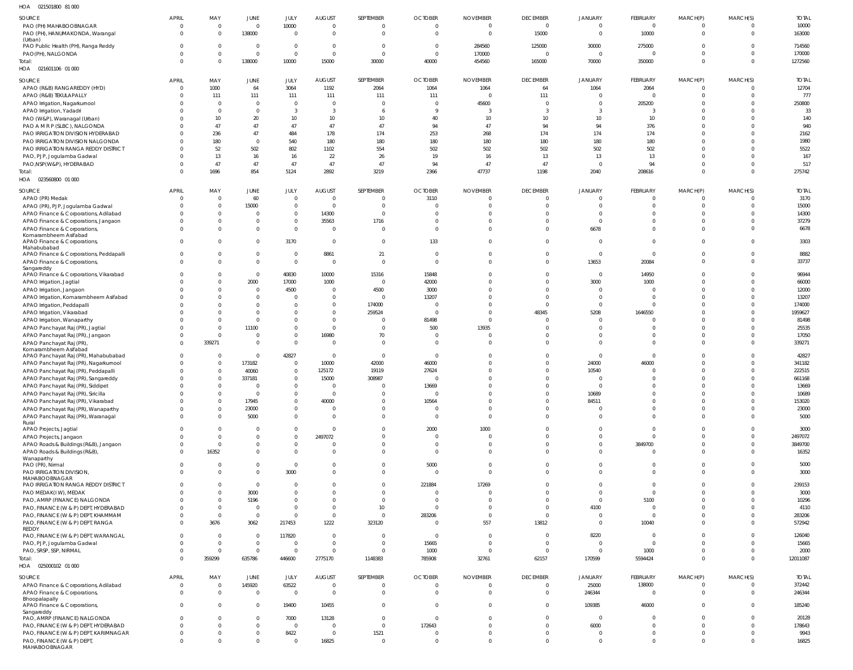| HOA<br>021501800 81 000                                                       |                      |                                  |                            |                               |                                |                            |                                  |                                  |                                  |                            |                         |                         |                                  |                  |
|-------------------------------------------------------------------------------|----------------------|----------------------------------|----------------------------|-------------------------------|--------------------------------|----------------------------|----------------------------------|----------------------------------|----------------------------------|----------------------------|-------------------------|-------------------------|----------------------------------|------------------|
| SOURCE                                                                        | <b>APRIL</b>         | MAY                              | JUNE                       | JULY                          | <b>AUGUST</b>                  | SEPTEMBER                  | <b>OCTOBER</b>                   | <b>NOVEMBER</b>                  | <b>DECEMBER</b>                  | JANUARY                    | <b>FEBRUARY</b>         | MARCH(P)                | MARCH(S)                         | <b>TOTAL</b>     |
| PAO (PH) MAHABOOBNAGAR                                                        | $\Omega$             | $\overline{0}$                   | $\mathbf 0$                | 10000                         | $\Omega$                       | $\mathbf 0$                | $\overline{0}$                   | $\overline{0}$                   | $\overline{0}$                   | $\mathbf 0$                | $\mathbf{0}$            | $\Omega$                | $\overline{0}$                   | 10000            |
| PAO (PH), HANUMAKONDA, Warangal                                               | $\Omega$             | $\overline{0}$                   | 138000                     | $\overline{0}$                | $\mathbf 0$                    | $\mathbf 0$                | $\overline{0}$                   | $\Omega$                         | 15000                            | $\mathbf 0$                | 10000                   | $\mathbf 0$             | $\overline{0}$                   | 163000           |
| (Urban)<br>PAO Public Health (PH), Ranga Reddy                                |                      | $^{\circ}$                       | $\mathbf 0$                | $\overline{0}$                | 0                              | $\mathbf 0$                | $\overline{0}$                   | 284560                           | 125000                           | 30000                      | 275000                  | - 0                     | $\overline{0}$                   | 714560           |
| PAO(PH), NALGONDA                                                             |                      | $\mathbf 0$                      | $\mathbf 0$                | $\mathbf{0}$                  | $\Omega$                       | $\Omega$                   | $\overline{0}$                   | 170000                           | $\Omega$                         | $\mathbf 0$                |                         | $\Omega$                | $\overline{0}$                   | 170000           |
| Total:                                                                        | $\Omega$             | $\Omega$                         | 138000                     | 10000                         | 15000                          | 30000                      | 40000                            | 454560                           | 165000                           | 70000                      | 350000                  | $\Omega$                | $\overline{0}$                   | 1272560          |
| HOA  021601106  01  000                                                       |                      |                                  |                            |                               |                                |                            |                                  |                                  |                                  |                            |                         |                         |                                  |                  |
| SOURCE                                                                        | <b>APRIL</b>         | MAY                              | JUNE                       | JULY                          | <b>AUGUST</b>                  | SEPTEMBER                  | <b>OCTOBER</b>                   | <b>NOVEMBER</b>                  | <b>DECEMBER</b>                  | JANUARY                    | <b>FEBRUARY</b>         | MARCH(P)                | MARCH(S)                         | <b>TOTAL</b>     |
| APAO (R&B) RANGAREDDY (HYD)                                                   | $\Omega$             | 1000                             | 64                         | 3064                          | 1192                           | 2064                       | 1064                             | 1064                             | 64                               | 1064                       | 2064                    | $\Omega$                | $\overline{0}$                   | 12704            |
| APAO (R&B) TEKULAPALLY                                                        |                      | 111                              | 111                        | 111                           | 111                            | 111                        | 111                              | $\Omega$                         | 111                              | $\mathbf 0$                | $\overline{0}$          | $\Omega$                | $\overline{0}$                   | 777              |
| APAO Irrigation, Nagarkurnool                                                 |                      | $\overline{0}$                   | $\overline{0}$             | $\mathbf{0}$                  | $\overline{0}$                 | $\Omega$                   | $\overline{0}$                   | 45600                            | $\mathbf 0$                      | $\mathbf 0$                | 205200                  | $\mathbf 0$             | $\overline{0}$                   | 250800           |
| APAO Irrigation, Yadadri                                                      |                      | $\Omega$                         | $\mathbf{0}$               | 3                             | $\overline{3}$                 | 6                          | $\mathbf{Q}$                     | $\overline{3}$                   | 3                                | 3                          |                         | $\Omega$                | $\Omega$<br>$\Omega$             | 33               |
| PAO (W&P), Waranagal (Urban)<br>PAO A M R P (SLBC), NALGONDA                  |                      | 10<br>47                         | 20<br>47                   | 10<br>47                      | 10<br>47                       | 10<br>47                   | 40<br>94                         | 10 <sup>10</sup><br>47           | 10<br>94                         | 10<br>94                   | 10<br>376               | $\Omega$<br>$\Omega$    | $\Omega$                         | 140<br>940       |
| PAO IRRIGATION DIVISION HYDERABAD                                             |                      | 236                              | 47                         | 484                           | 178                            | 174                        | 253                              | 268                              | 174                              | 174                        | 174                     | $\Omega$                | $\Omega$                         | 2162             |
| PAO IRRIGATION DIVISION NALGONDA                                              |                      | 180                              | $\mathbf{0}$               | 540                           | 180                            | 180                        | 180                              | 180                              | 180                              | 180                        | 180                     | $\Omega$                | $\Omega$                         | 1980             |
| PAO IRRIGATION RANGA REDDY DISTRICT                                           |                      | 52                               | 502                        | 802                           | 1102                           | 554                        | 502                              | 502                              | 502                              | 502                        | 502                     | $\Omega$                | $\Omega$                         | 5522             |
| PAO, PJP, Jogulamba Gadwal                                                    |                      | 13                               | 16                         | 16                            | 22                             | 26                         | 19                               | 16                               | 13                               | 13                         | 13                      | $\Omega$                | $\overline{0}$                   | 167              |
| PAO, NSP (W&P), HYDERABAD                                                     |                      | 47                               | 47                         | 47                            | 47                             | 47                         | 94                               | 47                               | 47                               | $\mathbf{0}$               | 94                      | $\Omega$                | $\overline{0}$                   | 517              |
| Total:<br>HOA<br>023560800 01 000                                             |                      | 1696                             | 854                        | 5124                          | 2892                           | 3219                       | 2366                             | 47737                            | 1198                             | 2040                       | 208616                  | $\Omega$                | $\overline{0}$                   | 275742           |
|                                                                               |                      |                                  |                            |                               |                                |                            |                                  |                                  |                                  |                            |                         |                         |                                  |                  |
| SOURCE                                                                        | <b>APRIL</b>         | MAY                              | JUNE                       | JULY                          | <b>AUGUST</b>                  | SEPTEMBER                  | <b>OCTOBER</b>                   | <b>NOVEMBER</b>                  | <b>DECEMBER</b>                  | JANUARY                    | <b>FEBRUARY</b>         | MARCH(P)                | MARCH(S)                         | <b>TOTAL</b>     |
| APAO (PR) Medak                                                               | $\Omega$             | $\overline{0}$<br>$\overline{0}$ | 60                         | $\overline{0}$<br>$\mathbf 0$ | 0<br>$\overline{0}$            | $\mathbf 0$<br>$\mathbf 0$ | 3110<br>$\Omega$                 | $\overline{0}$<br>$\overline{0}$ | $\mathbf 0$<br>$\mathbf 0$       | 0<br>$\Omega$              | $\mathbf 0$<br>$\Omega$ | $\Omega$                | $\overline{0}$<br>$\overline{0}$ | 3170             |
| APAO (PR), PJP, Jogulamba Gadwal<br>APAO Finance & Corporations, Adilabad     |                      | $\mathbf 0$                      | 15000<br>$\mathbf 0$       | $\mathbf 0$                   | 14300                          | $\mathbf 0$                | $\Omega$                         | $\Omega$                         | $\Omega$                         | $\Omega$                   |                         | $\mathbf 0$<br>$\Omega$ | $\overline{0}$                   | 15000<br>14300   |
| APAO Finance & Corporations, Jangaon                                          |                      | $\Omega$                         | $\mathbf 0$                | $\mathbf 0$                   | 35563                          | 1716                       | $\Omega$                         | $\Omega$                         | $\Omega$                         | $\Omega$                   |                         | $\Omega$                | $\overline{0}$                   | 37279            |
| APAO Finance & Corporations,                                                  |                      | $\Omega$                         | $\mathbf 0$                | $\mathbf 0$                   | $\Omega$                       | $\overline{0}$             | $\Omega$                         | $\Omega$                         | $\Omega$                         | 6678                       | $\Omega$                | $\Omega$                | $\overline{0}$                   | 6678             |
| Komarambheem Asifabad                                                         |                      |                                  |                            |                               |                                |                            |                                  |                                  |                                  |                            |                         |                         |                                  |                  |
| APAO Finance & Corporations,<br>Mahabubabad                                   | $\Omega$             | $\Omega$                         | $\mathbf 0$                | 3170                          | $\overline{0}$                 | $\mathbf 0$                | 133                              | $\mathbf{0}$                     | $\mathbf 0$                      | $\mathbf 0$                | $\Omega$                |                         | $\overline{0}$                   | 3303             |
| APAO Finance & Corporations, Peddapalli                                       |                      | $\Omega$                         | $\mathbf 0$                | $\overline{0}$                | 8861                           | 21                         | $\overline{0}$                   | $\overline{0}$                   | $\mathbf 0$                      | $\mathbf 0$                | $\Omega$                | $\Omega$                | $\overline{0}$                   | 8882             |
| APAO Finance & Corporations,                                                  |                      | $\Omega$                         | $\mathbf{0}$               | $\mathbf{0}$                  | $\overline{0}$                 | $\mathbf 0$                | $\Omega$                         | $\Omega$                         | $\Omega$                         | 13653                      | 20084                   | $\Omega$                | $\overline{0}$                   | 33737            |
| Sangareddy<br>APAO Finance & Corporations, Vikarabad                          |                      | $\Omega$                         | $\mathbf 0$                | 40830                         | 10000                          | 15316                      | 15848                            | $\overline{0}$                   | $\mathbf 0$                      | $\mathbf 0$                | 14950                   |                         | $\Omega$                         | 96944            |
| APAO Irrigation, Jagtial                                                      |                      | $\overline{0}$                   | 2000                       | 17000                         | 1000                           | $\Omega$                   | 42000                            | $\Omega$                         | $\Omega$                         | 3000                       | 1000                    | $\Omega$                | $\Omega$                         | 66000            |
| APAO Irrigation, Jangaon                                                      |                      | $\Omega$                         | $\mathbf 0$                | 4500                          | $\overline{0}$                 | 4500                       | 3000                             | $\Omega$                         | $\Omega$                         | 0                          |                         |                         | $\Omega$                         | 12000            |
| APAO Irrigation, Komarambheem Asifabad                                        |                      | $\Omega$                         | $\mathbf 0$                | $\Omega$                      | $\Omega$                       | $\Omega$                   | 13207                            | $\Omega$                         | $\Omega$                         | $\Omega$                   |                         |                         | $\Omega$                         | 13207            |
| APAO Irrigation, Peddapalli                                                   |                      | $\Omega$                         | $\mathbf 0$                | $\overline{0}$                | $\overline{0}$                 | 174000                     | $\Omega$                         | $\Omega$                         | $\mathbf 0$                      | $\mathbf 0$                |                         |                         | $\overline{0}$                   | 174000           |
| APAO Irrigation, Vikarabad                                                    |                      | $\Omega$                         | $\mathbf 0$                | $\mathbf 0$                   | $\Omega$                       | 259524                     | $\Omega$                         | $\overline{0}$<br>$\Omega$       | 48345                            | 5208                       | 1646550                 |                         | $\Omega$<br>$\Omega$             | 1959627          |
| APAO Irrigation, Wanaparthy<br>APAO Panchayat Raj (PR), Jagtial               |                      | $\Omega$<br>$\Omega$             | $\mathbf 0$<br>11100       | $\mathbf 0$<br>$\mathbf 0$    | $\Omega$<br>$\mathbf{0}$       | $\mathbf 0$                | 81498<br>500                     | 13935                            | $\Omega$<br>$\Omega$             | $\Omega$<br>$\Omega$       |                         | $\Omega$                | $\Omega$                         | 81498<br>25535   |
| APAO Panchayat Raj (PR), Jangaon                                              |                      | $\overline{0}$                   | $\mathbf 0$                | $\mathbf 0$                   | 16980                          | $70\,$                     | $\Omega$                         | $\Omega$                         | $\Omega$                         | $\Omega$                   |                         | $\Omega$                | $\overline{0}$                   | 17050            |
| APAO Panchayat Raj (PR)                                                       | $\Omega$             | 339271                           | $\mathbf 0$                | $\mathbf 0$                   | $\mathbf{0}$                   | $\Omega$                   | $\Omega$                         | $\Omega$                         | $\Omega$                         | $\Omega$                   | $\Omega$                |                         | $\Omega$                         | 339271           |
| Komarambheem Asifabad                                                         |                      |                                  |                            |                               |                                |                            |                                  |                                  |                                  |                            | $\Omega$                |                         |                                  |                  |
| APAO Panchayat Raj (PR), Mahabubabad<br>APAO Panchayat Raj (PR), Nagarkurnool |                      | $\overline{0}$<br>$\overline{0}$ | $\mathbf 0$<br>173182      | 42827<br>$\mathbf{0}$         | $\overline{0}$<br>10000        | $\overline{0}$<br>42000    | $\overline{0}$<br>46000          | $\Omega$<br>$\Omega$             | $\Omega$<br>$\Omega$             | $\Omega$<br>24000          | 46000                   |                         | $\Omega$<br>$\Omega$             | 42827<br>341182  |
| APAO Panchayat Raj (PR), Peddapalli                                           |                      | $\mathbf 0$                      | 40060                      | $\mathbf{0}$                  | 125172                         | 19119                      | 27624                            | $\Omega$                         | $\Omega$                         | 10540                      |                         |                         | $\Omega$                         | 222515           |
| APAO Panchayat Raj (PR), Sangareddy                                           |                      | $\mathbf 0$                      | 337181                     | $\mathbf{0}$                  | 15000                          | 308987                     |                                  | $\Omega$                         | $\Omega$                         | $\Omega$                   | $\Omega$                |                         | $\Omega$                         | 661168           |
| APAO Panchayat Raj (PR), Siddipet                                             |                      |                                  |                            |                               |                                |                            | 13669                            |                                  |                                  |                            |                         |                         |                                  | 13669            |
| APAO Panchayat Raj (PR), Siricilla                                            |                      | $\mathbf 0$                      | $\mathbf 0$                | $\Omega$                      | $\Omega$                       | $\Omega$                   | $\Omega$                         | $\Omega$                         | $\Omega$                         | 10689                      |                         |                         | $\Omega$                         | 10689            |
| APAO Panchayat Raj (PR), Vikarabad                                            |                      | $\mathbf 0$                      | 17945                      | $\mathbf 0$                   | 40000                          | $\Omega$                   | 10564                            | $\Omega$<br>$\Omega$             | $\Omega$<br>$\Omega$             | 84511                      | $\Omega$<br>$\Omega$    | $\Omega$                | $\Omega$                         | 153020           |
| APAO Panchayat Raj (PR), Wanaparthy<br>APAO Panchayat Raj (PR), Waranagal     | $\Omega$             | $\mathbf 0$<br>$\Omega$          | 23000<br>5000              | $\mathbf 0$<br>$\Omega$       | $\Omega$<br>$\Omega$           | $\Omega$<br>$\Omega$       | $\Omega$<br>$\Omega$             | $\overline{0}$                   | $\Omega$                         | $\Omega$<br>$\Omega$       | $\Omega$                | $\Omega$<br>$\Omega$    | $\Omega$<br>$\Omega$             | 23000<br>5000    |
| Rural                                                                         |                      |                                  |                            |                               |                                |                            |                                  |                                  |                                  |                            |                         |                         |                                  |                  |
| APAO Projects, Jagtial                                                        | $\Omega$             | $\Omega$                         | $\mathbf 0$                | $\Omega$                      | $\Omega$                       | $\mathbf 0$                | 2000                             | 1000                             | $\Omega$                         | $\Omega$                   | $\Omega$                | $\Omega$                | $\Omega$                         | 3000             |
| APAO Projects, Jangaon                                                        |                      | $\Omega$                         | $\mathbf 0$                | $\Omega$                      | 2497072                        | $\Omega$                   | $\Omega$                         | $\Omega$                         | $\Omega$                         | $\Omega$                   | $\Omega$                | $\Omega$                | $\mathbf{0}$                     | 2497072          |
| APAO Roads & Buildings (R&B), Jangaon<br>APAO Roads & Buildings (R&B),        | $\Omega$<br>$\Omega$ | $\Omega$<br>16352                | $\mathbf 0$<br>$\mathbf 0$ | $\mathbf 0$<br>$\Omega$       | $\Omega$                       | $\Omega$<br>$\Omega$       | $\Omega$<br>$\Omega$             | $\Omega$<br>$\Omega$             | $\Omega$<br>$\Omega$             | $\mathbf 0$<br>$\Omega$    | 3849700<br>$\Omega$     | $\Omega$<br>$\Omega$    | $\overline{0}$<br>$\overline{0}$ | 3849700<br>16352 |
| Wanaparthy                                                                    |                      |                                  |                            |                               |                                |                            |                                  |                                  |                                  |                            |                         |                         |                                  |                  |
| PAO (PR), Nirmal                                                              | $\Omega$             | $\Omega$                         | $\mathbf 0$                | $\mathbf{0}$                  | $\Omega$                       | $\mathbf 0$                | 5000                             | $\overline{0}$                   | $\Omega$                         | $\Omega$                   | U                       | $\Omega$                | $\Omega$                         | 5000             |
| PAO IRRIGATION DIVISION,<br>MAHABOOBNAGAR                                     | $\Omega$             | $\Omega$                         | $\mathbf 0$                | 3000                          | $\Omega$                       | $\Omega$                   | $\Omega$                         | $\overline{0}$                   | $\Omega$                         | $\Omega$                   | $\Omega$                | $\Omega$                | $\overline{0}$                   | 3000             |
| PAO IRRIGATION RANGA REDDY DISTRICT                                           |                      | $\Omega$                         | $\mathbf{0}$               | $\Omega$                      |                                | $\mathbf 0$                | 221884                           | 17269                            | $\Omega$                         | $\Omega$                   | $\Omega$                |                         | $\Omega$                         | 239153           |
| PAO MEDAK(IW), MEDAK                                                          |                      | $\Omega$                         | 3000                       | $\Omega$                      |                                | $\Omega$                   | $\Omega$                         | $\Omega$                         | $\Omega$                         | $\Omega$                   | $\Omega$                | $\Omega$                | $\Omega$                         | 3000             |
| PAO, AMRP (FINANCE) NALGONDA                                                  |                      | $\Omega$                         | 5196                       | $\Omega$                      | $\Omega$                       | $\Omega$                   | $\Omega$                         | $\Omega$                         | $\Omega$                         | $\Omega$                   | 5100                    | $\Omega$                | $\Omega$                         | 10296            |
| PAO, FINANCE (W & P) DEPT, HYDERABAD                                          |                      | $\Omega$                         | $\mathbf 0$                | $\Omega$                      | $\Omega$                       | 10 <sup>°</sup>            | $\Omega$                         | $\Omega$                         | $\Omega$                         | 4100                       | $\Omega$                | $\Omega$                | $\Omega$                         | 4110             |
| PAO, FINANCE (W & P) DEPT, KHAMMAM<br>PAO, FINANCE (W & P) DEPT, RANGA        | $\Omega$<br>$\Omega$ | $\Omega$<br>3676                 | $\mathbf 0$<br>3062        | $\Omega$<br>217453            | $\Omega$<br>1222               | $\Omega$<br>323120         | 283206<br>$\Omega$               | $\overline{0}$<br>557            | $\Omega$<br>13812                | $\mathbf 0$<br>$\mathbf 0$ | $\Omega$<br>10040       | $\Omega$<br>$\Omega$    | $\Omega$<br>$\overline{0}$       | 283206<br>572942 |
| REDDY                                                                         |                      |                                  |                            |                               |                                |                            |                                  |                                  |                                  |                            |                         |                         |                                  |                  |
| PAO, FINANCE (W & P) DEPT, WARANGAL                                           | $\Omega$             | $\Omega$                         | $\mathbf 0$                | 117820                        | $\Omega$                       | $\Omega$                   | $\Omega$                         | $\overline{0}$                   | $\Omega$                         | 8220                       | $\Omega$                |                         | $\Omega$                         | 126040           |
| PAO, PJP, Jogulamba Gadwal                                                    |                      | $\Omega$                         | $\mathbf 0$                | $\Omega$                      | $\Omega$                       | $\Omega$                   | 15665                            | $\Omega$                         | $\Omega$                         | $\mathbf 0$                | $\Omega$                | $\Omega$                | $\Omega$                         | 15665            |
| PAO, SRSP, SSP, NIRMAL                                                        | $\Omega$<br>$\Omega$ | $\Omega$<br>359299               | $\mathbf 0$<br>635786      | $\Omega$<br>446600            | $\Omega$<br>2775170            | $\Omega$<br>1148383        | 1000<br>785908                   | $\Omega$<br>32761                | $\Omega$<br>62157                | $\Omega$<br>170599         | 1000<br>5594424         | $\Omega$<br>$\Omega$    | $\overline{0}$<br>$\overline{0}$ | 2000<br>12011087 |
| Total:<br>HOA  025000102  01 000                                              |                      |                                  |                            |                               |                                |                            |                                  |                                  |                                  |                            |                         |                         |                                  |                  |
|                                                                               |                      |                                  |                            |                               |                                |                            |                                  |                                  |                                  |                            |                         |                         |                                  |                  |
| SOURCE                                                                        | <b>APRIL</b>         | MAY                              | JUNE                       | JULY                          | <b>AUGUST</b>                  | SEPTEMBER                  | <b>OCTOBER</b>                   | <b>NOVEMBER</b>                  | <b>DECEMBER</b>                  | JANUARY                    | <b>FEBRUARY</b>         | MARCH(P)                | MARCH(S)                         | <b>TOTAL</b>     |
| APAO Finance & Corporations, Adilabad<br>APAO Finance & Corporations,         | $\Omega$<br>$\Omega$ | $\Omega$<br>$\overline{0}$       | 145920<br>$\mathbf 0$      | 63522<br>$\mathbf 0$          | $\mathbf{0}$<br>$\overline{0}$ | $\mathbf 0$<br>$\mathbf 0$ | $\overline{0}$<br>$\overline{0}$ | $\overline{0}$<br>$\overline{0}$ | $\overline{0}$<br>$\overline{0}$ | 25000<br>246344            | 138000<br>$\mathbf 0$   | $\Omega$<br>$\mathbf 0$ | $\overline{0}$<br>$\overline{0}$ | 372442<br>246344 |
| Bhoopalapally                                                                 |                      |                                  |                            |                               |                                |                            |                                  |                                  |                                  |                            |                         |                         |                                  |                  |
| APAO Finance & Corporations,                                                  | $\Omega$             | $\Omega$                         | $\mathbf 0$                | 19400                         | 10455                          | $\mathbf 0$                | $\Omega$                         | $\overline{0}$                   | $\mathbf 0$                      | 109385                     | 46000                   | $\mathbf{0}$            | $\overline{0}$                   | 185240           |
| Sangareddy<br>PAO, AMRP (FINANCE) NALGONDA                                    | $\Omega$             | $\Omega$                         | $\mathbf 0$                | 7000                          | 13128                          | $\overline{0}$             | $\Omega$                         | $\Omega$                         | $\mathbf 0$                      | $\mathbf 0$                | $\Omega$                | $\Omega$                | $\overline{0}$                   | 20128            |
| PAO, FINANCE (W & P) DEPT, HYDERABAD                                          |                      | $\Omega$                         | $\mathbf 0$                | $\overline{0}$                | $\overline{0}$                 | $\mathbf 0$                | 172643                           | $\Omega$                         | $\mathbf 0$                      | 6000                       | 0                       | $\Omega$                | $\overline{0}$                   | 178643           |
| PAO, FINANCE (W & P) DEPT, KARIMNAGAR                                         |                      | $\Omega$                         | $\mathbf 0$                | 8422                          | $\overline{0}$                 | 1521                       | $\overline{0}$                   | $\Omega$                         | $\mathbf 0$                      | $\mathbf 0$                | 0                       | $\Omega$                | $\overline{0}$                   | 9943             |
| PAO, FINANCE (W & P) DEPT,<br>MAHABOOBNAGAR                                   |                      | $\mathbf 0$                      | $\mathbf 0$                | $\overline{0}$                | 16825                          | $\mathbf 0$                | $\Omega$                         | $\overline{0}$                   | $\mathbf 0$                      | $\mathbf 0$                | $\Omega$                | $\Omega$                | $\overline{0}$                   | 16825            |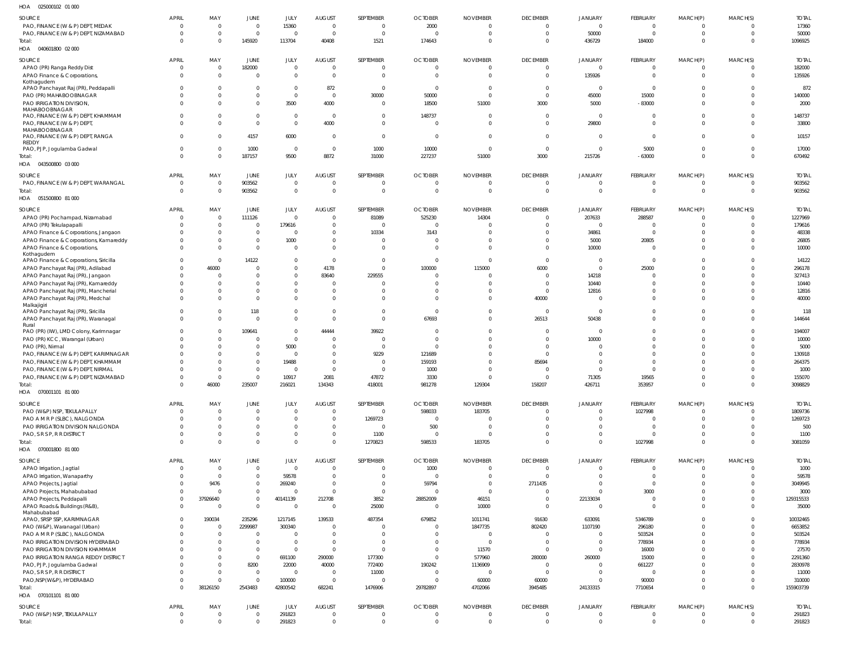| Н∩Д | 025000102 01 000 |  |
|-----|------------------|--|

| 025000102 01 000<br>HOA                                                |                      |                       |                              |                            |                                 |                       |                                  |                                   |                             |                                  |                             |                            |                      |                         |
|------------------------------------------------------------------------|----------------------|-----------------------|------------------------------|----------------------------|---------------------------------|-----------------------|----------------------------------|-----------------------------------|-----------------------------|----------------------------------|-----------------------------|----------------------------|----------------------|-------------------------|
| SOURCE                                                                 | <b>APRIL</b>         | MAY                   | JUNE                         | JULY                       | <b>AUGUST</b>                   | SEPTEMBER             | <b>OCTOBER</b>                   | <b>NOVEMBER</b>                   | <b>DECEMBER</b>             | <b>JANUARY</b>                   | <b>FEBRUARY</b>             | MARCH(P)                   | MARCH(S)             | <b>TOTAL</b>            |
| PAO, FINANCE (W & P) DEPT, MEDAK                                       | 0                    | 0                     | $\overline{0}$               | 15360                      | $\overline{0}$                  | - 0                   | 2000                             | $\overline{0}$                    | $\Omega$                    | $\overline{0}$                   | $\Omega$                    | $\overline{0}$             | $\Omega$             | 17360                   |
| PAO, FINANCE (W & P) DEPT, NIZAMABAD                                   | $\Omega$             | $\mathbf 0$           | $\overline{0}$               | $\Omega$                   | $\overline{0}$                  | $\mathsf{C}$          | $\overline{0}$                   | $\overline{0}$                    | $\Omega$                    | 50000                            | $\Omega$                    | $\overline{0}$             | $\Omega$             | 50000                   |
| Total:                                                                 | $\Omega$             | $\mathbf 0$           | 145920                       | 113704                     | 40408                           | 1521                  | 174643                           | $\overline{0}$                    | $\Omega$                    | 436729                           | 184000                      | $\overline{0}$             | $\Omega$             | 1096925                 |
| HOA  040601800  02  000                                                |                      |                       |                              |                            |                                 |                       |                                  |                                   |                             |                                  |                             |                            |                      |                         |
| SOURCE                                                                 | APRIL                | MAY                   | <b>JUNE</b>                  | JULY                       | <b>AUGUST</b>                   | SEPTEMBER             | <b>OCTOBER</b>                   | <b>NOVEMBER</b>                   | <b>DECEMBER</b>             | <b>JANUARY</b>                   | <b>FEBRUARY</b>             | MARCH(P)                   | MARCH(S)             | <b>TOTAL</b>            |
| APAO (PR) Ranga Reddy Dist                                             | 0                    | $\overline{0}$        | 182000                       | $\overline{0}$             | $\overline{0}$                  |                       | $\mathbf{0}$                     | $\overline{0}$                    | - 0                         | $\Omega$                         | $\Omega$                    | $\mathbf{0}$               |                      | 182000                  |
| APAO Finance & Corporations,                                           | 0                    | $\mathbf 0$           | $\Omega$                     | $\Omega$                   | $\Omega$                        | - 0                   | $\Omega$                         | $\Omega$                          | $\Omega$                    | 135926                           | $\Omega$                    | $\mathbf{0}$               | $\Omega$             | 135926                  |
| Kothagudem                                                             |                      |                       |                              |                            |                                 |                       |                                  |                                   |                             |                                  |                             |                            |                      |                         |
| APAO Panchayat Raj (PR), Peddapalli                                    |                      | $\Omega$<br>$\Omega$  | $\Omega$<br>$\mathbf 0$      | $\Omega$<br>$\overline{0}$ | 872<br>$\overline{0}$           | - 0                   | $\overline{0}$<br>50000          | 0<br>$\overline{0}$               | $\Omega$<br>$\Omega$        | $\Omega$<br>45000                | $\Omega$<br>15000           | $\Omega$<br>$\Omega$       | $\Omega$<br>$\Omega$ | 872<br>140000           |
| PAO (PR) MAHABOOBNAGAR<br>PAO IRRIGATION DIVISION,                     |                      | $\Omega$              | $\Omega$                     | 3500                       | 4000                            | 30000<br>- 0          | 18500                            | 51000                             | 3000                        | 5000                             | $-83000$                    | $\Omega$                   | $\Omega$             | 2000                    |
| MAHABOOBNAGAR                                                          |                      |                       |                              |                            |                                 |                       |                                  |                                   |                             |                                  |                             |                            |                      |                         |
| PAO, FINANCE (W & P) DEPT, KHAMMAM                                     |                      | $\Omega$              | $\Omega$                     | $\Omega$                   | $\overline{\mathbf{0}}$         | -C                    | 148737                           | $\Omega$                          | $\Omega$                    | $\overline{0}$                   | $\Omega$                    | $\Omega$                   | $\Omega$             | 148737                  |
| PAO, FINANCE (W & P) DEPT,                                             |                      | $\Omega$              | $\Omega$                     | $\Omega$                   | 4000                            | $\Omega$              | $\circ$                          | $\Omega$                          | $\Omega$                    | 29800                            | $\Omega$                    | $\Omega$                   | $\Omega$             | 33800                   |
| MAHABOOBNAGAR<br>PAO, FINANCE (W & P) DEPT, RANGA                      |                      | $\Omega$              | 4157                         | 6000                       | $\overline{0}$                  | $\Omega$              | $\overline{0}$                   | $\overline{0}$                    | $\Omega$                    | $\overline{0}$                   | $\Omega$                    | $\mathbf{0}$               | $\Omega$             | 10157                   |
| REDDY                                                                  |                      |                       |                              |                            |                                 |                       |                                  |                                   |                             |                                  |                             |                            |                      |                         |
| PAO, PJP, Jogulamba Gadwal                                             | 0                    | $\Omega$              | 1000                         | $\Omega$                   | $\overline{0}$                  | 1000                  | 10000                            | $\overline{0}$                    | $\Omega$                    | $\Omega$                         | 5000                        | $\mathbf{0}$               | $\Omega$             | 17000                   |
| Total:                                                                 | $\Omega$             | $\Omega$              | 187157                       | 9500                       | 8872                            | 31000                 | 227237                           | 51000                             | 3000                        | 215726                           | $-63000$                    | $\mathbf 0$                | $\Omega$             | 670492                  |
| HOA  043500800  03  000                                                |                      |                       |                              |                            |                                 |                       |                                  |                                   |                             |                                  |                             |                            |                      |                         |
| SOURCE                                                                 | <b>APRIL</b>         | MAY                   | JUNE                         | JULY                       | AUGUST                          | SEPTEMBER             | <b>OCTOBER</b>                   | <b>NOVEMBER</b>                   | <b>DECEMBER</b>             | <b>JANUARY</b>                   | FEBRUARY                    | MARCH(P)                   | MARCH(S)             | <b>TOTAL</b>            |
| PAO, FINANCE (W & P) DEPT, WARANGAL                                    | 0                    | $\mathbf 0$           | 903562                       | $\overline{0}$             | $\overline{0}$                  | - 0                   | $\overline{0}$                   | $\overline{0}$                    | $\overline{0}$              | $\Omega$                         | $\Omega$                    | $\overline{0}$             | $\Omega$             | 903562                  |
| Total:                                                                 | $\Omega$             | $\overline{0}$        | 903562                       | $\overline{0}$             | $\overline{0}$                  |                       | $\overline{0}$                   | $\overline{0}$                    | $\overline{0}$              | $\overline{0}$                   | $\mathbf{0}$                | $\overline{0}$             | $\Omega$             | 903562                  |
| HOA  051500800  81 000                                                 |                      |                       |                              |                            |                                 |                       |                                  |                                   |                             |                                  |                             |                            |                      |                         |
|                                                                        |                      |                       |                              |                            |                                 |                       |                                  |                                   |                             |                                  |                             |                            |                      |                         |
| SOURCE                                                                 | <b>APRIL</b>         | MAY<br>$\Omega$       | JUNE                         | <b>JULY</b><br>$\Omega$    | <b>AUGUST</b><br>$\Omega$       | SEPTEMBER             | <b>OCTOBER</b>                   | <b>NOVEMBER</b>                   | <b>DECEMBER</b><br>$\Omega$ | JANUARY                          | FEBRUARY<br>288587          | MARCH(P)<br>$\Omega$       | MARCH(S)<br>$\Omega$ | <b>TOTAL</b><br>1227969 |
| APAO (PR) Pochampad, Nizamabad                                         |                      | $\Omega$              | 111126<br>$\Omega$           | 179616                     | $\Omega$                        | 81089                 | 525230<br>$\overline{0}$         | 14304<br>-0                       | $\Omega$                    | 207633<br>$\Omega$               | - 0                         | $\mathbf{0}$               |                      | 179616                  |
| APAO (PR) Tekulapapalli<br>APAO Finance & Corporations, Jangaon        |                      | $\Omega$              | $\Omega$                     | $\Omega$                   | $\Omega$                        | 10334                 | 3143                             | 0                                 | $\Omega$                    | 34861                            | $\Omega$                    | $\Omega$                   | $\Omega$             | 48338                   |
| APAO Finance & Corporations, Kamareddy                                 |                      | $\mathbf 0$           | $\mathbf{0}$                 | 1000                       | $\Omega$                        |                       | $\Omega$                         | $\Omega$                          | $\Omega$                    | 5000                             | 20805                       | $\Omega$                   |                      | 26805                   |
| APAO Finance & Corporations,                                           |                      | $\Omega$              | $\Omega$                     | $\Omega$                   | $\Omega$                        |                       | $\Omega$                         | $\Omega$                          | $\Omega$                    | 10000                            | $\Omega$                    | $\Omega$                   | $\Omega$             | 10000                   |
| Kothagudem                                                             |                      |                       |                              |                            |                                 |                       |                                  |                                   |                             |                                  |                             |                            |                      |                         |
| APAO Finance & Corporations, Siricilla                                 |                      | $\overline{0}$        | 14122                        | $\Omega$                   | $\overline{0}$                  | - 0                   | $\overline{0}$                   | $\Omega$                          | $\Omega$                    | $\overline{0}$                   | $\Omega$                    | $\Omega$                   | $\Omega$             | 14122                   |
| APAO Panchayat Raj (PR), Adilabad                                      |                      | 46000                 | $\Omega$                     | $\Omega$                   | 4178                            | -C                    | 100000                           | 115000                            | 6000                        | $\overline{0}$                   | 25000                       | $\Omega$                   | $\Omega$             | 296178                  |
| APAO Panchayat Raj (PR), Jangaon                                       |                      | $\Omega$              | $\Omega$                     | $\overline{0}$             | 83640                           | 229555                | $\Omega$                         | $\Omega$                          | $\Omega$                    | 14218                            |                             | $\Omega$                   |                      | 327413                  |
| APAO Panchayat Raj (PR), Kamareddy                                     |                      | $\Omega$              | $\Omega$                     | $\Omega$                   | $\overline{0}$                  |                       | -0                               | 0                                 | $\Omega$                    | 10440                            | $\Omega$                    | $\Omega$                   | $\Omega$             | 10440                   |
| APAO Panchayat Raj (PR), Mancherial                                    |                      | $\Omega$              | $\Omega$                     | $\overline{0}$             | $\Omega$                        |                       | $\Omega$                         | $\Omega$                          | $\Omega$                    | 12816                            | $\Omega$                    | $\Omega$                   |                      | 12816                   |
| APAO Panchayat Raj (PR), Medchal<br>Malkajigiri                        |                      | $\Omega$              | $\Omega$                     | $\Omega$                   | $\Omega$                        |                       | $\Omega$                         | $\Omega$                          | 40000                       | $\overline{0}$                   | $\Omega$                    | $\Omega$                   | $\Omega$             | 40000                   |
| APAO Panchayat Raj (PR), Siricilla                                     |                      | $\Omega$              | 118                          | $\mathbf 0$                | $\mathbf 0$                     | $\Omega$              | $\overline{0}$                   | $\Omega$                          | $\Omega$                    | $\overline{0}$                   | $\Omega$                    | $\mathbf{0}$               |                      | 118                     |
| APAO Panchayat Raj (PR), Waranagal                                     |                      | $\Omega$              | $\Omega$                     | $\Omega$                   | $\Omega$                        | $\Omega$              | 67693                            | $\Omega$                          | 26513                       | 50438                            | $\Omega$                    | $\Omega$                   | $\Omega$             | 144644                  |
| Rural                                                                  |                      |                       |                              |                            |                                 |                       |                                  |                                   |                             |                                  |                             |                            |                      |                         |
| PAO (PR) (IW), LMD Colony, Karimnagar                                  |                      | $\Omega$              | 109641                       | $\overline{0}$             | 44444                           | 39922                 | $\Omega$                         | $\Omega$                          | $\Omega$                    | $\Omega$                         | $\Omega$                    | $\Omega$                   | $\Omega$             | 194007                  |
| PAO (PR) KCC, Warangal (Urban)                                         |                      | $\Omega$              |                              | $\overline{0}$             | $\Omega$                        |                       | $\Omega$                         | 0                                 | $\Omega$<br>$\Omega$        | 10000<br>$\Omega$                | $\Omega$<br>$\Omega$        | $\Omega$                   |                      | 10000                   |
| PAO (PR), Nirmal<br>PAO, FINANCE (W & P) DEPT, KARIMNAGAR              |                      | $\Omega$              | $\Omega$<br>$\Omega$         | 5000<br>$\overline{0}$     | $\Omega$<br>$\Omega$            | 9229                  | $\Omega$<br>121689               | $\Omega$<br>$\Omega$              | $\Omega$                    | $\Omega$                         | $\Omega$                    | $\Omega$<br>$\Omega$       |                      | 5000<br>130918          |
| PAO, FINANCE (W & P) DEPT, KHAMMAM                                     |                      |                       | $\Omega$                     | 19488                      | $\Omega$                        |                       | 159193                           | $\Omega$                          | 85694                       | $\Omega$                         | $\Omega$                    | $\Omega$                   |                      | 264375                  |
| PAO, FINANCE (W & P) DEPT, NIRMAL                                      |                      |                       |                              |                            | $\Omega$                        |                       | 1000                             |                                   |                             |                                  | $\Omega$                    |                            |                      | 1000                    |
| PAO, FINANCE (W & P) DEPT, NIZAMABAD                                   |                      | $\Omega$              | $\Omega$                     | 10917                      | 2081                            | 47872                 | 3330                             | $\Omega$                          | $\Omega$                    | 71305                            | 19565                       | $\Omega$                   |                      | 155070                  |
| Total:                                                                 |                      | 46000                 | 235007                       | 216021                     | 134343                          | 418001                | 981278                           | 129304                            | 158207                      | 426711                           | 353957                      |                            |                      | 3098829                 |
| HOA  070001101  81 000                                                 |                      |                       |                              |                            |                                 |                       |                                  |                                   |                             |                                  |                             |                            |                      |                         |
|                                                                        |                      |                       |                              |                            |                                 |                       |                                  |                                   |                             |                                  |                             |                            |                      |                         |
| SOURCE                                                                 | <b>APRIL</b>         | MAY<br>$\overline{0}$ | JUNE<br>$\mathbf 0$          | JULY<br>$\overline{0}$     | <b>AUGUST</b><br>$\overline{0}$ | SEPTEMBER<br>$\Omega$ | <b>OCTOBER</b><br>598033         | <b>NOVEMBER</b><br>183705         | <b>DECEMBER</b><br>$\Omega$ | <b>JANUARY</b><br>$\overline{0}$ | FEBRUARY                    | MARCH(P)<br>$\mathbf{0}$   | MARCH(S)<br>$\Omega$ | <b>TOTAL</b><br>1809736 |
| PAO (W&P) NSP, TEKULAPALLY<br>PAO A M R P (SLBC), NALGONDA             | 0<br><sup>0</sup>    | $\overline{0}$        | $\mathbf{0}$                 | $\Omega$                   | $\overline{0}$                  | 1269723               | $\overline{0}$                   | $\overline{0}$                    | $\Omega$                    | $\Omega$                         | 1027998<br>$\Omega$         | $\mathbf 0$                | $\Omega$             | 1269723                 |
| PAO IRRIGATION DIVISION NALGONDA                                       |                      | $\Omega$              | $\mathbf{0}$                 | $\overline{0}$             | $\mathbf 0$                     | - 0                   | 500                              | 0                                 | $\Omega$                    | $\overline{0}$                   | $\Omega$                    | $\mathbf 0$                | $\Omega$             | 500                     |
| PAO, S R S P, R R DISTRICT                                             |                      | $\Omega$              | $\mathbf 0$                  | $\Omega$                   | $\mathbf 0$                     | 1100                  | $\overline{0}$                   | $\Omega$                          | $\Omega$                    | $\Omega$                         | $\Omega$                    | $\overline{0}$             | $\Omega$             | 1100                    |
| Total:                                                                 | $\Omega$             | $\Omega$              | $\mathbf 0$                  | $\Omega$                   | $\Omega$                        | 1270823               | 598533                           | 183705                            | $\Omega$                    | $\Omega$                         | 1027998                     | $\Omega$                   | $\Omega$             | 3081059                 |
| HOA  070001800  81 000                                                 |                      |                       |                              |                            |                                 |                       |                                  |                                   |                             |                                  |                             |                            |                      |                         |
|                                                                        |                      |                       |                              |                            |                                 |                       |                                  |                                   |                             |                                  |                             |                            |                      |                         |
| SOURCE<br>APAO Irrigation, Jagtial                                     | <b>APRIL</b>         | MAY<br>$\overline{0}$ | <b>JUNE</b><br>$\mathbf 0$   | JULY<br>$\Omega$           | <b>AUGUST</b><br>$\Omega$       | SEPTEMBER             | <b>OCTOBER</b><br>1000           | <b>NOVEMBER</b><br>$\overline{0}$ | <b>DECEMBER</b><br>$\Omega$ | <b>JANUARY</b><br>$\Omega$       | FEBRUARY<br>$\Omega$        | MARCH(P)<br>$\mathbf{0}$   | MARCH(S)             | <b>TOTAL</b><br>1000    |
| APAO Irrigation, Wanaparthy                                            |                      | $\Omega$              | $\mathbf{0}$                 | 59578                      | $\Omega$                        |                       | $\overline{0}$                   | $\Omega$                          | $\Omega$                    | $\Omega$                         | $\Omega$                    | $\Omega$                   |                      | 59578                   |
| APAO Projects, Jagtial                                                 |                      | 9476                  | $\mathbf{0}$                 | 269240                     | $\Omega$                        |                       | 59794                            | $\Omega$                          | 2711435                     | $\Omega$                         | $\Omega$                    | $\Omega$                   |                      | 3049945                 |
| APAO Projects, Mahabubabad                                             | 0                    | $\mathsf{C}$          | $\mathbf 0$                  | $\Omega$                   | $\overline{0}$                  | $\Omega$              | $\overline{0}$                   | $\overline{0}$                    | $\Omega$                    | $\Omega$                         | 3000                        | $\mathbf{0}$               |                      | 3000                    |
| APAO Projects, Peddapalli                                              | $\Omega$             | 37926640              | $\mathbf 0$                  | 40141139                   | 212708                          | 3852                  | 28852009                         | 46151                             | $\Omega$                    | 22133034                         | $\Omega$                    | $\Omega$                   | $\Omega$             | 129315533               |
| APAO Roads & Buildings (R&B),                                          | $\Omega$             | $\overline{0}$        | $\mathbf 0$                  | $\Omega$                   | $\Omega$                        | 25000                 | $\overline{0}$                   | 10000                             | $\overline{0}$              | $\Omega$                         | $\Omega$                    | $\mathbf 0$                | $\Omega$             | 35000                   |
| Mahabubabad                                                            |                      |                       |                              |                            |                                 |                       |                                  |                                   |                             |                                  |                             |                            |                      |                         |
| APAO, SRSP SSP, KARIMNAGAR                                             | $\Omega$             | 190034                | 235296                       | 1217145                    | 139533                          | 487354                | 679852                           | 1011741                           | 91630                       | 633091                           | 5346789                     | $\Omega$                   |                      | 10032465                |
| PAO (W&P), Waranagal (Urban)                                           |                      | $\overline{0}$        | 2299987                      | 300340                     | $\Omega$                        |                       | $\Omega$                         | 1847735                           | 802420                      | 1107190                          | 296180                      | $\Omega$                   |                      | 6653852                 |
| PAO A M R P (SLBC), NALGONDA                                           |                      | $\Omega$              | $\Omega$                     | $\Omega$                   | $\Omega$                        |                       | $\Omega$                         | $\Omega$                          | $\Omega$                    | $\Omega$                         | 503524                      | $\Omega$                   |                      | 503524                  |
| PAO IRRIGATION DIVISION HYDERABAD                                      |                      | $\Omega$              | $\Omega$                     | $\Omega$                   | $\overline{0}$                  | - 0                   | $\Omega$                         | - 0                               | $\Omega$                    | $\overline{0}$<br>$\Omega$       | 778934                      | $\Omega$                   |                      | 778934                  |
| PAO IRRIGATION DIVISION KHAMMAM<br>PAO IRRIGATION RANGA REDDY DISTRICT |                      | $\Omega$<br>$\Omega$  | $\mathbf{0}$<br>$\mathbf{0}$ | $\Omega$                   | $\Omega$                        | 177300                | $\Omega$<br>$\Omega$             | 11570<br>577960                   | $\Omega$                    |                                  | 16000                       | $\Omega$<br>$\Omega$       |                      | 27570<br>2291360        |
|                                                                        |                      | $\Omega$              | 8200                         | 691100<br>22000            | 290000<br>40000                 | 772400                | 190242                           | 1136909                           | 280000<br>$\Omega$          | 260000<br>$\Omega$               | 15000<br>661227             | $\Omega$                   |                      | 2830978                 |
| PAO, PJP, Jogulamba Gadwal<br>PAO, S R S P, R R DISTRICT               |                      | $\Omega$              | $\overline{0}$               | $\Omega$                   | $\overline{0}$                  | 11000                 | $\overline{0}$                   | $\overline{0}$                    | $\Omega$                    | $\Omega$                         | $\Omega$                    | $\Omega$                   |                      | 11000                   |
| PAO, NSP(W&P), HYDERABAD                                               |                      | $\Omega$              | $\Omega$                     | 100000                     | $\overline{0}$                  |                       | $\Omega$                         | 60000                             | 60000                       | $\Omega$                         | 90000                       | $\mathbf{0}$               |                      | 310000                  |
| Total:                                                                 | $\Omega$             | 38126150              | 2543483                      | 42800542                   | 682241                          | 1476906               | 29782897                         | 4702066                           | 3945485                     | 24133315                         | 7710654                     | $\Omega$                   | $\Omega$             | 155903739               |
| HOA  070101101  81 000                                                 |                      |                       |                              |                            |                                 |                       |                                  |                                   |                             |                                  |                             |                            |                      |                         |
|                                                                        |                      |                       |                              |                            |                                 |                       |                                  |                                   |                             |                                  |                             |                            |                      |                         |
| <b>SOURCE</b>                                                          | APRIL<br>$\mathbf 0$ | MAY<br>$\overline{0}$ | <b>JUNE</b><br>$\mathbf 0$   | JULY<br>291823             | <b>AUGUST</b><br>$\overline{0}$ | SEPTEMBER<br>- 0      | <b>OCTOBER</b><br>$\overline{0}$ | <b>NOVEMBER</b><br>$\overline{0}$ | <b>DECEMBER</b><br>$\Omega$ | <b>JANUARY</b><br>$\Omega$       | <b>FEBRUARY</b><br>$\Omega$ | MARCH(P)<br>$\overline{0}$ | MARCH(S)<br>$\Omega$ | <b>TOTAL</b>            |
| PAO (W&P) NSP, TEKULAPALLY                                             | $\mathbf 0$          | $\mathbf 0$           | $\mathbf 0$                  | 291823                     | $\overline{0}$                  | $\Omega$              | $\overline{0}$                   | $\overline{0}$                    | $\overline{0}$              | $\overline{0}$                   | $\mathbf{0}$                | $\overline{0}$             | $\Omega$             | 291823<br>291823        |
| Total:                                                                 |                      |                       |                              |                            |                                 |                       |                                  |                                   |                             |                                  |                             |                            |                      |                         |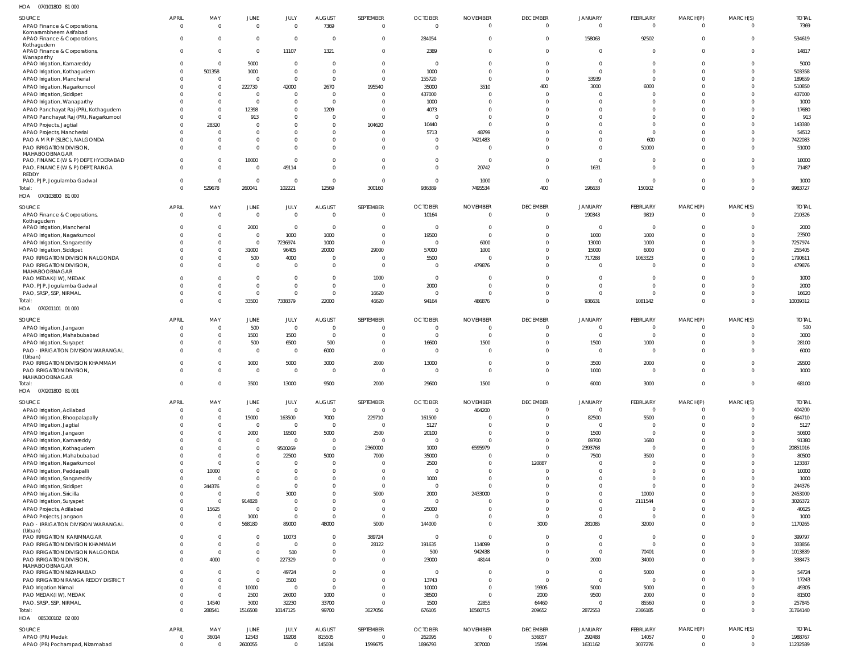070101800 81 000 HOA

| SOURCE                                                              | <b>APRIL</b><br>$\Omega$ | MAY<br>$\overline{0}$ | JUNE<br>$\overline{0}$      | JULY<br>$\mathbf{0}$       | <b>AUGUST</b><br>7369   | SEPTEMBER<br>$\overline{0}$ | <b>OCTOBER</b><br>$\mathbf 0$ | <b>NOVEMBER</b><br>$\overline{0}$ | <b>DECEMBER</b><br>$\mathbf{0}$ | <b>JANUARY</b><br>$\overline{0}$ | FEBRUARY<br>$\overline{0}$ | MARCH(P)<br>$\Omega$ | MARCH(S)<br>$\overline{0}$       | <b>TOTAL</b><br>7369 |
|---------------------------------------------------------------------|--------------------------|-----------------------|-----------------------------|----------------------------|-------------------------|-----------------------------|-------------------------------|-----------------------------------|---------------------------------|----------------------------------|----------------------------|----------------------|----------------------------------|----------------------|
| APAO Finance & Corporations,<br>Komarambheem Asifabad               |                          |                       |                             |                            |                         |                             |                               |                                   |                                 |                                  |                            |                      |                                  |                      |
| APAO Finance & Corporations,                                        | $\Omega$                 | $\overline{0}$        | $\overline{0}$              | $\mathbf{0}$               | $\overline{0}$          | $\mathbf 0$                 | 284054                        | $\Omega$                          | $\overline{0}$                  | 158063                           | 92502                      | $\Omega$             | $\overline{\mathbf{0}}$          | 534619               |
| Kothagudem                                                          |                          |                       |                             |                            |                         |                             |                               | $\Omega$                          |                                 |                                  |                            |                      |                                  |                      |
| APAO Finance & Corporations,<br>Wanaparthy                          | $\Omega$                 | $\mathbf{0}$          | $\overline{0}$              | 11107                      | 1321                    | $\mathbf 0$                 | 2389                          |                                   | $\mathbf 0$                     | $\overline{0}$                   | $\mathbf 0$                | $\Omega$             | $\overline{0}$                   | 14817                |
| APAO Irrigation, Kamareddy                                          | $\Omega$                 | $\Omega$              | 5000                        | $\mathbf{0}$               | $\Omega$                | $\mathbf 0$                 | $\Omega$                      | $\Omega$                          | $\Omega$                        | $\mathbf 0$                      | $\Omega$                   | $\Omega$             | $\overline{0}$                   | 5000                 |
| APAO Irrigation, Kothagudem                                         | $\Omega$                 | 501358                | 1000                        | $\mathbf 0$                | $\Omega$                | $\overline{0}$              | 1000                          | $\Omega$                          | $\Omega$                        | $\Omega$                         | $\Omega$                   | $\Omega$             | $\overline{0}$                   | 503358               |
| APAO Irrigation, Mancherial                                         |                          | $\overline{0}$        | $\overline{0}$              | $\mathbf{0}$               | $\Omega$                | $\overline{0}$              | 155720                        | $\Omega$                          | $\overline{0}$                  | 33939                            | $\Omega$                   | $\Omega$             | $\overline{0}$                   | 189659               |
| APAO Irrigation, Nagarkurnool                                       |                          | $\overline{0}$        | 222730                      | 42000                      | 2670                    | 195540                      | 35000                         | 3510                              | 400                             | 3000                             | 6000                       | $\Omega$             | $\overline{0}$                   | 510850               |
| APAO Irrigation, Siddipet                                           |                          | $\overline{0}$        | $\overline{0}$              | $\overline{0}$             | $\Omega$                | $\Omega$                    | 437000                        | $\Omega$                          | $\Omega$                        | $\Omega$                         | $\mathbf 0$                | $\Omega$             | $\overline{0}$                   | 437000               |
| APAO Irrigation, Wanaparthy                                         |                          | $\overline{0}$        | $\overline{0}$              | $\mathbf 0$                | $\Omega$                | $\Omega$                    | 1000                          |                                   | $\Omega$                        | $\Omega$                         | $\Omega$                   | $\Omega$             | $\Omega$                         | 1000                 |
| APAO Panchayat Raj (PR), Kothagudem                                 |                          | $\Omega$              | 12398                       | $\mathbf 0$                | 1209                    | $\Omega$                    | 4073                          | $\Omega$                          | $\Omega$                        | $\Omega$                         | $\Omega$                   | $\Omega$             | $\Omega$                         | 17680                |
| APAO Panchayat Raj (PR), Nagarkurnool                               |                          | $\overline{0}$        | 913                         | $\mathbf 0$                | $\Omega$                | $\Omega$                    | $\Omega$                      | $\Omega$                          | $\Omega$                        | $\Omega$                         | $\Omega$                   | $\Omega$             | $\Omega$                         | 913                  |
| APAO Projects, Jagtial                                              |                          | 28320                 | $\mathbf{0}$                | $\mathbf 0$                | $\Omega$                | 104620                      | 10440                         | $\Omega$                          | $\Omega$                        | $\Omega$                         | $\Omega$                   | $\Omega$             | $\overline{0}$                   | 143380               |
| APAO Projects, Mancherial                                           |                          | $\Omega$              | $\mathbf{0}$                | $\mathbf{0}$               | $\Omega$<br>$\Omega$    | $\Omega$                    | 5713                          | 48799                             | $\Omega$                        | $\Omega$                         | $\Omega$                   | $\Omega$<br>$\Omega$ | $\overline{0}$<br>$\overline{0}$ | 54512                |
| PAO A M R P (SLBC), NALGONDA<br>PAO IRRIGATION DIVISION             |                          | $\Omega$<br>$\Omega$  | $\mathbf 0$<br>$\mathbf{0}$ | $\mathbf 0$<br>$\mathbf 0$ | $\Omega$                | $\Omega$<br>$\Omega$        | $\Omega$<br>$\Omega$          | 7421483<br>$\Omega$               | $\Omega$<br>$\Omega$            | $\Omega$<br>$\Omega$             | 600<br>51000               | $\Omega$             | $\overline{0}$                   | 7422083<br>51000     |
| MAHABOOBNAGAR                                                       |                          |                       |                             |                            |                         |                             |                               |                                   |                                 |                                  |                            |                      |                                  |                      |
| PAO, FINANCE (W & P) DEPT, HYDERABAD                                |                          | $\Omega$              | 18000                       | $\mathbf{0}$               | $\Omega$                | $\Omega$                    | $\Omega$                      | $\Omega$                          | $\Omega$                        | $\overline{0}$                   | $\Omega$                   | $\Omega$             | $\overline{0}$                   | 18000                |
| PAO, FINANCE (W & P) DEPT, RANGA                                    |                          | $\Omega$              | $\mathbf 0$                 | 49114                      | $\Omega$                | $\Omega$                    | $\Omega$                      | 20742                             | $\mathbf{0}$                    | 1631                             | $\mathbf 0$                | $\Omega$             | $\overline{0}$                   | 71487                |
| REDDY                                                               |                          |                       |                             |                            |                         |                             | $\mathbf 0$                   |                                   | $\mathbf{0}$                    | $\overline{0}$                   | $\mathbf 0$                | $\Omega$             | $\overline{0}$                   |                      |
| PAO, PJP, Jogulamba Gadwal                                          |                          | $\Omega$<br>529678    | $\overline{0}$<br>260041    | $\overline{0}$<br>102221   | $\Omega$<br>12569       | $\overline{0}$<br>300160    | 936389                        | 1000<br>7495534                   | 400                             | 196633                           | 150102                     | $\Omega$             | $\overline{0}$                   | 1000<br>9983727      |
| Total:<br>HOA  070103800  81 000                                    |                          |                       |                             |                            |                         |                             |                               |                                   |                                 |                                  |                            |                      |                                  |                      |
|                                                                     |                          |                       |                             |                            |                         |                             |                               |                                   |                                 |                                  |                            |                      |                                  |                      |
| SOURCE                                                              | APRIL                    | MAY                   | JUNE                        | JULY                       | <b>AUGUST</b>           | SEPTEMBER                   | <b>OCTOBER</b>                | <b>NOVEMBER</b>                   | <b>DECEMBER</b>                 | <b>JANUARY</b>                   | FEBRUARY                   | MARCH(P)             | MARCH(S)                         | <b>TOTAL</b>         |
| APAO Finance & Corporations,                                        | $\Omega$                 | $\overline{0}$        | $\overline{0}$              | $\mathbf 0$                | $\overline{0}$          | $\mathbf 0$                 | 10164                         | $\Omega$                          | $\overline{0}$                  | 190343                           | 9819                       | $\Omega$             | - 0                              | 210326               |
| Kothagudem<br>APAO Irrigation, Mancherial                           |                          | $\overline{0}$        | 2000                        | $\mathbf{0}$               | $\overline{0}$          | $\overline{0}$              | $\mathbf 0$                   | $\overline{0}$                    | $\overline{0}$                  | $\overline{0}$                   | $\overline{\mathbf{0}}$    | $\Omega$             | $\overline{0}$                   | 2000                 |
| APAO Irrigation, Nagarkurnool                                       |                          | $\overline{0}$        | $\overline{0}$              | 1000                       | 1000                    | $\overline{0}$              | 19500                         | $\Omega$                          | $\Omega$                        | 1000                             | 1000                       | $\Omega$             | $\Omega$                         | 23500                |
| APAO Irrigation, Sangareddy                                         |                          | $\mathbf{0}$          | $\overline{0}$              | 7236974                    | 1000                    | $\overline{0}$              | $\overline{0}$                | 6000                              | $\mathbf 0$                     | 13000                            | 1000                       | $\Omega$             | $\overline{0}$                   | 7257974              |
| APAO Irrigation, Siddipet                                           |                          | $\mathbf{0}$          | 31000                       | 96405                      | 20000                   | 29000                       | 57000                         | 1000                              | $\Omega$                        | 15000                            | 6000                       | $\Omega$             | $\Omega$                         | 255405               |
| PAO IRRIGATION DIVISION NALGONDA                                    |                          | $\mathbf 0$           | 500                         | 4000                       | $\overline{0}$          | $\overline{0}$              | 5500                          | $\Omega$                          | $\mathbf 0$                     | 717288                           | 1063323                    | $\Omega$             | $\overline{0}$                   | 1790611              |
| PAO IRRIGATION DIVISION,                                            |                          | $\Omega$              | $\overline{0}$              | $\overline{0}$             | $\overline{0}$          | $\overline{0}$              | $\mathbf 0$                   | 479876                            | $\Omega$                        | $\mathbf 0$                      | $\Omega$                   | $\Omega$             | $\Omega$                         | 479876               |
| MAHABOOBNAGAR                                                       |                          |                       |                             |                            |                         |                             |                               |                                   |                                 |                                  |                            |                      |                                  |                      |
| PAO MEDAK(IW), MEDAK                                                |                          | $\Omega$              | $\mathbf{0}$                | $\overline{0}$             | $\overline{0}$          | 1000                        | $\mathbf 0$                   | $\Omega$                          | $\mathbf 0$                     | $\mathbf 0$                      | $\Omega$                   | $\Omega$             | $\overline{0}$                   | 1000                 |
| PAO, PJP, Jogulamba Gadwal                                          |                          | $\mathbf{0}$          | $\mathbf 0$                 | $\mathbf 0$                | $\Omega$                | $\overline{0}$              | 2000                          | $\Omega$                          | $\Omega$                        | $\mathbf 0$                      | $\Omega$                   | $\Omega$             | $\Omega$                         | 2000                 |
| PAO, SRSP, SSP, NIRMAL                                              |                          | $\mathbf 0$           | $\overline{0}$              | $\mathbf 0$                | $\mathbf{0}$            | 16620                       | $\overline{0}$                | $\Omega$                          | $\overline{0}$                  | $\mathbf 0$                      | $\mathbf 0$                | $\Omega$             | $\overline{0}$                   | 16620                |
| Total:                                                              |                          | $\overline{0}$        | 33500                       | 7338379                    | 22000                   | 46620                       | 94164                         | 486876                            | $\mathbf{0}$                    | 936631                           | 1081142                    | $\Omega$             | $\overline{0}$                   | 10039312             |
| HOA  070201101  01  000                                             |                          |                       |                             |                            |                         |                             |                               |                                   |                                 |                                  |                            |                      |                                  |                      |
| SOURCE                                                              | <b>APRIL</b>             | MAY                   | JUNE                        | JULY                       | <b>AUGUST</b>           | SEPTEMBER                   | <b>OCTOBER</b>                | <b>NOVEMBER</b>                   | <b>DECEMBER</b>                 | <b>JANUARY</b>                   | <b>FEBRUARY</b>            | MARCH(P)             | MARCH(S)                         | <b>TOTAL</b>         |
| APAO Irrigation, Jangaon                                            |                          | $\overline{0}$        | 500                         | $\mathbf{0}$               | $\mathbf{0}$            | $\mathbf 0$                 | $\mathbf 0$                   | $\overline{0}$                    | $\overline{0}$                  | $\mathbf 0$                      | $\overline{0}$             | $\Omega$             | $\overline{0}$                   | 500                  |
| APAO Irrigation, Mahabubabad                                        |                          | $\overline{0}$        | 1500                        | 1500                       | $\overline{0}$          | $\mathbf 0$                 | $\mathbf 0$                   | $\Omega$                          | $\overline{0}$                  | $\mathbf 0$                      | $\mathbf 0$                | $\Omega$             | $\overline{\mathbf{0}}$          | 3000                 |
| APAO Irrigation, Suryapet                                           |                          | $\mathbf 0$           | 500                         | 6500                       | 500                     | $\overline{0}$              | 16600                         | 1500                              | $\overline{0}$                  | 1500                             | 1000                       | $\Omega$             | $\overline{0}$                   | 28100                |
| PAO - IRRIGATION DIVISION WARANGAL                                  |                          | $\Omega$              | $\overline{0}$              | $\overline{0}$             | 6000                    | $\overline{0}$              | $\Omega$                      | $\Omega$                          | $\mathbf{0}$                    | $\overline{0}$                   | $\overline{0}$             | $\Omega$             | $\overline{0}$                   | 6000                 |
| (Urban)<br>PAO IRRIGATION DIVISION KHAMMAM                          |                          | $\mathbf{0}$          | 1000                        | 5000                       | 3000                    | 2000                        | 13000                         | $\overline{0}$                    | $\mathbf 0$                     | 3500                             | 2000                       | $\Omega$             | $\overline{0}$                   | 29500                |
| PAO IRRIGATION DIVISION                                             |                          | $\overline{0}$        | $\overline{0}$              | $\mathbf{0}$               | $\overline{0}$          | $\overline{0}$              | $\Omega$                      | $\Omega$                          | $\mathbf{0}$                    | 1000                             | $\overline{0}$             | $\Omega$             | $\overline{0}$                   | 1000                 |
| MAHABOOBNAGAR                                                       |                          |                       |                             |                            |                         |                             |                               |                                   |                                 |                                  |                            |                      |                                  |                      |
| Total:                                                              | $\Omega$                 | $\overline{0}$        | 3500                        | 13000                      | 9500                    | 2000                        | 29600                         | 1500                              | $\mathbf{0}$                    | 6000                             | 3000                       | $\Omega$             | $\overline{0}$                   | 68100                |
| HOA<br>070201800 81 001                                             |                          |                       |                             |                            |                         |                             |                               |                                   |                                 |                                  |                            |                      |                                  |                      |
| SOURCE                                                              | <b>APRIL</b>             | MAY                   | JUNE                        | JULY                       | <b>AUGUST</b>           | SEPTEMBER                   | <b>OCTOBER</b>                | <b>NOVEMBER</b>                   | <b>DECEMBER</b>                 | <b>JANUARY</b>                   | FEBRUARY                   | MARCH(P)             | MARCH(S)                         | <b>TOTAL</b>         |
| APAO Irrigation, Adilabad                                           | $\Omega$                 | $\overline{0}$        | $\overline{0}$              | $\overline{0}$             | $\Omega$                | $\mathbf 0$                 | $\mathbf 0$                   | 404200                            | $\overline{0}$                  | $\overline{0}$                   | $\overline{0}$             | $\Omega$             | $\overline{0}$                   | 404200               |
| APAO Irrigation, Bhoopalapally                                      |                          | $\mathbf{0}$          | 15000                       | 163500                     | 7000                    | 229710                      | 161500                        | $\Omega$                          | $\mathbf{0}$                    | 82500                            | 5500                       | $\Omega$             | $\overline{\mathbf{0}}$          | 664710               |
| APAO Irrigation, Jagtial                                            |                          | $\mathbf{0}$          | $\overline{0}$              | $\overline{0}$             | $\overline{0}$          | $\overline{0}$              | 5127                          | $\Omega$                          | $\mathbf 0$                     | $\overline{0}$                   | 0                          | $\Omega$             | $\overline{0}$                   | 5127                 |
| APAO Irrigation, Jangaon                                            |                          | $\mathbf{0}$          | 2000                        | 19500                      | 5000                    | 2500                        | 20100                         | $\Omega$                          | $\overline{0}$                  | 1500                             | $\overline{0}$             | $\Omega$             | $\overline{0}$                   | 50600                |
| APAO Irrigation, Kamareddy                                          |                          | $\Omega$              | $\mathbf 0$                 | $\overline{0}$             | $\mathbf 0$             | $\overline{0}$              | $\mathbf 0$                   | $\Omega$                          | $\mathbf 0$                     | 89700                            | 1680                       | $\Omega$             | $\overline{0}$                   | 91380                |
| APAO Irrigation, Kothagudem                                         |                          | $\Omega$              | $\mathbf 0$                 | 9500269                    | $\overline{0}$          | 2360000                     | 1000                          | 6595979                           | $\overline{0}$                  | 2393768                          | $\overline{0}$             | $\Omega$             | $\overline{0}$                   | 20851016             |
| APAO Irrigation, Mahabubabad                                        |                          | $\Omega$<br>$\Omega$  | $\mathbf 0$<br>$\mathbf 0$  | 22500<br>0                 | 5000<br>$\overline{0}$  | 7000<br>$\Omega$            | 35000<br>2500                 | $\Omega$                          | $\overline{0}$<br>120887        | 7500<br>$\mathbf 0$              | 3500<br>$\mathbf 0$        | $\Omega$<br>$\Omega$ | $\overline{0}$<br>$\overline{0}$ | 80500<br>123387      |
| APAO Irrigation, Nagarkurnool                                       |                          | 10000                 | $\mathbf{0}$                | $\mathbf{0}$               | $\overline{0}$          | $\overline{0}$              | $\mathbf 0$                   | $\Omega$                          | $\mathbf 0$                     | $\mathbf 0$                      | $\Omega$                   | $\Omega$             | $\overline{0}$                   | 10000                |
| APAO Irrigation, Peddapalli<br>APAO Irrigation, Sangareddy          |                          | $\Omega$              | $\mathbf 0$                 | $\mathbf{0}$               | $\Omega$                | $\overline{0}$              | 1000                          | $\overline{0}$                    | $\Omega$                        | $\mathbf 0$                      | $\mathbf 0$                | $\Omega$             | $\overline{0}$                   | 1000                 |
| APAO Irrigation, Siddipet                                           | $\Omega$                 | 244376                | $\mathbf 0$                 | $\mathbf{0}$               | $\mathbf 0$             | $\overline{0}$              | $\mathbf 0$                   | $\Omega$                          | $\Omega$                        | $\mathbf 0$                      | $\mathbf 0$                | $\Omega$             | $\overline{0}$                   | 244376               |
| APAO Irrigation, Siricilla                                          |                          | $\overline{0}$        | $\mathbf 0$                 | 3000                       | $\Omega$                | 5000                        | 2000                          | 2433000                           | $\Omega$                        | $\mathbf 0$                      | 10000                      | $\Omega$             | $\overline{0}$                   | 2453000              |
| APAO Irrigation, Suryapet                                           |                          | $\Omega$              | 914828                      | $\overline{0}$             | $\Omega$                | $\mathbf 0$                 | $\mathbf 0$                   | $\Omega$                          | $\mathbf 0$                     | $\mathbf 0$                      | 2111544                    | $\Omega$             | $\overline{0}$                   | 3026372              |
| APAO Projects, Adilabad                                             |                          | 15625                 | $\overline{0}$              | $\mathbf 0$                | $\Omega$                | $\overline{0}$              | 25000                         | $\Omega$                          | $\overline{0}$                  | $\mathbf 0$                      | $\Omega$                   | $\Omega$             | $\overline{0}$                   | 40625                |
| APAO Projects, Jangaon                                              |                          | $\overline{0}$        | 1000                        | $\mathbf 0$                | $\overline{0}$          | $\overline{0}$              | $\mathbf 0$                   | $\overline{0}$                    | $\overline{0}$                  | $\mathbf 0$                      | $\mathbf 0$                | $\Omega$             | $\overline{0}$                   | 1000                 |
| PAO - IRRIGATION DIVISION WARANGAL                                  | $\Omega$                 | $\Omega$              | 568180                      | 89000                      | 48000                   | 5000                        | 144000                        | $\overline{0}$                    | 3000                            | 281085                           | 32000                      | $\Omega$             | $\overline{0}$                   | 1170265              |
| (Urban)                                                             |                          |                       |                             |                            |                         |                             |                               |                                   |                                 |                                  |                            |                      |                                  |                      |
| PAO IRRIGATION KARIMNAGAR                                           | $\cap$                   | $\Omega$<br>$\Omega$  | $\mathbf 0$<br>$\mathbf 0$  | 10073                      | $\mathbf 0$<br>$\Omega$ | 389724                      | $\mathbf 0$                   | $\overline{0}$                    | $\overline{0}$<br>$\Omega$      | $\mathbf 0$                      | $\mathbf 0$                | $\Omega$<br>$\Omega$ | $\overline{0}$                   | 399797               |
| PAO IRRIGATION DIVISION KHAMMAM<br>PAO IRRIGATION DIVISION NALGONDA |                          | $\Omega$              | $\mathbf 0$                 | $\overline{0}$<br>500      | $\overline{0}$          | 28122<br>$\overline{0}$     | 191635<br>500                 | 114099<br>942438                  | $\mathbf 0$                     | $\mathbf 0$<br>$\overline{0}$    | $\mathbf 0$<br>70401       | $\Omega$             | $\overline{0}$<br>$\overline{0}$ | 333856<br>1013839    |
| PAO IRRIGATION DIVISION,                                            |                          | 4000                  | $\mathbf 0$                 | 227329                     | $\mathbf{0}$            | $\mathbf{0}$                | 23000                         | 48144                             | $\mathbf 0$                     | 2000                             | 34000                      | $\Omega$             | $\overline{0}$                   | 338473               |
| MAHABOOBNAGAR                                                       |                          |                       |                             |                            |                         |                             |                               |                                   |                                 |                                  |                            |                      |                                  |                      |
| PAO IRRIGATION NIZAMABAD                                            |                          | $\Omega$              | $\mathbf 0$                 | 49724                      | $\overline{0}$          | $\mathbf{0}$                | $\mathbf 0$                   | $\Omega$                          | $\overline{0}$                  | $\overline{0}$                   | 5000                       | $\Omega$             | $\overline{0}$                   | 54724                |
| PAO IRRIGATION RANGA REDDY DISTRICT                                 | $\cap$                   | $\overline{0}$        | $\mathbf 0$                 | 3500                       | $\overline{0}$          | $\mathbf{0}$                | 13743                         | $\overline{0}$                    | $\overline{0}$                  | $\overline{0}$                   | $\overline{0}$             | $\Omega$             | $\overline{0}$                   | 17243                |
| PAO Irrigation Nirmal                                               |                          | $\overline{0}$        | 10000                       | $\overline{0}$             | $\overline{0}$          | $\mathbf{0}$                | 10000                         | $\overline{0}$                    | 19305                           | 5000                             | 5000                       | $\Omega$             | $\overline{0}$                   | 49305                |
| PAO MEDAK(IW), MEDAK                                                |                          | $\Omega$              | 2500                        | 26000                      | 1000                    | $\overline{0}$              | 38500                         | $\Omega$                          | 2000                            | 9500                             | 2000                       | $\Omega$             | $\overline{0}$                   | 81500                |
| PAO, SRSP, SSP, NIRMAL                                              |                          | 14540                 | 3000                        | 32230                      | 33700                   | $\mathbf{0}$                | 1500                          | 22855                             | 64460                           | $\mathbf 0$                      | 85560                      | $\Omega$             | $\overline{\mathbf{0}}$          | 257845               |
| Total:                                                              |                          | 288541                | 1516508                     | 10147125                   | 99700                   | 3027056                     | 676105                        | 10560715                          | 209652                          | 2872553                          | 2366185                    | $\Omega$             | $\overline{0}$                   | 31764140             |
| HOA<br>085300102 02 000                                             |                          |                       |                             |                            |                         |                             |                               |                                   |                                 |                                  |                            |                      |                                  |                      |
| SOURCE                                                              | <b>APRIL</b>             | MAY                   | JUNE                        | JULY                       | <b>AUGUST</b>           | SEPTEMBER                   | <b>OCTOBER</b>                | <b>NOVEMBER</b>                   | <b>DECEMBER</b>                 | <b>JANUARY</b>                   | FEBRUARY                   | MARCH(P)             | MARCH(S)                         | <b>TOTAL</b>         |
| APAO (PR) Medak                                                     | - 0                      | 36014                 | 12543                       | 19208                      | 815505                  | $\overline{0}$              | 262095                        | $\overline{0}$                    | 536857                          | 292488                           | 14057                      | $\Omega$             | $\overline{0}$                   | 1988767              |
| APAO (PR) Pochampad, Nizamabad                                      | $\Omega$                 | $\mathbf{0}$          | 2600055                     | $\overline{0}$             | 145034                  | 1599675                     | 1896793                       | 307000                            | 15594                           | 1631162                          | 3037276                    | $\Omega$             | $\overline{0}$                   | 11232589             |
|                                                                     |                          |                       |                             |                            |                         |                             |                               |                                   |                                 |                                  |                            |                      |                                  |                      |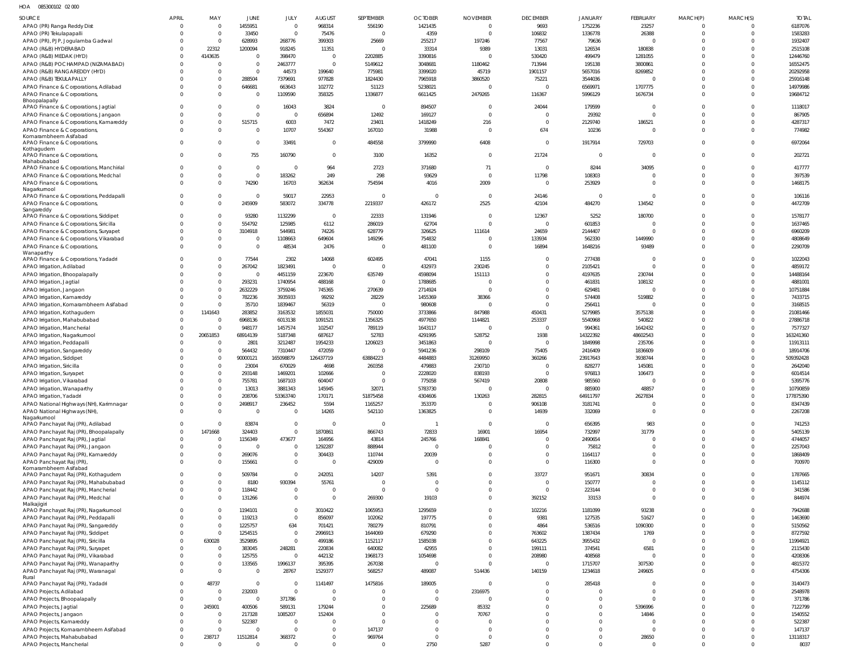HOA 085300102 02 000

| SOURCE                                                                      | <b>APRIL</b>         | MAY                       | JUNE                     | JULY                  | <b>AUGUST</b>                    | SEPTEMBER          | <b>OCTOBER</b>             | <b>NOVEMBER</b>            | <b>DECEMBER</b>         | <b>JANUARY</b>          | FEBRUARY                | MARCH(P)             | MARCH(S) | <b>TOTAL</b>         |
|-----------------------------------------------------------------------------|----------------------|---------------------------|--------------------------|-----------------------|----------------------------------|--------------------|----------------------------|----------------------------|-------------------------|-------------------------|-------------------------|----------------------|----------|----------------------|
| APAO (PR) Ranga Reddy Dist                                                  | $\Omega$             | $\Omega$                  | 1455951                  | $\Omega$              | 968314                           | 556190             | 1421435                    | $\Omega$                   | 9693                    | 1752236                 | 23257                   | $\Omega$             |          | 6187076              |
| APAO (PR) Tekulapapalli                                                     | $\Omega$             | $\Omega$                  | 33450                    | $\Omega$              | 75476                            | $\Omega$           | 4359                       | $\Omega$                   | 106832                  | 1336778                 | 26388                   | $\Omega$             |          | 1583283              |
| APAO (PR), PJP, Jogulamba Gadwal                                            | $\Omega$             | $\Omega$                  | 628993                   | 268776                | 399303                           | 25669              | 255217                     | 197246                     | 77567                   | 79636                   | $\Omega$                |                      |          | 1932407              |
| APAO (R&B) HYDERABAD                                                        | $\Omega$             | 22312                     | 1200094                  | 918245                | 11351                            | $\Omega$           | 33314                      | 9389                       | 13031                   | 126534                  | 180838                  | $\Omega$             |          | 2515108              |
| APAO (R&B) MEDAK (HYD)                                                      | $\Omega$             | 4143635                   | $\Omega$                 | 398470                | $\overline{0}$                   | 2202885            | 3390816                    |                            | 530420                  | 499479                  | 1281055                 |                      |          | 12446760             |
| APAO (R&B) POCHAMPAD (NIZAMABAD)                                            | $\Omega$             | $\Omega$<br>$\Omega$      | $\Omega$<br>$\Omega$     | 2463777               | $\Omega$                         | 5149612            | 3048681                    | 1180462<br>45719           | 713944                  | 195138<br>5657016       | 3800861                 |                      |          | 16552475             |
| APAO (R&B) RANGAREDDY (HYD)<br>APAO (R&B) TEKULAPALLY                       |                      | $\Omega$                  | 288504                   | 44573<br>7379691      | 199640<br>977828                 | 775981<br>1824430  | 3399020<br>7965918         | 3860520                    | 1901157<br>75221        | 3544036                 | 8269852<br>$\sqrt{ }$   |                      |          | 20292958<br>25916148 |
| APAO Finance & Corporations, Adilabad                                       |                      | $\Omega$                  | 646681                   | 663643                | 102772                           | 51123              | 5238021                    | $\Omega$                   | $\Omega$                | 6569971                 | 1707775                 |                      |          | 14979986             |
| APAO Finance & Corporations,                                                | $\Omega$             | $\Omega$                  | $\Omega$                 | 1109590               | 358325                           | 1336877            | 6611425                    | 2479265                    | 116367                  | 5996129                 | 1676734                 |                      |          | 19684712             |
| Bhoopalapally                                                               |                      |                           |                          |                       |                                  |                    |                            |                            |                         |                         |                         |                      |          |                      |
| APAO Finance & Corporations, Jagtial                                        | $\Omega$             | $\sqrt{ }$                | $\Omega$                 | 16043                 | 3824                             | $\Omega$           | 894507                     |                            | 24044                   | 179599                  | $\Omega$                |                      |          | 1118017              |
| APAO Finance & Corporations, Jangaon                                        | $\Omega$             | $\Omega$                  | $\Omega$                 |                       | 656894                           | 12492              | 169127                     | $\Omega$                   | $\Omega$                | 29392                   | $\Omega$                | $\Omega$             |          | 867905               |
| APAO Finance & Corporations, Kamareddy<br>APAO Finance & Corporations,      | $\Omega$             | $\Omega$<br>$\Omega$      | 515715<br>$\Omega$       | 6003<br>10707         | 7472<br>554367                   | 23401<br>167010    | 1418249<br>31988           | 216<br>$\Omega$            | $\Omega$<br>674         | 2129740<br>10236        | 186521<br>$\Omega$      | $\Omega$             |          | 4287317<br>774982    |
| Komarambheem Asifabad                                                       |                      |                           |                          |                       |                                  |                    |                            |                            |                         |                         |                         |                      |          |                      |
| APAO Finance & Corporations,                                                | $\Omega$             | $\Omega$                  | $\Omega$                 | 33491                 | $\Omega$                         | 484558             | 3799990                    | 6408                       | $\mathbf{0}$            | 1917914                 | 729703                  |                      |          | 6972064              |
| Kothagudem                                                                  | $\Omega$             | $\Omega$                  | 755                      | 160790                | $\mathbf 0$                      |                    | 16352                      | $\Omega$                   | 21724                   | $\overline{0}$          | $\Omega$                | $\Omega$             |          | 202721               |
| APAO Finance & Corporations,<br>Mahabubabad                                 |                      |                           |                          |                       |                                  | 3100               |                            |                            |                         |                         |                         |                      |          |                      |
| APAO Finance & Corporations, Manchirial                                     | $\Omega$             | $\Omega$                  | $\overline{0}$           | $\Omega$              | 964                              | 2723               | 371680                     | 71                         | $\overline{0}$          | 8244                    | 34095                   |                      |          | 417777               |
| APAO Finance & Corporations, Medchal                                        | $\Omega$             | $\Omega$                  | $\Omega$                 | 183262                | 249                              | 298                | 93629                      | $\Omega$                   | 11798                   | 108303                  | $\Omega$                | $\Omega$             |          | 397539               |
| APAO Finance & Corporations,                                                | $\Omega$             | $\Omega$                  | 74290                    | 16703                 | 362634                           | 754594             | 4016                       | 2009                       | $\mathbf 0$             | 253929                  | $\Omega$                |                      |          | 1468175              |
| Nagarkurnool<br>APAO Finance & Corporations, Peddapalli                     | $\Omega$             | $\Omega$                  |                          | 59017                 | 22953                            |                    | $\Omega$                   | $\Omega$                   | 24146                   | $\Omega$                | $\Omega$                | $\Omega$             |          | 106116               |
| APAO Finance & Corporations,                                                | $\Omega$             | $\Omega$                  | 245909                   | 583072                | 334778                           | 2219337            | 426172                     | 2525                       | 42104                   | 484270                  | 134542                  | $\Omega$             |          | 4472709              |
| Sangareddy                                                                  |                      |                           |                          |                       |                                  |                    |                            |                            |                         |                         |                         |                      |          |                      |
| APAO Finance & Corporations, Siddipet                                       | $\Omega$             | $\Omega$                  | 93280                    | 1132299               | $\overline{0}$                   | 22333              | 131946                     |                            | 12367                   | 5252                    | 180700                  |                      |          | 1578177              |
| APAO Finance & Corporations, Siricilla                                      | $\Omega$             | $\Omega$                  | 554792                   | 125985                | 6112                             | 286019             | 62704                      | $\Omega$                   | $\Omega$                | 601853                  | $\mathcal{L}$           |                      |          | 1637465              |
| APAO Finance & Corporations, Suryapet                                       | $\Omega$             | $\Omega$                  | 3104918                  | 544981                | 74226                            | 628779             | 326625                     | 111614                     | 24659                   | 2144407                 | $\Omega$                |                      |          | 6960209              |
| APAO Finance & Corporations, Vikarabad<br>APAO Finance & Corporations,      | $\Omega$<br>$\Omega$ | $\Omega$<br>$\Omega$      | $\Omega$<br>$\Omega$     | 1108663<br>48534      | 649604<br>2476                   | 149296             | 754832<br>481100           |                            | 133934<br>16894         | 562330<br>1648216       | 1449990<br>93489        |                      |          | 4808649<br>2290709   |
| Wanaparthy                                                                  |                      |                           |                          |                       |                                  |                    |                            |                            |                         |                         |                         |                      |          |                      |
| APAO Finance & Corporations, Yadadri                                        |                      | $\Omega$                  | 77544                    | 2302                  | 14068                            | 602495             | 47041                      | 1155                       | $\Omega$                | 277438                  | $\Omega$                |                      |          | 1022043              |
| APAO Irrigation, Adilabad                                                   | $\Omega$             | $\Omega$                  | 267042                   | 1823491               | $\Omega$                         | $\Omega$           | 432973                     | 230245                     | $\Omega$                | 2105421                 | $\Omega$                | $\Omega$             |          | 4859172              |
| APAO Irrigation, Bhoopalapally                                              |                      | $\Omega$                  | $\Omega$                 | 4451159               | 223670                           | 635749             | 4598094                    | 151113                     | $\Omega$                | 4197635                 | 230744                  |                      |          | 14488164             |
| APAO Irrigation, Jagtial                                                    |                      | $\Omega$                  | 293231                   | 1740954               | 488168                           | $\Omega$           | 1788685                    |                            | $\Omega$                | 461831                  | 108132                  |                      |          | 4881001              |
| APAO Irrigation, Jangaon                                                    | $\Omega$             | $\Omega$<br>$\Omega$      | 2632229                  | 3759246               | 745365                           | 270639             | 2714924                    | $\Omega$                   | $\Omega$<br>$\Omega$    | 629481                  | $\mathcal{L}$           |                      |          | 10751884             |
| APAO Irrigation, Kamareddy<br>APAO Irrigation, Komarambheem Asifabad        | $\Omega$             | $\sqrt{ }$                | 782236<br>35710          | 3935933<br>1839467    | 99292<br>56319                   | 28229              | 1455369<br>980608          | 38366                      | $\Omega$                | 574408<br>256411        | 519882<br>$\mathcal{L}$ |                      |          | 7433715<br>3168515   |
| APAO Irrigation, Kothagudem                                                 | $\Omega$             | 1141643                   | 283852                   | 3163532               | 1855031                          | 750000             | 3733866                    | 847988                     | 450431                  | 5279985                 | 3575138                 |                      |          | 21081466             |
| APAO Irrigation, Mahabubabad                                                | $\Omega$             | $\Omega$                  | 6968136                  | 6013138               | 1091521                          | 1356325            | 4977650                    | 1144821                    | 253337                  | 5540968                 | 540822                  |                      |          | 27886718             |
| APAO Irrigation, Mancherial                                                 | $\Omega$             | $\sqrt{ }$                | 948177                   | 1457574               | 102547                           | 789119             | 1643117                    |                            | $\Omega$                | 994361                  | 1642432                 |                      |          | 7577327              |
| APAO Irrigation, Nagarkurnool                                               | $\Omega$             | 20651853                  | 68914139                 | 5187348               | 687617                           | 52783              | 4291995                    | 528752                     | 1938                    | 14322392                | 48602543                |                      |          | 163241360            |
| APAO Irrigation, Peddapalli                                                 | $\Omega$             | $\Omega$                  | 2801                     | 3212487               | 1954233                          | 1206023            | 3451863                    |                            | $\Omega$                | 1849998                 | 235706                  |                      |          | 11913111             |
| APAO Irrigation, Sangareddy                                                 |                      | $\Omega$                  | 564432                   | 7310447               | 472059                           | $\Omega$           | 5941236                    | 298109                     | 75405                   | 2416409                 | 1836609                 |                      |          | 18914706             |
| APAO Irrigation, Siddipet                                                   |                      | $\Omega$                  | 90000121                 | 165098879             | 126437719                        | 63884223           | 4484883                    | 31269950                   | 360266                  | 23917643                | 3938744                 |                      |          | 509392428            |
| APAO Irrigation, Siricilla                                                  |                      | $\Omega$                  | 23004                    | 670029                | 4698                             | 260358             | 479883                     | 230710                     | $\Omega$                | 828277                  | 145081                  |                      |          | 2642040              |
| APAO Irrigation, Suryapet                                                   |                      | $\Omega$                  | 293148<br>755781         | 1469201               | 102666                           | $\Omega$           | 2228020                    | 838193<br>567419           | $\Omega$                | 976813<br>985560        | 106473                  |                      |          | 6014514<br>5395776   |
| APAO Irrigation, Vikarabad<br>APAO Irrigation, Wanaparthy                   | $\Omega$             | $\Omega$                  | 13013                    | 1687103<br>3881343    | 604047<br>145945                 | 32071              | 775058<br>5783730          |                            | 20808<br>$\Omega$       | 885900                  | 48857                   |                      |          | 10790859             |
| APAO Irrigation, Yadadri                                                    | $\Omega$             | $\Omega$                  | 208706                   | 53363740              | 170171                           | 51875458           | 4304606                    | 130263                     | 282815                  | 64911797                | 2627834                 |                      |          | 177875390            |
| APAO National Highways (NH), Karimnagar                                     | $\Omega$             | $\Omega$                  | 2498917                  | 236452                | 5594                             | 1165257            | 353370                     |                            | 906108                  | 3181741                 | $\Omega$                | $\Omega$             |          | 8347439              |
| APAO National Highways (NH),                                                | $\Omega$             | $\Omega$                  | $\Omega$                 | $\Omega$              | 14265                            | 542110             | 1363825                    |                            | 14939                   | 332069                  | $\mathbf 0$             | $\Omega$             |          | 2267208              |
| Nagarkurnool                                                                |                      |                           |                          |                       |                                  |                    |                            |                            |                         |                         |                         |                      |          |                      |
| APAO Panchayat Raj (PR), Adilabad                                           | $\Omega$<br>$\Omega$ | $\Omega$                  | 83874                    | $\Omega$<br>$\Omega$  | $\mathbf 0$                      | $\Omega$           |                            | $\Omega$                   | $\mathbf{0}$<br>16954   | 656395                  | 983                     | $\Omega$<br>$\Omega$ |          | 741253               |
| APAO Panchayat Raj (PR), Bhoopalapally<br>APAO Panchayat Raj (PR), Jagtial  | $\Omega$             | 1471668<br>$\circ$        | 324403<br>1156349        | 473677                | 1870861<br>164956                | 866743<br>43814    | 72833<br>245766            | 16901<br>168841            | $\mathbf 0$             | 732997<br>2490654       | 31779<br>$\Omega$       | $\Omega$             |          | 5405139<br>4744057   |
| APAO Panchayat Raj (PR), Jangaon                                            | $\Omega$             | $\Omega$                  | $\Omega$                 | 0                     | 1292287                          | 888944             | $\overline{0}$             |                            | $\mathbf 0$             | 75812                   | $\Omega$                | $\Omega$             |          | 2257043              |
| APAO Panchayat Raj (PR), Kamareddy                                          | $\Omega$             | - 0                       | 269076                   |                       | 304433                           | 110744             | 20039                      |                            | $\mathbf 0$             | 1164117                 | $\mathbf 0$             | $\Omega$             |          | 1868409              |
| APAO Panchayat Raj (PR),                                                    | $\Omega$             | $\Omega$                  | 155661                   | $\Omega$              | 0                                | 429009             | $\Omega$                   | $\Omega$                   | $\mathbf 0$             | 116300                  | $\mathbf 0$             | $\Omega$             |          | 700970               |
| Komarambheem Asifabad                                                       |                      |                           |                          |                       |                                  |                    |                            |                            |                         |                         |                         |                      |          |                      |
| APAO Panchayat Raj (PR), Kothagudem<br>APAO Panchayat Raj (PR), Mahabubabad | $\Omega$<br>$\Omega$ | $\Omega$<br>$\Omega$      | 509784<br>8180           | $\Omega$<br>930394    | 242051<br>55761                  | 14207<br>$\Omega$  | 5391<br>$\Omega$           | $\overline{0}$<br>$\Omega$ | 33727<br>$\mathbf 0$    | 951671<br>150777        | 30834<br>$\mathbf 0$    | $\Omega$<br>$\Omega$ |          | 1787665<br>1145112   |
| APAO Panchayat Raj (PR), Mancherial                                         | $\Omega$             | $\Omega$                  | 118442                   | 0                     | $\overline{0}$                   | $\Omega$           | $\Omega$                   | $\Omega$                   | $\mathbf 0$             | 223144                  | $\mathbf 0$             | $\Omega$             |          | 341586               |
| APAO Panchayat Raj (PR), Medchal                                            | $\Omega$             | $\Omega$                  | 131266                   | $\Omega$              | $\mathbf 0$                      | 269300             | 19103                      | $\overline{0}$             | 392152                  | 33153                   | $\mathbf 0$             | $\Omega$             |          | 844974               |
| Malkajigiri                                                                 |                      |                           |                          |                       |                                  |                    |                            |                            |                         |                         |                         |                      |          |                      |
| APAO Panchayat Raj (PR), Nagarkurnool                                       | $\Omega$             | $\Omega$                  | 1194101                  | $\Omega$              | 3010422                          | 1065953            | 1295659                    | $\overline{0}$             | 102216                  | 1181099                 | 93238                   | $\Omega$             |          | 7942688              |
| APAO Panchayat Raj (PR), Peddapalli                                         | $\Omega$             | $\Omega$                  | 119213                   | $\Omega$              | 856097                           | 102062             | 197775                     | $\Omega$                   | 9381                    | 127535                  | 51627                   | $\Omega$             |          | 1463690              |
| APAO Panchayat Raj (PR), Sangareddy                                         | $\Omega$             | $\Omega$                  | 1225757                  | 634                   | 701421                           | 780279             | 810791                     | $\overline{0}$<br>$\Omega$ | 4864                    | 536516                  | 1090300                 | $\Omega$             |          | 5150562              |
| APAO Panchayat Raj (PR), Siddipet                                           | $\Omega$<br>$\Omega$ | $\Omega$<br>630028        | 1254515<br>3529895       | $\Omega$<br>$\Omega$  | 2996913<br>499186                | 1644069<br>1152117 | 679290<br>1585038          | $\Omega$                   | 763602<br>643225        | 1387434<br>3955432      | 1769<br>$\Omega$        | $\Omega$             |          | 8727592<br>11994921  |
| APAO Panchayat Raj (PR), Siricilla<br>APAO Panchayat Raj (PR), Suryapet     | $\Omega$             | $\circ$                   | 383045                   | 248281                | 220834                           | 640082             | 42955                      | $\Omega$                   | 199111                  | 374541                  | 6581                    |                      |          | 2115430              |
| APAO Panchayat Raj (PR), Vikarabad                                          | $\Omega$             | $\Omega$                  | 125755                   |                       | 442132                           | 1968173            | 1054698                    | $\Omega$                   | 208980                  | 408568                  | 0                       | $\Omega$             |          | 4208306              |
| APAO Panchayat Raj (PR), Wanaparthy                                         | $\Omega$             | $\circ$                   | 133565                   | 1996137               | 395395                           | 267038             | $\overline{0}$             | $\Omega$                   | $\mathbf 0$             | 1715707                 | 307530                  | $\Omega$             |          | 4815372              |
| APAO Panchayat Raj (PR), Waranagal                                          | $\Omega$             | $\Omega$                  | $\Omega$                 | 28767                 | 1529377                          | 568257             | 489087                     | 514436                     | 140159                  | 1234618                 | 249605                  | $\Omega$             |          | 4754306              |
| Rural                                                                       |                      |                           |                          |                       |                                  |                    |                            |                            |                         |                         |                         |                      |          |                      |
| APAO Panchayat Raj (PR), Yadadri                                            | $\Omega$             | 48737                     | $\Omega$                 | $\Omega$              | 1141497                          | 1475816            | 189005                     | $\Omega$                   | 0                       | 285418                  | $\Omega$                |                      |          | 3140473              |
| APAO Projects, Adilabad                                                     | $\Omega$<br>$\Omega$ | $\overline{0}$<br>$\circ$ | 232003<br>$\overline{0}$ | $\mathbf 0$<br>371786 | $\overline{0}$<br>$\overline{0}$ |                    | $\overline{0}$<br>$\Omega$ | 2316975<br>$\Omega$        | $\mathbf 0$<br>$\Omega$ | $\Omega$<br>$\mathbf 0$ | $\mathbf 0$<br>$\Omega$ | $\Omega$<br>$\Omega$ |          | 2548978<br>371786    |
| APAO Projects, Bhoopalapally<br>APAO Projects, Jagtial                      | $\Omega$             | 245901                    | 400506                   | 589131                | 179244                           | $\overline{0}$     | 225689                     | 85332                      | $\Omega$                | $\mathbf 0$             | 5396996                 | $\Omega$             |          | 7122799              |
| APAO Projects, Jangaon                                                      | $\Omega$             | $\Omega$                  | 217328                   | 1085207               | 152404                           | $\Omega$           | $\Omega$                   | 70767                      | $\Omega$                | $\Omega$                | 14846                   |                      |          | 1540552              |
| APAO Projects, Kamareddy                                                    | $\Omega$             | - 0                       | 522387                   | $\Omega$              | $\Omega$                         | $\Omega$           | $\Omega$                   |                            | $\Omega$                | $\Omega$                | $\Omega$                | $\Omega$             |          | 522387               |
| APAO Projects, Komarambheem Asifabad                                        | $\Omega$             | $\circ$                   | $\Omega$                 | $\Omega$              | $\mathbf{0}$                     | 147137             | $\Omega$                   | $\Omega$                   | $\Omega$                | $\Omega$                | $\mathbf 0$             | $\Omega$             |          | 147137               |
| APAO Projects, Mahabubabad                                                  | $\overline{0}$       | 238717                    | 11512814                 | 368372                | $^{\circ}$                       | 969764             | $\Omega$                   | $\Omega$                   | $\mathbf 0$             | $\mathbf 0$             | 28650                   | $\overline{0}$       |          | 13118317             |
| APAO Projects, Mancherial                                                   | $\overline{0}$       | $\circ$                   | $\Omega$                 | $\Omega$              | $\mathbf 0$                      | $\overline{0}$     | 2750                       | 5287                       | $\mathbf 0$             | $\mathbf 0$             | $\mathbf 0$             | $\Omega$             | $\Omega$ | 8037                 |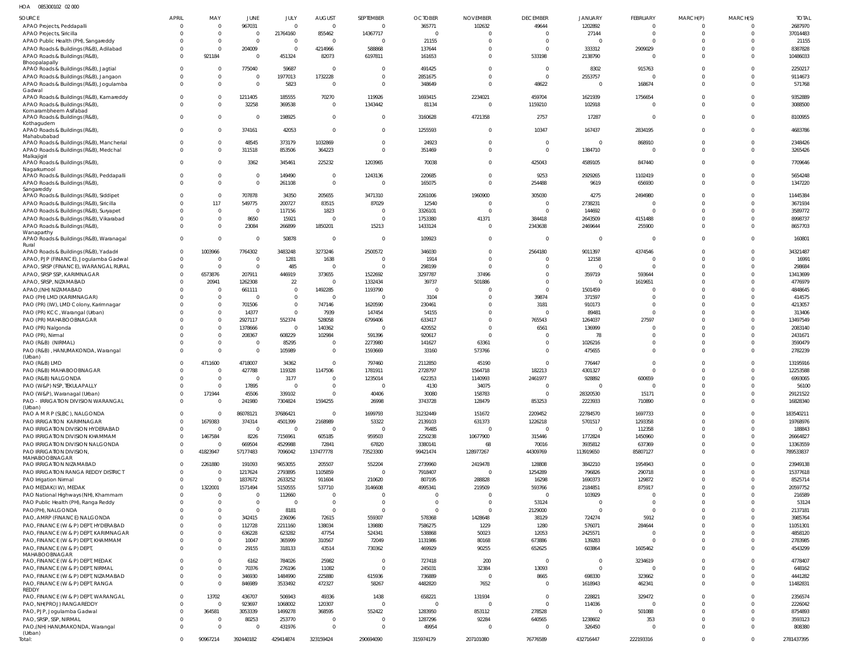HOA 085300102 02 000

| <b>SOURCE</b>                                          | <b>APRIL</b> | MAY          | JUNE           | JULY           | <b>AUGUST</b>  | SEPTEMBER      | <b>OCTOBER</b> | <b>NOVEMBER</b> | <b>DECEMBER</b> | <b>JANUARY</b> | <b>FEBRUARY</b> | MARCH(P)    | MARCH(S) | <b>TOTAL</b> |
|--------------------------------------------------------|--------------|--------------|----------------|----------------|----------------|----------------|----------------|-----------------|-----------------|----------------|-----------------|-------------|----------|--------------|
| APAO Projects, Peddapalli                              |              | $\Omega$     | 967031         | $\Omega$       | $\Omega$       | $\overline{0}$ | 365771         | 102632          | 49644           | 1202892        | $\Omega$        | $\Omega$    |          | 2687970      |
| APAO Projects, Siricilla                               |              | $\Omega$     | $\Omega$       | 21764160       | 855462         | 14367717       | $\overline{0}$ | $\Omega$        | $\Omega$        | 27144          | $\Omega$        | $\Omega$    |          | 37014483     |
| APAO Public Health (PH), Sangareddy                    |              | $\Omega$     | $\Omega$       | $\overline{0}$ | $\Omega$       | $\Omega$       | 21155          | $\cup$          | $\Omega$        |                | $\Omega$        | $\Omega$    |          | 21155        |
| APAO Roads & Buildings (R&B), Adilabad                 |              | $\Omega$     | 204009         | $\Omega$       | 4214966        | 588868         | 137644         | $\Omega$        | $\Omega$        | 333312         | 2909029         | $\Omega$    |          | 8387828      |
| APAO Roads & Buildings (R&B),                          |              | 921184       | $\Omega$       | 451324         | 82073          | 6197811        | 161653         | $\Omega$        | 533198          | 2138790        |                 | $\Omega$    |          | 10486033     |
| Bhoopalapally                                          |              |              |                |                |                |                |                |                 |                 |                |                 |             |          |              |
| APAO Roads & Buildings (R&B), Jagtial                  |              | $\Omega$     | 775040         | 59687          | $\Omega$       | $\Omega$       | 491425         | $\Omega$        | $\Omega$        | 8302           | 915763          | $\Omega$    |          | 2250217      |
| APAO Roads & Buildings (R&B), Jangaon                  |              | $\Omega$     | $\mathbf 0$    | 1977013        | 1732228        | $\Omega$       | 2851675        | $\Omega$        | $\Omega$        | 2553757        |                 | $\Omega$    |          | 9114673      |
|                                                        |              |              | $\Omega$       |                |                |                |                |                 |                 |                |                 |             |          |              |
| APAO Roads & Buildings (R&B), Jogulamba                |              | $\Omega$     |                | 5823           | $\Omega$       | $\Omega$       | 348649         | $\Omega$        | 48622           | $\Omega$       | 168674          | $\Omega$    |          | 571768       |
| Gadwal<br>APAO Roads & Buildings (R&B), Kamareddy      |              | $\Omega$     | 1211405        | 185555         | 70270          | 119926         | 1693415        | 2234021         | 459704          | 1621939        | 1756654         | $\Omega$    |          | 9352889      |
|                                                        |              | $\Omega$     |                |                |                |                |                |                 |                 |                |                 | $\Omega$    |          |              |
| APAO Roads & Buildings (R&B),<br>Komarambheem Asifabad |              |              | 32258          | 369538         | $\Omega$       | 1343442        | 81134          | 0               | 1159210         | 102918         |                 |             |          | 3088500      |
| APAO Roads & Buildings (R&B),                          |              | $\Omega$     | $\overline{0}$ | 198925         | $\Omega$       | $\mathbf 0$    | 3160628        | 4721358         | 2757            | 17287          | $\Omega$        | $\Omega$    |          | 8100955      |
| Kothagudem                                             |              |              |                |                |                |                |                |                 |                 |                |                 |             |          |              |
| APAO Roads & Buildings (R&B),                          |              | $\Omega$     | 374161         | 42053          | $\Omega$       | $\mathbf{0}$   | 1255593        | $\mathbf 0$     | 10347           | 167437         | 2834195         | $\mathbf 0$ |          | 4683786      |
| Mahabubabad                                            |              |              |                |                |                |                |                |                 |                 |                |                 |             |          |              |
| APAO Roads & Buildings (R&B), Mancherial               |              | $\Omega$     | 48545          | 373179         | 1032869        | $\Omega$       | 24923          | $\Omega$        | $\Omega$        | $\Omega$       | 868910          | $\Omega$    |          | 2348426      |
| APAO Roads & Buildings (R&B), Medchal                  |              | $\Omega$     | 311518         | 853506         | 364223         | $\Omega$       | 351469         | $\Omega$        | $\Omega$        | 1384710        | $\Omega$        | $\Omega$    | $\Omega$ | 3265426      |
| Malkajigiri                                            |              |              |                |                |                |                |                |                 |                 |                |                 |             |          |              |
| APAO Roads & Buildings (R&B),                          |              | $\Omega$     | 3362           | 345461         | 225232         | 1203965        | 70038          | $\Omega$        | 425043          | 4589105        | 847440          | $\Omega$    |          | 7709646      |
| Nagarkurnool                                           |              |              |                |                |                |                |                |                 |                 |                |                 |             |          |              |
| APAO Roads & Buildings (R&B), Peddapalli               |              | $\Omega$     | $\overline{0}$ | 149490         | $\Omega$       | 1243136        | 220685         | $\Omega$        | 9253            | 2929265        | 1102419         | $\Omega$    |          | 5654248      |
| APAO Roads & Buildings (R&B),                          |              | $\Omega$     | $\overline{0}$ | 261108         | $\Omega$       | $\Omega$       | 165075         | $\mathbf 0$     | 254488          | 9619           | 656930          | $\Omega$    | $\Omega$ | 1347220      |
| Sangareddy                                             |              |              |                |                |                |                |                |                 |                 |                |                 |             |          |              |
| APAO Roads & Buildings (R&B), Siddipet                 |              | $\Omega$     | 707878         | 34350          | 205655         | 3471310        | 2261006        | 1960900         | 305030          | 4275           | 2494980         | $\Omega$    |          | 11445384     |
| APAO Roads & Buildings (R&B), Siricilla                |              | 117          | 549775         | 200727         | 83515          | 87029          | 12540          | $\Omega$        | $\Omega$        | 2738231        |                 | $\Omega$    |          | 3671934      |
| APAO Roads & Buildings (R&B), Suryapet                 |              | $\Omega$     | $\overline{0}$ | 117156         | 1823           | $\Omega$       | 3326101        | $\Omega$        | $\Omega$        | 144692         | $\Omega$        | $\Omega$    |          | 3589772      |
| APAO Roads & Buildings (R&B), Vikarabad                |              | $\Omega$     | 8650           | 15921          | $\Omega$       | $\mathsf{C}$   | 1753380        | 41371           | 384418          | 2643509        | 4151488         | $\Omega$    |          | 8998737      |
| APAO Roads & Buildings (R&B),                          |              | $\Omega$     | 23084          | 266899         | 1850201        | 15213          | 1433124        | $\mathbf 0$     | 2343638         | 2469644        | 255900          | $\Omega$    |          | 8657703      |
| Wanaparthy                                             |              |              |                |                |                |                |                |                 |                 |                |                 |             |          |              |
| APAO Roads & Buildings (R&B), Waranagal                | $\Omega$     | $\Omega$     | $\overline{0}$ | 50878          | $\overline{0}$ | $\Omega$       | 109923         | $\overline{0}$  | $\overline{0}$  | $\Omega$       | $\Omega$        | $\Omega$    | $\Omega$ | 160801       |
| Rural                                                  |              |              |                |                |                |                |                |                 |                 |                |                 |             |          |              |
| APAO Roads & Buildings (R&B), Yadadri                  | $\Omega$     | 1003966      | 7764302        | 3483248        | 3273246        | 2500572        | 346030         | $\overline{0}$  | 2564180         | 9011397        | 4374546         | $\Omega$    |          | 34321487     |
| APAO, PJP (FINANCE), Jogulamba Gadwal                  |              | $\Omega$     | $\overline{0}$ | 1281           | 1638           | 0              | 1914           | $\Omega$        | $\Omega$        | 12158          | ſ               | $\Omega$    |          | 16991        |
| APAO, SRSP (FINANCE), WARANGAL RURAL                   |              | $\Omega$     | $\overline{0}$ | 485            | $\Omega$       | $\Omega$       | 298199         | $\Omega$        | $\Omega$        | $\overline{0}$ | $\Omega$        | $\Omega$    |          | 298684       |
| APAO, SRSP SSP, KARIMNAGAR                             |              | 6573876      | 207911         | 446919         | 373655         | 1522692        | 3297787        | 37496           | $\Omega$        | 359719         | 593644          | $\Omega$    |          | 13413699     |
| APAO, SRSP, NIZAMABAD                                  |              | 20941        | 1262308        | 22             | $\Omega$       | 1332434        | 39737          | 501886          | $\Omega$        | $\Omega$       | 1619651         | $\Omega$    |          | 4776979      |
|                                                        |              |              |                |                |                |                |                |                 |                 |                |                 |             |          |              |
| APAO, (NH) NIZAMABAD                                   |              | $\Omega$     | 661111         | $\Omega$       | 1492285        | 1193790        | $\Omega$       | $\Omega$        | $\Omega$        | 1501459        |                 | $\Omega$    |          | 4848645      |
| PAO (PH) LMD (KARIMNAGAR)                              |              | $\mathbf{0}$ | $\overline{0}$ | $\mathbf 0$    | $\Omega$       | $\overline{0}$ | 3104           | $\Omega$        | 39874           | 371597         | $\Omega$        | $\Omega$    |          | 414575       |
| PAO (PR) (IW), LMD Colony, Karimnagar                  |              | $\Omega$     | 701506         | $\mathbf 0$    | 747146         | 1620590        | 230461         | $\Omega$        | 3181            | 910173         | $\Omega$        | $\Omega$    |          | 4213057      |
| PAO (PR) KCC, Warangal (Urban)                         |              | $\Omega$     | 14377          | $\mathbf{0}$   | 7939           | 147454         | 54155          | $\Omega$        | $\Omega$        | 89481          | $\Omega$        | $\Omega$    |          | 313406       |
| PAO (PR) MAHABOOBNAGAR                                 |              | $\Omega$     | 2927117        | 552374         | 528058         | 6799406        | 633417         | $\mathbf 0$     | 765543          | 1264037        | 27597           | $\Omega$    |          | 13497549     |
| PAO (PR) Nalgonda                                      |              | $\Omega$     | 1378666        | $\mathbf{0}$   | 140362         | $\overline{0}$ | 420552         | $\Omega$        | 6561            | 136999         | - 0             | $\Omega$    |          | 2083140      |
| PAO (PR), Nirmal                                       |              | $\Omega$     | 208367         | 608229         | 102984         | 591396         | 920617         | $\Omega$        | $\Omega$        | 78             | $\Omega$        | $\Omega$    |          | 2431671      |
| PAO (R&B) (NIRMAL)                                     |              | $\Omega$     | $\mathbf 0$    | 85295          | $\Omega$       | 2273980        | 141627         | 63361           | $\Omega$        | 1026216        | $\Omega$        | $\Omega$    |          | 3590479      |
|                                                        |              | $\Omega$     | $\overline{0}$ | 105989         | $\Omega$       |                |                | 573766          | $\Omega$        | 475655         | $\Omega$        | $\Omega$    |          | 2782239      |
| PAO (R&B), HANUMAKONDA, Warangal<br>(Urban)            |              |              |                |                |                | 1593669        | 33160          |                 |                 |                |                 |             |          |              |
| PAO (R&B) LMD                                          |              | 4711600      | 4718007        | 34362          | $\Omega$       | 797460         | 2112850        | 45190           | $\Omega$        | 776447         | $\Omega$        | $\Omega$    |          | 13195916     |
| PAO (R&B) MAHABOOBNAGAR                                |              | $\Omega$     | 427788         | 119328         | 1147506        | 1781911        | 2728797        | 1564718         | 182213          | 4301327        | $\Omega$        | $\Omega$    |          | 12253588     |
|                                                        |              | $\Omega$     |                |                |                |                |                |                 |                 |                |                 |             |          |              |
| PAO (R&B) NALGONDA                                     |              |              | $\overline{0}$ | 3177           | $\Omega$       | 1235014        | 622353         | 1140993         | 2461977         | 928892         | 600659          | $\Omega$    |          | 6993065      |
| PAO (W&P) NSP, TEKULAPALLY                             |              | $\Omega$     | 17895          | $\Omega$       | $\Omega$       | $\Omega$       | 4130           | 34075           | $\Omega$        | $\cap$         | $\Omega$        | $\Omega$    | $\Omega$ | 56100        |
| PAO (W&P), Waranagal (Urban)                           |              | 171944       | 45506          | 339102         | $\Omega$       | 40406          | 30080          | 158783          | $\Omega$        | 28320530       | 15171           | $\Omega$    |          | 29121522     |
| PAO - IRRIGATION DIVISION WARANGAL                     |              | $\Omega$     | 241980         | 7304824        | 1594255        | 26998          | 3743728        | 128479          | 853253          | 2223933        | 710890          | $\mathbf 0$ | $\Omega$ | 16828340     |
| (Urban)                                                |              |              |                |                |                |                |                |                 |                 |                |                 |             |          |              |
| PAO A M R P (SLBC), NALGONDA                           |              | $\Omega$     | 86078121       | 37686421       | $\overline{0}$ | 1699793        | 31232449       | 151672          | 2209452         | 22784570       | 1697733         | $\Omega$    |          | 183540211    |
| PAO IRRIGATION KARIMNAGAR                              |              | 1679383      | 374314         | 4501399        | 2168989        | 53322          | 2139103        | 631373          | 1226218         | 5701517        | 1293358         | $\Omega$    |          | 19768976     |
| PAO IRRIGATION DIVISION HYDERABAD                      |              | $\Omega$     | $\overline{0}$ | $\overline{0}$ | $\Omega$       | $\overline{0}$ | 76485          | $\overline{0}$  | $\Omega$        | $\overline{0}$ | 112358          | $\Omega$    |          | 188843       |
| PAO IRRIGATION DIVISION KHAMMAM                        |              | 1467584      | 8226           | 7156961        | 605185         | 959503         | 2250238        | 10677900        | 315446          | 1772824        | 1450960         | $\Omega$    |          | 26664827     |
| PAO IRRIGATION DIVISION NALGONDA                       |              | $\Omega$     | 669504         | 4529988        | 72841          | 67820          | 3380141        | 68              | 70016           | 3935812        | 637369          | $\Omega$    |          | 13363559     |
| PAO IRRIGATION DIVISION.                               |              | 41823947     | 57177483       | 7096042        | 137477778      | 73523300       | 99421474       | 128977267       | 44309769        | 113919650      | 85807127        | $\mathbf 0$ |          | 789533837    |
| MAHABOOBNAGAR                                          |              |              |                |                |                |                |                |                 |                 |                |                 |             |          |              |
| PAO IRRIGATION NIZAMABAD                               |              | 2261880      | 191093         | 9653055        | 205507         | 552204         | 2739960        | 2419478         | 128808          | 3842210        | 1954943         | $\Omega$    |          | 23949138     |
| PAO IRRIGATION RANGA REDDY DISTRICT                    |              | $\Omega$     | 1217624        | 2793895        | 1105859        | $\Omega$       | 7918407        | $\overline{0}$  | 1254289         | 796826         | 290718          | $\Omega$    |          | 15377618     |
| PAO Irrigation Nirmal                                  |              | $\Omega$     | 1837672        | 2633252        | 911604         | 210620         | 807195         | 288828          | 16298           | 1690373        | 129872          | $\Omega$    |          | 8525714      |
| PAO MEDAK(IW), MEDAK                                   |              | 1322001      | 1571494        | 5150555        | 537710         | 3146608        | 4995341        | 219509          | 593766          | 2184851        | 875917          | $\Omega$    |          | 20597752     |
| PAO National Highways (NH), Khammam                    |              | $\Omega$     | $\overline{0}$ | 112660         | $\Omega$       | $\Omega$       | 0              | $\Omega$        | $\Omega$        | 103929         | - 0             | $\Omega$    |          | 216589       |
|                                                        |              | $\Omega$     | $\overline{0}$ | $\mathbf{0}$   | $\mathbf{0}$   |                |                | $\Omega$        |                 | $\Omega$       | $\Omega$        | $\Omega$    |          |              |
| PAO Public Health (PH), Ranga Reddy                    |              |              |                |                |                | C              | 0              |                 | 53124           | $\Omega$       | $\Omega$        |             |          | 53124        |
| PAO(PH), NALGONDA                                      |              | $\Omega$     | $\overline{0}$ | 8181           | $\overline{0}$ | $\Omega$       | $\overline{0}$ | $\Omega$        | 2129000         |                |                 | $\Omega$    |          | 2137181      |
| PAO, AMRP (FINANCE) NALGONDA                           |              | $\Omega$     | 342415         | 236096         | 72615          | 559307         | 578368         | 1428648         | 38129           | 724274         | 5912            | $\Omega$    |          | 3985764      |
| PAO, FINANCE (W & P) DEPT, HYDERABAD                   |              | $\Omega$     | 112728         | 2211160        | 138034         | 139880         | 7586275        | 1229            | 1280            | 576071         | 284644          | $\Omega$    |          | 11051301     |
| PAO, FINANCE (W & P) DEPT, KARIMNAGAR                  |              | $\Omega$     | 636228         | 623282         | 47754          | 524341         | 538868         | 50023           | 12053           | 2425571        | - 0             | $\Omega$    |          | 4858120      |
| PAO, FINANCE (W & P) DEPT, KHAMMAM                     |              | $\Omega$     | 10047          | 365999         | 310567         | 72049          | 1131986        | 80168           | 673886          | 139283         | $\Omega$        | $\mathbf 0$ |          | 2783985      |
| PAO, FINANCE (W & P) DEPT,                             |              | $\Omega$     | 29155          | 318133         | 43514          | 730362         | 469929         | 90255           | 652625          | 603864         | 1605462         | $\Omega$    |          | 4543299      |
| MAHABOOBNAGAR                                          |              |              |                |                |                |                |                |                 |                 |                |                 |             |          |              |
| PAO, FINANCE (W & P) DEPT, MEDAK                       |              | $\Omega$     | 6162           | 784026         | 25982          | $\Omega$       | 727418         | 200             | $\overline{0}$  | $\Omega$       | 3234619         | $\Omega$    |          | 4778407      |
| PAO, FINANCE (W & P) DEPT, NIRMAL                      |              | $\Omega$     | 70376          | 276196         | 11082          | $\overline{0}$ | 245031         | 32384           | 13093           | $\overline{0}$ | $\Omega$        | $\Omega$    |          | 648162       |
| PAO, FINANCE (W & P) DEPT, NIZAMABAD                   |              | $\Omega$     | 346930         | 1484990        | 225880         | 615936         | 736889         | $\overline{0}$  | 8665            | 698330         | 323662          | $\mathbf 0$ |          | 4441282      |
| PAO, FINANCE (W & P) DEPT, RANGA                       |              | $\Omega$     | 846989         | 3533492        | 472327         | 58267          | 4482820        | 7652            | $\overline{0}$  | 1618943        | 462341          | $\mathbf 0$ |          | 11482831     |
| REDDY                                                  |              |              |                |                |                |                |                |                 |                 |                |                 |             |          |              |
| PAO, FINANCE (W & P) DEPT, WARANGAL                    |              | 13702        | 436707         | 506943         | 49336          | 1438           | 658221         | 131934          | $\Omega$        | 228821         | 329472          | $\Omega$    |          | 2356574      |
| PAO, NH(PROJ) RANGAREDDY                               |              | $\Omega$     | 923697         | 1068002        | 120307         | $\overline{0}$ | $\overline{0}$ | $\Omega$        | $\Omega$        | 114036         | $\Omega$        | $\Omega$    |          | 2226042      |
| PAO, PJP, Jogulamba Gadwal                             |              | 364581       | 3053339        | 1499278        | 368595         | 552422         | 1283950        | 853112          | 278528          | $\Omega$       | 501088          | $\mathbf 0$ |          | 8754893      |
|                                                        |              |              |                |                |                |                |                |                 |                 |                |                 | $\Omega$    |          |              |
| PAO, SRSP, SSP, NIRMAL                                 |              | $\Omega$     | 80253          | 253770         | $\Omega$       | $\overline{0}$ | 1287296        | 92284           | 640565          | 1238602        | 353             |             |          | 3593123      |
| PAO, (NH) HANUMAKONDA, Warangal                        |              | $\Omega$     | $\mathbf 0$    | 431976         | $\overline{0}$ | 0              | 49954          | $\Omega$        | $\overline{0}$  | 326450         | $\Omega$        | $\mathbf 0$ |          | 808380       |
| (Urban)                                                | $\Omega$     |              |                |                |                |                |                |                 |                 |                |                 | $\mathbf 0$ | $\Omega$ |              |
| Total:                                                 |              | 90967214     | 392440182      | 429414874      | 323159424      | 290694090      | 315974179      | 207101080       | 76776589        | 432716447      | 222193316       |             |          | 2781437395   |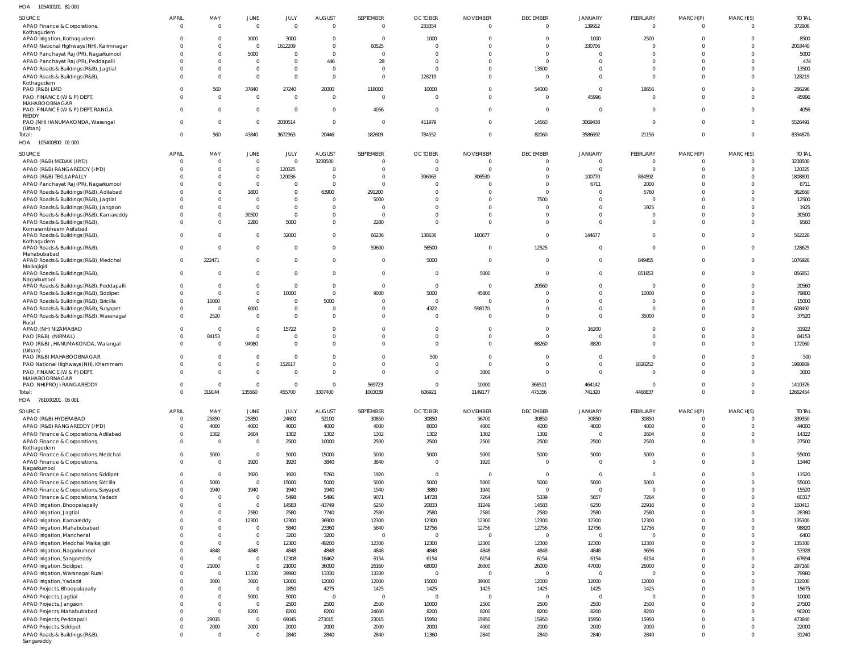| HOA<br>105400101 81 000                                                           |                          |                         |                                |                      |                         |                          |                        |                            |                       |                              |                           |                      |                      |                     |
|-----------------------------------------------------------------------------------|--------------------------|-------------------------|--------------------------------|----------------------|-------------------------|--------------------------|------------------------|----------------------------|-----------------------|------------------------------|---------------------------|----------------------|----------------------|---------------------|
| SOURCE                                                                            | APRIL                    | MAY                     | JUNE                           | JULY                 | <b>AUGUST</b>           | SEPTEMBER                | <b>OCTOBER</b>         | <b>NOVEMBER</b>            | <b>DECEMBER</b>       | <b>JANUARY</b>               | FEBRUARY                  | MARCH(P)             | MARCH(S)             | <b>TOTAL</b>        |
| APAO Finance & Corporations,<br>Kothaqudem                                        | $\overline{0}$           | $\mathbf 0$             | $\overline{0}$                 | - 0                  | $\Omega$                | $\overline{0}$           | 233354                 | $\overline{0}$             | $\Omega$              | 139552                       | $\overline{0}$            | $\Omega$             | $\Omega$             | 372906              |
| APAO Irrigation, Kothagudem                                                       | $\Omega$                 | $\mathbf{0}$            | 1000                           | 3000                 | $\overline{\mathbf{0}}$ | $\overline{0}$           | 1000                   | $\overline{0}$             | - 0                   | 1000                         | 2500                      |                      | $\Omega$             | 8500                |
| APAO National Highways (NH), Karimnagar                                           |                          | 0                       | $\overline{0}$                 | 1612209              | $\overline{0}$          | 60525                    | $\overline{0}$         | $\Omega$                   | $\Omega$              | 330706                       | $\Omega$                  |                      | $\Omega$             | 2003440             |
| APAO Panchayat Raj (PR), Nagarkurnool                                             |                          | $\Omega$<br>0           | 5000<br>$\mathbf 0$            | - 0                  | $\Omega$<br>446         | $\Omega$<br>28           | C<br>$\Omega$          | $\Omega$<br>n              | $\Omega$              | $\Omega$                     | $\Omega$<br>$\Omega$      |                      | $\cup$               | 5000<br>474         |
| APAO Panchayat Raj (PR), Peddapalli<br>APAO Roads & Buildings (R&B), Jagtial      |                          | $\Omega$                | $\mathbf{0}$                   | $\Omega$             | $\Omega$                | $\Omega$                 | $\mathsf{C}$           | $\Omega$                   | 13500                 | $\Omega$                     | $\mathbf 0$               |                      | $\Omega$             | 13500               |
| APAO Roads & Buildings (R&B),                                                     |                          | $\Omega$                | $\mathbf{0}$                   | $\Omega$             | $\Omega$                | $\overline{0}$           | 128219                 | $\Omega$                   | $\Omega$              | $\Omega$                     | $\Omega$                  |                      | $\Omega$             | 128219              |
| Kothagudem<br>PAO (R&B) LMD                                                       | <sup>0</sup>             | 560                     | 37840                          | 27240                | 20000                   | 118000                   | 10000                  | $\Omega$                   | 54000                 | $\Omega$                     | 18656                     |                      | $\Omega$             | 286296              |
| PAO, FINANCE (W & P) DEPT,                                                        | <sup>0</sup>             | $\mathbf 0$             | $\overline{0}$                 | $\Omega$             | $\Omega$                | $\overline{0}$           | $\overline{0}$         | $\overline{0}$             | $\Omega$              | 45996                        | $\mathbf 0$               |                      | $\Omega$             | 45996               |
| MAHABOOBNAGAR                                                                     |                          |                         |                                |                      |                         |                          |                        |                            |                       |                              |                           |                      |                      |                     |
| PAO, FINANCE (W & P) DEPT, RANGA<br><b>REDDY</b>                                  | $\Omega$                 | $\Omega$                | $\mathbf 0$                    | $\Omega$             | $\Omega$                | 4056                     | $\overline{0}$         | $\overline{0}$             | $\Omega$              | $\mathbf 0$                  | $\mathbf 0$               |                      | $\Omega$             | 4056                |
| PAO, (NH) HANUMAKONDA, Warangal                                                   | <sup>0</sup>             | 0                       | $\overline{0}$                 | 2030514              | $\overline{0}$          | $\overline{0}$           | 411979                 | $\overline{0}$             | 14560                 | 3069438                      | $\mathbf 0$               | $\Omega$             | $^{\circ}$           | 5526491             |
| (Urban)<br>Total:                                                                 | $\Omega$                 | 560                     | 43840                          | 3672963              | 20446                   | 182609                   | 784552                 | $\overline{0}$             | 82060                 | 3586692                      | 21156                     | $\Omega$             | $\Omega$             | 8394878             |
| 105400800 01 000<br>HOA                                                           |                          |                         |                                |                      |                         |                          |                        |                            |                       |                              |                           |                      |                      |                     |
| SOURCE                                                                            | <b>APRIL</b>             | MAY                     | JUNE                           | JULY                 | <b>AUGUST</b>           | SEPTEMBER                | <b>OCTOBER</b>         | <b>NOVEMBER</b>            | <b>DECEMBER</b>       | <b>JANUARY</b>               | FEBRUARY                  | MARCH(P)             | MARCH(S)             | <b>TOTAL</b>        |
| APAO (R&B) MEDAK (HYD)                                                            | $\Omega$                 | $\overline{0}$          | $\mathbf 0$                    | $\overline{0}$       | 3238500                 | 0                        | $\overline{0}$         | $\overline{0}$             | $\Omega$              | $\mathbf 0$                  | $\mathbf{0}$              | $\Omega$             | $^{\circ}$           | 3238500             |
| APAO (R&B) RANGAREDDY (HYD)                                                       |                          | $\Omega$                | $\mathbf{0}$                   | 120325               | $\Omega$                | 0                        | $\overline{0}$         | $\Omega$                   | $\Omega$              | $\mathbf 0$                  | $\mathbf{0}$              |                      |                      | 120325              |
| APAO (R&B) TEKULAPALLY                                                            |                          | 0                       | $\overline{0}$                 | 120036               | $\overline{0}$          | 0                        | 396963                 | 306530                     | $\Omega$              | 100770                       | 884592                    |                      | -0                   | 1808891             |
| APAO Panchayat Raj (PR), Nagarkurnool<br>APAO Roads & Buildings (R&B), Adilabad   |                          | $\Omega$<br>0           | $\mathbf{0}$<br>1800           | $\Omega$<br>$\Omega$ | $\overline{0}$<br>63900 | $\overline{0}$<br>291200 | C<br>$\Omega$          | $\Omega$<br>$\Omega$       | $\Omega$<br>$\Omega$  | 6711<br>$\mathbf 0$          | 2000<br>5760              |                      | $\cup$               | 8711<br>362660      |
| APAO Roads & Buildings (R&B), Jagtial                                             |                          | $\Omega$                | $\overline{0}$                 | $\Omega$             | $\Omega$                | 5000                     | C                      | $\Omega$                   | 7500                  | $\mathbf 0$                  | $\overline{0}$            |                      |                      | 12500               |
| APAO Roads & Buildings (R&B), Jangaon                                             |                          | 0                       | $\mathbf{0}$                   | $\Omega$             | $\Omega$                | $\overline{0}$           | $\Omega$               | $\Omega$                   | $\Omega$              | $\mathbf 0$                  | 1925                      |                      |                      | 1925                |
| APAO Roads & Buildings (R&B), Kamareddy                                           |                          | 0                       | 30500                          | $\Omega$             | $\Omega$                | - 0                      | $\Omega$               | $\Omega$                   | $\Omega$              | $\mathbf 0$                  | $\mathbf 0$               |                      |                      | 30500               |
| APAO Roads & Buildings (R&B),                                                     | 0                        | 0                       | 2280                           | 5000                 | $\overline{0}$          | 2280                     | $\overline{0}$         | $\Omega$                   | $\Omega$              | $\mathbf 0$                  | $\overline{0}$            | $\Omega$             | $\Omega$             | 9560                |
| Komarambheem Asifabad<br>APAO Roads & Buildings (R&B),                            | $\Omega$                 | 0                       | $\overline{0}$                 | 32000                | $\Omega$                | 66236                    | 138636                 | 180677                     | $\Omega$              | 144677                       | $\overline{0}$            | $\Omega$             | $\Omega$             | 562226              |
| Kothagudem                                                                        |                          |                         |                                |                      |                         |                          |                        |                            |                       |                              |                           |                      |                      |                     |
| APAO Roads & Buildings (R&B),<br>Mahabubabad                                      | $\overline{0}$           | $\mathbf{0}$            | $\mathbf 0$                    | $\Omega$             | $\overline{0}$          | 59600                    | 56500                  | $\overline{0}$             | 12525                 | $\mathbf 0$                  | $\mathbf{0}$              | $\Omega$             | $\Omega$             | 128625              |
| APAO Roads & Buildings (R&B), Medchal                                             | $\overline{0}$           | 222471                  | $\mathbf{0}$                   | $\Omega$             | $\overline{0}$          | $\overline{0}$           | 5000                   | $\overline{0}$             | $\mathbf{0}$          | $\mathbf{0}$                 | 849455                    | $\Omega$             | $\Omega$             | 1076926             |
| Malkajigiri<br>APAO Roads & Buildings (R&B),                                      | $\Omega$                 | 0                       | $\overline{0}$                 | $\Omega$             | $\overline{0}$          | $\overline{0}$           | 0                      | 5000                       | $\Omega$              | $\mathbf{0}$                 | 851853                    | $\Omega$             | $\Omega$             | 856853              |
| Nagarkurnool                                                                      |                          |                         |                                |                      |                         |                          |                        |                            |                       |                              |                           |                      |                      |                     |
| APAO Roads & Buildings (R&B), Peddapalli                                          |                          | $\mathbf{0}$            | $\mathbf 0$                    | $\mathbf{0}$         | $\overline{\mathbf{0}}$ | $\overline{0}$           | $\overline{0}$         | $\overline{\phantom{0}}$   | 20560                 | $^{\circ}$                   | $\mathbf 0$               |                      | -0                   | 20560               |
| APAO Roads & Buildings (R&B), Siddipet                                            | <sup>0</sup>             | $\mathbf{0}$            | $\mathbf{0}$                   | 10000                | $\Omega$                | 9000                     | 5000                   | 45800                      | $\Omega$              | $\Omega$                     | 10000                     | $\Omega$             | $\Omega$             | 79800               |
| APAO Roads & Buildings (R&B), Siricilla<br>APAO Roads & Buildings (R&B), Suryapet | 0<br><sup>0</sup>        | 10000<br>$\overline{0}$ | $\overline{0}$<br>6000         | $\Omega$<br>$\Omega$ | 5000<br>$\Omega$        | 0<br>- 0                 | $\overline{0}$<br>4322 | $\circ$<br>598170          |                       | $\Omega$<br>$\mathbf{0}$     | -0<br>$\overline{0}$      | $\Omega$<br>$\Omega$ | $\Omega$<br>$\Omega$ | 15000<br>608492     |
| APAO Roads & Buildings (R&B), Waranagal                                           | $\Omega$                 | 2520                    | $\mathbf 0$                    | $\Omega$             | $\Omega$                | $\Omega$                 | $\Omega$               | $\Omega$                   | $\Omega$              | $\mathbf 0$                  | 35000                     | $\Omega$             | $\cup$               | 37520               |
| Rural                                                                             |                          |                         |                                |                      |                         |                          |                        |                            |                       |                              |                           |                      |                      |                     |
| APAO, (NH) NIZAMABAD<br>PAO (R&B) (NIRMAL)                                        | $\Omega$<br>0            | $\mathbf{0}$<br>84153   | $\mathbf{0}$<br>$\mathbf 0$    | 15722<br>$\Omega$    | $\Omega$<br>$\Omega$    | $\Omega$<br>$\Omega$     | $\Omega$<br>$\Omega$   | $\Omega$<br>$\overline{0}$ | $\Omega$<br>$\Omega$  | 16200<br>$\overline{0}$      | $\Omega$<br>$\mathbf 0$   | $\Omega$<br>$\Omega$ | $\cup$<br>$\Omega$   | 31922<br>84153      |
| PAO (R&B), HANUMAKONDA, Warangal                                                  | $\Omega$                 | $\overline{0}$          | 94980                          | $\Omega$             | $\Omega$                | $\Omega$                 | $\overline{0}$         | $\overline{0}$             | 68260                 | 8820                         | $\overline{0}$            | $\Omega$             | $\Omega$             | 172060              |
| (Urban)                                                                           |                          |                         |                                |                      |                         |                          |                        |                            |                       |                              |                           |                      |                      |                     |
| PAO (R&B) MAHABOOBNAGAR                                                           | <sup>0</sup>             | 0<br>0                  | $\mathbf 0$<br>$\mathbf{0}$    | $\Omega$<br>152617   | $\Omega$<br>$\Omega$    | $\Omega$<br>$\Omega$     | 500<br>$\Omega$        | $\overline{0}$<br>$\Omega$ | $\Omega$<br>$\Omega$  | $\mathbf{0}$<br>$\mathbf{0}$ | $\overline{0}$<br>1828252 | <sup>0</sup>         | -0<br>$\cup$         | 500<br>1980869      |
| PAO National Highways (NH), Khammam<br>PAO, FINANCE (W & P) DEPT,                 | <sup>0</sup>             | <sup>0</sup>            | $\mathbf{0}$                   |                      | $\Omega$                | $\Omega$                 | $\Omega$               | 3000                       | $\Omega$              | $\Omega$                     | $\Omega$                  | $\Omega$             |                      | 3000                |
| MAHABOOBNAGAR                                                                     |                          |                         |                                |                      |                         |                          |                        |                            |                       |                              |                           |                      |                      |                     |
| PAO, NH(PROJ) RANGAREDDY                                                          | $\cap$<br>$\Omega$       | 319144                  | $\cap$<br>135560               | 455700               | $\Omega$<br>3307400     | 569723<br>1003039        | $\Omega$<br>606921     | 10000<br>1149177           | 366511<br>475356      | 464142<br>741320             | 4468837                   | $\Omega$             | $\Omega$             | 1410376<br>12662454 |
| Total:<br>HOA 761000201 05 001                                                    |                          |                         |                                |                      |                         |                          |                        |                            |                       |                              |                           |                      |                      |                     |
| SOURCE                                                                            | <b>APRIL</b>             | MAY                     | JUNE                           | JULY                 | <b>AUGUST</b>           | SEPTEMBER                | <b>OCTOBER</b>         | <b>NOVEMBER</b>            | <b>DECEMBER</b>       | <b>JANUARY</b>               | FEBRUARY                  | MARCH(P)             | MARCH(S)             | <b>TOTAL</b>        |
| APAO (R&B) HYDERABAD                                                              | $\mathbf{0}$             | 25850                   | 25850                          | 24600                | 52100                   | 30850                    | 30850                  | 56700                      | 30850                 | 30850                        | 30850                     | $\mathbf{0}$         | $\Omega$             | 339350              |
| APAO (R&B) RANGAREDDY (HYD)                                                       | $\Omega$                 | 4000                    | 4000                           | 4000                 | 4000                    | 4000                     | 8000                   | 4000                       | 4000                  | 4000                         | 4000                      | $\Omega$             | $\Omega$             | 44000               |
| APAO Finance & Corporations, Adilabad                                             | $\Omega$                 | 1302                    | 2604                           | 1302                 | 1302                    | 1302                     | 1302                   | 1302                       | 1302                  | $\mathbf 0$                  | 2604                      | $\Omega$             | $\Omega$             | 14322               |
| APAO Finance & Corporations,                                                      | $\Omega$                 | $\Omega$                | $\overline{0}$                 | 2500                 | 10000                   | 2500                     | 2500                   | 2500                       | 2500                  | 2500                         | 2500                      | $\Omega$             | $\Omega$             | 27500               |
| Kothagudem<br>APAO Finance & Corporations, Medchal                                | $\Omega$                 | 5000                    | $\mathbf 0$                    | 5000                 | 15000                   | 5000                     | 5000                   | 5000                       | 5000                  | 5000                         | 5000                      | $\mathbf 0$          | $\Omega$             | 55000               |
| APAO Finance & Corporations,                                                      | $\Omega$                 | $\mathbf 0$             | 1920                           | 1920                 | 3840                    | 3840                     | $\overline{0}$         | 1920                       | $\mathbf{0}$          | $\mathbf 0$                  | $\overline{0}$            | $\Omega$             | $\Omega$             | 13440               |
| Nagarkurnool<br>APAO Finance & Corporations, Siddipet                             | $\Omega$                 | $\mathbf{0}$            | 1920                           | 1920                 | 5760                    | 1920                     | $\mathbf 0$            | $\overline{\mathbf{0}}$    | $\mathbf{0}$          | $\mathbf 0$                  | $\overline{0}$            | $\Omega$             | $\Omega$             | 11520               |
| APAO Finance & Corporations, Siricilla                                            | $\Omega$                 | 5000                    | $\overline{0}$                 | 15000                | 5000                    | 5000                     | 5000                   | 5000                       | 5000                  | 5000                         | 5000                      | $\Omega$             | $\Omega$             | 55000               |
| APAO Finance & Corporations, Suryapet                                             | <sup>0</sup>             | 1940                    | 1940                           | 1940                 | 1940                    | 1940                     | 3880                   | 1940                       | $\mathbf{0}$          | $\mathbf 0$                  | $\overline{0}$            | $\Omega$             | $\Omega$             | 15520               |
| APAO Finance & Corporations, Yadadri                                              | <sup>0</sup>             | $\Omega$                | $\overline{0}$                 | 5498                 | 5496                    | 9071                     | 14728                  | 7264                       | 5339                  | 5657                         | 7264                      | $\Omega$             | $\Omega$             | 60317               |
| APAO Irrigation, Bhoopalapally                                                    | <sup>0</sup>             | $\Omega$                | $\mathbf{0}$                   | 14583                | 43749                   | 6250                     | 20833                  | 31249                      | 14583                 | 6250                         | 22916                     | $\Omega$             | $\Omega$             | 160413              |
| APAO Irrigation, Jagtial<br>APAO Irrigation, Kamareddy                            |                          | $\Omega$<br>$\Omega$    | 2580<br>12300                  | 2580<br>12300        | 7740<br>36900           | 2580<br>12300            | 2580<br>12300          | 2580<br>12300              | 2580<br>12300         | 2580<br>12300                | 2580<br>12300             | $\Omega$<br>$\Omega$ | $\Omega$<br>$\Omega$ | 28380<br>135300     |
| APAO Irrigation, Mahabubabad                                                      |                          | $\Omega$                | $\overline{0}$                 | 5840                 | 23360                   | 5840                     | 12756                  | 12756                      | 12756                 | 12756                        | 12756                     | $\Omega$             | $\Omega$             | 98820               |
| APAO Irrigation, Mancherial                                                       |                          | $\Omega$                | $\overline{0}$                 | 3200                 | 3200                    | $\overline{0}$           | $\overline{0}$         | $\overline{0}$             | $\Omega$              | $\mathbf 0$                  | $^{\circ}$                | $\Omega$             | $\cup$               | 6400                |
| APAO Irrigation, Medchal Malkajigiri                                              |                          | $\Omega$                | $\,0\,$                        | 12300                | 49200                   | 12300                    | 12300                  | 12300                      | 12300                 | 12300                        | 12300                     | $\Omega$             | $\Omega$             | 135300              |
| APAO Irrigation, Nagarkurnool                                                     |                          | 4848                    | 4848                           | 4848                 | 4848                    | 4848                     | 4848                   | 4848                       | 4848                  | 4848                         | 9696                      | $\Omega$             | $\Omega$             | 53328               |
| APAO Irrigation, Sangareddy                                                       | <sup>0</sup><br>$\Omega$ | $\Omega$                | $\overline{0}$<br>$\mathbf{0}$ | 12308                | 18462                   | 6154                     | 6154                   | 6154                       | 6154                  | 6154                         | 6154                      | $\Omega$<br>$\Omega$ | $\Omega$             | 67694               |
| APAO Irrigation, Siddipet<br>APAO Irrigation, Waranagal Rural                     | 0                        | 21000<br>$\mathbf 0$    | 13330                          | 21000<br>39990       | 36000<br>13330          | 26160<br>13330           | 68000<br>$\mathbf 0$   | 26000<br>$\overline{0}$    | 26000<br>$\mathbf{0}$ | 47000<br>$\mathbf 0$         | 26000<br>$\overline{0}$   | $\Omega$             | $\Omega$<br>$\Omega$ | 297160<br>79980     |
| APAO Irrigation, Yadadri                                                          | <sup>0</sup>             | 3000                    | 3000                           | 12000                | 12000                   | 12000                    | 15000                  | 39000                      | 12000                 | 12000                        | 12000                     | $\Omega$             | $\Omega$             | 132000              |
| APAO Projects, Bhoopalapally                                                      |                          | $\Omega$                | $\overline{0}$                 | 2850                 | 4275                    | 1425                     | 1425                   | 1425                       | 1425                  | 1425                         | 1425                      | $\Omega$             | $\Omega$             | 15675               |
| APAO Projects, Jagtial                                                            |                          | $\Omega$                | 5000                           | 5000                 | $\overline{0}$          | $\overline{0}$           | $\overline{0}$         | $\overline{0}$             | $\Omega$              | $\overline{0}$               | $\overline{0}$            | $\Omega$             | $\Omega$             | 10000               |
| APAO Projects, Jangaon                                                            |                          | $\Omega$                | $\mathbf 0$                    | 2500                 | 2500                    | 2500                     | 10000                  | 2500                       | 2500                  | 2500                         | 2500                      | $\Omega$             | $\Omega$             | 27500               |
| APAO Projects, Mahabubabad                                                        | <sup>0</sup><br>$\Omega$ | $\Omega$                | 8200<br>$\overline{0}$         | 8200                 | 8200                    | 24600                    | 8200                   | 8200<br>15950              | 8200                  | 8200<br>15950                | 8200<br>15950             | $\Omega$<br>$\Omega$ | $\Omega$<br>$\Omega$ | 90200<br>473840     |
| APAO Projects, Peddapalli<br>APAO Projects, Siddipet                              | 0                        | 29015<br>2000           | 2000                           | 69045<br>2000        | 273015<br>2000          | 23015<br>2000            | 15950<br>2000          | 4000                       | 15950<br>2000         | 2000                         | 2000                      | $\Omega$             | $\Omega$             | 22000               |
| APAO Roads & Buildings (R&B),                                                     | $\Omega$                 | $\mathbf 0$             | $\mathbf 0$                    | 2840                 | 2840                    | 2840                     | 11360                  | 2840                       | 2840                  | 2840                         | 2840                      | $\mathbf 0$          | $\Omega$             | 31240               |
| Sangareddy                                                                        |                          |                         |                                |                      |                         |                          |                        |                            |                       |                              |                           |                      |                      |                     |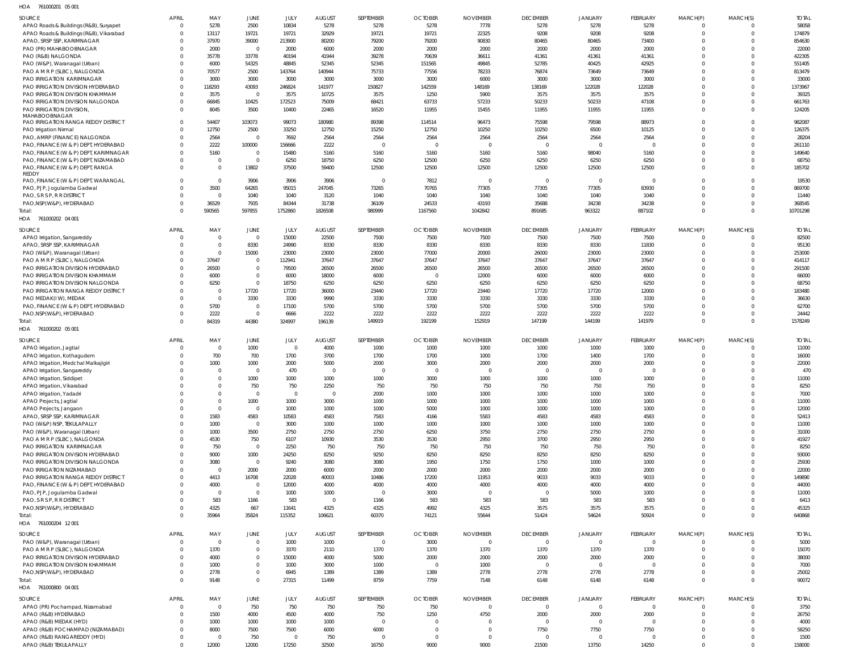| SOURCE                                                              | <b>APRIL</b>         | MAY                  | JUNE                             | JULY            | AUGUST                  | SEPTEMBER       | <b>OCTOBER</b>  | <b>NOVEMBER</b>  | <b>DECEMBER</b>          | <b>JANUARY</b>   | FEBRUARY       | MARCH(P)                   | MARCH(S)             | <b>TOTAL</b>    |
|---------------------------------------------------------------------|----------------------|----------------------|----------------------------------|-----------------|-------------------------|-----------------|-----------------|------------------|--------------------------|------------------|----------------|----------------------------|----------------------|-----------------|
| APAO Roads & Buildings (R&B), Suryapet                              | $\Omega$             | 5278                 | 2500                             | 10834           | 5278                    | 5278            | 5278            | 7778             | 5278                     | 5278             | 5278           | $\Omega$                   | $\Omega$             | 58058           |
| APAO Roads & Buildings (R&B), Vikarabad                             | $\Omega$             | 13117                | 19721                            | 19721           | 32929                   | 19721           | 19721           | 22325            | 9208                     | 9208             | 9208           | $\Omega$                   | $\Omega$             | 174879          |
| APAO, SRSP SSP, KARIMNAGAR<br>PAO (PR) MAHABOOBNAGAR                | $\Omega$<br>$\Omega$ | 37970<br>2000        | 39000<br>$\overline{0}$          | 213900<br>2000  | 80200<br>6000           | 79200<br>2000   | 79200<br>2000   | 90830<br>2000    | 80465<br>2000            | 80465<br>2000    | 73400<br>2000  | $\Omega$                   | $\Omega$<br>$\Omega$ | 854630<br>22000 |
| PAO (R&B) NALGONDA                                                  | $\Omega$             | 35778                | 33778                            | 40194           | 41944                   | 39278           | 70639           | 36611            | 41361                    | 41361            | 41361          |                            | $\Omega$             | 422305          |
| PAO (W&P), Waranagal (Urban)                                        | $\Omega$             | 6000                 | 54325                            | 48845           | 52345                   | 52345           | 151565          | 49845            | 52785                    | 40425            | 42925          |                            | $\Omega$             | 551405          |
| PAO A M R P (SLBC), NALGONDA                                        | $\Omega$             | 70577                | 2500                             | 143764          | 140944                  | 75733           | 77556           | 78233            | 76874                    | 73649            | 73649          |                            | $\Omega$             | 813479          |
| PAO IRRIGATION KARIMNAGAR                                           | 0                    | 3000                 | 3000                             | 3000            | 3000                    | 3000            | 3000            | 6000             | 3000                     | 3000             | 3000           |                            | $\Omega$             | 33000           |
| PAO IRRIGATION DIVISION HYDERABAD                                   | $\Omega$             | 118293               | 43093                            | 246824          | 141977                  | 150827          | 142559          | 148169           | 138169                   | 122028           | 122028         |                            | $\Omega$             | 1373967         |
| PAO IRRIGATION DIVISION KHAMMAM<br>PAO IRRIGATION DIVISION NALGONDA | $\Omega$<br>$\Omega$ | 3575<br>66845        | $\overline{0}$<br>10425          | 3575<br>172523  | 10725<br>75009          | 3575<br>68421   | 1250<br>63733   | 5900<br>57233    | 3575<br>50233            | 3575<br>50233    | 3575<br>47108  |                            | $\Omega$<br>$\Omega$ | 39325<br>661763 |
| PAO IRRIGATION DIVISION,                                            | $\Omega$             | 8045                 | 3500                             | 10400           | 22465                   | 16520           | 11955           | 15455            | 11955                    | 11955            | 11955          | $\Omega$                   | $\Omega$             | 124205          |
| MAHABOOBNAGAR                                                       |                      |                      |                                  |                 |                         |                 |                 |                  |                          |                  |                |                            |                      |                 |
| PAO IRRIGATION RANGA REDDY DISTRICT                                 | $\Omega$<br>$\Omega$ | 54407<br>12750       | 103073<br>2500                   | 99073<br>33250  | 180980<br>12750         | 89398<br>15250  | 114514<br>12750 | 96473<br>10250   | 75598<br>10250           | 79598<br>6500    | 88973<br>10125 | $\Omega$<br>$\Omega$       | $\Omega$<br>$\Omega$ | 98208<br>126375 |
| PAO Irrigation Nirmal<br>PAO, AMRP (FINANCE) NALGONDA               | $\Omega$             | 2564                 | $\overline{0}$                   | 7692            | 2564                    | 2564            | 2564            | 2564             | 2564                     | 2564             | 2564           | $\Omega$                   | $\Omega$             | 28204           |
| PAO, FINANCE (W & P) DEPT, HYDERABAD                                | $\Omega$             | 2222                 | 100000                           | 156666          | 2222                    |                 |                 |                  | $\epsilon$               | - C              |                | $\Omega$                   | $\Omega$             | 261110          |
| PAO, FINANCE (W & P) DEPT, KARIMNAGAR                               | $\Omega$             | 5160                 | $\overline{0}$                   | 15480           | 5160                    | 5160            | 5160            | 5160             | 5160                     | 98040            | 5160           | $\Omega$                   | $\Omega$             | 149640          |
| PAO, FINANCE (W & P) DEPT, NIZAMABAD                                | $\Omega$             |                      | $\overline{0}$                   | 6250            | 18750                   | 6250            | 12500           | 6250             | 6250                     | 6250             | 6250           | $\Omega$                   | $\Omega$             | 68750           |
| PAO, FINANCE (W & P) DEPT, RANGA                                    | $\Omega$             | $\Omega$             | 13802                            | 37500           | 59400                   | 12500           | 12500           | 12500            | 12500                    | 12500            | 12500          | $\Omega$                   | $\overline{0}$       | 185702          |
| <b>REDDY</b><br>PAO, FINANCE (W & P) DEPT, WARANGAL                 | $\Omega$             | $\Omega$             | 3906                             | 3906            | 3906                    | - 0             | 7812            | $\overline{0}$   | $\overline{\phantom{0}}$ | $\Omega$         | - 0            | $\Omega$                   | $\Omega$             | 19530           |
| PAO, PJP, Jogulamba Gadwal                                          |                      | 3500                 | 64265                            | 95015           | 247045                  | 73265           | 70765           | 77305            | 77305                    | 77305            | 83930          | $\Omega$                   | $\Omega$             | 869700          |
| PAO, S R S P, R R DISTRICT                                          | $\Omega$             | - 0                  | 1040                             | 1040            | 3120                    | 1040            | 1040            | 1040             | 1040                     | 1040             | 1040           | $\Omega$                   | $\Omega$             | 11440           |
| PAO, NSP (W&P), HYDERABAD                                           | $\Omega$             | 36529                | 7935                             | 84344           | 31738                   | 36109           | 24533           | 43193            | 35688                    | 34238            | 34238          | $\Omega$                   | $\Omega$             | 368545          |
| Total:                                                              | $\Omega$             | 590565               | 597855                           | 1752860         | 1826508                 | 980999          | 1167560         | 1042842          | 891685                   | 963322           | 887102         | $\Omega$                   | $\Omega$             | 10701298        |
| HOA 761000202 04 001                                                |                      |                      |                                  |                 |                         |                 |                 |                  |                          |                  |                |                            |                      |                 |
| SOURCE                                                              | <b>APRIL</b>         | MAY                  | JUNE                             | JULY            | <b>AUGUST</b>           | SEPTEMBER       | <b>OCTOBER</b>  | <b>NOVEMBER</b>  | <b>DECEMBER</b>          | <b>JANUARY</b>   | FEBRUARY       | MARCH(P)                   | MARCH(S)             | <b>TOTAL</b>    |
| APAO Irrigation, Sangareddy                                         | $\Omega$             | $\Omega$             | $\overline{0}$                   | 15000           | 22500                   | 7500            | 7500            | 7500             | 7500                     | 7500             | 7500           |                            | $\Omega$             | 82500           |
| APAO, SRSP SSP, KARIMNAGAR<br>PAO (W&P), Waranagal (Urban)          | $\Omega$<br>$\Omega$ | $\Omega$<br>$\Omega$ | 8330<br>15000                    | 24990<br>23000  | 8330<br>23000           | 8330<br>23000   | 8330<br>77000   | 8330<br>20000    | 8330<br>26000            | 8330<br>23000    | 11830<br>23000 | $\overline{0}$<br>$\Omega$ | $\Omega$<br>$\Omega$ | 95130<br>253000 |
| PAO A M R P (SLBC), NALGONDA                                        | $\Omega$             | 37647                | $\overline{0}$                   | 112941          | 37647                   | 37647           | 37647           | 37647            | 37647                    | 37647            | 37647          | $\Omega$                   | $\Omega$             | 414117          |
| PAO IRRIGATION DIVISION HYDERABAD                                   | $\Omega$             | 26500                | $\mathbf 0$                      | 79500           | 26500                   | 26500           | 26500           | 26500            | 26500                    | 26500            | 26500          | $\Omega$                   | $\Omega$             | 291500          |
| PAO IRRIGATION DIVISION KHAMMAM                                     | $\Omega$             | 6000                 | $\overline{0}$                   | 6000            | 18000                   | 6000            | $\Omega$        | 12000            | 6000                     | 6000             | 6000           | $\Omega$                   | $\Omega$             | 66000           |
| PAO IRRIGATION DIVISION NALGONDA                                    | $\Omega$             | 6250                 | $\mathbf 0$                      | 18750           | 6250                    | 6250            | 6250            | 6250             | 6250                     | 6250             | 6250           |                            | $\Omega$             | 68750           |
| PAO IRRIGATION RANGA REDDY DISTRICT                                 | $\Omega$             | $\Omega$             | 17720                            | 17720           | 36000                   | 23440           | 17720           | 23440            | 17720                    | 17720            | 12000          | $\Omega$                   | $\Omega$             | 183480          |
| PAO MEDAK(IW), MEDAK                                                | $\Omega$             | $\Omega$<br>5700     | 3330                             | 3330            | 9990                    | 3330            | 3330            | 3330<br>5700     | 3330                     | 3330             | 3330<br>5700   | $\Omega$                   | $\Omega$<br>$\Omega$ | 36630<br>62700  |
| PAO, FINANCE (W & P) DEPT, HYDERABAD<br>PAO, NSP (W&P), HYDERABAD   | $\Omega$<br>$\Omega$ | 2222                 | $\overline{0}$<br>$\overline{0}$ | 17100<br>6666   | 5700<br>2222            | 5700<br>2222    | 5700<br>2222    | 2222             | 5700<br>2222             | 5700<br>2222     | 2222           | $\Omega$<br>$\Omega$       | $\overline{0}$       | 24442           |
| Total:                                                              | $\Omega$             | 84319                | 44380                            | 324997          | 196139                  | 149919          | 192199          | 152919           | 147199                   | 144199           | 141979         | $\Omega$                   | $\Omega$             | 1578249         |
| HOA 761000202 05 001                                                |                      |                      |                                  |                 |                         |                 |                 |                  |                          |                  |                |                            |                      |                 |
| SOURCE                                                              | <b>APRIL</b>         | MAY                  | JUNE                             | JULY            | <b>AUGUST</b>           | SEPTEMBER       | <b>OCTOBER</b>  | <b>NOVEMBER</b>  | <b>DECEMBER</b>          | <b>JANUARY</b>   | FEBRUARY       | MARCH(P)                   | MARCH(S)             | <b>TOTAL</b>    |
| APAO Irrigation, Jagtial                                            | 0                    | $\Omega$             | 1000                             | $\Omega$        | 4000                    | 1000            | 1000            | 1000             | 1000                     | 1000             | 1000           |                            | $\Omega$             | 11000           |
| APAO Irrigation, Kothagudem                                         | 0                    | 700                  | 700                              | 1700            | 3700                    | 1700            | 1700            | 1000             | 1700                     | 1400             | 1700           | $\Omega$                   | $\Omega$             | 16000           |
| APAO Irrigation, Medchal Malkajigiri                                |                      | 1000                 | 1000                             | 2000            | 5000                    | 2000            | 3000            | 2000             | 2000                     | 2000             | 2000           |                            | $\Omega$             | 22000           |
| APAO Irrigation, Sangareddy                                         |                      |                      | $\overline{0}$                   | 470             | $\overline{\mathbf{0}}$ | - 0             |                 | $\Omega$         | - 0                      | - C              |                | $\Omega$                   | $\Omega$             | 470             |
| APAO Irrigation, Siddipet                                           |                      |                      | 1000                             | 1000            | 1000                    | 1000            | 3000            | 1000             | 1000                     | 1000             | 1000           |                            | $\Omega$             | 11000           |
| APAO Irrigation, Vikarabad<br>APAO Irrigation, Yadadri              | $\Omega$<br>0        | $\Omega$             | 750<br>$\Omega$                  | 750<br>$\Omega$ | 2250<br>- 0             | 750<br>2000     | 750<br>1000     | 750<br>1000      | 750<br>1000              | 750<br>1000      | 750<br>1000    | $\Omega$                   | $\Omega$<br>$\Omega$ | 8250<br>7000    |
| APAO Projects, Jagtial                                              | $\Omega$             |                      | 1000                             | 1000            | 3000                    | 1000            | 1000            | 1000             | 1000                     | 1000             | 1000           | $\Omega$                   | $\Omega$             | 11000           |
| APAO Projects, Jangaon                                              | $\Omega$             |                      | $\overline{0}$                   | 1000            | 1000                    | 1000            | 5000            | 1000             | 1000                     | 1000             | 1000           | $\Omega$                   | $\Omega$             | 12000           |
| APAO, SRSP SSP, KARIMNAGAR                                          | $\Omega$             | 1583                 | 4583                             | 10583           | 4583                    | 7583            | 4166            | 5583             | 4583                     | 4583             | 4583           | $\Omega$                   | $\Omega$             | 52413           |
| PAO (W&P) NSP, TEKULAPALLY                                          | $\Omega$             | 1000                 | $\overline{0}$                   | 3000            | 1000                    | 1000            | 1000            | 1000             | 1000                     | 1000             | 1000           |                            | $\Omega$             | 11000           |
| PAO (W&P), Waranagal (Urban)                                        | $\Omega$             | 1000                 | 3500                             | 2750            | 2750                    | 2750            | 6250            | 3750             | 2750                     | 2750             | 2750           | $\Omega$                   | $\Omega$             | 31000           |
| PAO A M R P (SLBC), NALGONDA<br>PAO IRRIGATION KARIMNAGAR           | $\Omega$<br>$\Omega$ | 4530<br>750          | 750<br>$\overline{0}$            | 6107<br>2250    | 10930<br>750            | 3530<br>750     | 3530<br>750     | 2950<br>750      | 3700<br>750              | 2950<br>750      | 2950<br>750    | $\Omega$                   | $\Omega$<br>$\Omega$ | 41927<br>8250   |
| PAO IRRIGATION DIVISION HYDERABAD                                   | $\Omega$             | 9000                 | 1000                             | 24250           | 8250                    | 9250            | 8250            | 8250             | 8250                     | 8250             | 8250           |                            | $\Omega$             | 93000           |
| PAO IRRIGATION DIVISION NALGONDA                                    | $\Omega$             | 3080                 | $\overline{0}$                   | 9240            | 3080                    | 3080            | 1950            | 1750             | 1750                     | 1000             | 1000           | $\Omega$                   | $\Omega$             | 25930           |
| PAO IRRIGATION NIZAMABAD                                            | $\Omega$             | $\Omega$             | 2000                             | 2000            | 6000                    | 2000            | 2000            | 2000             | 2000                     | 2000             | 2000           |                            | $\Omega$             | 22000           |
| PAO IRRIGATION RANGA REDDY DISTRICT                                 | $\Omega$             | 4413                 | 16708                            | 22028           | 40003                   | 10486           | 17200           | 11953            | 9033                     | 9033             | 9033           | $\Omega$                   | $\Omega$             | 149890          |
| PAO, FINANCE (W & P) DEPT, HYDERABAD                                | $\Omega$             | 4000                 | $\overline{0}$                   | 12000           | 4000                    | 4000            | 4000            | 4000             | 4000                     | 4000             | 4000           |                            | $\Omega$             | 44000           |
| PAO, PJP, Jogulamba Gadwal                                          | $\Omega$             |                      | $\overline{0}$                   | 1000            | 1000                    | - 0             | 3000            | $\overline{0}$   | $\Omega$                 | 5000             | 1000           | $\Omega$                   | $\Omega$             | 11000           |
| PAO, S R S P, R R DISTRICT<br>PAO, NSP(W&P), HYDERABAD              | $\Omega$             | 583<br>4325          | 1166<br>667                      | 583<br>11641    | $\overline{0}$<br>4325  | 1166<br>4325    | 583<br>4992     | 583<br>4325      | 583<br>3575              | 583<br>3575      | 583<br>3575    | $\Omega$<br>$\Omega$       | $\Omega$<br>$\Omega$ | 6413<br>45325   |
| Total:                                                              | $\Omega$             | 35964                | 35824                            | 115352          | 106621                  | 60370           | 74121           | 55644            | 51424                    | 54624            | 50924          | $\Omega$                   | $\Omega$             | 640868          |
| HOA 761000204 12001                                                 |                      |                      |                                  |                 |                         |                 |                 |                  |                          |                  |                |                            |                      |                 |
| SOURCE                                                              | <b>APRIL</b>         | MAY                  | JUNE                             | JULY            | <b>AUGUST</b>           | SEPTEMBER       | <b>OCTOBER</b>  | <b>NOVEMBER</b>  | <b>DECEMBER</b>          | <b>JANUARY</b>   | FEBRUARY       | MARCH(P)                   | MARCH(S)             | <b>TOTAL</b>    |
| PAO (W&P), Waranagal (Urban)                                        | $\mathbf{0}$         | $\Omega$             | $\overline{0}$                   | 1000            | 1000                    | - 0             | 3000            | $\overline{0}$   | $\overline{0}$           | $\Omega$         | $\Omega$       | $\Omega$                   | $\Omega$             | 5000            |
| PAO A M R P (SLBC), NALGONDA                                        | $\Omega$             | 1370                 | $\mathbf 0$                      | 3370            | 2110                    | 1370            | 1370            | 1370             | 1370                     | 1370             | 1370           | $\mathbf{0}$               | $\overline{0}$       | 15070           |
| PAO IRRIGATION DIVISION HYDERABAD                                   | $\Omega$             | 4000                 | $\mathbf{0}$                     | 15000           | 4000                    | 5000            | 2000            | 2000             | 2000                     | 2000             | 2000           | $\Omega$                   | $\Omega$             | 38000           |
| PAO IRRIGATION DIVISION KHAMMAM                                     | $\Omega$             | 1000                 | $\mathbf 0$                      | 1000            | 3000                    | 1000            | $\Omega$        | 1000             | $\overline{0}$           | $\Omega$         | $\Omega$       | $\Omega$                   | $\overline{0}$       | 7000            |
| PAO, NSP (W&P), HYDERABAD                                           | $\Omega$             | 2778                 | $\mathbf{0}$                     | 6945            | 1389                    | 1389            | 1389            | 2778             | 2778                     | 2778             | 2778           | $\mathbf 0$                | $\overline{0}$       | 25002           |
| Total:                                                              | $\Omega$             | 9148                 | $\mathbf{0}$                     | 27315           | 11499                   | 8759            | 7759            | 7148             | 6148                     | 6148             | 6148           | $\mathbf 0$                | $\Omega$             | 90072           |
| HOA 761000800 04 001                                                |                      |                      |                                  |                 |                         |                 |                 |                  |                          |                  |                |                            |                      |                 |
| SOURCE                                                              | <b>APRIL</b>         | MAY                  | JUNE                             | JULY            | <b>AUGUST</b>           | SEPTEMBER       | <b>OCTOBER</b>  | <b>NOVEMBER</b>  | <b>DECEMBER</b>          | <b>JANUARY</b>   | FEBRUARY       | MARCH(P)                   | MARCH(S)             | <b>TOTAL</b>    |
| APAO (PR) Pochampad, Nizamabad                                      | $\mathbf{0}$         | $\Omega$             | 750                              | 750             | 750                     | 750             | 750             | $\overline{0}$   | $\overline{0}$           | $\Omega$         |                | - 0                        | $\Omega$             | 3750            |
| APAO (R&B) HYDERABAD<br>APAO (R&B) MEDAK (HYD)                      | $\Omega$<br>$\Omega$ | 1500<br>1000         | 4000<br>1000                     | 4500<br>1000    | 4000<br>1000            | 750<br>$\Omega$ | 1250            | 4750<br>$\Omega$ | 2000<br>$\Omega$         | 2000<br>$\Omega$ | 2000           | $\Omega$<br>$\Omega$       | $\Omega$<br>$\Omega$ | 26750<br>4000   |
| APAO (R&B) POCHAMPAD (NIZAMABAD)                                    | $\Omega$             | 8000                 | 7500                             | 7500            | 6000                    | 6000            |                 | $\mathbf 0$      | 7750                     | 7750             | 7750           | $\Omega$                   | $\Omega$             | 58250           |
| APAO (R&B) RANGAREDDY (HYD)                                         | $\mathbf{0}$         | $\Omega$             | 750                              | $\Omega$        | 750                     |                 |                 | $\mathbf 0$      | $\Omega$                 | $\Omega$         |                | $\mathbf 0$                | $\overline{0}$       | 1500            |
| APAO (R&B) TEKULAPALLY                                              | $\mathbf 0$          | 12000                | 12000                            | 17250           | 32500                   | 16750           | 9000            | 9000             | 21500                    | 13750            | 14250          | $\mathbf 0$                | $\overline{0}$       | 158000          |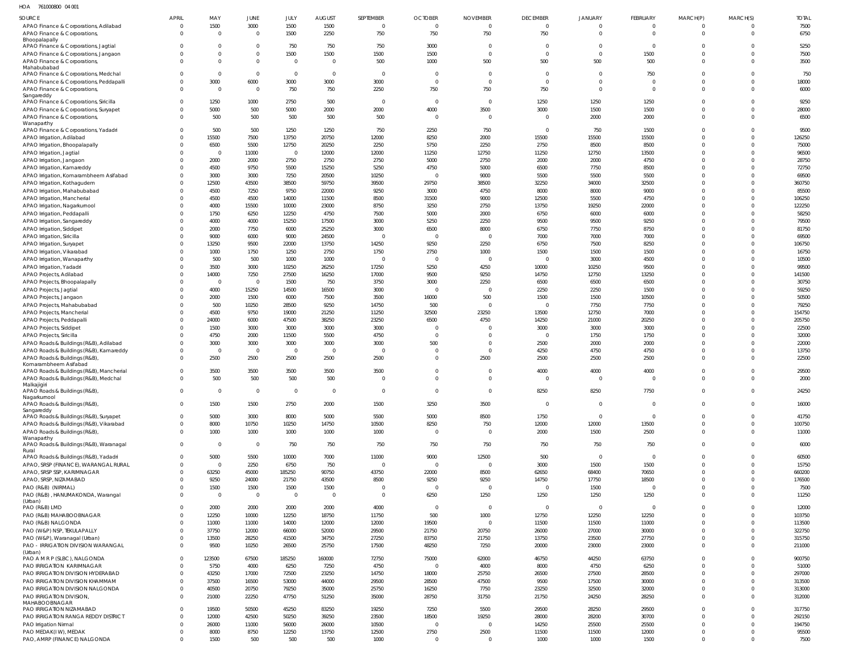HOA 761000800 04 001

| <b>SOURCE</b>                                                        | <b>APRIL</b>               | MAY            | JUNE           | JULY                    | <b>AUGUST</b>  | SEPTEMBER      | <b>OCTOBER</b> | <b>NOVEMBER</b> | <b>DECEMBER</b> | <b>JANUARY</b> | <b>FEBRUARY</b> | MARCH(P)                         | MARCH(S)                   | <b>TOTAL</b>     |
|----------------------------------------------------------------------|----------------------------|----------------|----------------|-------------------------|----------------|----------------|----------------|-----------------|-----------------|----------------|-----------------|----------------------------------|----------------------------|------------------|
| APAO Finance & Corporations, Adilabad                                | $\overline{0}$             | 1500           | 3000           | 1500                    | 1500           | $\mathbf 0$    | $\overline{0}$ | $\overline{0}$  | $\overline{0}$  | $\mathbf{0}$   | $\mathbf{0}$    | $\overline{0}$                   |                            | 7500             |
| APAO Finance & Corporations,                                         | $\Omega$                   | - 0            | $\overline{0}$ | 1500                    | 2250           | 750            | 750            | 750             | 750             | $\mathbf 0$    | $\mathbf 0$     | $\Omega$                         | $\Omega$                   | 6750             |
| Bhoopalapally<br>APAO Finance & Corporations, Jagtial                | $\Omega$                   | - 0            | $\overline{0}$ | 750                     | 750            | 750            | 3000           | $\overline{0}$  | $\mathbf 0$     | $\mathbf 0$    | $\overline{0}$  | $\overline{0}$                   | $\Omega$                   | 5250             |
| APAO Finance & Corporations, Jangaon                                 | $\Omega$                   |                | $\mathbf 0$    | 1500                    | 1500           | 1500           | 1500           | $\Omega$        | $\mathbf{0}$    | $\mathbf{0}$   | 1500            | $\overline{0}$                   | $\Omega$                   | 7500             |
| APAO Finance & Corporations,                                         | $\Omega$                   | $\Omega$       | $\mathbf{0}$   | $\Omega$                | $\overline{0}$ | 500            | 1000           | 500             | 500             | 500            | 500             | $\Omega$                         | $\Omega$                   | 3500             |
| Mahabubabad                                                          |                            |                |                |                         |                |                |                |                 |                 |                |                 |                                  |                            |                  |
| APAO Finance & Corporations, Medchal                                 | $\Omega$                   | - 0            | $\mathbf{0}$   | $\overline{0}$          | $\overline{0}$ | $\Omega$       | $\Omega$       | $\Omega$        | $\mathbf 0$     | $\mathbf 0$    | 750             | $\Omega$                         | $\Omega$                   | 750              |
| APAO Finance & Corporations, Peddapalli                              | $\mathbf 0$                | 3000           | 6000           | 3000                    | 3000           | 3000           | $\Omega$       | $\Omega$        | $\mathbf{0}$    | $\mathbf 0$    | $\overline{0}$  | $\Omega$                         | $\Omega$                   | 18000            |
| APAO Finance & Corporations,                                         | $\Omega$                   | $\Omega$       | $\overline{0}$ | 750                     | 750            | 2250           | 750            | 750             | 750             | $\overline{0}$ | $\mathbf 0$     | $\Omega$                         | $\Omega$                   | 6000             |
| Sangareddy                                                           |                            |                |                |                         |                |                |                |                 |                 |                |                 |                                  |                            |                  |
| APAO Finance & Corporations, Siricilla                               | $\Omega$                   | 1250           | 1000           | 2750                    | 500            | $\Omega$       | $\Omega$       | $\Omega$        | 1250            | 1250           | 1250            | $\Omega$                         | $\Omega$                   | 9250             |
| APAO Finance & Corporations, Suryapet                                | $\Omega$                   | 5000           | 500            | 5000                    | 2000           | 2000           | 4000           | 3500            | 3000            | 1500           | 1500            | $\Omega$                         | $\Omega$                   | 28000            |
| APAO Finance & Corporations,<br>Wanaparthy                           | $\Omega$                   | 500            | 500            | 500                     | 500            | 500            | $\Omega$       | $\Omega$        | $\overline{0}$  | 2000           | 2000            | $\Omega$                         | $\Omega$                   | 6500             |
| APAO Finance & Corporations, Yadadri                                 | $\Omega$                   | 500            | 500            | 1250                    | 1250           | 750            | 2250           | 750             | $\overline{0}$  | 750            | 1500            | $\Omega$                         | $\Omega$                   | 9500             |
| APAO Irrigation, Adilabad                                            | $\Omega$                   | 15500          | 7500           | 13750                   | 20750          | 12000          | 8250           | 2000            | 15500           | 15500          | 15500           | $\Omega$                         | $\Omega$                   | 126250           |
| APAO Irrigation, Bhoopalapally                                       | $\Omega$                   | 6500           | 5500           | 12750                   | 20250          | 2250           | 5750           | 2250            | 2750            | 8500           | 8500            | $\Omega$                         | $\Omega$                   | 75000            |
| APAO Irrigation, Jagtial                                             | $\Omega$                   | - 0            | 11000          | - 0                     | 12000          | 12000          | 11250          | 12750           | 11250           | 12750          | 13500           | $\Omega$                         | $\Omega$                   | 96500            |
| APAO Irrigation, Jangaon                                             | $\Omega$                   | 2000           | 2000           | 2750                    | 2750           | 2750           | 5000           | 2750            | 2000            | 2000           | 4750            | $\Omega$                         | $\Omega$                   | 28750            |
| APAO Irrigation, Kamareddy                                           |                            | 4500           | 9750           | 5500                    | 15250          | 5250           | 4750           | 5000            | 6500            | 7750           | 8500            | $\Omega$                         | $\Omega$                   | 72750            |
| APAO Irrigation, Komarambheem Asifabad                               | $\Omega$                   | 3000           | 3000           | 7250                    | 20500          | 10250          | $\overline{0}$ | 9000            | 5500            | 5500           | 5500            | $\Omega$                         | $\Omega$                   | 69500            |
| APAO Irrigation, Kothagudem                                          | $\Omega$                   | 12500          | 43500          | 38500                   | 59750          | 39500          | 29750          | 38500           | 32250           | 34000          | 32500           | $\Omega$                         | $\Omega$                   | 360750           |
| APAO Irrigation, Mahabubabad                                         | $\Omega$                   | 4500           | 7250           | 9750                    | 22000          | 9250           | 3000           | 4750            | 8000            | 8000           | 9000            | $\Omega$                         | $\Omega$                   | 85500            |
| APAO Irrigation, Mancherial                                          | $\Omega$                   | 4500           | 4500           | 14000                   | 11500          | 8500           | 31500          | 9000            | 12500           | 5500           | 4750            | $\Omega$                         | $\Omega$                   | 106250           |
| APAO Irrigation, Nagarkurnool                                        |                            | 4000           | 15500          | 10000                   | 23000          | 8750           | 3250           | 2750            | 13750           | 19250          | 22000           | $\Omega$                         | $\Omega$                   | 122250           |
| APAO Irrigation, Peddapalli                                          | $\Omega$                   | 1750           | 6250           | 12250                   | 4750           | 7500           | 5000           | 2000            | 6750            | 6000           | 6000            | $\Omega$                         | $\Omega$                   | 58250            |
| APAO Irrigation, Sangareddy                                          | $\Omega$                   | 4000           | 4000           | 15250                   | 17500          | 3000           | 5250           | 2250            | 9500            | 9500           | 9250            | $\Omega$                         | $\Omega$                   | 79500            |
| APAO Irrigation, Siddipet                                            | $\Omega$                   | 2000           | 7750           | 6000                    | 25250          | 3000           | 6500           | 8000            | 6750            | 7750           | 8750            | $\Omega$                         | $\Omega$                   | 81750            |
| APAO Irrigation, Siricilla                                           | $\Omega$                   | 9000           | 6000           | 9000                    | 24500          | $\Omega$       | $\Omega$       | $\Omega$        | 7000            | 7000           | 7000            | $\Omega$                         | $\Omega$                   | 69500            |
| APAO Irrigation, Suryapet                                            | $\Omega$                   | 13250          | 9500           | 22000                   | 13750          | 14250          | 9250           | 2250            | 6750            | 7500           | 8250            | $\Omega$                         | $\Omega$                   | 106750           |
| APAO Irrigation, Vikarabad                                           | $\Omega$                   | 1000           | 1750           | 1250                    | 2750           | 1750           | 2750           | 1000            | 1500            | 1500           | 1500            | $\Omega$                         | $\Omega$                   | 16750            |
| APAO Irrigation, Wanaparthy                                          | $\Omega$                   | 500            | 500            | 1000                    | 1000           | $\Omega$       | $\Omega$       | $\Omega$        | $\overline{0}$  | 3000           | 4500            | $\Omega$                         | $\Omega$                   | 10500            |
| APAO Irrigation, Yadadri                                             | $\Omega$                   | 3500           | 3000           | 10250                   | 26250          | 17250          | 5250           | 4250            | 10000           | 10250          | 9500            | $\Omega$                         | $\Omega$                   | 99500            |
| APAO Projects, Adilabad                                              | $\Omega$                   | 14000          | 7250           | 27500                   | 16250          | 17000          | 9500           | 9250            | 14750           | 12750          | 13250           | $\Omega$                         | $\Omega$                   | 141500           |
| APAO Projects, Bhoopalapally                                         | $\Omega$                   | - 0            | $\overline{0}$ | 1500                    | 750            | 3750           | 3000           | 2250            | 6500            | 6500           | 6500            | $\Omega$                         | $\Omega$                   | 30750            |
| APAO Projects, Jagtial                                               |                            | 4000           | 15250          | 14500                   | 16500          | 3000           | $\Omega$       | $\Omega$        | 2250            | 2250           | 1500            | $\Omega$                         | $\Omega$                   | 59250            |
| APAO Projects, Jangaon                                               |                            | 2000           | 1500           | 6000                    | 7500           | 3500           | 16000          | 500             | 1500            | 1500           | 10500           | $\Omega$                         | $\Omega$                   | 50500            |
| APAO Projects, Mahabubabad                                           | $\Omega$                   | 500            | 10250          | 28500                   | 9250           | 14750          | 500            | $\Omega$        | $\overline{0}$  | 7750           | 7750            | $\Omega$                         | $\Omega$                   | 79250            |
| APAO Projects, Mancherial                                            | $\Omega$                   | 4500           | 9750           | 19000                   | 21250          | 11250          | 32500          | 23250           | 13500           | 12750          | 7000            | $\Omega$                         | $\Omega$                   | 154750           |
| APAO Projects, Peddapalli                                            | $\Omega$                   | 24000          | 6000           | 47500                   | 38250          | 23250          | 6500           | 4750            | 14250           | 21000          | 20250           | $\Omega$                         | $\Omega$                   | 205750           |
| APAO Projects, Siddipet                                              | $\Omega$                   | 1500           | 3000           | 3000                    | 3000           | 3000           | $\Omega$       |                 | 3000            | 3000           | 3000            | $\Omega$                         | $\Omega$                   | 22500            |
| APAO Projects, Siricilla                                             | $\Omega$                   | 4750           | 2000           | 11500                   | 5500           | 4750           | $\Omega$       |                 | $\overline{0}$  | 1750           | 1750            | $\Omega$                         | $\Omega$                   | 32000            |
| APAO Roads & Buildings (R&B), Adilabad                               | $\Omega$                   | 3000           | 3000           | 3000                    | 3000           | 3000           | 500            | $\Omega$        | 2500            | 2000           | 2000            | $\Omega$                         | $\Omega$                   | 22000            |
| APAO Roads & Buildings (R&B), Kamareddy                              | $\Omega$                   | - 0            | $\overline{0}$ | $\overline{0}$          | $\overline{0}$ |                | $\Omega$       | $\Omega$        | 4250            | 4750           | 4750            | $\Omega$                         | $\Omega$                   | 13750            |
| APAO Roads & Buildings (R&B),                                        | $\Omega$                   | 2500           | 2500           | 2500                    | 2500           | 2500           | $\Omega$       | 2500            | 2500            | 2500           | 2500            | $\Omega$                         | $\Omega$                   | 22500            |
| Komarambheem Asifabad                                                |                            |                |                |                         |                |                |                |                 |                 |                |                 |                                  |                            |                  |
| APAO Roads & Buildings (R&B), Mancherial                             | $\Omega$                   | 3500           | 3500           | 3500                    | 3500           | 3500           | $\Omega$       | $\Omega$        | 4000            | 4000           | 4000            | $\Omega$                         | $\Omega$                   | 29500            |
| APAO Roads & Buildings (R&B), Medchal                                | $\Omega$                   | 500            | 500            | 500                     | 500            | $\Omega$       | $\Omega$       | $\Omega$        | $\mathbf{0}$    | $\mathbf 0$    | $\mathbf{0}$    | $\Omega$                         | $\Omega$                   | 2000             |
| Malkajigiri                                                          |                            |                |                |                         |                |                |                |                 |                 |                |                 |                                  |                            |                  |
| APAO Roads & Buildings (R&B)                                         | $\Omega$                   | $\Omega$       | $\mathbf 0$    | $\overline{0}$          | $\overline{0}$ | $\Omega$       | $\Omega$       | $\Omega$        | 8250            | 8250           | 7750            |                                  |                            | 24250            |
| Nagarkurnool<br>APAO Roads & Buildings (R&B)                         | $\mathbf{0}$               | 1500           | 1500           | 2750                    | 2000           | 1500           | 3250           | 3500            | $\mathbf{0}$    | $\overline{0}$ | $\overline{0}$  | $\overline{0}$                   | $\overline{0}$             | 16000            |
| Sangareddy                                                           |                            |                |                |                         |                |                |                |                 |                 |                |                 |                                  |                            |                  |
| APAO Roads & Buildings (R&B), Suryapet                               | $\mathbf 0$                | 5000           | 3000           | 8000                    | 5000           | 5500           | 5000           | 8500            | 1750            | $\overline{0}$ | $\mathbf{0}$    | $\overline{0}$                   | $\Omega$                   | 41750            |
| APAO Roads & Buildings (R&B), Vikarabad                              | $\mathbf 0$                | 8000           | 10750          | 10250                   | 14750          | 10500          | 8250           | 750             | 12000           | 12000          | 13500           | $\overline{0}$                   | $\mathbf 0$                | 100750           |
| APAO Roads & Buildings (R&B),                                        | $\Omega$                   | 1000           | 1000           | 1000                    | 1000           | 1000           | $\overline{0}$ | $\overline{0}$  | 2000            | 1500           | 2500            | $\overline{0}$                   | $\Omega$                   | 11000            |
| Wanaparthy                                                           |                            |                |                |                         |                |                |                |                 |                 |                |                 |                                  |                            |                  |
| APAO Roads & Buildings (R&B), Waranagal<br>Rural                     | $\overline{0}$             | $\overline{0}$ | $\overline{0}$ | 750                     | 750            | 750            | 750            | 750             | 750             | 750            | 750             | $\overline{0}$                   | $\mathbf 0$                | 6000             |
| APAO Roads & Buildings (R&B), Yadadri                                | $\mathbf 0$                | 5000           | 5500           | 10000                   | 7000           | 11000          | 9000           | 12500           | 500             | $\mathbf 0$    | $\mathbf{0}$    | $\overline{0}$                   | $\overline{0}$             | 60500            |
| APAO, SRSP (FINANCE), WARANGAL RURAL                                 | $\mathbf 0$                | $\overline{0}$ | 2250           | 6750                    | 750            | $\overline{0}$ | $\overline{0}$ | $\overline{0}$  | 3000            | 1500           | 1500            | $\overline{0}$                   | $\overline{0}$             | 15750            |
| APAO, SRSP SSP, KARIMNAGAR                                           | $\mathbf 0$                | 63250          | 45000          | 185250                  | 90750          | 43750          | 22000          | 8500            | 62650           | 68400          | 70650           | $\overline{0}$                   | $\Omega$                   | 660200           |
| APAO, SRSP, NIZAMABAD                                                | $\Omega$                   | 9250           | 24000          | 21750                   | 43500          | 8500           | 9250           | 9250            | 14750           | 17750          | 18500           | $\overline{0}$                   | $\overline{0}$             | 176500           |
| PAO (R&B) (NIRMAL)                                                   | $\Omega$                   | 1500           | 1500           | 1500                    | 1500           | $\Omega$       | $\overline{0}$ | $\Omega$        | $\mathbf{0}$    | 1500           | $\overline{0}$  | $\overline{0}$                   | $\Omega$                   | 7500             |
| PAO (R&B), HANUMAKONDA, Warangal                                     | $\mathbf 0$                | $\overline{0}$ | $\overline{0}$ | $\overline{\mathbf{0}}$ | $\mathbf 0$    | $\Omega$       | 6250           | 1250            | 1250            | 1250           | 1250            | $\overline{0}$                   | $\overline{0}$             | 11250            |
| (Urban)                                                              |                            |                |                |                         |                |                |                |                 |                 |                |                 |                                  |                            |                  |
| PAO (R&B) LMD                                                        | $\mathbf 0$                | 2000           | 2000           | 2000                    | 2000           | 4000           | $\overline{0}$ | $\overline{0}$  | $\overline{0}$  | $\overline{0}$ | $\mathbf{0}$    | $\overline{0}$                   | $\Omega$                   | 12000            |
| PAO (R&B) MAHABOOBNAGAR                                              | $\mathbf 0$                | 12250          | 10000          | 12250                   | 18750          | 11750          | 500            | 1000            | 12750           | 12250          | 12250           | $\overline{0}$                   | $\Omega$                   | 103750           |
| PAO (R&B) NALGONDA                                                   | $\mathbf 0$                | 11000          | 11000          | 14000                   | 12000          | 12000          | 19500          | $\overline{0}$  | 11500           | 11500          | 11000           | $\overline{0}$                   | $\Omega$                   | 113500           |
| PAO (W&P) NSP, TEKULAPALLY                                           | $\mathbf 0$                | 37750          | 12000          | 66000                   | 52000          | 29500          | 21750          | 20750           | 26000           | 27000          | 30000           | $\overline{0}$                   | $\overline{0}$             | 322750           |
| PAO (W&P), Waranagal (Urban)                                         | $\mathbf 0$                | 13500          | 28250          | 41500                   | 34750          | 27250          | 83750          | 21750           | 13750           | 23500          | 27750           | $\overline{0}$                   | $\Omega$                   | 315750           |
| PAO - IRRIGATION DIVISION WARANGAL                                   | $\mathbf{0}$               | 9500           | 10250          | 26500                   | 25750          | 17500          | 48250          | 7250            | 20000           | 23000          | 23000           | $\overline{0}$                   | $\overline{0}$             | 211000           |
| (Urban)                                                              |                            |                |                |                         |                |                |                |                 |                 |                |                 |                                  |                            |                  |
| PAO A M R P (SLBC), NALGONDA                                         | $\overline{0}$             | 123500         | 67500          | 185250                  | 160000         | 72750          | 75000          | 62000           | 46750           | 44250          | 63750           | $\overline{0}$<br>$\overline{0}$ | $\Omega$                   | 900750           |
| PAO IRRIGATION KARIMNAGAR                                            | $\mathbf 0$<br>$\mathbf 0$ | 5750<br>43250  | 4000           | 6250                    | 7250           | 4750           | $\overline{0}$ | 4000            | 8000            | 4750           | 6250            | $\overline{0}$                   | $\overline{0}$<br>$\Omega$ | 51000            |
| PAO IRRIGATION DIVISION HYDERABAD<br>PAO IRRIGATION DIVISION KHAMMAM | $\mathbf 0$                | 37500          | 17000<br>16500 | 72500<br>53000          | 23250<br>44000 | 14750<br>29500 | 18000<br>28500 | 25750<br>47500  | 26500<br>9500   | 27500<br>17500 | 28500<br>30000  | $\overline{0}$                   | $\Omega$                   | 297000<br>313500 |
|                                                                      | $\mathbf 0$                | 40500          | 20750          | 79250                   | 35000          | 25750          | 16250          | 7750            | 23250           | 32500          | 32000           | $\overline{0}$                   | $\overline{0}$             | 313000           |
| PAO IRRIGATION DIVISION NALGONDA<br>PAO IRRIGATION DIVISION,         | $\mathbf{0}$               | 21000          | 22250          | 47750                   | 51250          | 35000          | 28750          | 31750           | 21750           | 24250          | 28250           | $\overline{0}$                   | $\overline{0}$             | 312000           |
| MAHABOOBNAGAR                                                        |                            |                |                |                         |                |                |                |                 |                 |                |                 |                                  |                            |                  |
| PAO IRRIGATION NIZAMABAD                                             | $\mathbf 0$                | 19500          | 50500          | 45250                   | 83250          | 19250          | 7250           | 5500            | 29500           | 28250          | 29500           | $\overline{0}$                   | $\Omega$                   | 317750           |
| PAO IRRIGATION RANGA REDDY DISTRICT                                  | $\mathbf 0$                | 12000          | 42500          | 50250                   | 39250          | 23500          | 18500          | 19250           | 28000           | 28200          | 30700           | $\overline{0}$                   | $\overline{0}$             | 292150           |
| <b>PAO Irrigation Nirmal</b>                                         | $\mathbf 0$                | 26000          | 11000          | 56000                   | 26000          | 10500          | $\overline{0}$ | $\Omega$        | 14250           | 25500          | 25500           | $\overline{0}$                   | $\Omega$                   | 194750           |
| PAO MEDAK(IW), MEDAK                                                 | $\Omega$                   | 8000           | 8750           | 12250                   | 13750          | 12500          | 2750           | 2500            | 11500           | 11500          | 12000           | $\overline{0}$                   | $^{\circ}$                 | 95500            |
| PAO, AMRP (FINANCE) NALGONDA                                         | $\Omega$                   | 1500           | 500            | 500                     | 500            | 1000           | $\overline{0}$ | $\overline{0}$  | 1000            | 1000           | 1500            | $\overline{0}$                   | $\mathbf 0$                | 7500             |
|                                                                      |                            |                |                |                         |                |                |                |                 |                 |                |                 |                                  |                            |                  |